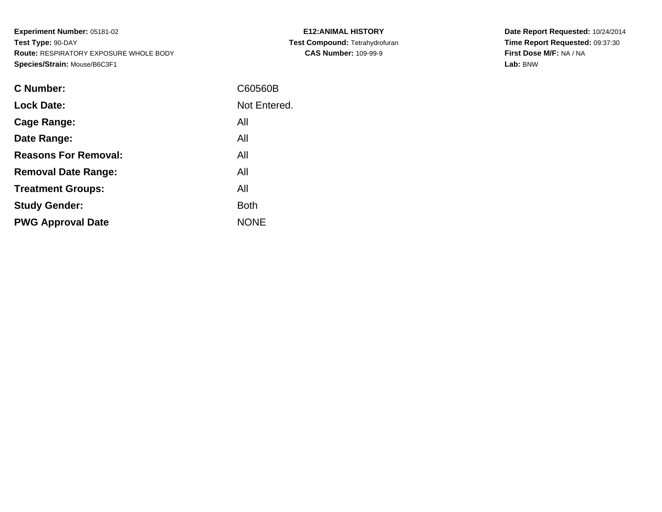**Experiment Number:** 05181-02**Test Type:** 90-DAY **Route:** RESPIRATORY EXPOSURE WHOLE BODY**Species/Strain:** Mouse/B6C3F1

| <b>C Number:</b>            | C60560B      |
|-----------------------------|--------------|
| <b>Lock Date:</b>           | Not Entered. |
| <b>Cage Range:</b>          | All          |
| Date Range:                 | All          |
| <b>Reasons For Removal:</b> | All          |
| <b>Removal Date Range:</b>  | All          |
| <b>Treatment Groups:</b>    | All          |
| <b>Study Gender:</b>        | <b>Both</b>  |
| <b>PWG Approval Date</b>    | <b>NONE</b>  |
|                             |              |

**E12:ANIMAL HISTORY Test Compound:** Tetrahydrofuran**CAS Number:** 109-99-9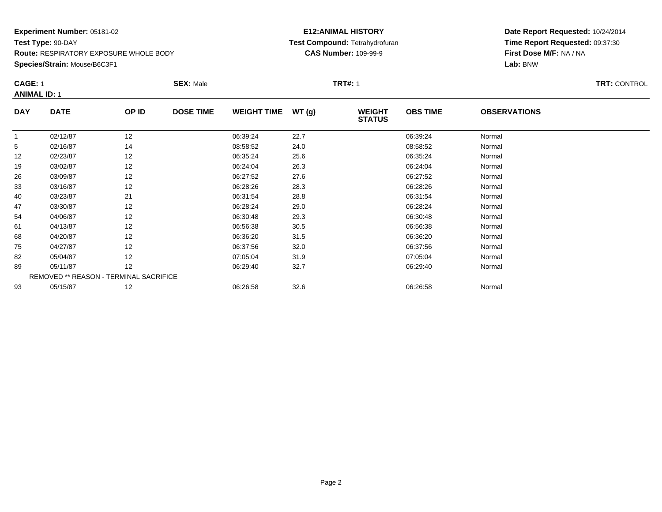**Species/Strain:** Mouse/B6C3F1

#### **E12:ANIMAL HISTORY Test Compound:** Tetrahydrofuran**CAS Number:** 109-99-9

|            | <b>CAGE: 1</b><br><b>ANIMAL ID: 1</b>  |       | <b>SEX: Male</b> |                    | <b>TRT#: 1</b> | <b>TRT: CONTROL</b>            |                 |                     |  |
|------------|----------------------------------------|-------|------------------|--------------------|----------------|--------------------------------|-----------------|---------------------|--|
| <b>DAY</b> | <b>DATE</b>                            | OP ID | <b>DOSE TIME</b> | <b>WEIGHT TIME</b> | WT(g)          | <b>WEIGHT</b><br><b>STATUS</b> | <b>OBS TIME</b> | <b>OBSERVATIONS</b> |  |
| 1          | 02/12/87                               | 12    |                  | 06:39:24           | 22.7           |                                | 06:39:24        | Normal              |  |
| 5          | 02/16/87                               | 14    |                  | 08:58:52           | 24.0           |                                | 08:58:52        | Normal              |  |
| 12         | 02/23/87                               | 12    |                  | 06:35:24           | 25.6           |                                | 06:35:24        | Normal              |  |
| 19         | 03/02/87                               | 12    |                  | 06:24:04           | 26.3           |                                | 06:24:04        | Normal              |  |
| 26         | 03/09/87                               | 12    |                  | 06:27:52           | 27.6           |                                | 06:27:52        | Normal              |  |
| 33         | 03/16/87                               | 12    |                  | 06:28:26           | 28.3           |                                | 06:28:26        | Normal              |  |
| 40         | 03/23/87                               | 21    |                  | 06:31:54           | 28.8           |                                | 06:31:54        | Normal              |  |
| 47         | 03/30/87                               | 12    |                  | 06:28:24           | 29.0           |                                | 06:28:24        | Normal              |  |
| 54         | 04/06/87                               | 12    |                  | 06:30:48           | 29.3           |                                | 06:30:48        | Normal              |  |
| 61         | 04/13/87                               | 12    |                  | 06:56:38           | 30.5           |                                | 06:56:38        | Normal              |  |
| 68         | 04/20/87                               | 12    |                  | 06:36:20           | 31.5           |                                | 06:36:20        | Normal              |  |
| 75         | 04/27/87                               | 12    |                  | 06:37:56           | 32.0           |                                | 06:37:56        | Normal              |  |
| 82         | 05/04/87                               | 12    |                  | 07:05:04           | 31.9           |                                | 07:05:04        | Normal              |  |
| 89         | 05/11/87                               | 12    |                  | 06:29:40           | 32.7           |                                | 06:29:40        | Normal              |  |
|            | REMOVED ** REASON - TERMINAL SACRIFICE |       |                  |                    |                |                                |                 |                     |  |
| 93         | 05/15/87                               | 12    |                  | 06:26:58           | 32.6           |                                | 06:26:58        | Normal              |  |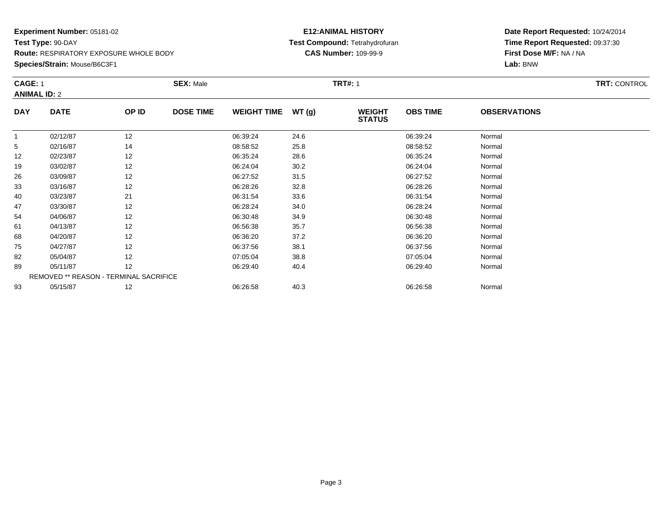**Species/Strain:** Mouse/B6C3F1

#### **E12:ANIMAL HISTORY Test Compound:** Tetrahydrofuran**CAS Number:** 109-99-9

| <b>CAGE: 1</b> |                                        | <b>SEX: Male</b> |                  |                    | <b>TRT#: 1</b> | <b>TRT: CONTROL</b>            |                 |                     |  |
|----------------|----------------------------------------|------------------|------------------|--------------------|----------------|--------------------------------|-----------------|---------------------|--|
|                | <b>ANIMAL ID: 2</b>                    |                  |                  |                    |                |                                |                 |                     |  |
| <b>DAY</b>     | <b>DATE</b>                            | OP ID            | <b>DOSE TIME</b> | <b>WEIGHT TIME</b> | WT(g)          | <b>WEIGHT</b><br><b>STATUS</b> | <b>OBS TIME</b> | <b>OBSERVATIONS</b> |  |
|                | 02/12/87                               | 12               |                  | 06:39:24           | 24.6           |                                | 06:39:24        | Normal              |  |
| 5              | 02/16/87                               | 14               |                  | 08:58:52           | 25.8           |                                | 08:58:52        | Normal              |  |
| 12             | 02/23/87                               | 12               |                  | 06:35:24           | 28.6           |                                | 06:35:24        | Normal              |  |
| 19             | 03/02/87                               | 12               |                  | 06:24:04           | 30.2           |                                | 06:24:04        | Normal              |  |
| 26             | 03/09/87                               | 12               |                  | 06:27:52           | 31.5           |                                | 06:27:52        | Normal              |  |
| 33             | 03/16/87                               | 12               |                  | 06:28:26           | 32.8           |                                | 06:28:26        | Normal              |  |
| 40             | 03/23/87                               | 21               |                  | 06:31:54           | 33.6           |                                | 06:31:54        | Normal              |  |
| 47             | 03/30/87                               | 12               |                  | 06:28:24           | 34.0           |                                | 06:28:24        | Normal              |  |
| 54             | 04/06/87                               | 12               |                  | 06:30:48           | 34.9           |                                | 06:30:48        | Normal              |  |
| 61             | 04/13/87                               | 12               |                  | 06:56:38           | 35.7           |                                | 06:56:38        | Normal              |  |
| 68             | 04/20/87                               | 12               |                  | 06:36:20           | 37.2           |                                | 06:36:20        | Normal              |  |
| 75             | 04/27/87                               | 12               |                  | 06:37:56           | 38.1           |                                | 06:37:56        | Normal              |  |
| 82             | 05/04/87                               | 12               |                  | 07:05:04           | 38.8           |                                | 07:05:04        | Normal              |  |
| 89             | 05/11/87                               | 12               |                  | 06:29:40           | 40.4           |                                | 06:29:40        | Normal              |  |
|                | REMOVED ** REASON - TERMINAL SACRIFICE |                  |                  |                    |                |                                |                 |                     |  |
| 93             | 05/15/87                               | 12               |                  | 06:26:58           | 40.3           |                                | 06:26:58        | Normal              |  |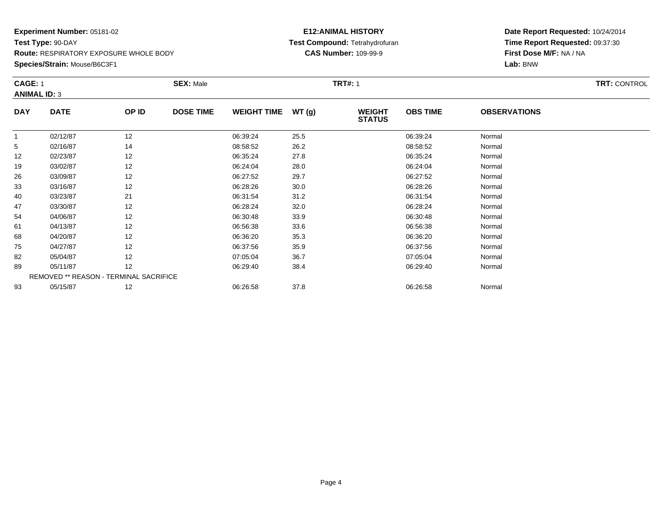**Species/Strain:** Mouse/B6C3F1

#### **E12:ANIMAL HISTORY Test Compound:** Tetrahydrofuran**CAS Number:** 109-99-9

| <b>CAGE: 1</b><br><b>ANIMAL ID: 3</b> |                                        | <b>SEX: Male</b> |                  |                    | <b>TRT#: 1</b> |                                |                 |                     |  |
|---------------------------------------|----------------------------------------|------------------|------------------|--------------------|----------------|--------------------------------|-----------------|---------------------|--|
| <b>DAY</b>                            | <b>DATE</b>                            | OP ID            | <b>DOSE TIME</b> | <b>WEIGHT TIME</b> | WT(g)          | <b>WEIGHT</b><br><b>STATUS</b> | <b>OBS TIME</b> | <b>OBSERVATIONS</b> |  |
| 1                                     | 02/12/87                               | 12               |                  | 06:39:24           | 25.5           |                                | 06:39:24        | Normal              |  |
| 5                                     | 02/16/87                               | 14               |                  | 08:58:52           | 26.2           |                                | 08:58:52        | Normal              |  |
| 12                                    | 02/23/87                               | 12               |                  | 06:35:24           | 27.8           |                                | 06:35:24        | Normal              |  |
| 19                                    | 03/02/87                               | 12               |                  | 06:24:04           | 28.0           |                                | 06:24:04        | Normal              |  |
| 26                                    | 03/09/87                               | 12               |                  | 06:27:52           | 29.7           |                                | 06:27:52        | Normal              |  |
| 33                                    | 03/16/87                               | 12               |                  | 06:28:26           | 30.0           |                                | 06:28:26        | Normal              |  |
| 40                                    | 03/23/87                               | 21               |                  | 06:31:54           | 31.2           |                                | 06:31:54        | Normal              |  |
| 47                                    | 03/30/87                               | 12               |                  | 06:28:24           | 32.0           |                                | 06:28:24        | Normal              |  |
| 54                                    | 04/06/87                               | 12               |                  | 06:30:48           | 33.9           |                                | 06:30:48        | Normal              |  |
| 61                                    | 04/13/87                               | 12               |                  | 06:56:38           | 33.6           |                                | 06:56:38        | Normal              |  |
| 68                                    | 04/20/87                               | 12               |                  | 06:36:20           | 35.3           |                                | 06:36:20        | Normal              |  |
| 75                                    | 04/27/87                               | 12               |                  | 06:37:56           | 35.9           |                                | 06:37:56        | Normal              |  |
| 82                                    | 05/04/87                               | 12               |                  | 07:05:04           | 36.7           |                                | 07:05:04        | Normal              |  |
| 89                                    | 05/11/87                               | 12               |                  | 06:29:40           | 38.4           |                                | 06:29:40        | Normal              |  |
|                                       | REMOVED ** REASON - TERMINAL SACRIFICE |                  |                  |                    |                |                                |                 |                     |  |
| 93                                    | 05/15/87                               | 12               |                  | 06:26:58           | 37.8           |                                | 06:26:58        | Normal              |  |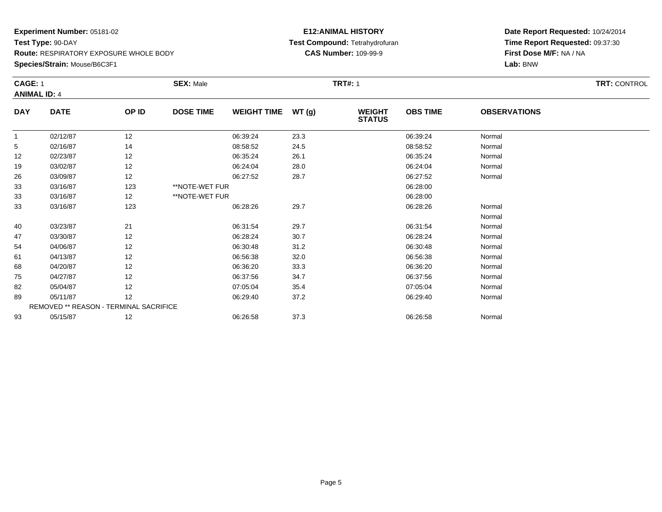### **Species/Strain:** Mouse/B6C3F1

#### **E12:ANIMAL HISTORY Test Compound:** Tetrahydrofuran**CAS Number:** 109-99-9

|              | <b>CAGE: 1</b><br><b>ANIMAL ID: 4</b>  |       | <b>SEX: Male</b> | <b>TRT#: 1</b>     |       |                                |                 |                     |  |
|--------------|----------------------------------------|-------|------------------|--------------------|-------|--------------------------------|-----------------|---------------------|--|
|              |                                        |       |                  |                    |       |                                |                 |                     |  |
| <b>DAY</b>   | <b>DATE</b>                            | OP ID | <b>DOSE TIME</b> | <b>WEIGHT TIME</b> | WT(g) | <b>WEIGHT</b><br><b>STATUS</b> | <b>OBS TIME</b> | <b>OBSERVATIONS</b> |  |
| $\mathbf{1}$ | 02/12/87                               | 12    |                  | 06:39:24           | 23.3  |                                | 06:39:24        | Normal              |  |
| 5            | 02/16/87                               | 14    |                  | 08:58:52           | 24.5  |                                | 08:58:52        | Normal              |  |
| 12           | 02/23/87                               | 12    |                  | 06:35:24           | 26.1  |                                | 06:35:24        | Normal              |  |
| 19           | 03/02/87                               | 12    |                  | 06:24:04           | 28.0  |                                | 06:24:04        | Normal              |  |
| 26           | 03/09/87                               | 12    |                  | 06:27:52           | 28.7  |                                | 06:27:52        | Normal              |  |
| 33           | 03/16/87                               | 123   | **NOTE-WET FUR   |                    |       |                                | 06:28:00        |                     |  |
| 33           | 03/16/87                               | 12    | **NOTE-WET FUR   |                    |       |                                | 06:28:00        |                     |  |
| 33           | 03/16/87                               | 123   |                  | 06:28:26           | 29.7  |                                | 06:28:26        | Normal              |  |
|              |                                        |       |                  |                    |       |                                |                 | Normal              |  |
| 40           | 03/23/87                               | 21    |                  | 06:31:54           | 29.7  |                                | 06:31:54        | Normal              |  |
| 47           | 03/30/87                               | 12    |                  | 06:28:24           | 30.7  |                                | 06:28:24        | Normal              |  |
| 54           | 04/06/87                               | 12    |                  | 06:30:48           | 31.2  |                                | 06:30:48        | Normal              |  |
| 61           | 04/13/87                               | 12    |                  | 06:56:38           | 32.0  |                                | 06:56:38        | Normal              |  |
| 68           | 04/20/87                               | 12    |                  | 06:36:20           | 33.3  |                                | 06:36:20        | Normal              |  |
| 75           | 04/27/87                               | 12    |                  | 06:37:56           | 34.7  |                                | 06:37:56        | Normal              |  |
| 82           | 05/04/87                               | 12    |                  | 07:05:04           | 35.4  |                                | 07:05:04        | Normal              |  |
| 89           | 05/11/87                               | 12    |                  | 06:29:40           | 37.2  |                                | 06:29:40        | Normal              |  |
|              | REMOVED ** REASON - TERMINAL SACRIFICE |       |                  |                    |       |                                |                 |                     |  |
| 93           | 05/15/87                               | 12    |                  | 06:26:58           | 37.3  |                                | 06:26:58        | Normal              |  |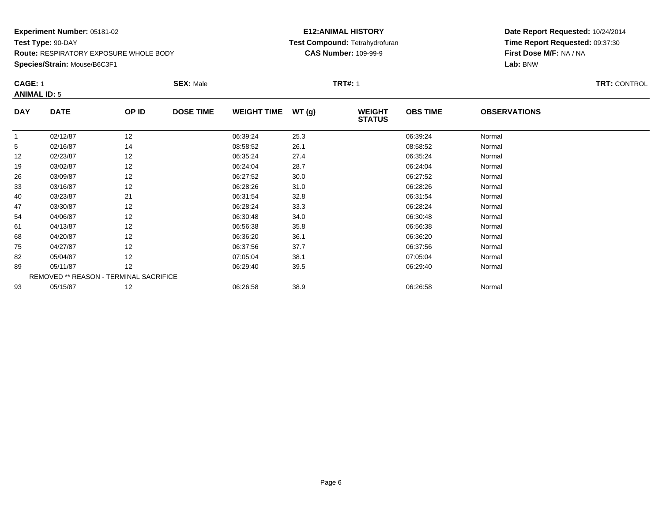**Species/Strain:** Mouse/B6C3F1

#### **E12:ANIMAL HISTORY Test Compound:** Tetrahydrofuran**CAS Number:** 109-99-9

| <b>CAGE: 1</b> |                                        | <b>SEX: Male</b> |                  |                    | <b>TRT#: 1</b> | <b>TRT: CONTROL</b>            |                 |                     |  |
|----------------|----------------------------------------|------------------|------------------|--------------------|----------------|--------------------------------|-----------------|---------------------|--|
|                | <b>ANIMAL ID: 5</b>                    |                  |                  |                    |                |                                |                 |                     |  |
| <b>DAY</b>     | <b>DATE</b>                            | OP ID            | <b>DOSE TIME</b> | <b>WEIGHT TIME</b> | WT(g)          | <b>WEIGHT</b><br><b>STATUS</b> | <b>OBS TIME</b> | <b>OBSERVATIONS</b> |  |
|                | 02/12/87                               | 12               |                  | 06:39:24           | 25.3           |                                | 06:39:24        | Normal              |  |
| 5              | 02/16/87                               | 14               |                  | 08:58:52           | 26.1           |                                | 08:58:52        | Normal              |  |
| 12             | 02/23/87                               | 12               |                  | 06:35:24           | 27.4           |                                | 06:35:24        | Normal              |  |
| 19             | 03/02/87                               | 12               |                  | 06:24:04           | 28.7           |                                | 06:24:04        | Normal              |  |
| 26             | 03/09/87                               | 12               |                  | 06:27:52           | 30.0           |                                | 06:27:52        | Normal              |  |
| 33             | 03/16/87                               | 12               |                  | 06:28:26           | 31.0           |                                | 06:28:26        | Normal              |  |
| 40             | 03/23/87                               | 21               |                  | 06:31:54           | 32.8           |                                | 06:31:54        | Normal              |  |
| 47             | 03/30/87                               | 12               |                  | 06:28:24           | 33.3           |                                | 06:28:24        | Normal              |  |
| 54             | 04/06/87                               | 12               |                  | 06:30:48           | 34.0           |                                | 06:30:48        | Normal              |  |
| 61             | 04/13/87                               | 12               |                  | 06:56:38           | 35.8           |                                | 06:56:38        | Normal              |  |
| 68             | 04/20/87                               | 12               |                  | 06:36:20           | 36.1           |                                | 06:36:20        | Normal              |  |
| 75             | 04/27/87                               | 12               |                  | 06:37:56           | 37.7           |                                | 06:37:56        | Normal              |  |
| 82             | 05/04/87                               | 12               |                  | 07:05:04           | 38.1           |                                | 07:05:04        | Normal              |  |
| 89             | 05/11/87                               | 12               |                  | 06:29:40           | 39.5           |                                | 06:29:40        | Normal              |  |
|                | REMOVED ** REASON - TERMINAL SACRIFICE |                  |                  |                    |                |                                |                 |                     |  |
| 93             | 05/15/87                               | 12               |                  | 06:26:58           | 38.9           |                                | 06:26:58        | Normal              |  |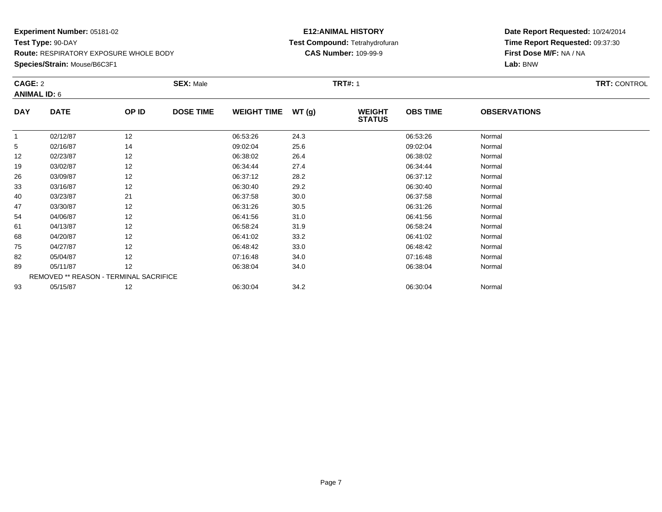**Species/Strain:** Mouse/B6C3F1

#### **E12:ANIMAL HISTORY Test Compound:** Tetrahydrofuran**CAS Number:** 109-99-9

| CAGE: 2    |                                        | <b>SEX: Male</b> |                  |                    | <b>TRT#: 1</b> | <b>TRT: CONTROL</b>            |                 |                     |  |
|------------|----------------------------------------|------------------|------------------|--------------------|----------------|--------------------------------|-----------------|---------------------|--|
|            | <b>ANIMAL ID: 6</b>                    |                  |                  |                    |                |                                |                 |                     |  |
| <b>DAY</b> | <b>DATE</b>                            | OP ID            | <b>DOSE TIME</b> | <b>WEIGHT TIME</b> | WT(g)          | <b>WEIGHT</b><br><b>STATUS</b> | <b>OBS TIME</b> | <b>OBSERVATIONS</b> |  |
|            | 02/12/87                               | 12               |                  | 06:53:26           | 24.3           |                                | 06:53:26        | Normal              |  |
| 5          | 02/16/87                               | 14               |                  | 09:02:04           | 25.6           |                                | 09:02:04        | Normal              |  |
| 12         | 02/23/87                               | 12               |                  | 06:38:02           | 26.4           |                                | 06:38:02        | Normal              |  |
| 19         | 03/02/87                               | 12               |                  | 06:34:44           | 27.4           |                                | 06:34:44        | Normal              |  |
| 26         | 03/09/87                               | 12               |                  | 06:37:12           | 28.2           |                                | 06:37:12        | Normal              |  |
| 33         | 03/16/87                               | 12               |                  | 06:30:40           | 29.2           |                                | 06:30:40        | Normal              |  |
| 40         | 03/23/87                               | 21               |                  | 06:37:58           | 30.0           |                                | 06:37:58        | Normal              |  |
| 47         | 03/30/87                               | 12               |                  | 06:31:26           | 30.5           |                                | 06:31:26        | Normal              |  |
| 54         | 04/06/87                               | 12               |                  | 06:41:56           | 31.0           |                                | 06:41:56        | Normal              |  |
| 61         | 04/13/87                               | 12               |                  | 06:58:24           | 31.9           |                                | 06:58:24        | Normal              |  |
| 68         | 04/20/87                               | 12               |                  | 06:41:02           | 33.2           |                                | 06:41:02        | Normal              |  |
| 75         | 04/27/87                               | 12               |                  | 06:48:42           | 33.0           |                                | 06:48:42        | Normal              |  |
| 82         | 05/04/87                               | 12               |                  | 07:16:48           | 34.0           |                                | 07:16:48        | Normal              |  |
| 89         | 05/11/87                               | 12               |                  | 06:38:04           | 34.0           |                                | 06:38:04        | Normal              |  |
|            | REMOVED ** REASON - TERMINAL SACRIFICE |                  |                  |                    |                |                                |                 |                     |  |
| 93         | 05/15/87                               | 12               |                  | 06:30:04           | 34.2           |                                | 06:30:04        | Normal              |  |
|            |                                        |                  |                  |                    |                |                                |                 |                     |  |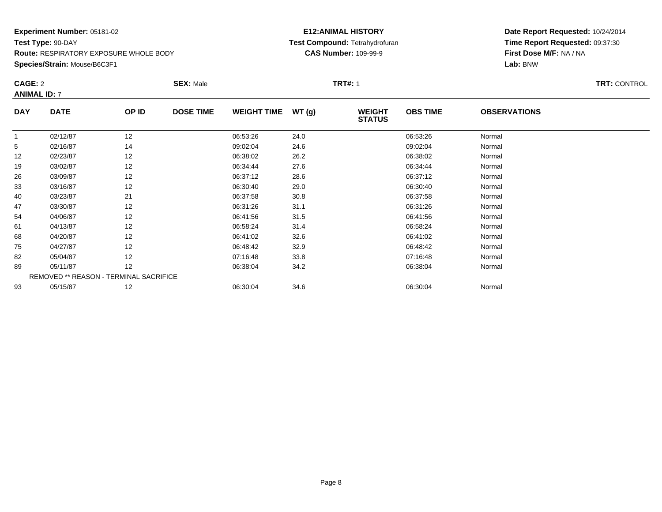**Species/Strain:** Mouse/B6C3F1

#### **E12:ANIMAL HISTORY Test Compound:** Tetrahydrofuran**CAS Number:** 109-99-9

|            | CAGE: 2<br><b>ANIMAL ID: 7</b>         |       | <b>SEX: Male</b> |                    |       | <b>TRT#: 1</b>                 |                 | <b>TRT: CONTROL</b> |  |
|------------|----------------------------------------|-------|------------------|--------------------|-------|--------------------------------|-----------------|---------------------|--|
|            |                                        |       |                  |                    |       |                                |                 |                     |  |
| <b>DAY</b> | <b>DATE</b>                            | OP ID | <b>DOSE TIME</b> | <b>WEIGHT TIME</b> | WT(g) | <b>WEIGHT</b><br><b>STATUS</b> | <b>OBS TIME</b> | <b>OBSERVATIONS</b> |  |
| 1          | 02/12/87                               | 12    |                  | 06:53:26           | 24.0  |                                | 06:53:26        | Normal              |  |
| 5          | 02/16/87                               | 14    |                  | 09:02:04           | 24.6  |                                | 09:02:04        | Normal              |  |
| 12         | 02/23/87                               | 12    |                  | 06:38:02           | 26.2  |                                | 06:38:02        | Normal              |  |
| 19         | 03/02/87                               | 12    |                  | 06:34:44           | 27.6  |                                | 06:34:44        | Normal              |  |
| 26         | 03/09/87                               | 12    |                  | 06:37:12           | 28.6  |                                | 06:37:12        | Normal              |  |
| 33         | 03/16/87                               | 12    |                  | 06:30:40           | 29.0  |                                | 06:30:40        | Normal              |  |
| 40         | 03/23/87                               | 21    |                  | 06:37:58           | 30.8  |                                | 06:37:58        | Normal              |  |
| 47         | 03/30/87                               | 12    |                  | 06:31:26           | 31.1  |                                | 06:31:26        | Normal              |  |
| 54         | 04/06/87                               | 12    |                  | 06:41:56           | 31.5  |                                | 06:41:56        | Normal              |  |
| 61         | 04/13/87                               | 12    |                  | 06:58:24           | 31.4  |                                | 06:58:24        | Normal              |  |
| 68         | 04/20/87                               | 12    |                  | 06:41:02           | 32.6  |                                | 06:41:02        | Normal              |  |
| 75         | 04/27/87                               | 12    |                  | 06:48:42           | 32.9  |                                | 06:48:42        | Normal              |  |
| 82         | 05/04/87                               | 12    |                  | 07:16:48           | 33.8  |                                | 07:16:48        | Normal              |  |
| 89         | 05/11/87                               | 12    |                  | 06:38:04           | 34.2  |                                | 06:38:04        | Normal              |  |
|            | REMOVED ** REASON - TERMINAL SACRIFICE |       |                  |                    |       |                                |                 |                     |  |
| 93         | 05/15/87                               | 12    |                  | 06:30:04           | 34.6  |                                | 06:30:04        | Normal              |  |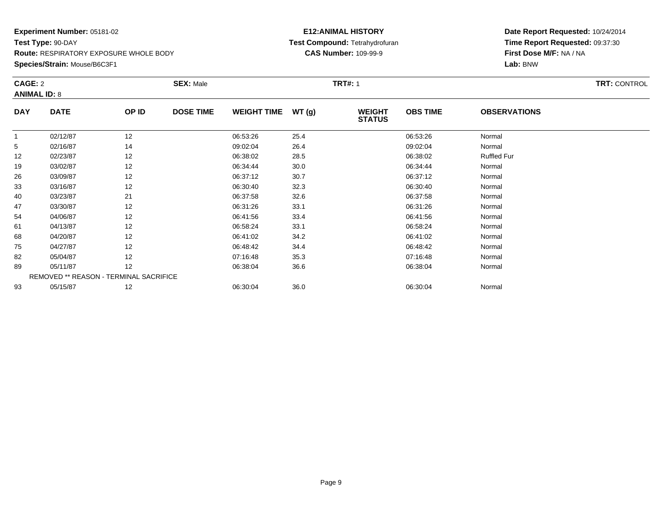**Species/Strain:** Mouse/B6C3F1

### **E12:ANIMAL HISTORY Test Compound:** Tetrahydrofuran**CAS Number:** 109-99-9

| CAGE: 2    |                                        | <b>SEX: Male</b> |                  |                    | <b>TRT#: 1</b> | <b>TRT: CONTROL</b>            |                 |                     |  |
|------------|----------------------------------------|------------------|------------------|--------------------|----------------|--------------------------------|-----------------|---------------------|--|
|            | <b>ANIMAL ID: 8</b>                    |                  |                  |                    |                |                                |                 |                     |  |
| <b>DAY</b> | <b>DATE</b>                            | OP ID            | <b>DOSE TIME</b> | <b>WEIGHT TIME</b> | WT(g)          | <b>WEIGHT</b><br><b>STATUS</b> | <b>OBS TIME</b> | <b>OBSERVATIONS</b> |  |
|            | 02/12/87                               | 12               |                  | 06:53:26           | 25.4           |                                | 06:53:26        | Normal              |  |
| 5          | 02/16/87                               | 14               |                  | 09:02:04           | 26.4           |                                | 09:02:04        | Normal              |  |
| 12         | 02/23/87                               | 12               |                  | 06:38:02           | 28.5           |                                | 06:38:02        | <b>Ruffled Fur</b>  |  |
| 19         | 03/02/87                               | 12               |                  | 06:34:44           | 30.0           |                                | 06:34:44        | Normal              |  |
| 26         | 03/09/87                               | 12               |                  | 06:37:12           | 30.7           |                                | 06:37:12        | Normal              |  |
| 33         | 03/16/87                               | 12               |                  | 06:30:40           | 32.3           |                                | 06:30:40        | Normal              |  |
| 40         | 03/23/87                               | 21               |                  | 06:37:58           | 32.6           |                                | 06:37:58        | Normal              |  |
| 47         | 03/30/87                               | 12               |                  | 06:31:26           | 33.1           |                                | 06:31:26        | Normal              |  |
| 54         | 04/06/87                               | 12               |                  | 06:41:56           | 33.4           |                                | 06:41:56        | Normal              |  |
| 61         | 04/13/87                               | 12               |                  | 06:58:24           | 33.1           |                                | 06:58:24        | Normal              |  |
| 68         | 04/20/87                               | 12               |                  | 06:41:02           | 34.2           |                                | 06:41:02        | Normal              |  |
| 75         | 04/27/87                               | 12               |                  | 06:48:42           | 34.4           |                                | 06:48:42        | Normal              |  |
| 82         | 05/04/87                               | 12               |                  | 07:16:48           | 35.3           |                                | 07:16:48        | Normal              |  |
| 89         | 05/11/87                               | 12               |                  | 06:38:04           | 36.6           |                                | 06:38:04        | Normal              |  |
|            | REMOVED ** REASON - TERMINAL SACRIFICE |                  |                  |                    |                |                                |                 |                     |  |
| 93         | 05/15/87                               | 12               |                  | 06:30:04           | 36.0           |                                | 06:30:04        | Normal              |  |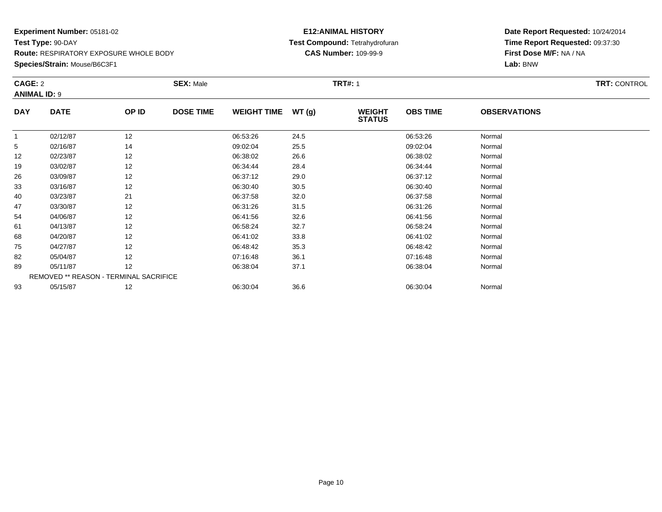**Species/Strain:** Mouse/B6C3F1

#### **E12:ANIMAL HISTORY Test Compound:** Tetrahydrofuran**CAS Number:** 109-99-9

| CAGE: 2    |                                        | <b>SEX: Male</b> |                  |                    | <b>TRT#: 1</b> | <b>TRT: CONTROL</b>            |                 |                     |  |
|------------|----------------------------------------|------------------|------------------|--------------------|----------------|--------------------------------|-----------------|---------------------|--|
|            | <b>ANIMAL ID: 9</b>                    |                  |                  |                    |                |                                |                 |                     |  |
| <b>DAY</b> | <b>DATE</b>                            | OP ID            | <b>DOSE TIME</b> | <b>WEIGHT TIME</b> | WT(g)          | <b>WEIGHT</b><br><b>STATUS</b> | <b>OBS TIME</b> | <b>OBSERVATIONS</b> |  |
| 1          | 02/12/87                               | 12               |                  | 06:53:26           | 24.5           |                                | 06:53:26        | Normal              |  |
| 5          | 02/16/87                               | 14               |                  | 09:02:04           | 25.5           |                                | 09:02:04        | Normal              |  |
| 12         | 02/23/87                               | 12               |                  | 06:38:02           | 26.6           |                                | 06:38:02        | Normal              |  |
| 19         | 03/02/87                               | 12               |                  | 06:34:44           | 28.4           |                                | 06:34:44        | Normal              |  |
| 26         | 03/09/87                               | 12               |                  | 06:37:12           | 29.0           |                                | 06:37:12        | Normal              |  |
| 33         | 03/16/87                               | 12               |                  | 06:30:40           | 30.5           |                                | 06:30:40        | Normal              |  |
| 40         | 03/23/87                               | 21               |                  | 06:37:58           | 32.0           |                                | 06:37:58        | Normal              |  |
| 47         | 03/30/87                               | 12               |                  | 06:31:26           | 31.5           |                                | 06:31:26        | Normal              |  |
| 54         | 04/06/87                               | 12               |                  | 06:41:56           | 32.6           |                                | 06:41:56        | Normal              |  |
| 61         | 04/13/87                               | 12               |                  | 06:58:24           | 32.7           |                                | 06:58:24        | Normal              |  |
| 68         | 04/20/87                               | 12               |                  | 06:41:02           | 33.8           |                                | 06:41:02        | Normal              |  |
| 75         | 04/27/87                               | 12               |                  | 06:48:42           | 35.3           |                                | 06:48:42        | Normal              |  |
| 82         | 05/04/87                               | 12               |                  | 07:16:48           | 36.1           |                                | 07:16:48        | Normal              |  |
| 89         | 05/11/87                               | 12               |                  | 06:38:04           | 37.1           |                                | 06:38:04        | Normal              |  |
|            | REMOVED ** REASON - TERMINAL SACRIFICE |                  |                  |                    |                |                                |                 |                     |  |
| 93         | 05/15/87                               | 12               |                  | 06:30:04           | 36.6           |                                | 06:30:04        | Normal              |  |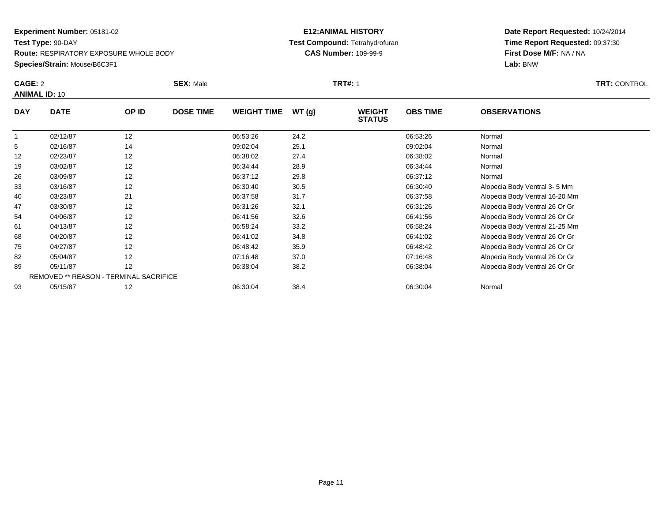**Species/Strain:** Mouse/B6C3F1

#### **E12:ANIMAL HISTORY Test Compound:** Tetrahydrofuran**CAS Number:** 109-99-9

| CAGE: 2    |                                        | <b>SEX: Male</b><br><b>TRT#: 1</b> |                  |                    |       |                                |                 | <b>TRT: CONTROL</b>            |  |  |
|------------|----------------------------------------|------------------------------------|------------------|--------------------|-------|--------------------------------|-----------------|--------------------------------|--|--|
|            | <b>ANIMAL ID: 10</b>                   |                                    |                  |                    |       |                                |                 |                                |  |  |
| <b>DAY</b> | <b>DATE</b>                            | OP ID                              | <b>DOSE TIME</b> | <b>WEIGHT TIME</b> | WT(g) | <b>WEIGHT</b><br><b>STATUS</b> | <b>OBS TIME</b> | <b>OBSERVATIONS</b>            |  |  |
|            | 02/12/87                               | 12                                 |                  | 06:53:26           | 24.2  |                                | 06:53:26        | Normal                         |  |  |
| 5          | 02/16/87                               | 14                                 |                  | 09:02:04           | 25.1  |                                | 09:02:04        | Normal                         |  |  |
| 12         | 02/23/87                               | 12                                 |                  | 06:38:02           | 27.4  |                                | 06:38:02        | Normal                         |  |  |
| 19         | 03/02/87                               | 12                                 |                  | 06:34:44           | 28.9  |                                | 06:34:44        | Normal                         |  |  |
| 26         | 03/09/87                               | 12                                 |                  | 06:37:12           | 29.8  |                                | 06:37:12        | Normal                         |  |  |
| 33         | 03/16/87                               | 12                                 |                  | 06:30:40           | 30.5  |                                | 06:30:40        | Alopecia Body Ventral 3-5 Mm   |  |  |
| 40         | 03/23/87                               | 21                                 |                  | 06:37:58           | 31.7  |                                | 06:37:58        | Alopecia Body Ventral 16-20 Mm |  |  |
| 47         | 03/30/87                               | 12                                 |                  | 06:31:26           | 32.1  |                                | 06:31:26        | Alopecia Body Ventral 26 Or Gr |  |  |
| 54         | 04/06/87                               | 12                                 |                  | 06:41:56           | 32.6  |                                | 06:41:56        | Alopecia Body Ventral 26 Or Gr |  |  |
| 61         | 04/13/87                               | 12                                 |                  | 06:58:24           | 33.2  |                                | 06:58:24        | Alopecia Body Ventral 21-25 Mm |  |  |
| 68         | 04/20/87                               | 12                                 |                  | 06:41:02           | 34.8  |                                | 06:41:02        | Alopecia Body Ventral 26 Or Gr |  |  |
| 75         | 04/27/87                               | 12                                 |                  | 06:48:42           | 35.9  |                                | 06:48:42        | Alopecia Body Ventral 26 Or Gr |  |  |
| 82         | 05/04/87                               | 12                                 |                  | 07:16:48           | 37.0  |                                | 07:16:48        | Alopecia Body Ventral 26 Or Gr |  |  |
| 89         | 05/11/87                               | 12                                 |                  | 06:38:04           | 38.2  |                                | 06:38:04        | Alopecia Body Ventral 26 Or Gr |  |  |
|            | REMOVED ** REASON - TERMINAL SACRIFICE |                                    |                  |                    |       |                                |                 |                                |  |  |
| 93         | 05/15/87                               | 12                                 |                  | 06:30:04           | 38.4  |                                | 06:30:04        | Normal                         |  |  |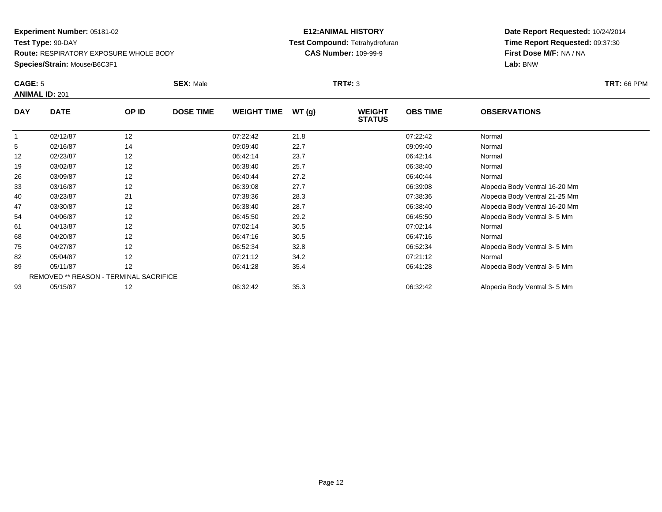### **Species/Strain:** Mouse/B6C3F1

### **E12:ANIMAL HISTORY Test Compound:** Tetrahydrofuran**CAS Number:** 109-99-9

| <b>CAGE: 5</b> | <b>ANIMAL ID: 201</b> |                                        | <b>SEX: Male</b> |                    |        | <b>TRT#: 3</b>                 |                 |                                | <b>TRT: 66 PPM</b> |
|----------------|-----------------------|----------------------------------------|------------------|--------------------|--------|--------------------------------|-----------------|--------------------------------|--------------------|
| <b>DAY</b>     | <b>DATE</b>           | OP ID                                  | <b>DOSE TIME</b> | <b>WEIGHT TIME</b> | WT (g) | <b>WEIGHT</b><br><b>STATUS</b> | <b>OBS TIME</b> | <b>OBSERVATIONS</b>            |                    |
|                | 02/12/87              | 12                                     |                  | 07:22:42           | 21.8   |                                | 07:22:42        | Normal                         |                    |
| 5              | 02/16/87              | 14                                     |                  | 09:09:40           | 22.7   |                                | 09:09:40        | Normal                         |                    |
| 12             | 02/23/87              | 12                                     |                  | 06:42:14           | 23.7   |                                | 06:42:14        | Normal                         |                    |
| 19             | 03/02/87              | 12                                     |                  | 06:38:40           | 25.7   |                                | 06:38:40        | Normal                         |                    |
| 26             | 03/09/87              | 12                                     |                  | 06:40:44           | 27.2   |                                | 06:40:44        | Normal                         |                    |
| 33             | 03/16/87              | 12                                     |                  | 06:39:08           | 27.7   |                                | 06:39:08        | Alopecia Body Ventral 16-20 Mm |                    |
| 40             | 03/23/87              | 21                                     |                  | 07:38:36           | 28.3   |                                | 07:38:36        | Alopecia Body Ventral 21-25 Mm |                    |
| 47             | 03/30/87              | 12                                     |                  | 06:38:40           | 28.7   |                                | 06:38:40        | Alopecia Body Ventral 16-20 Mm |                    |
| 54             | 04/06/87              | 12                                     |                  | 06:45:50           | 29.2   |                                | 06:45:50        | Alopecia Body Ventral 3-5 Mm   |                    |
| 61             | 04/13/87              | 12                                     |                  | 07:02:14           | 30.5   |                                | 07:02:14        | Normal                         |                    |
| 68             | 04/20/87              | 12                                     |                  | 06:47:16           | 30.5   |                                | 06:47:16        | Normal                         |                    |
| 75             | 04/27/87              | 12                                     |                  | 06:52:34           | 32.8   |                                | 06:52:34        | Alopecia Body Ventral 3-5 Mm   |                    |
| 82             | 05/04/87              | 12                                     |                  | 07:21:12           | 34.2   |                                | 07:21:12        | Normal                         |                    |
| 89             | 05/11/87              | 12                                     |                  | 06:41:28           | 35.4   |                                | 06:41:28        | Alopecia Body Ventral 3-5 Mm   |                    |
|                |                       | REMOVED ** REASON - TERMINAL SACRIFICE |                  |                    |        |                                |                 |                                |                    |
| 93             | 05/15/87              | 12                                     |                  | 06:32:42           | 35.3   |                                | 06:32:42        | Alopecia Body Ventral 3-5 Mm   |                    |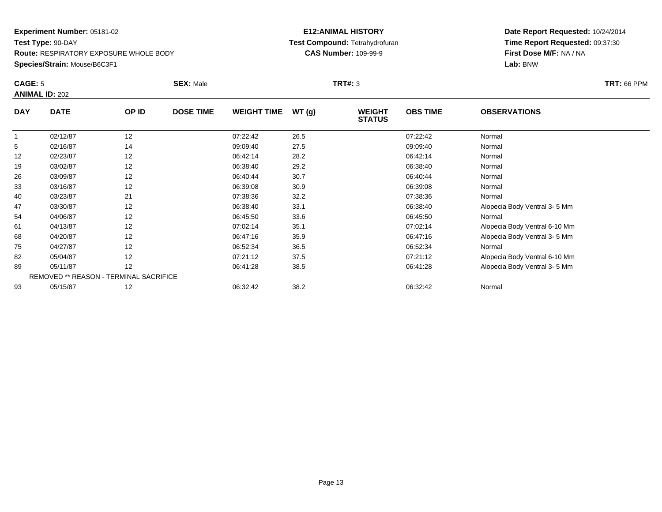### **Species/Strain:** Mouse/B6C3F1

### **E12:ANIMAL HISTORY Test Compound:** Tetrahydrofuran**CAS Number:** 109-99-9

| CAGE: 5    | <b>ANIMAL ID: 202</b>                  |       | <b>SEX: Male</b> |                    |       | <b>TRT#: 3</b>                 |                 |                               | <b>TRT: 66 PPM</b> |
|------------|----------------------------------------|-------|------------------|--------------------|-------|--------------------------------|-----------------|-------------------------------|--------------------|
| <b>DAY</b> | <b>DATE</b>                            | OP ID | <b>DOSE TIME</b> | <b>WEIGHT TIME</b> | WT(g) | <b>WEIGHT</b><br><b>STATUS</b> | <b>OBS TIME</b> | <b>OBSERVATIONS</b>           |                    |
|            | 02/12/87                               | 12    |                  | 07:22:42           | 26.5  |                                | 07:22:42        | Normal                        |                    |
| 5          | 02/16/87                               | 14    |                  | 09:09:40           | 27.5  |                                | 09:09:40        | Normal                        |                    |
| 12         | 02/23/87                               | 12    |                  | 06:42:14           | 28.2  |                                | 06:42:14        | Normal                        |                    |
| 19         | 03/02/87                               | 12    |                  | 06:38:40           | 29.2  |                                | 06:38:40        | Normal                        |                    |
| 26         | 03/09/87                               | 12    |                  | 06:40:44           | 30.7  |                                | 06:40:44        | Normal                        |                    |
| 33         | 03/16/87                               | 12    |                  | 06:39:08           | 30.9  |                                | 06:39:08        | Normal                        |                    |
| 40         | 03/23/87                               | 21    |                  | 07:38:36           | 32.2  |                                | 07:38:36        | Normal                        |                    |
| 47         | 03/30/87                               | 12    |                  | 06:38:40           | 33.1  |                                | 06:38:40        | Alopecia Body Ventral 3-5 Mm  |                    |
| 54         | 04/06/87                               | 12    |                  | 06:45:50           | 33.6  |                                | 06:45:50        | Normal                        |                    |
| 61         | 04/13/87                               | 12    |                  | 07:02:14           | 35.1  |                                | 07:02:14        | Alopecia Body Ventral 6-10 Mm |                    |
| 68         | 04/20/87                               | 12    |                  | 06:47:16           | 35.9  |                                | 06:47:16        | Alopecia Body Ventral 3-5 Mm  |                    |
| 75         | 04/27/87                               | 12    |                  | 06:52:34           | 36.5  |                                | 06:52:34        | Normal                        |                    |
| 82         | 05/04/87                               | 12    |                  | 07:21:12           | 37.5  |                                | 07:21:12        | Alopecia Body Ventral 6-10 Mm |                    |
| 89         | 05/11/87                               | 12    |                  | 06:41:28           | 38.5  |                                | 06:41:28        | Alopecia Body Ventral 3-5 Mm  |                    |
|            | REMOVED ** REASON - TERMINAL SACRIFICE |       |                  |                    |       |                                |                 |                               |                    |
| 93         | 05/15/87                               | 12    |                  | 06:32:42           | 38.2  |                                | 06:32:42        | Normal                        |                    |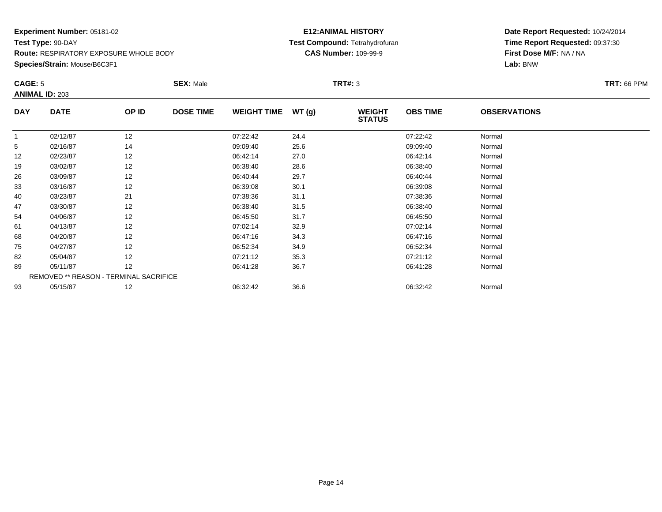### **Species/Strain:** Mouse/B6C3F1

### **E12:ANIMAL HISTORY Test Compound:** Tetrahydrofuran**CAS Number:** 109-99-9

| CAGE: 5     |                       |                                        | <b>SEX: Male</b> |                    |       | <b>TRT#: 3</b>                 |                 |                     | <b>TRT: 66 PPM</b> |
|-------------|-----------------------|----------------------------------------|------------------|--------------------|-------|--------------------------------|-----------------|---------------------|--------------------|
|             | <b>ANIMAL ID: 203</b> |                                        |                  |                    |       |                                |                 |                     |                    |
| <b>DAY</b>  | <b>DATE</b>           | OP ID                                  | <b>DOSE TIME</b> | <b>WEIGHT TIME</b> | WT(g) | <b>WEIGHT</b><br><b>STATUS</b> | <b>OBS TIME</b> | <b>OBSERVATIONS</b> |                    |
| $\mathbf 1$ | 02/12/87              | 12                                     |                  | 07:22:42           | 24.4  |                                | 07:22:42        | Normal              |                    |
| 5           | 02/16/87              | 14                                     |                  | 09:09:40           | 25.6  |                                | 09:09:40        | Normal              |                    |
| 12          | 02/23/87              | 12                                     |                  | 06:42:14           | 27.0  |                                | 06:42:14        | Normal              |                    |
| 19          | 03/02/87              | 12                                     |                  | 06:38:40           | 28.6  |                                | 06:38:40        | Normal              |                    |
| 26          | 03/09/87              | 12                                     |                  | 06:40:44           | 29.7  |                                | 06:40:44        | Normal              |                    |
| 33          | 03/16/87              | 12                                     |                  | 06:39:08           | 30.1  |                                | 06:39:08        | Normal              |                    |
| 40          | 03/23/87              | 21                                     |                  | 07:38:36           | 31.1  |                                | 07:38:36        | Normal              |                    |
| 47          | 03/30/87              | 12                                     |                  | 06:38:40           | 31.5  |                                | 06:38:40        | Normal              |                    |
| 54          | 04/06/87              | 12                                     |                  | 06:45:50           | 31.7  |                                | 06:45:50        | Normal              |                    |
| 61          | 04/13/87              | 12                                     |                  | 07:02:14           | 32.9  |                                | 07:02:14        | Normal              |                    |
| 68          | 04/20/87              | 12                                     |                  | 06:47:16           | 34.3  |                                | 06:47:16        | Normal              |                    |
| 75          | 04/27/87              | 12                                     |                  | 06:52:34           | 34.9  |                                | 06:52:34        | Normal              |                    |
| 82          | 05/04/87              | 12                                     |                  | 07:21:12           | 35.3  |                                | 07:21:12        | Normal              |                    |
| 89          | 05/11/87              | 12                                     |                  | 06:41:28           | 36.7  |                                | 06:41:28        | Normal              |                    |
|             |                       | REMOVED ** REASON - TERMINAL SACRIFICE |                  |                    |       |                                |                 |                     |                    |
| 93          | 05/15/87              | 12                                     |                  | 06:32:42           | 36.6  |                                | 06:32:42        | Normal              |                    |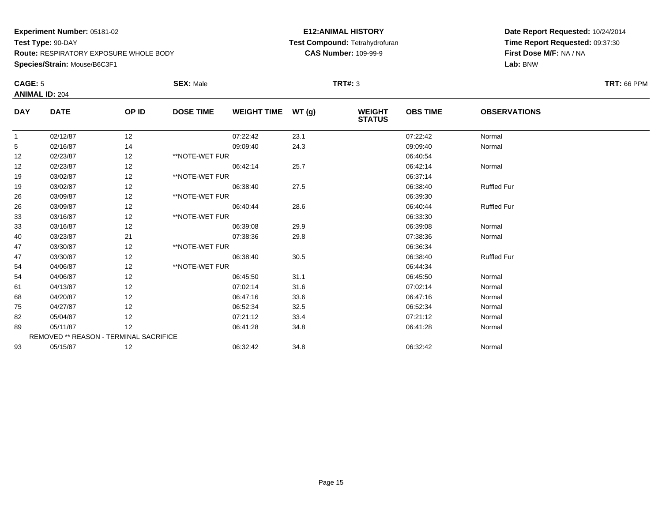**Species/Strain:** Mouse/B6C3F1

#### **E12:ANIMAL HISTORY Test Compound:** Tetrahydrofuran**CAS Number:** 109-99-9

| <b>CAGE: 5</b> | <b>ANIMAL ID: 204</b>                  |       | <b>SEX: Male</b> |                    |      | <b>TRT#: 3</b>                 |                 |                     | <b>TRT: 66 PPM</b> |
|----------------|----------------------------------------|-------|------------------|--------------------|------|--------------------------------|-----------------|---------------------|--------------------|
| <b>DAY</b>     | <b>DATE</b>                            | OP ID | <b>DOSE TIME</b> | WEIGHT TIME WT (g) |      | <b>WEIGHT</b><br><b>STATUS</b> | <b>OBS TIME</b> | <b>OBSERVATIONS</b> |                    |
| $\overline{1}$ | 02/12/87                               | 12    |                  | 07:22:42           | 23.1 |                                | 07:22:42        | Normal              |                    |
| 5              | 02/16/87                               | 14    |                  | 09:09:40           | 24.3 |                                | 09:09:40        | Normal              |                    |
| 12             | 02/23/87                               | 12    | **NOTE-WET FUR   |                    |      |                                | 06:40:54        |                     |                    |
| 12             | 02/23/87                               | 12    |                  | 06:42:14           | 25.7 |                                | 06:42:14        | Normal              |                    |
| 19             | 03/02/87                               | 12    | **NOTE-WET FUR   |                    |      |                                | 06:37:14        |                     |                    |
| 19             | 03/02/87                               | 12    |                  | 06:38:40           | 27.5 |                                | 06:38:40        | <b>Ruffled Fur</b>  |                    |
| 26             | 03/09/87                               | 12    | **NOTE-WET FUR   |                    |      |                                | 06:39:30        |                     |                    |
| 26             | 03/09/87                               | 12    |                  | 06:40:44           | 28.6 |                                | 06:40:44        | <b>Ruffled Fur</b>  |                    |
| 33             | 03/16/87                               | 12    | **NOTE-WET FUR   |                    |      |                                | 06:33:30        |                     |                    |
| 33             | 03/16/87                               | 12    |                  | 06:39:08           | 29.9 |                                | 06:39:08        | Normal              |                    |
| 40             | 03/23/87                               | 21    |                  | 07:38:36           | 29.8 |                                | 07:38:36        | Normal              |                    |
| 47             | 03/30/87                               | 12    | **NOTE-WET FUR   |                    |      |                                | 06:36:34        |                     |                    |
| 47             | 03/30/87                               | 12    |                  | 06:38:40           | 30.5 |                                | 06:38:40        | <b>Ruffled Fur</b>  |                    |
| 54             | 04/06/87                               | 12    | **NOTE-WET FUR   |                    |      |                                | 06:44:34        |                     |                    |
| 54             | 04/06/87                               | 12    |                  | 06:45:50           | 31.1 |                                | 06:45:50        | Normal              |                    |
| 61             | 04/13/87                               | 12    |                  | 07:02:14           | 31.6 |                                | 07:02:14        | Normal              |                    |
| 68             | 04/20/87                               | 12    |                  | 06:47:16           | 33.6 |                                | 06:47:16        | Normal              |                    |
| 75             | 04/27/87                               | 12    |                  | 06:52:34           | 32.5 |                                | 06:52:34        | Normal              |                    |
| 82             | 05/04/87                               | 12    |                  | 07:21:12           | 33.4 |                                | 07:21:12        | Normal              |                    |
| 89             | 05/11/87                               | 12    |                  | 06:41:28           | 34.8 |                                | 06:41:28        | Normal              |                    |
|                | REMOVED ** REASON - TERMINAL SACRIFICE |       |                  |                    |      |                                |                 |                     |                    |
| 93             | 05/15/87                               | 12    |                  | 06:32:42           | 34.8 |                                | 06:32:42        | Normal              |                    |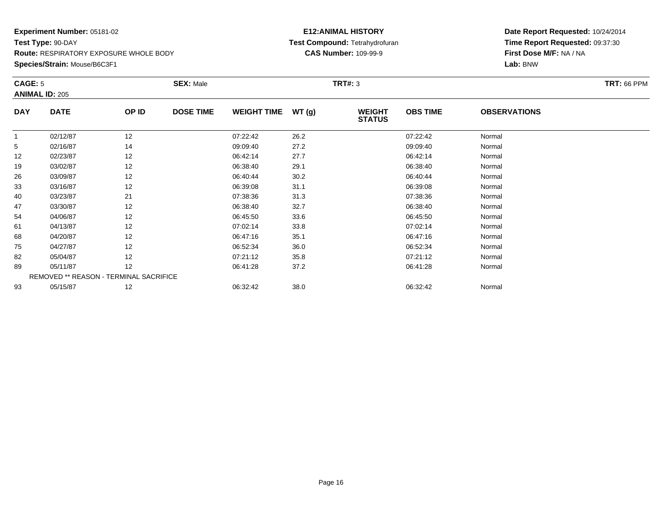#### **Species/Strain:** Mouse/B6C3F1

### **E12:ANIMAL HISTORY Test Compound:** Tetrahydrofuran**CAS Number:** 109-99-9

| CAGE: 5    | <b>ANIMAL ID: 205</b>                  |       | <b>SEX: Male</b> |                    |       | <b>TRT#: 3</b>                 |                 |                     | <b>TRT: 66 PPM</b> |
|------------|----------------------------------------|-------|------------------|--------------------|-------|--------------------------------|-----------------|---------------------|--------------------|
| <b>DAY</b> | <b>DATE</b>                            | OP ID | <b>DOSE TIME</b> | <b>WEIGHT TIME</b> | WT(g) | <b>WEIGHT</b><br><b>STATUS</b> | <b>OBS TIME</b> | <b>OBSERVATIONS</b> |                    |
|            | 02/12/87                               | 12    |                  | 07:22:42           | 26.2  |                                | 07:22:42        | Normal              |                    |
| 5          | 02/16/87                               | 14    |                  | 09:09:40           | 27.2  |                                | 09:09:40        | Normal              |                    |
| 12         | 02/23/87                               | 12    |                  | 06:42:14           | 27.7  |                                | 06:42:14        | Normal              |                    |
| 19         | 03/02/87                               | 12    |                  | 06:38:40           | 29.1  |                                | 06:38:40        | Normal              |                    |
| 26         | 03/09/87                               | 12    |                  | 06:40:44           | 30.2  |                                | 06:40:44        | Normal              |                    |
| 33         | 03/16/87                               | 12    |                  | 06:39:08           | 31.1  |                                | 06:39:08        | Normal              |                    |
| 40         | 03/23/87                               | 21    |                  | 07:38:36           | 31.3  |                                | 07:38:36        | Normal              |                    |
| 47         | 03/30/87                               | 12    |                  | 06:38:40           | 32.7  |                                | 06:38:40        | Normal              |                    |
| 54         | 04/06/87                               | 12    |                  | 06:45:50           | 33.6  |                                | 06:45:50        | Normal              |                    |
| 61         | 04/13/87                               | 12    |                  | 07:02:14           | 33.8  |                                | 07:02:14        | Normal              |                    |
| 68         | 04/20/87                               | 12    |                  | 06:47:16           | 35.1  |                                | 06:47:16        | Normal              |                    |
| 75         | 04/27/87                               | 12    |                  | 06:52:34           | 36.0  |                                | 06:52:34        | Normal              |                    |
| 82         | 05/04/87                               | 12    |                  | 07:21:12           | 35.8  |                                | 07:21:12        | Normal              |                    |
| 89         | 05/11/87                               | 12    |                  | 06:41:28           | 37.2  |                                | 06:41:28        | Normal              |                    |
|            | REMOVED ** REASON - TERMINAL SACRIFICE |       |                  |                    |       |                                |                 |                     |                    |
| 93         | 05/15/87                               | 12    |                  | 06:32:42           | 38.0  |                                | 06:32:42        | Normal              |                    |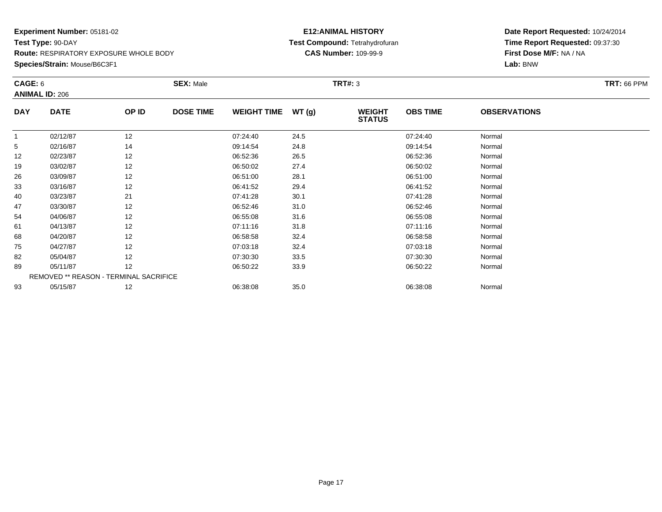### **Experiment Number:** 05181-02**Test Type:** 90-DAY **Route:** RESPIRATORY EXPOSURE WHOLE BODY**Species/Strain:** Mouse/B6C3F1

### **E12:ANIMAL HISTORY Test Compound:** Tetrahydrofuran**CAS Number:** 109-99-9

| CAGE: 6    |                       |                                        | <b>SEX: Male</b> |                    |       | <b>TRT#: 3</b>                 |                 |                     | <b>TRT: 66 PPM</b> |
|------------|-----------------------|----------------------------------------|------------------|--------------------|-------|--------------------------------|-----------------|---------------------|--------------------|
|            | <b>ANIMAL ID: 206</b> |                                        |                  |                    |       |                                |                 |                     |                    |
| <b>DAY</b> | <b>DATE</b>           | OP ID                                  | <b>DOSE TIME</b> | <b>WEIGHT TIME</b> | WT(g) | <b>WEIGHT</b><br><b>STATUS</b> | <b>OBS TIME</b> | <b>OBSERVATIONS</b> |                    |
|            | 02/12/87              | 12                                     |                  | 07:24:40           | 24.5  |                                | 07:24:40        | Normal              |                    |
| 5          | 02/16/87              | 14                                     |                  | 09:14:54           | 24.8  |                                | 09:14:54        | Normal              |                    |
| 12         | 02/23/87              | 12                                     |                  | 06:52:36           | 26.5  |                                | 06:52:36        | Normal              |                    |
| 19         | 03/02/87              | 12                                     |                  | 06:50:02           | 27.4  |                                | 06:50:02        | Normal              |                    |
| 26         | 03/09/87              | 12                                     |                  | 06:51:00           | 28.1  |                                | 06:51:00        | Normal              |                    |
| 33         | 03/16/87              | 12                                     |                  | 06:41:52           | 29.4  |                                | 06:41:52        | Normal              |                    |
| 40         | 03/23/87              | 21                                     |                  | 07:41:28           | 30.1  |                                | 07:41:28        | Normal              |                    |
| 47         | 03/30/87              | 12                                     |                  | 06:52:46           | 31.0  |                                | 06:52:46        | Normal              |                    |
| 54         | 04/06/87              | 12                                     |                  | 06:55:08           | 31.6  |                                | 06:55:08        | Normal              |                    |
| 61         | 04/13/87              | 12                                     |                  | 07:11:16           | 31.8  |                                | 07:11:16        | Normal              |                    |
| 68         | 04/20/87              | 12                                     |                  | 06:58:58           | 32.4  |                                | 06:58:58        | Normal              |                    |
| 75         | 04/27/87              | 12                                     |                  | 07:03:18           | 32.4  |                                | 07:03:18        | Normal              |                    |
| 82         | 05/04/87              | 12                                     |                  | 07:30:30           | 33.5  |                                | 07:30:30        | Normal              |                    |
| 89         | 05/11/87              | 12                                     |                  | 06:50:22           | 33.9  |                                | 06:50:22        | Normal              |                    |
|            |                       | REMOVED ** REASON - TERMINAL SACRIFICE |                  |                    |       |                                |                 |                     |                    |
| 93         | 05/15/87              | 12                                     |                  | 06:38:08           | 35.0  |                                | 06:38:08        | Normal              |                    |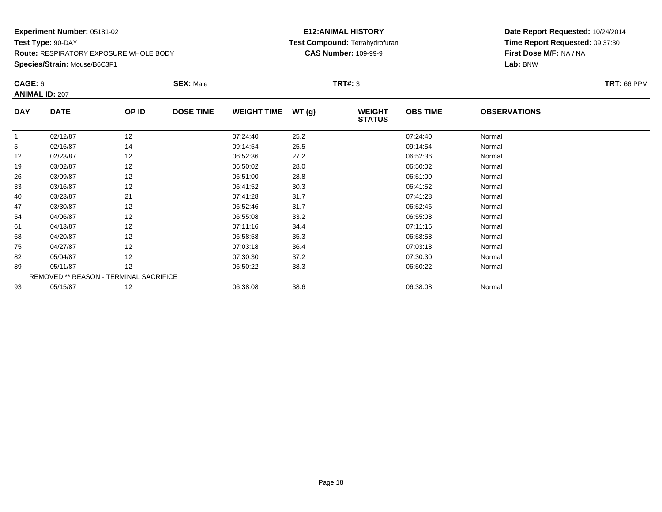#### **Species/Strain:** Mouse/B6C3F1

### **E12:ANIMAL HISTORY Test Compound:** Tetrahydrofuran**CAS Number:** 109-99-9

| CAGE: 6    | <b>ANIMAL ID: 207</b>                  |       | <b>SEX: Male</b> |                    |       | <b>TRT#: 3</b>                 |                 |                     | <b>TRT: 66 PPM</b> |
|------------|----------------------------------------|-------|------------------|--------------------|-------|--------------------------------|-----------------|---------------------|--------------------|
| <b>DAY</b> | <b>DATE</b>                            | OP ID | <b>DOSE TIME</b> | <b>WEIGHT TIME</b> | WT(g) | <b>WEIGHT</b><br><b>STATUS</b> | <b>OBS TIME</b> | <b>OBSERVATIONS</b> |                    |
|            | 02/12/87                               | 12    |                  | 07:24:40           | 25.2  |                                | 07:24:40        | Normal              |                    |
| 5          | 02/16/87                               | 14    |                  | 09:14:54           | 25.5  |                                | 09:14:54        | Normal              |                    |
| 12         | 02/23/87                               | 12    |                  | 06:52:36           | 27.2  |                                | 06:52:36        | Normal              |                    |
| 19         | 03/02/87                               | 12    |                  | 06:50:02           | 28.0  |                                | 06:50:02        | Normal              |                    |
| 26         | 03/09/87                               | 12    |                  | 06:51:00           | 28.8  |                                | 06:51:00        | Normal              |                    |
| 33         | 03/16/87                               | 12    |                  | 06:41:52           | 30.3  |                                | 06:41:52        | Normal              |                    |
| 40         | 03/23/87                               | 21    |                  | 07:41:28           | 31.7  |                                | 07:41:28        | Normal              |                    |
| 47         | 03/30/87                               | 12    |                  | 06:52:46           | 31.7  |                                | 06:52:46        | Normal              |                    |
| 54         | 04/06/87                               | 12    |                  | 06:55:08           | 33.2  |                                | 06:55:08        | Normal              |                    |
| 61         | 04/13/87                               | 12    |                  | 07:11:16           | 34.4  |                                | 07:11:16        | Normal              |                    |
| 68         | 04/20/87                               | 12    |                  | 06:58:58           | 35.3  |                                | 06:58:58        | Normal              |                    |
| 75         | 04/27/87                               | 12    |                  | 07:03:18           | 36.4  |                                | 07:03:18        | Normal              |                    |
| 82         | 05/04/87                               | 12    |                  | 07:30:30           | 37.2  |                                | 07:30:30        | Normal              |                    |
| 89         | 05/11/87                               | 12    |                  | 06:50:22           | 38.3  |                                | 06:50:22        | Normal              |                    |
|            | REMOVED ** REASON - TERMINAL SACRIFICE |       |                  |                    |       |                                |                 |                     |                    |
| 93         | 05/15/87                               | 12    |                  | 06:38:08           | 38.6  |                                | 06:38:08        | Normal              |                    |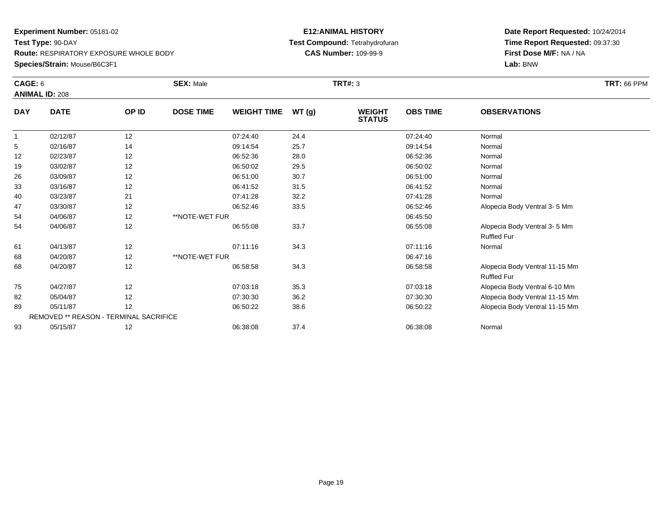### **Experiment Number:** 05181-02**Test Type:** 90-DAY **Route:** RESPIRATORY EXPOSURE WHOLE BODY**Species/Strain:** Mouse/B6C3F1

### **E12:ANIMAL HISTORY Test Compound:** Tetrahydrofuran**CAS Number:** 109-99-9

| CAGE: 6    | <b>ANIMAL ID: 208</b>                         |       | <b>SEX: Male</b> |                    |       | <b>TRT#: 3</b>                 |                 |                                                      | <b>TRT: 66 PPM</b> |
|------------|-----------------------------------------------|-------|------------------|--------------------|-------|--------------------------------|-----------------|------------------------------------------------------|--------------------|
| <b>DAY</b> | <b>DATE</b>                                   | OP ID | <b>DOSE TIME</b> | <b>WEIGHT TIME</b> | WT(g) | <b>WEIGHT</b><br><b>STATUS</b> | <b>OBS TIME</b> | <b>OBSERVATIONS</b>                                  |                    |
| 1          | 02/12/87                                      | 12    |                  | 07:24:40           | 24.4  |                                | 07:24:40        | Normal                                               |                    |
| 5          | 02/16/87                                      | 14    |                  | 09:14:54           | 25.7  |                                | 09:14:54        | Normal                                               |                    |
| 12         | 02/23/87                                      | 12    |                  | 06:52:36           | 28.0  |                                | 06:52:36        | Normal                                               |                    |
| 19         | 03/02/87                                      | 12    |                  | 06:50:02           | 29.5  |                                | 06:50:02        | Normal                                               |                    |
| 26         | 03/09/87                                      | 12    |                  | 06:51:00           | 30.7  |                                | 06:51:00        | Normal                                               |                    |
| 33         | 03/16/87                                      | 12    |                  | 06:41:52           | 31.5  |                                | 06:41:52        | Normal                                               |                    |
| 40         | 03/23/87                                      | 21    |                  | 07:41:28           | 32.2  |                                | 07:41:28        | Normal                                               |                    |
| 47         | 03/30/87                                      | 12    |                  | 06:52:46           | 33.5  |                                | 06:52:46        | Alopecia Body Ventral 3-5 Mm                         |                    |
| 54         | 04/06/87                                      | 12    | **NOTE-WET FUR   |                    |       |                                | 06:45:50        |                                                      |                    |
| 54         | 04/06/87                                      | 12    |                  | 06:55:08           | 33.7  |                                | 06:55:08        | Alopecia Body Ventral 3-5 Mm<br><b>Ruffled Fur</b>   |                    |
| 61         | 04/13/87                                      | 12    |                  | 07:11:16           | 34.3  |                                | 07:11:16        | Normal                                               |                    |
| 68         | 04/20/87                                      | 12    | **NOTE-WET FUR   |                    |       |                                | 06:47:16        |                                                      |                    |
| 68         | 04/20/87                                      | 12    |                  | 06:58:58           | 34.3  |                                | 06:58:58        | Alopecia Body Ventral 11-15 Mm<br><b>Ruffled Fur</b> |                    |
| 75         | 04/27/87                                      | 12    |                  | 07:03:18           | 35.3  |                                | 07:03:18        | Alopecia Body Ventral 6-10 Mm                        |                    |
| 82         | 05/04/87                                      | 12    |                  | 07:30:30           | 36.2  |                                | 07:30:30        | Alopecia Body Ventral 11-15 Mm                       |                    |
| 89         | 05/11/87                                      | 12    |                  | 06:50:22           | 38.6  |                                | 06:50:22        | Alopecia Body Ventral 11-15 Mm                       |                    |
|            | <b>REMOVED ** REASON - TERMINAL SACRIFICE</b> |       |                  |                    |       |                                |                 |                                                      |                    |
| 93         | 05/15/87                                      | 12    |                  | 06:38:08           | 37.4  |                                | 06:38:08        | Normal                                               |                    |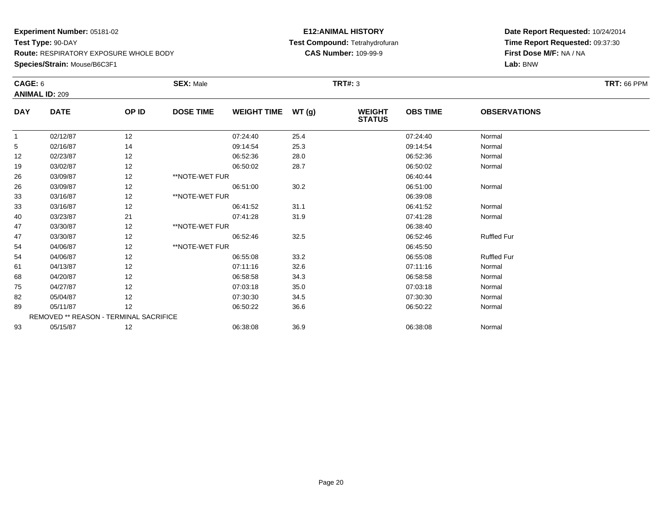### **Experiment Number:** 05181-02**Test Type:** 90-DAY **Route:** RESPIRATORY EXPOSURE WHOLE BODY**Species/Strain:** Mouse/B6C3F1

### **E12:ANIMAL HISTORY Test Compound:** Tetrahydrofuran**CAS Number:** 109-99-9

| CAGE: 6      |                                        |       | <b>SEX: Male</b> |                    |      | <b>TRT#: 3</b>                 |                 |                     | <b>TRT: 66 PPM</b> |
|--------------|----------------------------------------|-------|------------------|--------------------|------|--------------------------------|-----------------|---------------------|--------------------|
|              | <b>ANIMAL ID: 209</b>                  |       |                  |                    |      |                                |                 |                     |                    |
| <b>DAY</b>   | <b>DATE</b>                            | OP ID | <b>DOSE TIME</b> | WEIGHT TIME WT (g) |      | <b>WEIGHT</b><br><b>STATUS</b> | <b>OBS TIME</b> | <b>OBSERVATIONS</b> |                    |
| $\mathbf{1}$ | 02/12/87                               | 12    |                  | 07:24:40           | 25.4 |                                | 07:24:40        | Normal              |                    |
| 5            | 02/16/87                               | 14    |                  | 09:14:54           | 25.3 |                                | 09:14:54        | Normal              |                    |
| 12           | 02/23/87                               | 12    |                  | 06:52:36           | 28.0 |                                | 06:52:36        | Normal              |                    |
| 19           | 03/02/87                               | 12    |                  | 06:50:02           | 28.7 |                                | 06:50:02        | Normal              |                    |
| 26           | 03/09/87                               | 12    | **NOTE-WET FUR   |                    |      |                                | 06:40:44        |                     |                    |
| 26           | 03/09/87                               | 12    |                  | 06:51:00           | 30.2 |                                | 06:51:00        | Normal              |                    |
| 33           | 03/16/87                               | 12    | **NOTE-WET FUR   |                    |      |                                | 06:39:08        |                     |                    |
| 33           | 03/16/87                               | 12    |                  | 06:41:52           | 31.1 |                                | 06:41:52        | Normal              |                    |
| 40           | 03/23/87                               | 21    |                  | 07:41:28           | 31.9 |                                | 07:41:28        | Normal              |                    |
| 47           | 03/30/87                               | 12    | **NOTE-WET FUR   |                    |      |                                | 06:38:40        |                     |                    |
| 47           | 03/30/87                               | 12    |                  | 06:52:46           | 32.5 |                                | 06:52:46        | <b>Ruffled Fur</b>  |                    |
| 54           | 04/06/87                               | 12    | **NOTE-WET FUR   |                    |      |                                | 06:45:50        |                     |                    |
| 54           | 04/06/87                               | 12    |                  | 06:55:08           | 33.2 |                                | 06:55:08        | <b>Ruffled Fur</b>  |                    |
| 61           | 04/13/87                               | 12    |                  | 07:11:16           | 32.6 |                                | 07:11:16        | Normal              |                    |
| 68           | 04/20/87                               | 12    |                  | 06:58:58           | 34.3 |                                | 06:58:58        | Normal              |                    |
| 75           | 04/27/87                               | 12    |                  | 07:03:18           | 35.0 |                                | 07:03:18        | Normal              |                    |
| 82           | 05/04/87                               | 12    |                  | 07:30:30           | 34.5 |                                | 07:30:30        | Normal              |                    |
| 89           | 05/11/87                               | 12    |                  | 06:50:22           | 36.6 |                                | 06:50:22        | Normal              |                    |
|              | REMOVED ** REASON - TERMINAL SACRIFICE |       |                  |                    |      |                                |                 |                     |                    |
| 93           | 05/15/87                               | 12    |                  | 06:38:08           | 36.9 |                                | 06:38:08        | Normal              |                    |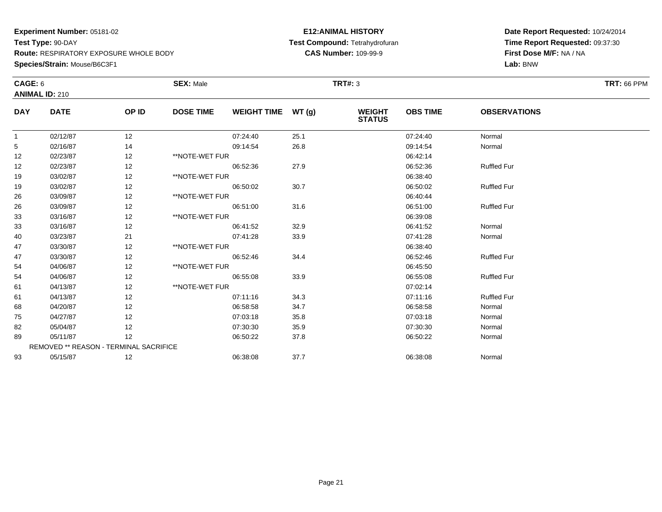**Species/Strain:** Mouse/B6C3F1

#### **E12:ANIMAL HISTORY Test Compound:** Tetrahydrofuran**CAS Number:** 109-99-9

| <b>CAGE: 6</b> |                                        |       | <b>SEX: Male</b> |                    |      | <b>TRT#: 3</b>                 |                 |                     | <b>TRT: 66 PPM</b> |
|----------------|----------------------------------------|-------|------------------|--------------------|------|--------------------------------|-----------------|---------------------|--------------------|
|                | <b>ANIMAL ID: 210</b>                  |       |                  |                    |      |                                |                 |                     |                    |
| <b>DAY</b>     | <b>DATE</b>                            | OP ID | <b>DOSE TIME</b> | WEIGHT TIME WT (g) |      | <b>WEIGHT</b><br><b>STATUS</b> | <b>OBS TIME</b> | <b>OBSERVATIONS</b> |                    |
| $\mathbf{1}$   | 02/12/87                               | 12    |                  | 07:24:40           | 25.1 |                                | 07:24:40        | Normal              |                    |
| 5              | 02/16/87                               | 14    |                  | 09:14:54           | 26.8 |                                | 09:14:54        | Normal              |                    |
| 12             | 02/23/87                               | 12    | **NOTE-WET FUR   |                    |      |                                | 06:42:14        |                     |                    |
| 12             | 02/23/87                               | 12    |                  | 06:52:36           | 27.9 |                                | 06:52:36        | <b>Ruffled Fur</b>  |                    |
| 19             | 03/02/87                               | 12    | **NOTE-WET FUR   |                    |      |                                | 06:38:40        |                     |                    |
| 19             | 03/02/87                               | 12    |                  | 06:50:02           | 30.7 |                                | 06:50:02        | <b>Ruffled Fur</b>  |                    |
| 26             | 03/09/87                               | 12    | **NOTE-WET FUR   |                    |      |                                | 06:40:44        |                     |                    |
| 26             | 03/09/87                               | 12    |                  | 06:51:00           | 31.6 |                                | 06:51:00        | <b>Ruffled Fur</b>  |                    |
| 33             | 03/16/87                               | 12    | **NOTE-WET FUR   |                    |      |                                | 06:39:08        |                     |                    |
| 33             | 03/16/87                               | 12    |                  | 06:41:52           | 32.9 |                                | 06:41:52        | Normal              |                    |
| 40             | 03/23/87                               | 21    |                  | 07:41:28           | 33.9 |                                | 07:41:28        | Normal              |                    |
| 47             | 03/30/87                               | 12    | **NOTE-WET FUR   |                    |      |                                | 06:38:40        |                     |                    |
| 47             | 03/30/87                               | 12    |                  | 06:52:46           | 34.4 |                                | 06:52:46        | <b>Ruffled Fur</b>  |                    |
| 54             | 04/06/87                               | 12    | **NOTE-WET FUR   |                    |      |                                | 06:45:50        |                     |                    |
| 54             | 04/06/87                               | 12    |                  | 06:55:08           | 33.9 |                                | 06:55:08        | <b>Ruffled Fur</b>  |                    |
| 61             | 04/13/87                               | 12    | **NOTE-WET FUR   |                    |      |                                | 07:02:14        |                     |                    |
| 61             | 04/13/87                               | 12    |                  | 07:11:16           | 34.3 |                                | 07:11:16        | <b>Ruffled Fur</b>  |                    |
| 68             | 04/20/87                               | 12    |                  | 06:58:58           | 34.7 |                                | 06:58:58        | Normal              |                    |
| 75             | 04/27/87                               | 12    |                  | 07:03:18           | 35.8 |                                | 07:03:18        | Normal              |                    |
| 82             | 05/04/87                               | 12    |                  | 07:30:30           | 35.9 |                                | 07:30:30        | Normal              |                    |
| 89             | 05/11/87                               | 12    |                  | 06:50:22           | 37.8 |                                | 06:50:22        | Normal              |                    |
|                | REMOVED ** REASON - TERMINAL SACRIFICE |       |                  |                    |      |                                |                 |                     |                    |
| 93             | 05/15/87                               | 12    |                  | 06:38:08           | 37.7 |                                | 06:38:08        | Normal              |                    |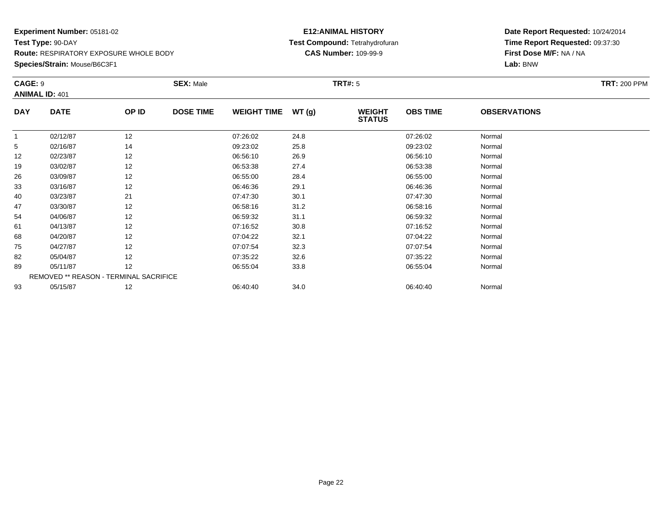### **Species/Strain:** Mouse/B6C3F1

### **E12:ANIMAL HISTORY Test Compound:** Tetrahydrofuran**CAS Number:** 109-99-9

| CAGE: 9    |                       |                                        | <b>SEX: Male</b> |                    |       | <b>TRT#:</b> 5                 |                 |                     | <b>TRT: 200 PPM</b> |
|------------|-----------------------|----------------------------------------|------------------|--------------------|-------|--------------------------------|-----------------|---------------------|---------------------|
|            | <b>ANIMAL ID: 401</b> |                                        |                  |                    |       |                                |                 |                     |                     |
| <b>DAY</b> | <b>DATE</b>           | OP ID                                  | <b>DOSE TIME</b> | <b>WEIGHT TIME</b> | WT(g) | <b>WEIGHT</b><br><b>STATUS</b> | <b>OBS TIME</b> | <b>OBSERVATIONS</b> |                     |
|            | 02/12/87              | 12                                     |                  | 07:26:02           | 24.8  |                                | 07:26:02        | Normal              |                     |
| 5          | 02/16/87              | 14                                     |                  | 09:23:02           | 25.8  |                                | 09:23:02        | Normal              |                     |
| 12         | 02/23/87              | 12                                     |                  | 06:56:10           | 26.9  |                                | 06:56:10        | Normal              |                     |
| 19         | 03/02/87              | 12                                     |                  | 06:53:38           | 27.4  |                                | 06:53:38        | Normal              |                     |
| 26         | 03/09/87              | 12                                     |                  | 06:55:00           | 28.4  |                                | 06:55:00        | Normal              |                     |
| 33         | 03/16/87              | 12                                     |                  | 06:46:36           | 29.1  |                                | 06:46:36        | Normal              |                     |
| 40         | 03/23/87              | 21                                     |                  | 07:47:30           | 30.1  |                                | 07:47:30        | Normal              |                     |
| 47         | 03/30/87              | 12                                     |                  | 06:58:16           | 31.2  |                                | 06:58:16        | Normal              |                     |
| 54         | 04/06/87              | 12                                     |                  | 06:59:32           | 31.1  |                                | 06:59:32        | Normal              |                     |
| 61         | 04/13/87              | 12                                     |                  | 07:16:52           | 30.8  |                                | 07:16:52        | Normal              |                     |
| 68         | 04/20/87              | 12                                     |                  | 07:04:22           | 32.1  |                                | 07:04:22        | Normal              |                     |
| 75         | 04/27/87              | 12                                     |                  | 07:07:54           | 32.3  |                                | 07:07:54        | Normal              |                     |
| 82         | 05/04/87              | 12                                     |                  | 07:35:22           | 32.6  |                                | 07:35:22        | Normal              |                     |
| 89         | 05/11/87              | 12                                     |                  | 06:55:04           | 33.8  |                                | 06:55:04        | Normal              |                     |
|            |                       | REMOVED ** REASON - TERMINAL SACRIFICE |                  |                    |       |                                |                 |                     |                     |
| 93         | 05/15/87              | 12                                     |                  | 06:40:40           | 34.0  |                                | 06:40:40        | Normal              |                     |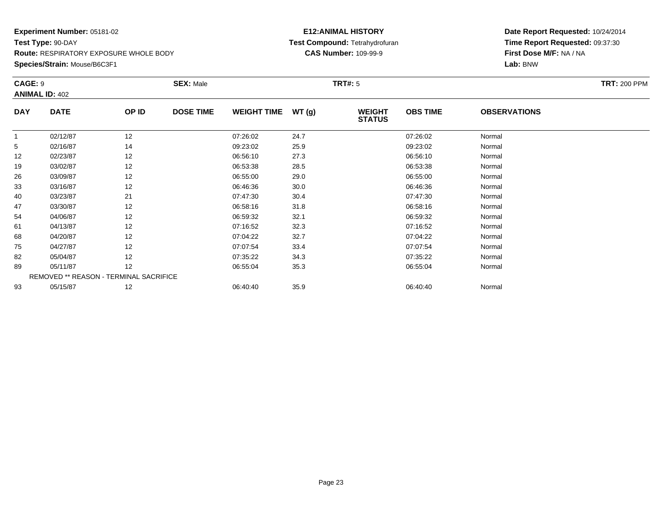### **Species/Strain:** Mouse/B6C3F1

### **E12:ANIMAL HISTORY Test Compound:** Tetrahydrofuran**CAS Number:** 109-99-9

| CAGE: 9    | <b>ANIMAL ID: 402</b> |                                        | <b>SEX: Male</b> |                    |       | <b>TRT#: 5</b>                 |                 |                     | <b>TRT: 200 PPM</b> |
|------------|-----------------------|----------------------------------------|------------------|--------------------|-------|--------------------------------|-----------------|---------------------|---------------------|
| <b>DAY</b> | <b>DATE</b>           | OP ID                                  | <b>DOSE TIME</b> | <b>WEIGHT TIME</b> | WT(g) | <b>WEIGHT</b><br><b>STATUS</b> | <b>OBS TIME</b> | <b>OBSERVATIONS</b> |                     |
|            | 02/12/87              | 12                                     |                  | 07:26:02           | 24.7  |                                | 07:26:02        | Normal              |                     |
| 5          | 02/16/87              | 14                                     |                  | 09:23:02           | 25.9  |                                | 09:23:02        | Normal              |                     |
| 12         | 02/23/87              | 12                                     |                  | 06:56:10           | 27.3  |                                | 06:56:10        | Normal              |                     |
| 19         | 03/02/87              | 12                                     |                  | 06:53:38           | 28.5  |                                | 06:53:38        | Normal              |                     |
| 26         | 03/09/87              | 12                                     |                  | 06:55:00           | 29.0  |                                | 06:55:00        | Normal              |                     |
| 33         | 03/16/87              | 12                                     |                  | 06:46:36           | 30.0  |                                | 06:46:36        | Normal              |                     |
| 40         | 03/23/87              | 21                                     |                  | 07:47:30           | 30.4  |                                | 07:47:30        | Normal              |                     |
| 47         | 03/30/87              | 12                                     |                  | 06:58:16           | 31.8  |                                | 06:58:16        | Normal              |                     |
| 54         | 04/06/87              | 12                                     |                  | 06:59:32           | 32.1  |                                | 06:59:32        | Normal              |                     |
| 61         | 04/13/87              | 12                                     |                  | 07:16:52           | 32.3  |                                | 07:16:52        | Normal              |                     |
| 68         | 04/20/87              | 12                                     |                  | 07:04:22           | 32.7  |                                | 07:04:22        | Normal              |                     |
| 75         | 04/27/87              | 12                                     |                  | 07:07:54           | 33.4  |                                | 07:07:54        | Normal              |                     |
| 82         | 05/04/87              | 12                                     |                  | 07:35:22           | 34.3  |                                | 07:35:22        | Normal              |                     |
| 89         | 05/11/87              | 12                                     |                  | 06:55:04           | 35.3  |                                | 06:55:04        | Normal              |                     |
|            |                       | REMOVED ** REASON - TERMINAL SACRIFICE |                  |                    |       |                                |                 |                     |                     |
| 93         | 05/15/87              | 12                                     |                  | 06:40:40           | 35.9  |                                | 06:40:40        | Normal              |                     |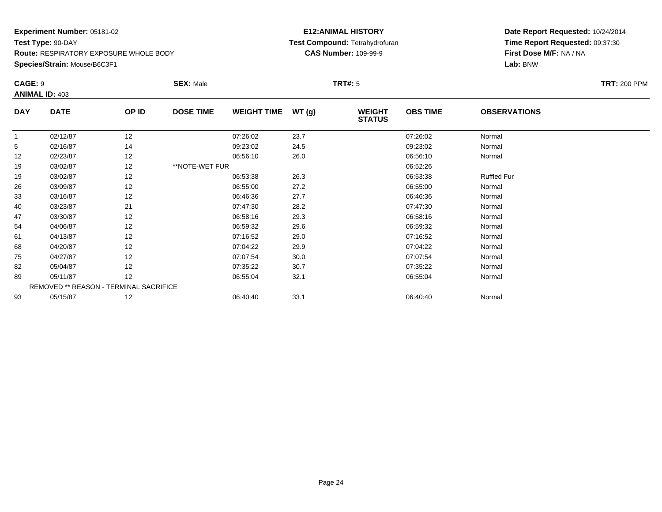**Species/Strain:** Mouse/B6C3F1

#### **E12:ANIMAL HISTORY Test Compound:** Tetrahydrofuran**CAS Number:** 109-99-9

| CAGE: 9    | <b>ANIMAL ID: 403</b>                  |       | <b>SEX: Male</b> |                    |       | <b>TRT#: 5</b>                 |                 |                     | <b>TRT: 200 PPM</b> |
|------------|----------------------------------------|-------|------------------|--------------------|-------|--------------------------------|-----------------|---------------------|---------------------|
| <b>DAY</b> | <b>DATE</b>                            | OP ID | <b>DOSE TIME</b> | <b>WEIGHT TIME</b> | WT(g) | <b>WEIGHT</b><br><b>STATUS</b> | <b>OBS TIME</b> | <b>OBSERVATIONS</b> |                     |
|            | 02/12/87                               | 12    |                  | 07:26:02           | 23.7  |                                | 07:26:02        | Normal              |                     |
| 5          | 02/16/87                               | 14    |                  | 09:23:02           | 24.5  |                                | 09:23:02        | Normal              |                     |
| 12         | 02/23/87                               | 12    |                  | 06:56:10           | 26.0  |                                | 06:56:10        | Normal              |                     |
| 19         | 03/02/87                               | 12    | **NOTE-WET FUR   |                    |       |                                | 06:52:26        |                     |                     |
| 19         | 03/02/87                               | 12    |                  | 06:53:38           | 26.3  |                                | 06:53:38        | <b>Ruffled Fur</b>  |                     |
| 26         | 03/09/87                               | 12    |                  | 06:55:00           | 27.2  |                                | 06:55:00        | Normal              |                     |
| 33         | 03/16/87                               | 12    |                  | 06:46:36           | 27.7  |                                | 06:46:36        | Normal              |                     |
| 40         | 03/23/87                               | 21    |                  | 07:47:30           | 28.2  |                                | 07:47:30        | Normal              |                     |
| 47         | 03/30/87                               | 12    |                  | 06:58:16           | 29.3  |                                | 06:58:16        | Normal              |                     |
| 54         | 04/06/87                               | 12    |                  | 06:59:32           | 29.6  |                                | 06:59:32        | Normal              |                     |
| 61         | 04/13/87                               | 12    |                  | 07:16:52           | 29.0  |                                | 07:16:52        | Normal              |                     |
| 68         | 04/20/87                               | 12    |                  | 07:04:22           | 29.9  |                                | 07:04:22        | Normal              |                     |
| 75         | 04/27/87                               | 12    |                  | 07:07:54           | 30.0  |                                | 07:07:54        | Normal              |                     |
| 82         | 05/04/87                               | 12    |                  | 07:35:22           | 30.7  |                                | 07:35:22        | Normal              |                     |
| 89         | 05/11/87                               | 12    |                  | 06:55:04           | 32.1  |                                | 06:55:04        | Normal              |                     |
|            | REMOVED ** REASON - TERMINAL SACRIFICE |       |                  |                    |       |                                |                 |                     |                     |
| 93         | 05/15/87                               | 12    |                  | 06:40:40           | 33.1  |                                | 06:40:40        | Normal              |                     |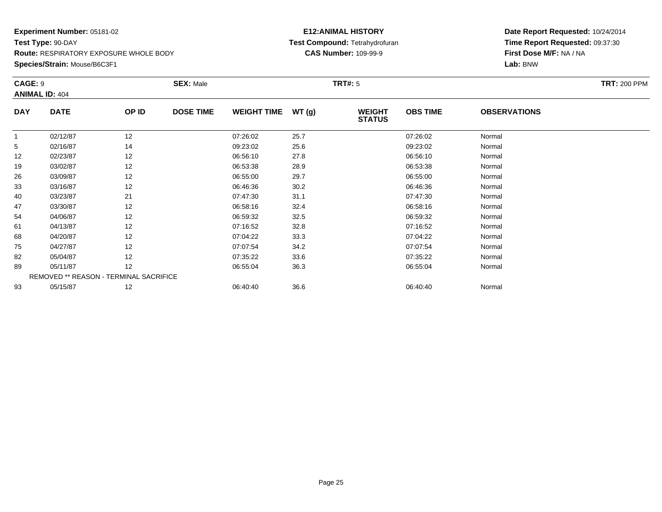### **Experiment Number:** 05181-02**Test Type:** 90-DAY **Route:** RESPIRATORY EXPOSURE WHOLE BODY**Species/Strain:** Mouse/B6C3F1

### **E12:ANIMAL HISTORY Test Compound:** Tetrahydrofuran**CAS Number:** 109-99-9

| CAGE: 9        | <b>ANIMAL ID: 404</b> |                                        | <b>SEX: Male</b> |                    |       | <b>TRT#: 5</b>                 |                 |                     | <b>TRT: 200 PPM</b> |
|----------------|-----------------------|----------------------------------------|------------------|--------------------|-------|--------------------------------|-----------------|---------------------|---------------------|
| <b>DAY</b>     | <b>DATE</b>           | OP ID                                  | <b>DOSE TIME</b> | <b>WEIGHT TIME</b> | WT(g) | <b>WEIGHT</b><br><b>STATUS</b> | <b>OBS TIME</b> | <b>OBSERVATIONS</b> |                     |
| $\overline{1}$ | 02/12/87              | 12                                     |                  | 07:26:02           | 25.7  |                                | 07:26:02        | Normal              |                     |
| 5              | 02/16/87              | 14                                     |                  | 09:23:02           | 25.6  |                                | 09:23:02        | Normal              |                     |
| 12             | 02/23/87              | 12                                     |                  | 06:56:10           | 27.8  |                                | 06:56:10        | Normal              |                     |
| 19             | 03/02/87              | 12                                     |                  | 06:53:38           | 28.9  |                                | 06:53:38        | Normal              |                     |
| 26             | 03/09/87              | 12                                     |                  | 06:55:00           | 29.7  |                                | 06:55:00        | Normal              |                     |
| 33             | 03/16/87              | 12                                     |                  | 06:46:36           | 30.2  |                                | 06:46:36        | Normal              |                     |
| 40             | 03/23/87              | 21                                     |                  | 07:47:30           | 31.1  |                                | 07:47:30        | Normal              |                     |
| 47             | 03/30/87              | 12                                     |                  | 06:58:16           | 32.4  |                                | 06:58:16        | Normal              |                     |
| 54             | 04/06/87              | 12                                     |                  | 06:59:32           | 32.5  |                                | 06:59:32        | Normal              |                     |
| 61             | 04/13/87              | 12                                     |                  | 07:16:52           | 32.8  |                                | 07:16:52        | Normal              |                     |
| 68             | 04/20/87              | 12                                     |                  | 07:04:22           | 33.3  |                                | 07:04:22        | Normal              |                     |
| 75             | 04/27/87              | 12                                     |                  | 07:07:54           | 34.2  |                                | 07:07:54        | Normal              |                     |
| 82             | 05/04/87              | 12                                     |                  | 07:35:22           | 33.6  |                                | 07:35:22        | Normal              |                     |
| 89             | 05/11/87              | 12                                     |                  | 06:55:04           | 36.3  |                                | 06:55:04        | Normal              |                     |
|                |                       | REMOVED ** REASON - TERMINAL SACRIFICE |                  |                    |       |                                |                 |                     |                     |
| 93             | 05/15/87              | 12                                     |                  | 06:40:40           | 36.6  |                                | 06:40:40        | Normal              |                     |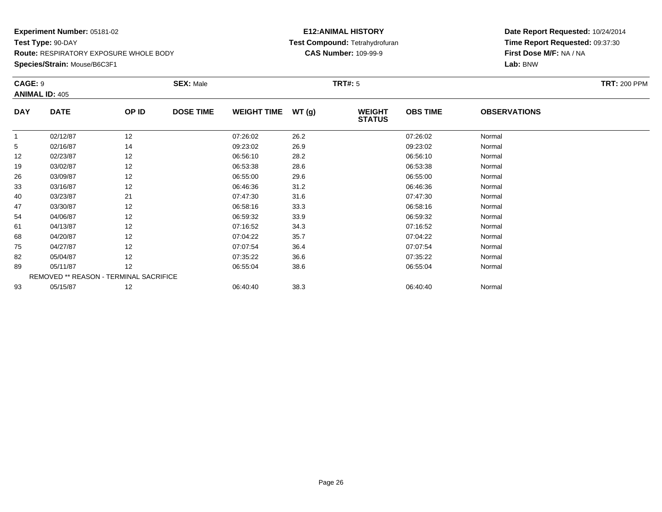### **Species/Strain:** Mouse/B6C3F1

### **E12:ANIMAL HISTORY Test Compound:** Tetrahydrofuran**CAS Number:** 109-99-9

| CAGE: 9      |                                        |       | <b>SEX: Male</b> |                    |       | <b>TRT#:</b> 5                 |                 |                     | <b>TRT: 200 PPM</b> |
|--------------|----------------------------------------|-------|------------------|--------------------|-------|--------------------------------|-----------------|---------------------|---------------------|
|              | <b>ANIMAL ID: 405</b>                  |       |                  |                    |       |                                |                 |                     |                     |
| <b>DAY</b>   | <b>DATE</b>                            | OP ID | <b>DOSE TIME</b> | <b>WEIGHT TIME</b> | WT(g) | <b>WEIGHT</b><br><b>STATUS</b> | <b>OBS TIME</b> | <b>OBSERVATIONS</b> |                     |
| $\mathbf{1}$ | 02/12/87                               | 12    |                  | 07:26:02           | 26.2  |                                | 07:26:02        | Normal              |                     |
| 5            | 02/16/87                               | 14    |                  | 09:23:02           | 26.9  |                                | 09:23:02        | Normal              |                     |
| 12           | 02/23/87                               | 12    |                  | 06:56:10           | 28.2  |                                | 06:56:10        | Normal              |                     |
| 19           | 03/02/87                               | 12    |                  | 06:53:38           | 28.6  |                                | 06:53:38        | Normal              |                     |
| 26           | 03/09/87                               | 12    |                  | 06:55:00           | 29.6  |                                | 06:55:00        | Normal              |                     |
| 33           | 03/16/87                               | 12    |                  | 06:46:36           | 31.2  |                                | 06:46:36        | Normal              |                     |
| 40           | 03/23/87                               | 21    |                  | 07:47:30           | 31.6  |                                | 07:47:30        | Normal              |                     |
| 47           | 03/30/87                               | 12    |                  | 06:58:16           | 33.3  |                                | 06:58:16        | Normal              |                     |
| 54           | 04/06/87                               | 12    |                  | 06:59:32           | 33.9  |                                | 06:59:32        | Normal              |                     |
| 61           | 04/13/87                               | 12    |                  | 07:16:52           | 34.3  |                                | 07:16:52        | Normal              |                     |
| 68           | 04/20/87                               | 12    |                  | 07:04:22           | 35.7  |                                | 07:04:22        | Normal              |                     |
| 75           | 04/27/87                               | 12    |                  | 07:07:54           | 36.4  |                                | 07:07:54        | Normal              |                     |
| 82           | 05/04/87                               | 12    |                  | 07:35:22           | 36.6  |                                | 07:35:22        | Normal              |                     |
| 89           | 05/11/87                               | 12    |                  | 06:55:04           | 38.6  |                                | 06:55:04        | Normal              |                     |
|              | REMOVED ** REASON - TERMINAL SACRIFICE |       |                  |                    |       |                                |                 |                     |                     |
| 93           | 05/15/87                               | 12    |                  | 06:40:40           | 38.3  |                                | 06:40:40        | Normal              |                     |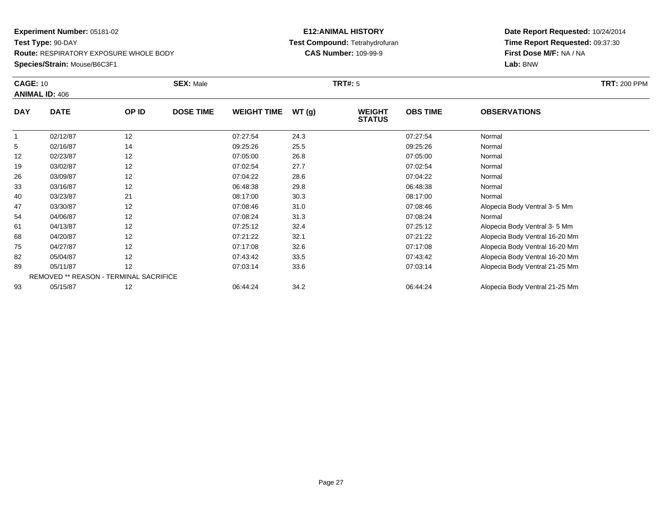**Species/Strain:** Mouse/B6C3F1

#### **E12:ANIMAL HISTORY Test Compound:** Tetrahydrofuran**CAS Number:** 109-99-9

| <b>CAGE: 10</b> |                                        |       | <b>SEX: Male</b> |                    |       | <b>TRT#: 5</b>                 |                 |                                | <b>TRT:</b> 200 PPM |
|-----------------|----------------------------------------|-------|------------------|--------------------|-------|--------------------------------|-----------------|--------------------------------|---------------------|
|                 | <b>ANIMAL ID: 406</b>                  |       |                  |                    |       |                                |                 |                                |                     |
| <b>DAY</b>      | <b>DATE</b>                            | OP ID | <b>DOSE TIME</b> | <b>WEIGHT TIME</b> | WT(g) | <b>WEIGHT</b><br><b>STATUS</b> | <b>OBS TIME</b> | <b>OBSERVATIONS</b>            |                     |
| $\mathbf{1}$    | 02/12/87                               | 12    |                  | 07:27:54           | 24.3  |                                | 07:27:54        | Normal                         |                     |
| 5               | 02/16/87                               | 14    |                  | 09:25:26           | 25.5  |                                | 09:25:26        | Normal                         |                     |
| 12              | 02/23/87                               | 12    |                  | 07:05:00           | 26.8  |                                | 07:05:00        | Normal                         |                     |
| 19              | 03/02/87                               | 12    |                  | 07:02:54           | 27.7  |                                | 07:02:54        | Normal                         |                     |
| 26              | 03/09/87                               | 12    |                  | 07:04:22           | 28.6  |                                | 07:04:22        | Normal                         |                     |
| 33              | 03/16/87                               | 12    |                  | 06:48:38           | 29.8  |                                | 06:48:38        | Normal                         |                     |
| 40              | 03/23/87                               | 21    |                  | 08:17:00           | 30.3  |                                | 08:17:00        | Normal                         |                     |
| 47              | 03/30/87                               | 12    |                  | 07:08:46           | 31.0  |                                | 07:08:46        | Alopecia Body Ventral 3-5 Mm   |                     |
| 54              | 04/06/87                               | 12    |                  | 07:08:24           | 31.3  |                                | 07:08:24        | Normal                         |                     |
| 61              | 04/13/87                               | 12    |                  | 07:25:12           | 32.4  |                                | 07:25:12        | Alopecia Body Ventral 3-5 Mm   |                     |
| 68              | 04/20/87                               | 12    |                  | 07:21:22           | 32.1  |                                | 07:21:22        | Alopecia Body Ventral 16-20 Mm |                     |
| 75              | 04/27/87                               | 12    |                  | 07:17:08           | 32.6  |                                | 07:17:08        | Alopecia Body Ventral 16-20 Mm |                     |
| 82              | 05/04/87                               | 12    |                  | 07:43:42           | 33.5  |                                | 07:43:42        | Alopecia Body Ventral 16-20 Mm |                     |
| 89              | 05/11/87                               | 12    |                  | 07:03:14           | 33.6  |                                | 07:03:14        | Alopecia Body Ventral 21-25 Mm |                     |
|                 | REMOVED ** REASON - TERMINAL SACRIFICE |       |                  |                    |       |                                |                 |                                |                     |
| 93              | 05/15/87                               | 12    |                  | 06:44:24           | 34.2  |                                | 06:44:24        | Alopecia Body Ventral 21-25 Mm |                     |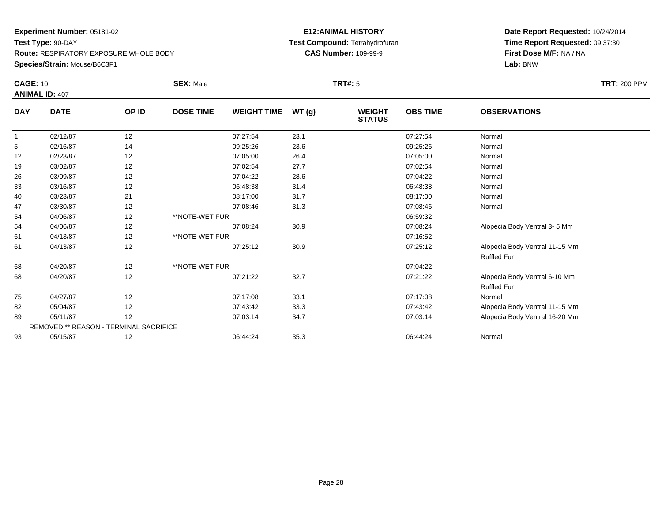### **Species/Strain:** Mouse/B6C3F1

### **E12:ANIMAL HISTORY Test Compound:** Tetrahydrofuran**CAS Number:** 109-99-9

|                | <b>CAGE: 10</b><br><b>ANIMAL ID: 407</b> |       | <b>SEX: Male</b> |                    |       | <b>TRT#:</b> 5                 | <b>TRT: 200 PPM</b> |                                |  |
|----------------|------------------------------------------|-------|------------------|--------------------|-------|--------------------------------|---------------------|--------------------------------|--|
| <b>DAY</b>     | <b>DATE</b>                              | OP ID | <b>DOSE TIME</b> | <b>WEIGHT TIME</b> | WT(g) | <b>WEIGHT</b><br><b>STATUS</b> | <b>OBS TIME</b>     | <b>OBSERVATIONS</b>            |  |
| $\overline{1}$ | 02/12/87                                 | 12    |                  | 07:27:54           | 23.1  |                                | 07:27:54            | Normal                         |  |
| 5              | 02/16/87                                 | 14    |                  | 09:25:26           | 23.6  |                                | 09:25:26            | Normal                         |  |
| 12             | 02/23/87                                 | 12    |                  | 07:05:00           | 26.4  |                                | 07:05:00            | Normal                         |  |
| 19             | 03/02/87                                 | 12    |                  | 07:02:54           | 27.7  |                                | 07:02:54            | Normal                         |  |
| 26             | 03/09/87                                 | 12    |                  | 07:04:22           | 28.6  |                                | 07:04:22            | Normal                         |  |
| 33             | 03/16/87                                 | 12    |                  | 06:48:38           | 31.4  |                                | 06:48:38            | Normal                         |  |
| 40             | 03/23/87                                 | 21    |                  | 08:17:00           | 31.7  |                                | 08:17:00            | Normal                         |  |
| 47             | 03/30/87                                 | 12    |                  | 07:08:46           | 31.3  |                                | 07:08:46            | Normal                         |  |
| 54             | 04/06/87                                 | 12    | **NOTE-WET FUR   |                    |       |                                | 06:59:32            |                                |  |
| 54             | 04/06/87                                 | 12    |                  | 07:08:24           | 30.9  |                                | 07:08:24            | Alopecia Body Ventral 3-5 Mm   |  |
| 61             | 04/13/87                                 | 12    | **NOTE-WET FUR   |                    |       |                                | 07:16:52            |                                |  |
| 61             | 04/13/87                                 | 12    |                  | 07:25:12           | 30.9  |                                | 07:25:12            | Alopecia Body Ventral 11-15 Mm |  |
|                |                                          |       |                  |                    |       |                                |                     | <b>Ruffled Fur</b>             |  |
| 68             | 04/20/87                                 | 12    | **NOTE-WET FUR   |                    |       |                                | 07:04:22            |                                |  |
| 68             | 04/20/87                                 | 12    |                  | 07:21:22           | 32.7  |                                | 07:21:22            | Alopecia Body Ventral 6-10 Mm  |  |
|                |                                          |       |                  |                    |       |                                |                     | <b>Ruffled Fur</b>             |  |
| 75             | 04/27/87                                 | 12    |                  | 07:17:08           | 33.1  |                                | 07:17:08            | Normal                         |  |
| 82             | 05/04/87                                 | 12    |                  | 07:43:42           | 33.3  |                                | 07:43:42            | Alopecia Body Ventral 11-15 Mm |  |
| 89             | 05/11/87                                 | 12    |                  | 07:03:14           | 34.7  |                                | 07:03:14            | Alopecia Body Ventral 16-20 Mm |  |
|                | REMOVED ** REASON - TERMINAL SACRIFICE   |       |                  |                    |       |                                |                     |                                |  |
| 93             | 05/15/87                                 | 12    |                  | 06:44:24           | 35.3  |                                | 06:44:24            | Normal                         |  |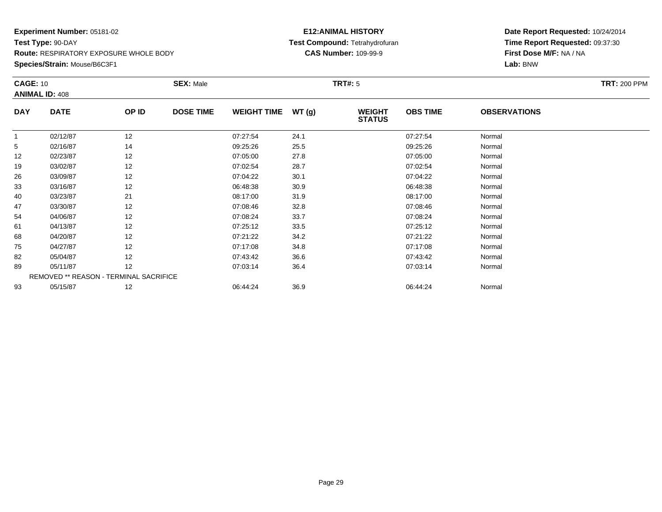**Species/Strain:** Mouse/B6C3F1

### **E12:ANIMAL HISTORY Test Compound:** Tetrahydrofuran**CAS Number:** 109-99-9

| <b>CAGE: 10</b> |                                        |       | <b>SEX: Male</b> |                    |       | <b>TRT#:</b> 5                 |                 |                     | <b>TRT: 200 PPM</b> |
|-----------------|----------------------------------------|-------|------------------|--------------------|-------|--------------------------------|-----------------|---------------------|---------------------|
|                 | <b>ANIMAL ID: 408</b>                  |       |                  |                    |       |                                |                 |                     |                     |
| <b>DAY</b>      | <b>DATE</b>                            | OP ID | <b>DOSE TIME</b> | <b>WEIGHT TIME</b> | WT(g) | <b>WEIGHT</b><br><b>STATUS</b> | <b>OBS TIME</b> | <b>OBSERVATIONS</b> |                     |
| 1               | 02/12/87                               | 12    |                  | 07:27:54           | 24.1  |                                | 07:27:54        | Normal              |                     |
| 5               | 02/16/87                               | 14    |                  | 09:25:26           | 25.5  |                                | 09:25:26        | Normal              |                     |
| 12              | 02/23/87                               | 12    |                  | 07:05:00           | 27.8  |                                | 07:05:00        | Normal              |                     |
| 19              | 03/02/87                               | 12    |                  | 07:02:54           | 28.7  |                                | 07:02:54        | Normal              |                     |
| 26              | 03/09/87                               | 12    |                  | 07:04:22           | 30.1  |                                | 07:04:22        | Normal              |                     |
| 33              | 03/16/87                               | 12    |                  | 06:48:38           | 30.9  |                                | 06:48:38        | Normal              |                     |
| 40              | 03/23/87                               | 21    |                  | 08:17:00           | 31.9  |                                | 08:17:00        | Normal              |                     |
| 47              | 03/30/87                               | 12    |                  | 07:08:46           | 32.8  |                                | 07:08:46        | Normal              |                     |
| 54              | 04/06/87                               | 12    |                  | 07:08:24           | 33.7  |                                | 07:08:24        | Normal              |                     |
| 61              | 04/13/87                               | 12    |                  | 07:25:12           | 33.5  |                                | 07:25:12        | Normal              |                     |
| 68              | 04/20/87                               | 12    |                  | 07:21:22           | 34.2  |                                | 07:21:22        | Normal              |                     |
| 75              | 04/27/87                               | 12    |                  | 07:17:08           | 34.8  |                                | 07:17:08        | Normal              |                     |
| 82              | 05/04/87                               | 12    |                  | 07:43:42           | 36.6  |                                | 07:43:42        | Normal              |                     |
| 89              | 05/11/87                               | 12    |                  | 07:03:14           | 36.4  |                                | 07:03:14        | Normal              |                     |
|                 | REMOVED ** REASON - TERMINAL SACRIFICE |       |                  |                    |       |                                |                 |                     |                     |
| 93              | 05/15/87                               | 12    |                  | 06:44:24           | 36.9  |                                | 06:44:24        | Normal              |                     |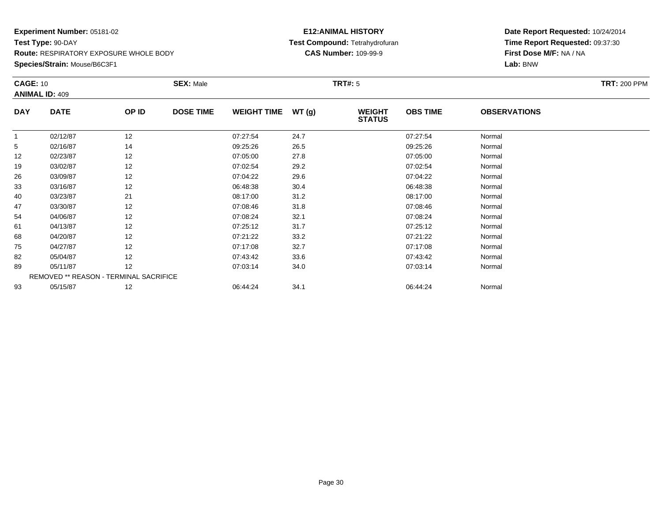**Species/Strain:** Mouse/B6C3F1

### **E12:ANIMAL HISTORY Test Compound:** Tetrahydrofuran**CAS Number:** 109-99-9

| <b>CAGE: 10</b> | <b>ANIMAL ID: 409</b>                  |       | <b>SEX: Male</b> |                    |       | <b>TRT#:</b> 5                 |                 |                     | <b>TRT: 200 PPM</b> |
|-----------------|----------------------------------------|-------|------------------|--------------------|-------|--------------------------------|-----------------|---------------------|---------------------|
| <b>DAY</b>      | <b>DATE</b>                            | OP ID | <b>DOSE TIME</b> | <b>WEIGHT TIME</b> | WT(g) | <b>WEIGHT</b><br><b>STATUS</b> | <b>OBS TIME</b> | <b>OBSERVATIONS</b> |                     |
|                 | 02/12/87                               | 12    |                  | 07:27:54           | 24.7  |                                | 07:27:54        | Normal              |                     |
| 5               | 02/16/87                               | 14    |                  | 09:25:26           | 26.5  |                                | 09:25:26        | Normal              |                     |
| 12              | 02/23/87                               | 12    |                  | 07:05:00           | 27.8  |                                | 07:05:00        | Normal              |                     |
| 19              | 03/02/87                               | 12    |                  | 07:02:54           | 29.2  |                                | 07:02:54        | Normal              |                     |
| 26              | 03/09/87                               | 12    |                  | 07:04:22           | 29.6  |                                | 07:04:22        | Normal              |                     |
| 33              | 03/16/87                               | 12    |                  | 06:48:38           | 30.4  |                                | 06:48:38        | Normal              |                     |
| 40              | 03/23/87                               | 21    |                  | 08:17:00           | 31.2  |                                | 08:17:00        | Normal              |                     |
| 47              | 03/30/87                               | 12    |                  | 07:08:46           | 31.8  |                                | 07:08:46        | Normal              |                     |
| 54              | 04/06/87                               | 12    |                  | 07:08:24           | 32.1  |                                | 07:08:24        | Normal              |                     |
| 61              | 04/13/87                               | 12    |                  | 07:25:12           | 31.7  |                                | 07:25:12        | Normal              |                     |
| 68              | 04/20/87                               | 12    |                  | 07:21:22           | 33.2  |                                | 07:21:22        | Normal              |                     |
| 75              | 04/27/87                               | 12    |                  | 07:17:08           | 32.7  |                                | 07:17:08        | Normal              |                     |
| 82              | 05/04/87                               | 12    |                  | 07:43:42           | 33.6  |                                | 07:43:42        | Normal              |                     |
| 89              | 05/11/87                               | 12    |                  | 07:03:14           | 34.0  |                                | 07:03:14        | Normal              |                     |
|                 | REMOVED ** REASON - TERMINAL SACRIFICE |       |                  |                    |       |                                |                 |                     |                     |
| 93              | 05/15/87                               | 12    |                  | 06:44:24           | 34.1  |                                | 06:44:24        | Normal              |                     |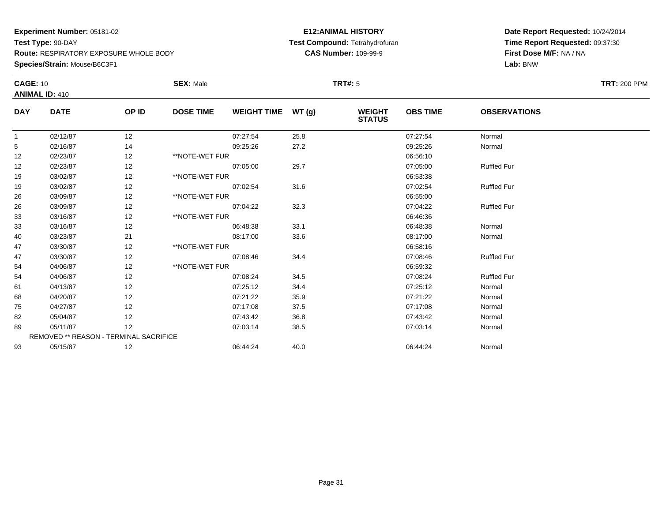**Species/Strain:** Mouse/B6C3F1

### **E12:ANIMAL HISTORY Test Compound:** Tetrahydrofuran**CAS Number:** 109-99-9

| <b>CAGE: 10</b> | <b>ANIMAL ID: 410</b>                  |       | <b>SEX: Male</b> |                    |       | <b>TRT#: 5</b>                 |                 |                     | <b>TRT: 200 PPM</b> |
|-----------------|----------------------------------------|-------|------------------|--------------------|-------|--------------------------------|-----------------|---------------------|---------------------|
| <b>DAY</b>      | <b>DATE</b>                            | OP ID | <b>DOSE TIME</b> | <b>WEIGHT TIME</b> | WT(g) | <b>WEIGHT</b><br><b>STATUS</b> | <b>OBS TIME</b> | <b>OBSERVATIONS</b> |                     |
| $\mathbf{1}$    | 02/12/87                               | 12    |                  | 07:27:54           | 25.8  |                                | 07:27:54        | Normal              |                     |
| 5               | 02/16/87                               | 14    |                  | 09:25:26           | 27.2  |                                | 09:25:26        | Normal              |                     |
| 12              | 02/23/87                               | 12    | **NOTE-WET FUR   |                    |       |                                | 06:56:10        |                     |                     |
| 12              | 02/23/87                               | 12    |                  | 07:05:00           | 29.7  |                                | 07:05:00        | <b>Ruffled Fur</b>  |                     |
| 19              | 03/02/87                               | 12    | **NOTE-WET FUR   |                    |       |                                | 06:53:38        |                     |                     |
| 19              | 03/02/87                               | 12    |                  | 07:02:54           | 31.6  |                                | 07:02:54        | <b>Ruffled Fur</b>  |                     |
| 26              | 03/09/87                               | 12    | **NOTE-WET FUR   |                    |       |                                | 06:55:00        |                     |                     |
| 26              | 03/09/87                               | 12    |                  | 07:04:22           | 32.3  |                                | 07:04:22        | <b>Ruffled Fur</b>  |                     |
| 33              | 03/16/87                               | 12    | **NOTE-WET FUR   |                    |       |                                | 06:46:36        |                     |                     |
| 33              | 03/16/87                               | 12    |                  | 06:48:38           | 33.1  |                                | 06:48:38        | Normal              |                     |
| 40              | 03/23/87                               | 21    |                  | 08:17:00           | 33.6  |                                | 08:17:00        | Normal              |                     |
| 47              | 03/30/87                               | 12    | **NOTE-WET FUR   |                    |       |                                | 06:58:16        |                     |                     |
| 47              | 03/30/87                               | 12    |                  | 07:08:46           | 34.4  |                                | 07:08:46        | <b>Ruffled Fur</b>  |                     |
| 54              | 04/06/87                               | 12    | **NOTE-WET FUR   |                    |       |                                | 06:59:32        |                     |                     |
| 54              | 04/06/87                               | 12    |                  | 07:08:24           | 34.5  |                                | 07:08:24        | <b>Ruffled Fur</b>  |                     |
| 61              | 04/13/87                               | 12    |                  | 07:25:12           | 34.4  |                                | 07:25:12        | Normal              |                     |
| 68              | 04/20/87                               | 12    |                  | 07:21:22           | 35.9  |                                | 07:21:22        | Normal              |                     |
| 75              | 04/27/87                               | 12    |                  | 07:17:08           | 37.5  |                                | 07:17:08        | Normal              |                     |
| 82              | 05/04/87                               | 12    |                  | 07:43:42           | 36.8  |                                | 07:43:42        | Normal              |                     |
| 89              | 05/11/87                               | 12    |                  | 07:03:14           | 38.5  |                                | 07:03:14        | Normal              |                     |
|                 | REMOVED ** REASON - TERMINAL SACRIFICE |       |                  |                    |       |                                |                 |                     |                     |
| 93              | 05/15/87                               | 12    |                  | 06:44:24           | 40.0  |                                | 06:44:24        | Normal              |                     |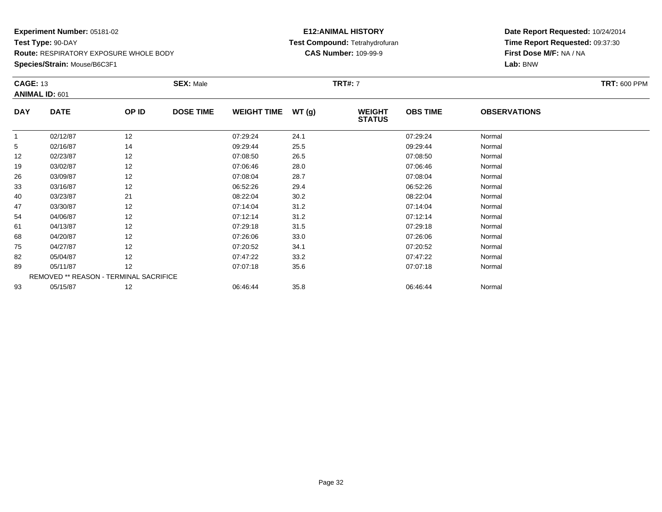**Species/Strain:** Mouse/B6C3F1

### **E12:ANIMAL HISTORY Test Compound:** Tetrahydrofuran**CAS Number:** 109-99-9

| <b>CAGE: 13</b> | <b>ANIMAL ID: 601</b>                  |       | <b>SEX: Male</b> |                    |       | <b>TRT#:</b> 7                 |                 |                     | <b>TRT: 600 PPM</b> |
|-----------------|----------------------------------------|-------|------------------|--------------------|-------|--------------------------------|-----------------|---------------------|---------------------|
| <b>DAY</b>      | <b>DATE</b>                            | OP ID | <b>DOSE TIME</b> | <b>WEIGHT TIME</b> | WT(g) | <b>WEIGHT</b><br><b>STATUS</b> | <b>OBS TIME</b> | <b>OBSERVATIONS</b> |                     |
| 1               | 02/12/87                               | 12    |                  | 07:29:24           | 24.1  |                                | 07:29:24        | Normal              |                     |
| 5               | 02/16/87                               | 14    |                  | 09:29:44           | 25.5  |                                | 09:29:44        | Normal              |                     |
| 12              | 02/23/87                               | 12    |                  | 07:08:50           | 26.5  |                                | 07:08:50        | Normal              |                     |
| 19              | 03/02/87                               | 12    |                  | 07:06:46           | 28.0  |                                | 07:06:46        | Normal              |                     |
| 26              | 03/09/87                               | 12    |                  | 07:08:04           | 28.7  |                                | 07:08:04        | Normal              |                     |
| 33              | 03/16/87                               | 12    |                  | 06:52:26           | 29.4  |                                | 06:52:26        | Normal              |                     |
| 40              | 03/23/87                               | 21    |                  | 08:22:04           | 30.2  |                                | 08:22:04        | Normal              |                     |
| 47              | 03/30/87                               | 12    |                  | 07:14:04           | 31.2  |                                | 07:14:04        | Normal              |                     |
| 54              | 04/06/87                               | 12    |                  | 07:12:14           | 31.2  |                                | 07:12:14        | Normal              |                     |
| 61              | 04/13/87                               | 12    |                  | 07:29:18           | 31.5  |                                | 07:29:18        | Normal              |                     |
| 68              | 04/20/87                               | 12    |                  | 07:26:06           | 33.0  |                                | 07:26:06        | Normal              |                     |
| 75              | 04/27/87                               | 12    |                  | 07:20:52           | 34.1  |                                | 07:20:52        | Normal              |                     |
| 82              | 05/04/87                               | 12    |                  | 07:47:22           | 33.2  |                                | 07:47:22        | Normal              |                     |
| 89              | 05/11/87                               | 12    |                  | 07:07:18           | 35.6  |                                | 07:07:18        | Normal              |                     |
|                 | REMOVED ** REASON - TERMINAL SACRIFICE |       |                  |                    |       |                                |                 |                     |                     |
| 93              | 05/15/87                               | 12    |                  | 06:46:44           | 35.8  |                                | 06:46:44        | Normal              |                     |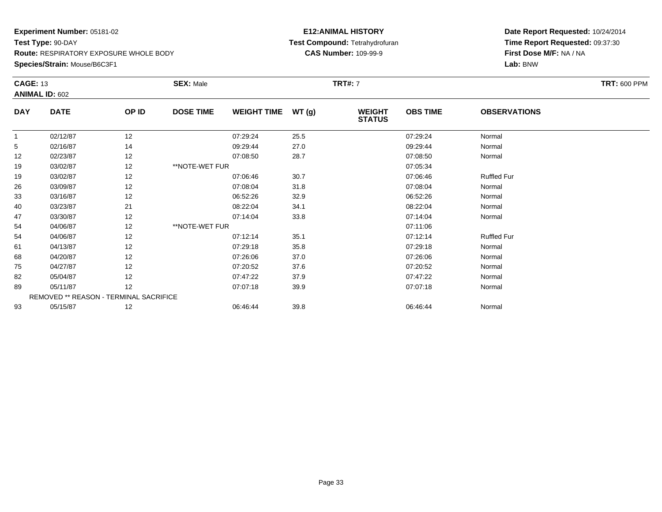**Species/Strain:** Mouse/B6C3F1

### **E12:ANIMAL HISTORY Test Compound:** Tetrahydrofuran**CAS Number:** 109-99-9

| <b>CAGE: 13</b> | <b>ANIMAL ID: 602</b>                  |       | <b>SEX: Male</b> |                    |       | <b>TRT#: 7</b>                 |                 |                     | <b>TRT: 600 PPM</b> |
|-----------------|----------------------------------------|-------|------------------|--------------------|-------|--------------------------------|-----------------|---------------------|---------------------|
|                 |                                        |       |                  |                    |       |                                |                 |                     |                     |
| <b>DAY</b>      | <b>DATE</b>                            | OP ID | <b>DOSE TIME</b> | <b>WEIGHT TIME</b> | WT(g) | <b>WEIGHT</b><br><b>STATUS</b> | <b>OBS TIME</b> | <b>OBSERVATIONS</b> |                     |
| $\mathbf{1}$    | 02/12/87                               | 12    |                  | 07:29:24           | 25.5  |                                | 07:29:24        | Normal              |                     |
| 5               | 02/16/87                               | 14    |                  | 09:29:44           | 27.0  |                                | 09:29:44        | Normal              |                     |
| 12              | 02/23/87                               | 12    |                  | 07:08:50           | 28.7  |                                | 07:08:50        | Normal              |                     |
| 19              | 03/02/87                               | 12    | **NOTE-WET FUR   |                    |       |                                | 07:05:34        |                     |                     |
| 19              | 03/02/87                               | 12    |                  | 07:06:46           | 30.7  |                                | 07:06:46        | <b>Ruffled Fur</b>  |                     |
| 26              | 03/09/87                               | 12    |                  | 07:08:04           | 31.8  |                                | 07:08:04        | Normal              |                     |
| 33              | 03/16/87                               | 12    |                  | 06:52:26           | 32.9  |                                | 06:52:26        | Normal              |                     |
| 40              | 03/23/87                               | 21    |                  | 08:22:04           | 34.1  |                                | 08:22:04        | Normal              |                     |
| 47              | 03/30/87                               | 12    |                  | 07:14:04           | 33.8  |                                | 07:14:04        | Normal              |                     |
| 54              | 04/06/87                               | 12    | **NOTE-WET FUR   |                    |       |                                | 07:11:06        |                     |                     |
| 54              | 04/06/87                               | 12    |                  | 07:12:14           | 35.1  |                                | 07:12:14        | <b>Ruffled Fur</b>  |                     |
| 61              | 04/13/87                               | 12    |                  | 07:29:18           | 35.8  |                                | 07:29:18        | Normal              |                     |
| 68              | 04/20/87                               | 12    |                  | 07:26:06           | 37.0  |                                | 07:26:06        | Normal              |                     |
| 75              | 04/27/87                               | 12    |                  | 07:20:52           | 37.6  |                                | 07:20:52        | Normal              |                     |
| 82              | 05/04/87                               | 12    |                  | 07:47:22           | 37.9  |                                | 07:47:22        | Normal              |                     |
| 89              | 05/11/87                               | 12    |                  | 07:07:18           | 39.9  |                                | 07:07:18        | Normal              |                     |
|                 | REMOVED ** REASON - TERMINAL SACRIFICE |       |                  |                    |       |                                |                 |                     |                     |
| 93              | 05/15/87                               | 12    |                  | 06:46:44           | 39.8  |                                | 06:46:44        | Normal              |                     |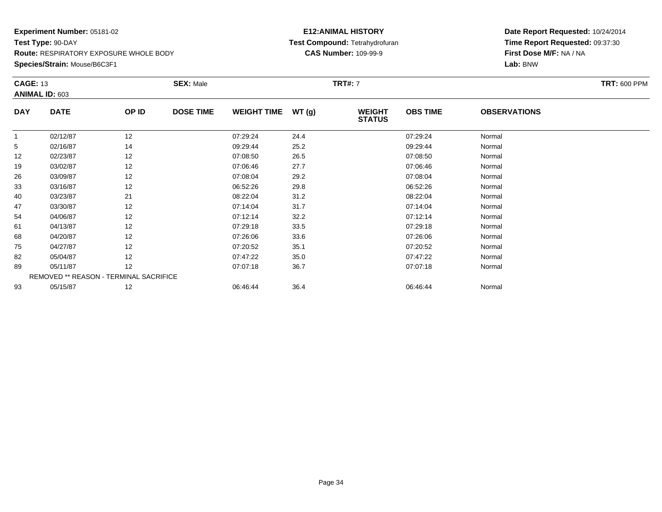**Species/Strain:** Mouse/B6C3F1

### **E12:ANIMAL HISTORY Test Compound:** Tetrahydrofuran**CAS Number:** 109-99-9

| <b>CAGE: 13</b> | ANIMAL ID: 603                         |       | <b>SEX: Male</b> |                    |       | <b>TRT#:</b> 7                 |                 |                     | <b>TRT: 600 PPM</b> |
|-----------------|----------------------------------------|-------|------------------|--------------------|-------|--------------------------------|-----------------|---------------------|---------------------|
| <b>DAY</b>      | <b>DATE</b>                            | OP ID | <b>DOSE TIME</b> | <b>WEIGHT TIME</b> | WT(g) | <b>WEIGHT</b><br><b>STATUS</b> | <b>OBS TIME</b> | <b>OBSERVATIONS</b> |                     |
| 1               | 02/12/87                               | 12    |                  | 07:29:24           | 24.4  |                                | 07:29:24        | Normal              |                     |
| 5               | 02/16/87                               | 14    |                  | 09:29:44           | 25.2  |                                | 09:29:44        | Normal              |                     |
| 12              | 02/23/87                               | 12    |                  | 07:08:50           | 26.5  |                                | 07:08:50        | Normal              |                     |
| 19              | 03/02/87                               | 12    |                  | 07:06:46           | 27.7  |                                | 07:06:46        | Normal              |                     |
| 26              | 03/09/87                               | 12    |                  | 07:08:04           | 29.2  |                                | 07:08:04        | Normal              |                     |
| 33              | 03/16/87                               | 12    |                  | 06:52:26           | 29.8  |                                | 06:52:26        | Normal              |                     |
| 40              | 03/23/87                               | 21    |                  | 08:22:04           | 31.2  |                                | 08:22:04        | Normal              |                     |
| 47              | 03/30/87                               | 12    |                  | 07:14:04           | 31.7  |                                | 07:14:04        | Normal              |                     |
| 54              | 04/06/87                               | 12    |                  | 07:12:14           | 32.2  |                                | 07:12:14        | Normal              |                     |
| 61              | 04/13/87                               | 12    |                  | 07:29:18           | 33.5  |                                | 07:29:18        | Normal              |                     |
| 68              | 04/20/87                               | 12    |                  | 07:26:06           | 33.6  |                                | 07:26:06        | Normal              |                     |
| 75              | 04/27/87                               | 12    |                  | 07:20:52           | 35.1  |                                | 07:20:52        | Normal              |                     |
| 82              | 05/04/87                               | 12    |                  | 07:47:22           | 35.0  |                                | 07:47:22        | Normal              |                     |
| 89              | 05/11/87                               | 12    |                  | 07:07:18           | 36.7  |                                | 07:07:18        | Normal              |                     |
|                 | REMOVED ** REASON - TERMINAL SACRIFICE |       |                  |                    |       |                                |                 |                     |                     |
| 93              | 05/15/87                               | 12    |                  | 06:46:44           | 36.4  |                                | 06:46:44        | Normal              |                     |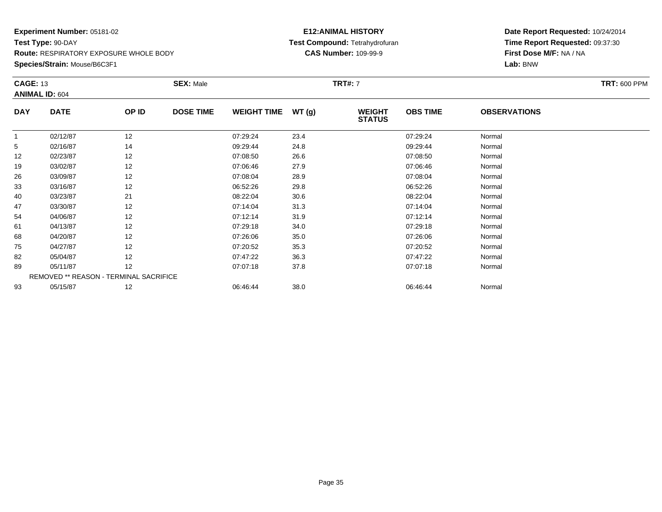**Species/Strain:** Mouse/B6C3F1

### **E12:ANIMAL HISTORY Test Compound:** Tetrahydrofuran**CAS Number:** 109-99-9

| <b>CAGE: 13</b> | <b>ANIMAL ID: 604</b>                  |       | <b>SEX: Male</b> |                    |       | <b>TRT#:</b> 7                 |                 |                     | <b>TRT: 600 PPM</b> |
|-----------------|----------------------------------------|-------|------------------|--------------------|-------|--------------------------------|-----------------|---------------------|---------------------|
| <b>DAY</b>      | <b>DATE</b>                            | OP ID | <b>DOSE TIME</b> | <b>WEIGHT TIME</b> | WT(g) | <b>WEIGHT</b><br><b>STATUS</b> | <b>OBS TIME</b> | <b>OBSERVATIONS</b> |                     |
| 1               | 02/12/87                               | 12    |                  | 07:29:24           | 23.4  |                                | 07:29:24        | Normal              |                     |
| 5               | 02/16/87                               | 14    |                  | 09:29:44           | 24.8  |                                | 09:29:44        | Normal              |                     |
| 12              | 02/23/87                               | 12    |                  | 07:08:50           | 26.6  |                                | 07:08:50        | Normal              |                     |
| 19              | 03/02/87                               | 12    |                  | 07:06:46           | 27.9  |                                | 07:06:46        | Normal              |                     |
| 26              | 03/09/87                               | 12    |                  | 07:08:04           | 28.9  |                                | 07:08:04        | Normal              |                     |
| 33              | 03/16/87                               | 12    |                  | 06:52:26           | 29.8  |                                | 06:52:26        | Normal              |                     |
| 40              | 03/23/87                               | 21    |                  | 08:22:04           | 30.6  |                                | 08:22:04        | Normal              |                     |
| 47              | 03/30/87                               | 12    |                  | 07:14:04           | 31.3  |                                | 07:14:04        | Normal              |                     |
| 54              | 04/06/87                               | 12    |                  | 07:12:14           | 31.9  |                                | 07:12:14        | Normal              |                     |
| 61              | 04/13/87                               | 12    |                  | 07:29:18           | 34.0  |                                | 07:29:18        | Normal              |                     |
| 68              | 04/20/87                               | 12    |                  | 07:26:06           | 35.0  |                                | 07:26:06        | Normal              |                     |
| 75              | 04/27/87                               | 12    |                  | 07:20:52           | 35.3  |                                | 07:20:52        | Normal              |                     |
| 82              | 05/04/87                               | 12    |                  | 07:47:22           | 36.3  |                                | 07:47:22        | Normal              |                     |
| 89              | 05/11/87                               | 12    |                  | 07:07:18           | 37.8  |                                | 07:07:18        | Normal              |                     |
|                 | REMOVED ** REASON - TERMINAL SACRIFICE |       |                  |                    |       |                                |                 |                     |                     |
| 93              | 05/15/87                               | 12    |                  | 06:46:44           | 38.0  |                                | 06:46:44        | Normal              |                     |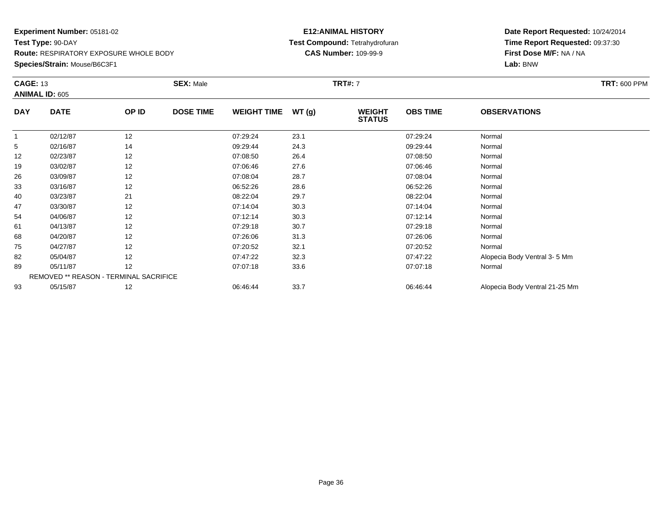**Species/Strain:** Mouse/B6C3F1

### **E12:ANIMAL HISTORY Test Compound:** Tetrahydrofuran**CAS Number:** 109-99-9

| <b>CAGE: 13</b> | <b>ANIMAL ID: 605</b>                  |       | <b>SEX: Male</b> |                    |       | TRT#: 7                        |                 |                                | <b>TRT: 600 PPM</b> |
|-----------------|----------------------------------------|-------|------------------|--------------------|-------|--------------------------------|-----------------|--------------------------------|---------------------|
| <b>DAY</b>      | <b>DATE</b>                            | OP ID | <b>DOSE TIME</b> | <b>WEIGHT TIME</b> | WT(g) | <b>WEIGHT</b><br><b>STATUS</b> | <b>OBS TIME</b> | <b>OBSERVATIONS</b>            |                     |
|                 | 02/12/87                               | 12    |                  | 07:29:24           | 23.1  |                                | 07:29:24        | Normal                         |                     |
| 5               | 02/16/87                               | 14    |                  | 09:29:44           | 24.3  |                                | 09:29:44        | Normal                         |                     |
| 12              | 02/23/87                               | 12    |                  | 07:08:50           | 26.4  |                                | 07:08:50        | Normal                         |                     |
| 19              | 03/02/87                               | 12    |                  | 07:06:46           | 27.6  |                                | 07:06:46        | Normal                         |                     |
| 26              | 03/09/87                               | 12    |                  | 07:08:04           | 28.7  |                                | 07:08:04        | Normal                         |                     |
| 33              | 03/16/87                               | 12    |                  | 06:52:26           | 28.6  |                                | 06:52:26        | Normal                         |                     |
| 40              | 03/23/87                               | 21    |                  | 08:22:04           | 29.7  |                                | 08:22:04        | Normal                         |                     |
| 47              | 03/30/87                               | 12    |                  | 07:14:04           | 30.3  |                                | 07:14:04        | Normal                         |                     |
| 54              | 04/06/87                               | 12    |                  | 07:12:14           | 30.3  |                                | 07:12:14        | Normal                         |                     |
| 61              | 04/13/87                               | 12    |                  | 07:29:18           | 30.7  |                                | 07:29:18        | Normal                         |                     |
| 68              | 04/20/87                               | 12    |                  | 07:26:06           | 31.3  |                                | 07:26:06        | Normal                         |                     |
| 75              | 04/27/87                               | 12    |                  | 07:20:52           | 32.1  |                                | 07:20:52        | Normal                         |                     |
| 82              | 05/04/87                               | 12    |                  | 07:47:22           | 32.3  |                                | 07:47:22        | Alopecia Body Ventral 3-5 Mm   |                     |
| 89              | 05/11/87                               | 12    |                  | 07:07:18           | 33.6  |                                | 07:07:18        | Normal                         |                     |
|                 | REMOVED ** REASON - TERMINAL SACRIFICE |       |                  |                    |       |                                |                 |                                |                     |
| 93              | 05/15/87                               | 12    |                  | 06:46:44           | 33.7  |                                | 06:46:44        | Alopecia Body Ventral 21-25 Mm |                     |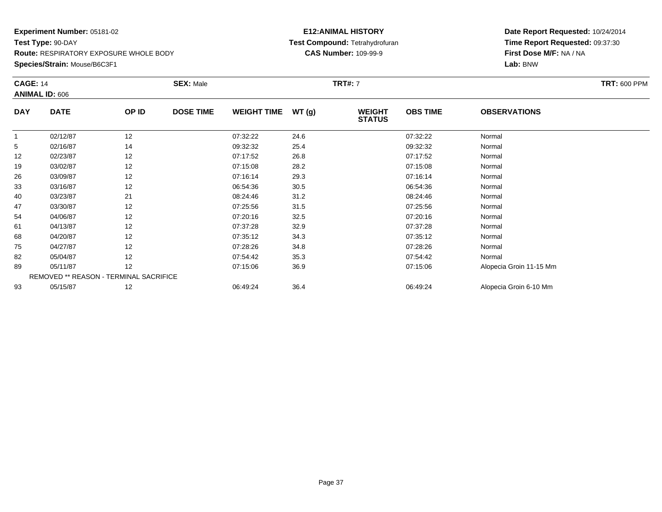**Species/Strain:** Mouse/B6C3F1

#### **E12:ANIMAL HISTORY Test Compound:** Tetrahydrofuran**CAS Number:** 109-99-9

| <b>CAGE: 14</b> |                                        |       | <b>SEX: Male</b> |                    |       | <b>TRT#: 7</b>                 |                 |                         | <b>TRT: 600 PPM</b> |
|-----------------|----------------------------------------|-------|------------------|--------------------|-------|--------------------------------|-----------------|-------------------------|---------------------|
|                 | <b>ANIMAL ID: 606</b>                  |       |                  |                    |       |                                |                 |                         |                     |
| <b>DAY</b>      | <b>DATE</b>                            | OP ID | <b>DOSE TIME</b> | <b>WEIGHT TIME</b> | WT(g) | <b>WEIGHT</b><br><b>STATUS</b> | <b>OBS TIME</b> | <b>OBSERVATIONS</b>     |                     |
|                 | 02/12/87                               | 12    |                  | 07:32:22           | 24.6  |                                | 07:32:22        | Normal                  |                     |
| 5               | 02/16/87                               | 14    |                  | 09:32:32           | 25.4  |                                | 09:32:32        | Normal                  |                     |
| 12              | 02/23/87                               | 12    |                  | 07:17:52           | 26.8  |                                | 07:17:52        | Normal                  |                     |
| 19              | 03/02/87                               | 12    |                  | 07:15:08           | 28.2  |                                | 07:15:08        | Normal                  |                     |
| 26              | 03/09/87                               | 12    |                  | 07:16:14           | 29.3  |                                | 07:16:14        | Normal                  |                     |
| 33              | 03/16/87                               | 12    |                  | 06:54:36           | 30.5  |                                | 06:54:36        | Normal                  |                     |
| 40              | 03/23/87                               | 21    |                  | 08:24:46           | 31.2  |                                | 08:24:46        | Normal                  |                     |
| 47              | 03/30/87                               | 12    |                  | 07:25:56           | 31.5  |                                | 07:25:56        | Normal                  |                     |
| 54              | 04/06/87                               | 12    |                  | 07:20:16           | 32.5  |                                | 07:20:16        | Normal                  |                     |
| 61              | 04/13/87                               | 12    |                  | 07:37:28           | 32.9  |                                | 07:37:28        | Normal                  |                     |
| 68              | 04/20/87                               | 12    |                  | 07:35:12           | 34.3  |                                | 07:35:12        | Normal                  |                     |
| 75              | 04/27/87                               | 12    |                  | 07:28:26           | 34.8  |                                | 07:28:26        | Normal                  |                     |
| 82              | 05/04/87                               | 12    |                  | 07:54:42           | 35.3  |                                | 07:54:42        | Normal                  |                     |
| 89              | 05/11/87                               | 12    |                  | 07:15:06           | 36.9  |                                | 07:15:06        | Alopecia Groin 11-15 Mm |                     |
|                 | REMOVED ** REASON - TERMINAL SACRIFICE |       |                  |                    |       |                                |                 |                         |                     |
| 93              | 05/15/87                               | 12    |                  | 06:49:24           | 36.4  |                                | 06:49:24        | Alopecia Groin 6-10 Mm  |                     |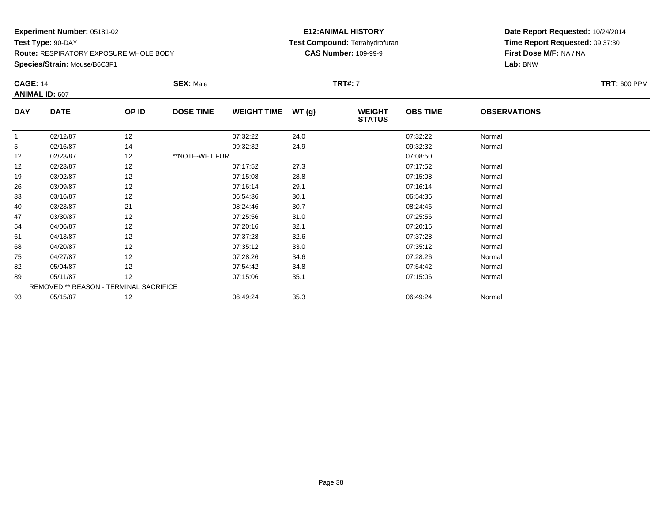**Species/Strain:** Mouse/B6C3F1

#### **E12:ANIMAL HISTORY Test Compound:** Tetrahydrofuran**CAS Number:** 109-99-9

| <b>CAGE: 14</b> | <b>ANIMAL ID: 607</b>                  |       | <b>SEX: Male</b> |                    |       | <b>TRT#: 7</b>                 |                 |                     | <b>TRT: 600 PPM</b> |
|-----------------|----------------------------------------|-------|------------------|--------------------|-------|--------------------------------|-----------------|---------------------|---------------------|
| <b>DAY</b>      | <b>DATE</b>                            | OP ID | <b>DOSE TIME</b> | <b>WEIGHT TIME</b> | WT(g) | <b>WEIGHT</b><br><b>STATUS</b> | <b>OBS TIME</b> | <b>OBSERVATIONS</b> |                     |
| $\mathbf{1}$    | 02/12/87                               | 12    |                  | 07:32:22           | 24.0  |                                | 07:32:22        | Normal              |                     |
| 5               | 02/16/87                               | 14    |                  | 09:32:32           | 24.9  |                                | 09:32:32        | Normal              |                     |
| 12              | 02/23/87                               | 12    | **NOTE-WET FUR   |                    |       |                                | 07:08:50        |                     |                     |
| 12              | 02/23/87                               | 12    |                  | 07:17:52           | 27.3  |                                | 07:17:52        | Normal              |                     |
| 19              | 03/02/87                               | 12    |                  | 07:15:08           | 28.8  |                                | 07:15:08        | Normal              |                     |
| 26              | 03/09/87                               | 12    |                  | 07:16:14           | 29.1  |                                | 07:16:14        | Normal              |                     |
| 33              | 03/16/87                               | 12    |                  | 06:54:36           | 30.1  |                                | 06:54:36        | Normal              |                     |
| 40              | 03/23/87                               | 21    |                  | 08:24:46           | 30.7  |                                | 08:24:46        | Normal              |                     |
| 47              | 03/30/87                               | 12    |                  | 07:25:56           | 31.0  |                                | 07:25:56        | Normal              |                     |
| 54              | 04/06/87                               | 12    |                  | 07:20:16           | 32.1  |                                | 07:20:16        | Normal              |                     |
| 61              | 04/13/87                               | 12    |                  | 07:37:28           | 32.6  |                                | 07:37:28        | Normal              |                     |
| 68              | 04/20/87                               | 12    |                  | 07:35:12           | 33.0  |                                | 07:35:12        | Normal              |                     |
| 75              | 04/27/87                               | 12    |                  | 07:28:26           | 34.6  |                                | 07:28:26        | Normal              |                     |
| 82              | 05/04/87                               | 12    |                  | 07:54:42           | 34.8  |                                | 07:54:42        | Normal              |                     |
| 89              | 05/11/87                               | 12    |                  | 07:15:06           | 35.1  |                                | 07:15:06        | Normal              |                     |
|                 | REMOVED ** REASON - TERMINAL SACRIFICE |       |                  |                    |       |                                |                 |                     |                     |
| 93              | 05/15/87                               | 12    |                  | 06:49:24           | 35.3  |                                | 06:49:24        | Normal              |                     |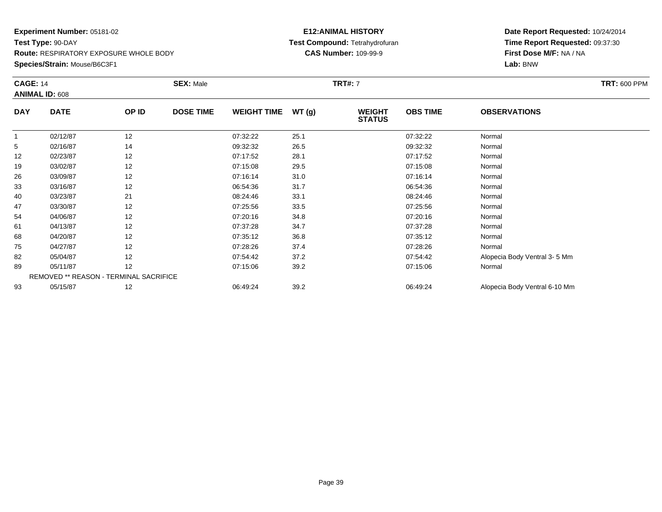**Species/Strain:** Mouse/B6C3F1

#### **E12:ANIMAL HISTORY Test Compound:** Tetrahydrofuran**CAS Number:** 109-99-9

| <b>CAGE: 14</b> |                                        |       | <b>SEX: Male</b> |                    |       | <b>TRT#:</b> 7                 |                 |                               | <b>TRT: 600 PPM</b> |
|-----------------|----------------------------------------|-------|------------------|--------------------|-------|--------------------------------|-----------------|-------------------------------|---------------------|
|                 | <b>ANIMAL ID: 608</b>                  |       |                  |                    |       |                                |                 |                               |                     |
| <b>DAY</b>      | <b>DATE</b>                            | OP ID | <b>DOSE TIME</b> | <b>WEIGHT TIME</b> | WT(g) | <b>WEIGHT</b><br><b>STATUS</b> | <b>OBS TIME</b> | <b>OBSERVATIONS</b>           |                     |
|                 | 02/12/87                               | 12    |                  | 07:32:22           | 25.1  |                                | 07:32:22        | Normal                        |                     |
| 5               | 02/16/87                               | 14    |                  | 09:32:32           | 26.5  |                                | 09:32:32        | Normal                        |                     |
| 12              | 02/23/87                               | 12    |                  | 07:17:52           | 28.1  |                                | 07:17:52        | Normal                        |                     |
| 19              | 03/02/87                               | 12    |                  | 07:15:08           | 29.5  |                                | 07:15:08        | Normal                        |                     |
| 26              | 03/09/87                               | 12    |                  | 07:16:14           | 31.0  |                                | 07:16:14        | Normal                        |                     |
| 33              | 03/16/87                               | 12    |                  | 06:54:36           | 31.7  |                                | 06:54:36        | Normal                        |                     |
| 40              | 03/23/87                               | 21    |                  | 08:24:46           | 33.1  |                                | 08:24:46        | Normal                        |                     |
| 47              | 03/30/87                               | 12    |                  | 07:25:56           | 33.5  |                                | 07:25:56        | Normal                        |                     |
| 54              | 04/06/87                               | 12    |                  | 07:20:16           | 34.8  |                                | 07:20:16        | Normal                        |                     |
| 61              | 04/13/87                               | 12    |                  | 07:37:28           | 34.7  |                                | 07:37:28        | Normal                        |                     |
| 68              | 04/20/87                               | 12    |                  | 07:35:12           | 36.8  |                                | 07:35:12        | Normal                        |                     |
| 75              | 04/27/87                               | 12    |                  | 07:28:26           | 37.4  |                                | 07:28:26        | Normal                        |                     |
| 82              | 05/04/87                               | 12    |                  | 07:54:42           | 37.2  |                                | 07:54:42        | Alopecia Body Ventral 3-5 Mm  |                     |
| 89              | 05/11/87                               | 12    |                  | 07:15:06           | 39.2  |                                | 07:15:06        | Normal                        |                     |
|                 | REMOVED ** REASON - TERMINAL SACRIFICE |       |                  |                    |       |                                |                 |                               |                     |
| 93              | 05/15/87                               | 12    |                  | 06:49:24           | 39.2  |                                | 06:49:24        | Alopecia Body Ventral 6-10 Mm |                     |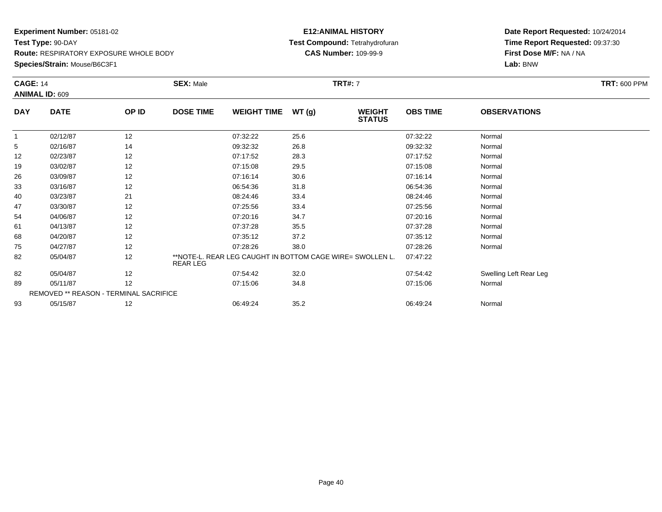### **Species/Strain:** Mouse/B6C3F1

### **E12:ANIMAL HISTORY Test Compound:** Tetrahydrofuran**CAS Number:** 109-99-9

| <b>CAGE: 14</b> | <b>ANIMAL ID: 609</b>                  |       | <b>SEX: Male</b>                                                      |       | <b>TRT#:</b> 7                 |                 |                        | <b>TRT: 600 PPM</b> |
|-----------------|----------------------------------------|-------|-----------------------------------------------------------------------|-------|--------------------------------|-----------------|------------------------|---------------------|
| <b>DAY</b>      | <b>DATE</b>                            | OP ID | <b>DOSE TIME</b><br><b>WEIGHT TIME</b>                                | WT(g) | <b>WEIGHT</b><br><b>STATUS</b> | <b>OBS TIME</b> | <b>OBSERVATIONS</b>    |                     |
| -1              | 02/12/87                               | 12    | 07:32:22                                                              | 25.6  |                                | 07:32:22        | Normal                 |                     |
| 5               | 02/16/87                               | 14    | 09:32:32                                                              | 26.8  |                                | 09:32:32        | Normal                 |                     |
| 12              | 02/23/87                               | 12    | 07:17:52                                                              | 28.3  |                                | 07:17:52        | Normal                 |                     |
| 19              | 03/02/87                               | 12    | 07:15:08                                                              | 29.5  |                                | 07:15:08        | Normal                 |                     |
| 26              | 03/09/87                               | 12    | 07:16:14                                                              | 30.6  |                                | 07:16:14        | Normal                 |                     |
| 33              | 03/16/87                               | 12    | 06:54:36                                                              | 31.8  |                                | 06:54:36        | Normal                 |                     |
| 40              | 03/23/87                               | 21    | 08:24:46                                                              | 33.4  |                                | 08:24:46        | Normal                 |                     |
| 47              | 03/30/87                               | 12    | 07:25:56                                                              | 33.4  |                                | 07:25:56        | Normal                 |                     |
| 54              | 04/06/87                               | 12    | 07:20:16                                                              | 34.7  |                                | 07:20:16        | Normal                 |                     |
| 61              | 04/13/87                               | 12    | 07:37:28                                                              | 35.5  |                                | 07:37:28        | Normal                 |                     |
| 68              | 04/20/87                               | 12    | 07:35:12                                                              | 37.2  |                                | 07:35:12        | Normal                 |                     |
| 75              | 04/27/87                               | 12    | 07:28:26                                                              | 38.0  |                                | 07:28:26        | Normal                 |                     |
| 82              | 05/04/87                               | 12    | **NOTE-L. REAR LEG CAUGHT IN BOTTOM CAGE WIRE= SWOLLEN L.<br>REAR LEG |       |                                | 07:47:22        |                        |                     |
| 82              | 05/04/87                               | 12    | 07:54:42                                                              | 32.0  |                                | 07:54:42        | Swelling Left Rear Leg |                     |
| 89              | 05/11/87                               | 12    | 07:15:06                                                              | 34.8  |                                | 07:15:06        | Normal                 |                     |
|                 | REMOVED ** REASON - TERMINAL SACRIFICE |       |                                                                       |       |                                |                 |                        |                     |
| 93              | 05/15/87                               | 12    | 06:49:24                                                              | 35.2  |                                | 06:49:24        | Normal                 |                     |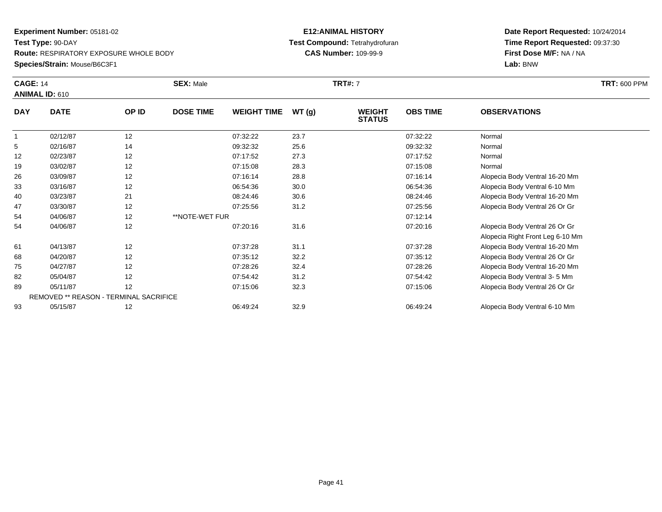**Species/Strain:** Mouse/B6C3F1

### **E12:ANIMAL HISTORY Test Compound:** Tetrahydrofuran**CAS Number:** 109-99-9

|            | <b>SEX: Male</b><br><b>CAGE: 14</b>    |       |                  |                    | <b>TRT#: 7</b> |                                | <b>TRT: 600 PPM</b> |                                  |  |
|------------|----------------------------------------|-------|------------------|--------------------|----------------|--------------------------------|---------------------|----------------------------------|--|
|            | <b>ANIMAL ID: 610</b>                  |       |                  |                    |                |                                |                     |                                  |  |
| <b>DAY</b> | <b>DATE</b>                            | OP ID | <b>DOSE TIME</b> | <b>WEIGHT TIME</b> | WT(g)          | <b>WEIGHT</b><br><b>STATUS</b> | <b>OBS TIME</b>     | <b>OBSERVATIONS</b>              |  |
|            | 02/12/87                               | 12    |                  | 07:32:22           | 23.7           |                                | 07:32:22            | Normal                           |  |
| 5          | 02/16/87                               | 14    |                  | 09:32:32           | 25.6           |                                | 09:32:32            | Normal                           |  |
| 12         | 02/23/87                               | 12    |                  | 07:17:52           | 27.3           |                                | 07:17:52            | Normal                           |  |
| 19         | 03/02/87                               | 12    |                  | 07:15:08           | 28.3           |                                | 07:15:08            | Normal                           |  |
| 26         | 03/09/87                               | 12    |                  | 07:16:14           | 28.8           |                                | 07:16:14            | Alopecia Body Ventral 16-20 Mm   |  |
| 33         | 03/16/87                               | 12    |                  | 06:54:36           | 30.0           |                                | 06:54:36            | Alopecia Body Ventral 6-10 Mm    |  |
| 40         | 03/23/87                               | 21    |                  | 08:24:46           | 30.6           |                                | 08:24:46            | Alopecia Body Ventral 16-20 Mm   |  |
| 47         | 03/30/87                               | 12    |                  | 07:25:56           | 31.2           |                                | 07:25:56            | Alopecia Body Ventral 26 Or Gr   |  |
| 54         | 04/06/87                               | 12    | **NOTE-WET FUR   |                    |                |                                | 07:12:14            |                                  |  |
| 54         | 04/06/87                               | 12    |                  | 07:20:16           | 31.6           |                                | 07:20:16            | Alopecia Body Ventral 26 Or Gr   |  |
|            |                                        |       |                  |                    |                |                                |                     | Alopecia Right Front Leg 6-10 Mm |  |
| 61         | 04/13/87                               | 12    |                  | 07:37:28           | 31.1           |                                | 07:37:28            | Alopecia Body Ventral 16-20 Mm   |  |
| 68         | 04/20/87                               | 12    |                  | 07:35:12           | 32.2           |                                | 07:35:12            | Alopecia Body Ventral 26 Or Gr   |  |
| 75         | 04/27/87                               | 12    |                  | 07:28:26           | 32.4           |                                | 07:28:26            | Alopecia Body Ventral 16-20 Mm   |  |
| 82         | 05/04/87                               | 12    |                  | 07:54:42           | 31.2           |                                | 07:54:42            | Alopecia Body Ventral 3-5 Mm     |  |
| 89         | 05/11/87                               | 12    |                  | 07:15:06           | 32.3           |                                | 07:15:06            | Alopecia Body Ventral 26 Or Gr   |  |
|            | REMOVED ** REASON - TERMINAL SACRIFICE |       |                  |                    |                |                                |                     |                                  |  |
| 93         | 05/15/87                               | 12    |                  | 06:49:24           | 32.9           |                                | 06:49:24            | Alopecia Body Ventral 6-10 Mm    |  |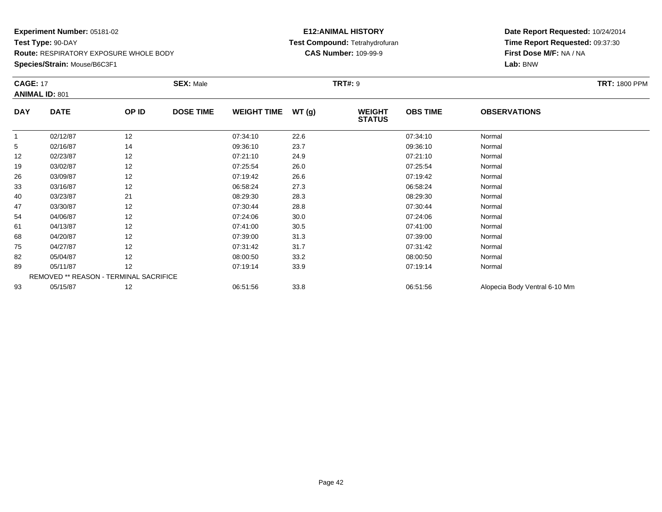**Species/Strain:** Mouse/B6C3F1

#### **E12:ANIMAL HISTORY Test Compound:** Tetrahydrofuran**CAS Number:** 109-99-9

| <b>CAGE: 17</b> |                                        |       | <b>SEX: Male</b> |                    |       | <b>TRT#: 9</b>                 |                 |                               | <b>TRT: 1800 PPM</b> |
|-----------------|----------------------------------------|-------|------------------|--------------------|-------|--------------------------------|-----------------|-------------------------------|----------------------|
|                 | <b>ANIMAL ID: 801</b>                  |       |                  |                    |       |                                |                 |                               |                      |
| <b>DAY</b>      | <b>DATE</b>                            | OP ID | <b>DOSE TIME</b> | <b>WEIGHT TIME</b> | WT(g) | <b>WEIGHT</b><br><b>STATUS</b> | <b>OBS TIME</b> | <b>OBSERVATIONS</b>           |                      |
|                 | 02/12/87                               | 12    |                  | 07:34:10           | 22.6  |                                | 07:34:10        | Normal                        |                      |
| 5               | 02/16/87                               | 14    |                  | 09:36:10           | 23.7  |                                | 09:36:10        | Normal                        |                      |
| 12              | 02/23/87                               | 12    |                  | 07:21:10           | 24.9  |                                | 07:21:10        | Normal                        |                      |
| 19              | 03/02/87                               | 12    |                  | 07:25:54           | 26.0  |                                | 07:25:54        | Normal                        |                      |
| 26              | 03/09/87                               | 12    |                  | 07:19:42           | 26.6  |                                | 07:19:42        | Normal                        |                      |
| 33              | 03/16/87                               | 12    |                  | 06:58:24           | 27.3  |                                | 06:58:24        | Normal                        |                      |
| 40              | 03/23/87                               | 21    |                  | 08:29:30           | 28.3  |                                | 08:29:30        | Normal                        |                      |
| 47              | 03/30/87                               | 12    |                  | 07:30:44           | 28.8  |                                | 07:30:44        | Normal                        |                      |
| 54              | 04/06/87                               | 12    |                  | 07:24:06           | 30.0  |                                | 07:24:06        | Normal                        |                      |
| 61              | 04/13/87                               | 12    |                  | 07:41:00           | 30.5  |                                | 07:41:00        | Normal                        |                      |
| 68              | 04/20/87                               | 12    |                  | 07:39:00           | 31.3  |                                | 07:39:00        | Normal                        |                      |
| 75              | 04/27/87                               | 12    |                  | 07:31:42           | 31.7  |                                | 07:31:42        | Normal                        |                      |
| 82              | 05/04/87                               | 12    |                  | 08:00:50           | 33.2  |                                | 08:00:50        | Normal                        |                      |
| 89              | 05/11/87                               | 12    |                  | 07:19:14           | 33.9  |                                | 07:19:14        | Normal                        |                      |
|                 | REMOVED ** REASON - TERMINAL SACRIFICE |       |                  |                    |       |                                |                 |                               |                      |
| 93              | 05/15/87                               | 12    |                  | 06:51:56           | 33.8  |                                | 06:51:56        | Alopecia Body Ventral 6-10 Mm |                      |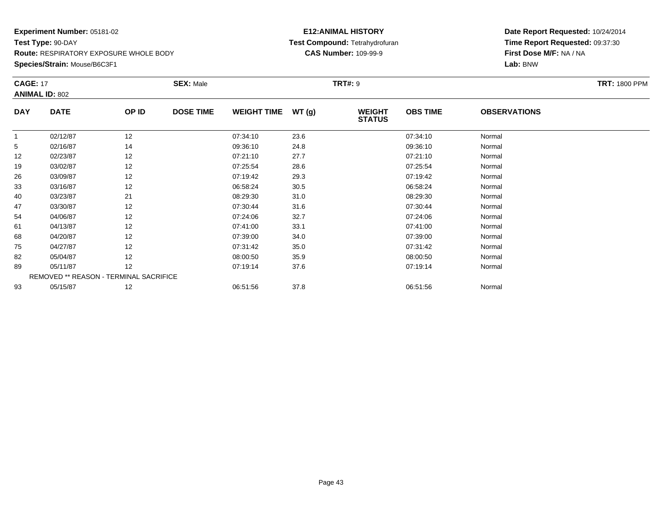**Species/Strain:** Mouse/B6C3F1

### **E12:ANIMAL HISTORY Test Compound:** Tetrahydrofuran**CAS Number:** 109-99-9

| <b>CAGE: 17</b> |                                        |       | <b>SEX: Male</b> |                    |       | <b>TRT#:</b> 9                 |                 |                     | <b>TRT: 1800 PPM</b> |
|-----------------|----------------------------------------|-------|------------------|--------------------|-------|--------------------------------|-----------------|---------------------|----------------------|
|                 | <b>ANIMAL ID: 802</b>                  |       |                  |                    |       |                                |                 |                     |                      |
| <b>DAY</b>      | <b>DATE</b>                            | OP ID | <b>DOSE TIME</b> | <b>WEIGHT TIME</b> | WT(g) | <b>WEIGHT</b><br><b>STATUS</b> | <b>OBS TIME</b> | <b>OBSERVATIONS</b> |                      |
| 1               | 02/12/87                               | 12    |                  | 07:34:10           | 23.6  |                                | 07:34:10        | Normal              |                      |
| 5               | 02/16/87                               | 14    |                  | 09:36:10           | 24.8  |                                | 09:36:10        | Normal              |                      |
| 12              | 02/23/87                               | 12    |                  | 07:21:10           | 27.7  |                                | 07:21:10        | Normal              |                      |
| 19              | 03/02/87                               | 12    |                  | 07:25:54           | 28.6  |                                | 07:25:54        | Normal              |                      |
| 26              | 03/09/87                               | 12    |                  | 07:19:42           | 29.3  |                                | 07:19:42        | Normal              |                      |
| 33              | 03/16/87                               | 12    |                  | 06:58:24           | 30.5  |                                | 06:58:24        | Normal              |                      |
| 40              | 03/23/87                               | 21    |                  | 08:29:30           | 31.0  |                                | 08:29:30        | Normal              |                      |
| 47              | 03/30/87                               | 12    |                  | 07:30:44           | 31.6  |                                | 07:30:44        | Normal              |                      |
| 54              | 04/06/87                               | 12    |                  | 07:24:06           | 32.7  |                                | 07:24:06        | Normal              |                      |
| 61              | 04/13/87                               | 12    |                  | 07:41:00           | 33.1  |                                | 07:41:00        | Normal              |                      |
| 68              | 04/20/87                               | 12    |                  | 07:39:00           | 34.0  |                                | 07:39:00        | Normal              |                      |
| 75              | 04/27/87                               | 12    |                  | 07:31:42           | 35.0  |                                | 07:31:42        | Normal              |                      |
| 82              | 05/04/87                               | 12    |                  | 08:00:50           | 35.9  |                                | 08:00:50        | Normal              |                      |
| 89              | 05/11/87                               | 12    |                  | 07:19:14           | 37.6  |                                | 07:19:14        | Normal              |                      |
|                 | REMOVED ** REASON - TERMINAL SACRIFICE |       |                  |                    |       |                                |                 |                     |                      |
| 93              | 05/15/87                               | 12    |                  | 06:51:56           | 37.8  |                                | 06:51:56        | Normal              |                      |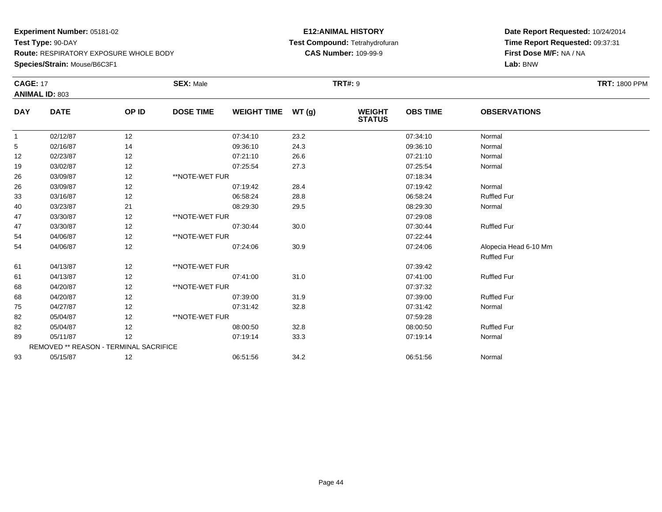### **Species/Strain:** Mouse/B6C3F1

### **E12:ANIMAL HISTORY Test Compound:** Tetrahydrofuran**CAS Number:** 109-99-9

| <b>CAGE: 17</b> | <b>ANIMAL ID: 803</b>                  |       | <b>SEX: Male</b> |                    |       | <b>TRT#: 9</b>                 |                 |                       | <b>TRT: 1800 PPM</b> |
|-----------------|----------------------------------------|-------|------------------|--------------------|-------|--------------------------------|-----------------|-----------------------|----------------------|
| <b>DAY</b>      | <b>DATE</b>                            | OP ID | <b>DOSE TIME</b> | <b>WEIGHT TIME</b> | WT(g) | <b>WEIGHT</b><br><b>STATUS</b> | <b>OBS TIME</b> | <b>OBSERVATIONS</b>   |                      |
| $\mathbf{1}$    | 02/12/87                               | 12    |                  | 07:34:10           | 23.2  |                                | 07:34:10        | Normal                |                      |
| 5               | 02/16/87                               | 14    |                  | 09:36:10           | 24.3  |                                | 09:36:10        | Normal                |                      |
| 12              | 02/23/87                               | 12    |                  | 07:21:10           | 26.6  |                                | 07:21:10        | Normal                |                      |
| 19              | 03/02/87                               | 12    |                  | 07:25:54           | 27.3  |                                | 07:25:54        | Normal                |                      |
| 26              | 03/09/87                               | 12    | **NOTE-WET FUR   |                    |       |                                | 07:18:34        |                       |                      |
| 26              | 03/09/87                               | 12    |                  | 07:19:42           | 28.4  |                                | 07:19:42        | Normal                |                      |
| 33              | 03/16/87                               | 12    |                  | 06:58:24           | 28.8  |                                | 06:58:24        | <b>Ruffled Fur</b>    |                      |
| 40              | 03/23/87                               | 21    |                  | 08:29:30           | 29.5  |                                | 08:29:30        | Normal                |                      |
| 47              | 03/30/87                               | 12    | **NOTE-WET FUR   |                    |       |                                | 07:29:08        |                       |                      |
| 47              | 03/30/87                               | 12    |                  | 07:30:44           | 30.0  |                                | 07:30:44        | <b>Ruffled Fur</b>    |                      |
| 54              | 04/06/87                               | 12    | **NOTE-WET FUR   |                    |       |                                | 07:22:44        |                       |                      |
| 54              | 04/06/87                               | 12    |                  | 07:24:06           | 30.9  |                                | 07:24:06        | Alopecia Head 6-10 Mm |                      |
|                 |                                        |       |                  |                    |       |                                |                 | <b>Ruffled Fur</b>    |                      |
| 61              | 04/13/87                               | 12    | **NOTE-WET FUR   |                    |       |                                | 07:39:42        |                       |                      |
| 61              | 04/13/87                               | 12    |                  | 07:41:00           | 31.0  |                                | 07:41:00        | <b>Ruffled Fur</b>    |                      |
| 68              | 04/20/87                               | 12    | **NOTE-WET FUR   |                    |       |                                | 07:37:32        |                       |                      |
| 68              | 04/20/87                               | 12    |                  | 07:39:00           | 31.9  |                                | 07:39:00        | <b>Ruffled Fur</b>    |                      |
| 75              | 04/27/87                               | 12    |                  | 07:31:42           | 32.8  |                                | 07:31:42        | Normal                |                      |
| 82              | 05/04/87                               | 12    | **NOTE-WET FUR   |                    |       |                                | 07:59:28        |                       |                      |
| 82              | 05/04/87                               | 12    |                  | 08:00:50           | 32.8  |                                | 08:00:50        | <b>Ruffled Fur</b>    |                      |
| 89              | 05/11/87                               | 12    |                  | 07:19:14           | 33.3  |                                | 07:19:14        | Normal                |                      |
|                 | REMOVED ** REASON - TERMINAL SACRIFICE |       |                  |                    |       |                                |                 |                       |                      |
| 93              | 05/15/87                               | 12    |                  | 06:51:56           | 34.2  |                                | 06:51:56        | Normal                |                      |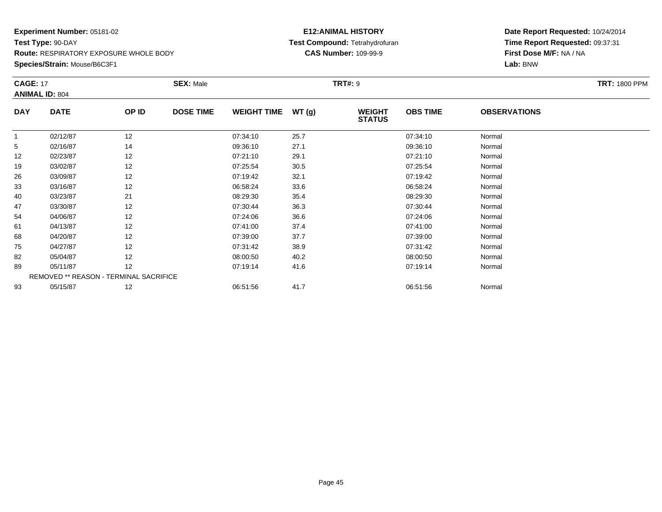**Species/Strain:** Mouse/B6C3F1

### **E12:ANIMAL HISTORY Test Compound:** Tetrahydrofuran**CAS Number:** 109-99-9

| <b>CAGE: 17</b> |                                        |       | <b>SEX: Male</b> |                    |       | <b>TRT#: 9</b>                 |                 |                     | <b>TRT: 1800 PPM</b> |
|-----------------|----------------------------------------|-------|------------------|--------------------|-------|--------------------------------|-----------------|---------------------|----------------------|
|                 | <b>ANIMAL ID: 804</b>                  |       |                  |                    |       |                                |                 |                     |                      |
| <b>DAY</b>      | <b>DATE</b>                            | OP ID | <b>DOSE TIME</b> | <b>WEIGHT TIME</b> | WT(g) | <b>WEIGHT</b><br><b>STATUS</b> | <b>OBS TIME</b> | <b>OBSERVATIONS</b> |                      |
| 1               | 02/12/87                               | 12    |                  | 07:34:10           | 25.7  |                                | 07:34:10        | Normal              |                      |
| 5               | 02/16/87                               | 14    |                  | 09:36:10           | 27.1  |                                | 09:36:10        | Normal              |                      |
| 12              | 02/23/87                               | 12    |                  | 07:21:10           | 29.1  |                                | 07:21:10        | Normal              |                      |
| 19              | 03/02/87                               | 12    |                  | 07:25:54           | 30.5  |                                | 07:25:54        | Normal              |                      |
| 26              | 03/09/87                               | 12    |                  | 07:19:42           | 32.1  |                                | 07:19:42        | Normal              |                      |
| 33              | 03/16/87                               | 12    |                  | 06:58:24           | 33.6  |                                | 06:58:24        | Normal              |                      |
| 40              | 03/23/87                               | 21    |                  | 08:29:30           | 35.4  |                                | 08:29:30        | Normal              |                      |
| 47              | 03/30/87                               | 12    |                  | 07:30:44           | 36.3  |                                | 07:30:44        | Normal              |                      |
| 54              | 04/06/87                               | 12    |                  | 07:24:06           | 36.6  |                                | 07:24:06        | Normal              |                      |
| 61              | 04/13/87                               | 12    |                  | 07:41:00           | 37.4  |                                | 07:41:00        | Normal              |                      |
| 68              | 04/20/87                               | 12    |                  | 07:39:00           | 37.7  |                                | 07:39:00        | Normal              |                      |
| 75              | 04/27/87                               | 12    |                  | 07:31:42           | 38.9  |                                | 07:31:42        | Normal              |                      |
| 82              | 05/04/87                               | 12    |                  | 08:00:50           | 40.2  |                                | 08:00:50        | Normal              |                      |
| 89              | 05/11/87                               | 12    |                  | 07:19:14           | 41.6  |                                | 07:19:14        | Normal              |                      |
|                 | REMOVED ** REASON - TERMINAL SACRIFICE |       |                  |                    |       |                                |                 |                     |                      |
| 93              | 05/15/87                               | 12    |                  | 06:51:56           | 41.7  |                                | 06:51:56        | Normal              |                      |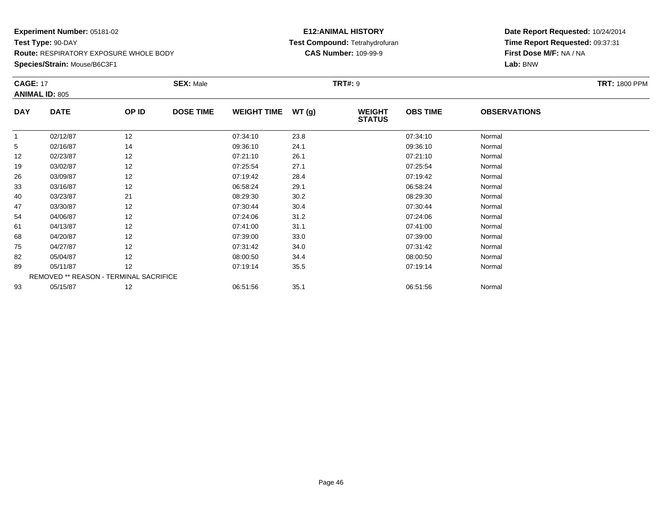**Species/Strain:** Mouse/B6C3F1

#### **E12:ANIMAL HISTORY Test Compound:** Tetrahydrofuran**CAS Number:** 109-99-9

| <b>CAGE: 17</b> |                                               |       | <b>SEX: Male</b> |                    |       | <b>TRT#:</b> 9                 |                 |                     | <b>TRT: 1800 PPM</b> |
|-----------------|-----------------------------------------------|-------|------------------|--------------------|-------|--------------------------------|-----------------|---------------------|----------------------|
|                 | <b>ANIMAL ID: 805</b>                         |       |                  |                    |       |                                |                 |                     |                      |
| <b>DAY</b>      | <b>DATE</b>                                   | OP ID | <b>DOSE TIME</b> | <b>WEIGHT TIME</b> | WT(g) | <b>WEIGHT</b><br><b>STATUS</b> | <b>OBS TIME</b> | <b>OBSERVATIONS</b> |                      |
| 1               | 02/12/87                                      | 12    |                  | 07:34:10           | 23.8  |                                | 07:34:10        | Normal              |                      |
| 5               | 02/16/87                                      | 14    |                  | 09:36:10           | 24.1  |                                | 09:36:10        | Normal              |                      |
| 12              | 02/23/87                                      | 12    |                  | 07:21:10           | 26.1  |                                | 07:21:10        | Normal              |                      |
| 19              | 03/02/87                                      | 12    |                  | 07:25:54           | 27.1  |                                | 07:25:54        | Normal              |                      |
| 26              | 03/09/87                                      | 12    |                  | 07:19:42           | 28.4  |                                | 07:19:42        | Normal              |                      |
| 33              | 03/16/87                                      | 12    |                  | 06:58:24           | 29.1  |                                | 06:58:24        | Normal              |                      |
| 40              | 03/23/87                                      | 21    |                  | 08:29:30           | 30.2  |                                | 08:29:30        | Normal              |                      |
| 47              | 03/30/87                                      | 12    |                  | 07:30:44           | 30.4  |                                | 07:30:44        | Normal              |                      |
| 54              | 04/06/87                                      | 12    |                  | 07:24:06           | 31.2  |                                | 07:24:06        | Normal              |                      |
| 61              | 04/13/87                                      | 12    |                  | 07:41:00           | 31.1  |                                | 07:41:00        | Normal              |                      |
| 68              | 04/20/87                                      | 12    |                  | 07:39:00           | 33.0  |                                | 07:39:00        | Normal              |                      |
| 75              | 04/27/87                                      | 12    |                  | 07:31:42           | 34.0  |                                | 07:31:42        | Normal              |                      |
| 82              | 05/04/87                                      | 12    |                  | 08:00:50           | 34.4  |                                | 08:00:50        | Normal              |                      |
| 89              | 05/11/87                                      | 12    |                  | 07:19:14           | 35.5  |                                | 07:19:14        | Normal              |                      |
|                 | <b>REMOVED ** REASON - TERMINAL SACRIFICE</b> |       |                  |                    |       |                                |                 |                     |                      |
| 93              | 05/15/87                                      | 12    |                  | 06:51:56           | 35.1  |                                | 06:51:56        | Normal              |                      |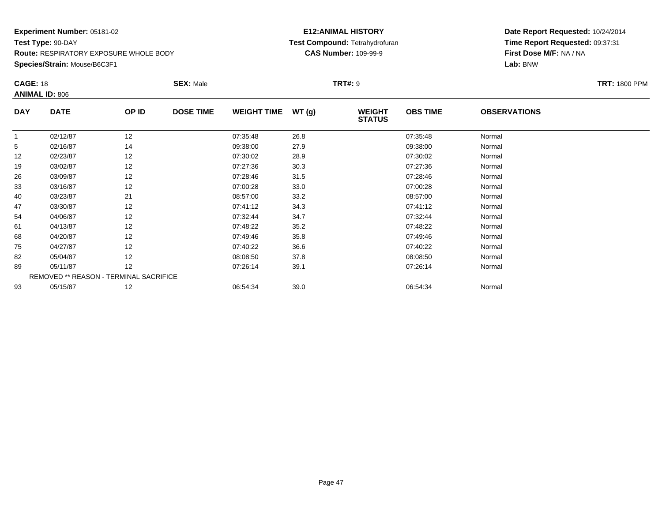**Species/Strain:** Mouse/B6C3F1

#### **E12:ANIMAL HISTORY Test Compound:** Tetrahydrofuran**CAS Number:** 109-99-9

| <b>CAGE: 18</b> |                                               |       | <b>SEX: Male</b> |                    |        | <b>TRT#:</b> 9                 |                 |                     | <b>TRT: 1800 PPM</b> |
|-----------------|-----------------------------------------------|-------|------------------|--------------------|--------|--------------------------------|-----------------|---------------------|----------------------|
|                 | <b>ANIMAL ID: 806</b>                         |       |                  |                    |        |                                |                 |                     |                      |
| <b>DAY</b>      | <b>DATE</b>                                   | OP ID | <b>DOSE TIME</b> | <b>WEIGHT TIME</b> | WT (g) | <b>WEIGHT</b><br><b>STATUS</b> | <b>OBS TIME</b> | <b>OBSERVATIONS</b> |                      |
| 1               | 02/12/87                                      | 12    |                  | 07:35:48           | 26.8   |                                | 07:35:48        | Normal              |                      |
| 5               | 02/16/87                                      | 14    |                  | 09:38:00           | 27.9   |                                | 09:38:00        | Normal              |                      |
| 12              | 02/23/87                                      | 12    |                  | 07:30:02           | 28.9   |                                | 07:30:02        | Normal              |                      |
| 19              | 03/02/87                                      | 12    |                  | 07:27:36           | 30.3   |                                | 07:27:36        | Normal              |                      |
| 26              | 03/09/87                                      | 12    |                  | 07:28:46           | 31.5   |                                | 07:28:46        | Normal              |                      |
| 33              | 03/16/87                                      | 12    |                  | 07:00:28           | 33.0   |                                | 07:00:28        | Normal              |                      |
| 40              | 03/23/87                                      | 21    |                  | 08:57:00           | 33.2   |                                | 08:57:00        | Normal              |                      |
| 47              | 03/30/87                                      | 12    |                  | 07:41:12           | 34.3   |                                | 07:41:12        | Normal              |                      |
| 54              | 04/06/87                                      | 12    |                  | 07:32:44           | 34.7   |                                | 07:32:44        | Normal              |                      |
| 61              | 04/13/87                                      | 12    |                  | 07:48:22           | 35.2   |                                | 07:48:22        | Normal              |                      |
| 68              | 04/20/87                                      | 12    |                  | 07:49:46           | 35.8   |                                | 07:49:46        | Normal              |                      |
| 75              | 04/27/87                                      | 12    |                  | 07:40:22           | 36.6   |                                | 07:40:22        | Normal              |                      |
| 82              | 05/04/87                                      | 12    |                  | 08:08:50           | 37.8   |                                | 08:08:50        | Normal              |                      |
| 89              | 05/11/87                                      | 12    |                  | 07:26:14           | 39.1   |                                | 07:26:14        | Normal              |                      |
|                 | <b>REMOVED ** REASON - TERMINAL SACRIFICE</b> |       |                  |                    |        |                                |                 |                     |                      |
| 93              | 05/15/87                                      | 12    |                  | 06:54:34           | 39.0   |                                | 06:54:34        | Normal              |                      |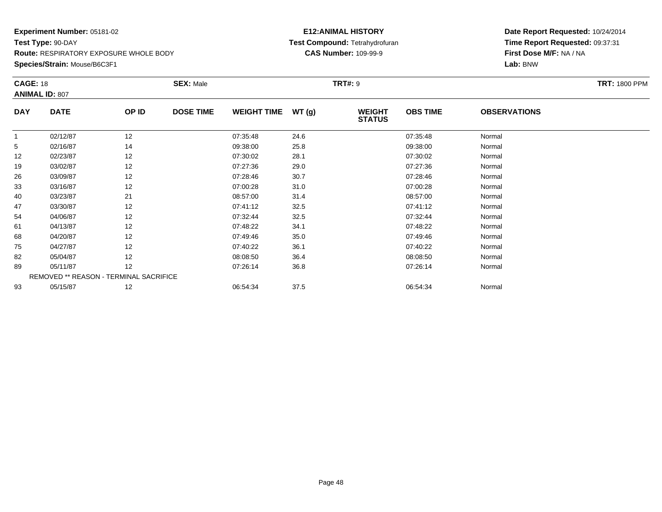**Species/Strain:** Mouse/B6C3F1

### **E12:ANIMAL HISTORY Test Compound:** Tetrahydrofuran**CAS Number:** 109-99-9

| <b>CAGE: 18</b> | <b>ANIMAL ID: 807</b>                  |       | <b>SEX: Male</b> |                    |       | <b>TRT#: 9</b>                 |                 |                     | <b>TRT: 1800 PPM</b> |
|-----------------|----------------------------------------|-------|------------------|--------------------|-------|--------------------------------|-----------------|---------------------|----------------------|
| <b>DAY</b>      | <b>DATE</b>                            | OP ID | <b>DOSE TIME</b> | <b>WEIGHT TIME</b> | WT(g) | <b>WEIGHT</b><br><b>STATUS</b> | <b>OBS TIME</b> | <b>OBSERVATIONS</b> |                      |
| 1               | 02/12/87                               | 12    |                  | 07:35:48           | 24.6  |                                | 07:35:48        | Normal              |                      |
| 5               | 02/16/87                               | 14    |                  | 09:38:00           | 25.8  |                                | 09:38:00        | Normal              |                      |
| 12              | 02/23/87                               | 12    |                  | 07:30:02           | 28.1  |                                | 07:30:02        | Normal              |                      |
| 19              | 03/02/87                               | 12    |                  | 07:27:36           | 29.0  |                                | 07:27:36        | Normal              |                      |
| 26              | 03/09/87                               | 12    |                  | 07:28:46           | 30.7  |                                | 07:28:46        | Normal              |                      |
| 33              | 03/16/87                               | 12    |                  | 07:00:28           | 31.0  |                                | 07:00:28        | Normal              |                      |
| 40              | 03/23/87                               | 21    |                  | 08:57:00           | 31.4  |                                | 08:57:00        | Normal              |                      |
| 47              | 03/30/87                               | 12    |                  | 07:41:12           | 32.5  |                                | 07:41:12        | Normal              |                      |
| 54              | 04/06/87                               | 12    |                  | 07:32:44           | 32.5  |                                | 07:32:44        | Normal              |                      |
| 61              | 04/13/87                               | 12    |                  | 07:48:22           | 34.1  |                                | 07:48:22        | Normal              |                      |
| 68              | 04/20/87                               | 12    |                  | 07:49:46           | 35.0  |                                | 07:49:46        | Normal              |                      |
| 75              | 04/27/87                               | 12    |                  | 07:40:22           | 36.1  |                                | 07:40:22        | Normal              |                      |
| 82              | 05/04/87                               | 12    |                  | 08:08:50           | 36.4  |                                | 08:08:50        | Normal              |                      |
| 89              | 05/11/87                               | 12    |                  | 07:26:14           | 36.8  |                                | 07:26:14        | Normal              |                      |
|                 | REMOVED ** REASON - TERMINAL SACRIFICE |       |                  |                    |       |                                |                 |                     |                      |
| 93              | 05/15/87                               | 12    |                  | 06:54:34           | 37.5  |                                | 06:54:34        | Normal              |                      |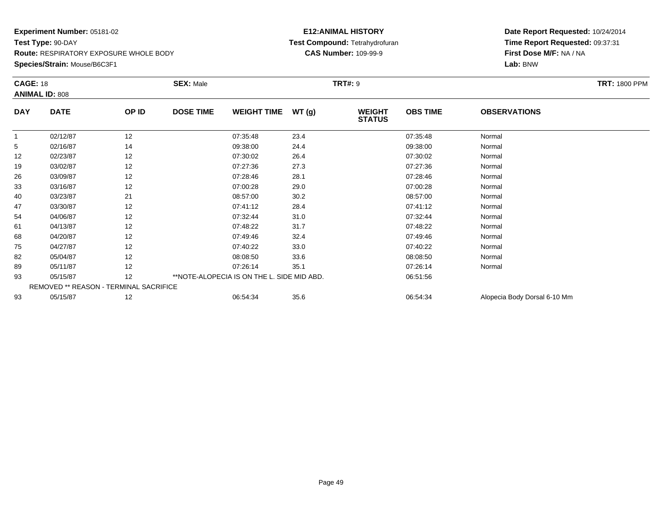**Species/Strain:** Mouse/B6C3F1

#### **E12:ANIMAL HISTORY Test Compound:** Tetrahydrofuran**CAS Number:** 109-99-9

|            | <b>CAGE: 18</b><br><b>ANIMAL ID: 808</b> |       | <b>TRT#: 9</b><br><b>SEX: Male</b>         |                    |       |                                |                 |                              | <b>TRT: 1800 PPM</b> |
|------------|------------------------------------------|-------|--------------------------------------------|--------------------|-------|--------------------------------|-----------------|------------------------------|----------------------|
| <b>DAY</b> | <b>DATE</b>                              | OP ID | <b>DOSE TIME</b>                           | <b>WEIGHT TIME</b> | WT(g) | <b>WEIGHT</b><br><b>STATUS</b> | <b>OBS TIME</b> | <b>OBSERVATIONS</b>          |                      |
|            | 02/12/87                                 | 12    |                                            | 07:35:48           | 23.4  |                                | 07:35:48        | Normal                       |                      |
| 5          | 02/16/87                                 | 14    |                                            | 09:38:00           | 24.4  |                                | 09:38:00        | Normal                       |                      |
| 12         | 02/23/87                                 | 12    |                                            | 07:30:02           | 26.4  |                                | 07:30:02        | Normal                       |                      |
| 19         | 03/02/87                                 | 12    |                                            | 07:27:36           | 27.3  |                                | 07:27:36        | Normal                       |                      |
| 26         | 03/09/87                                 | 12    |                                            | 07:28:46           | 28.1  |                                | 07:28:46        | Normal                       |                      |
| 33         | 03/16/87                                 | 12    |                                            | 07:00:28           | 29.0  |                                | 07:00:28        | Normal                       |                      |
| 40         | 03/23/87                                 | 21    |                                            | 08:57:00           | 30.2  |                                | 08:57:00        | Normal                       |                      |
| 47         | 03/30/87                                 | 12    |                                            | 07:41:12           | 28.4  |                                | 07:41:12        | Normal                       |                      |
| 54         | 04/06/87                                 | 12    |                                            | 07:32:44           | 31.0  |                                | 07:32:44        | Normal                       |                      |
| 61         | 04/13/87                                 | 12    |                                            | 07:48:22           | 31.7  |                                | 07:48:22        | Normal                       |                      |
| 68         | 04/20/87                                 | 12    |                                            | 07:49:46           | 32.4  |                                | 07:49:46        | Normal                       |                      |
| 75         | 04/27/87                                 | 12    |                                            | 07:40:22           | 33.0  |                                | 07:40:22        | Normal                       |                      |
| 82         | 05/04/87                                 | 12    |                                            | 08:08:50           | 33.6  |                                | 08:08:50        | Normal                       |                      |
| 89         | 05/11/87                                 | 12    |                                            | 07:26:14           | 35.1  |                                | 07:26:14        | Normal                       |                      |
| 93         | 05/15/87                                 | 12    | **NOTE-ALOPECIA IS ON THE L. SIDE MID ABD. |                    |       |                                | 06:51:56        |                              |                      |
|            | REMOVED ** REASON - TERMINAL SACRIFICE   |       |                                            |                    |       |                                |                 |                              |                      |
| 93         | 05/15/87                                 | 12    |                                            | 06:54:34           | 35.6  |                                | 06:54:34        | Alopecia Body Dorsal 6-10 Mm |                      |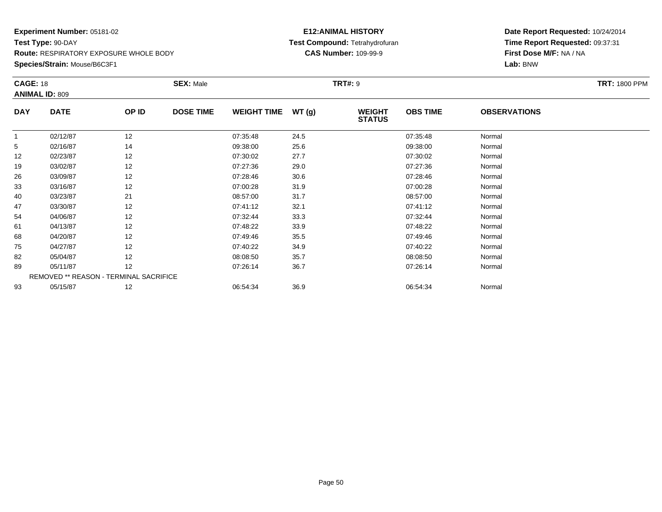**Species/Strain:** Mouse/B6C3F1

#### **E12:ANIMAL HISTORY Test Compound:** Tetrahydrofuran**CAS Number:** 109-99-9

| <b>CAGE: 18</b> | <b>ANIMAL ID: 809</b>                  |       | <b>SEX: Male</b> |                    |       | <b>TRT#:</b> 9                 |                 |                     | <b>TRT: 1800 PPM</b> |
|-----------------|----------------------------------------|-------|------------------|--------------------|-------|--------------------------------|-----------------|---------------------|----------------------|
|                 |                                        |       |                  |                    |       |                                |                 | <b>OBSERVATIONS</b> |                      |
| <b>DAY</b>      | <b>DATE</b>                            | OP ID | <b>DOSE TIME</b> | <b>WEIGHT TIME</b> | WT(g) | <b>WEIGHT</b><br><b>STATUS</b> | <b>OBS TIME</b> |                     |                      |
|                 | 02/12/87                               | 12    |                  | 07:35:48           | 24.5  |                                | 07:35:48        | Normal              |                      |
| 5               | 02/16/87                               | 14    |                  | 09:38:00           | 25.6  |                                | 09:38:00        | Normal              |                      |
| 12              | 02/23/87                               | 12    |                  | 07:30:02           | 27.7  |                                | 07:30:02        | Normal              |                      |
| 19              | 03/02/87                               | 12    |                  | 07:27:36           | 29.0  |                                | 07:27:36        | Normal              |                      |
| 26              | 03/09/87                               | 12    |                  | 07:28:46           | 30.6  |                                | 07:28:46        | Normal              |                      |
| 33              | 03/16/87                               | 12    |                  | 07:00:28           | 31.9  |                                | 07:00:28        | Normal              |                      |
| 40              | 03/23/87                               | 21    |                  | 08:57:00           | 31.7  |                                | 08:57:00        | Normal              |                      |
| 47              | 03/30/87                               | 12    |                  | 07:41:12           | 32.1  |                                | 07:41:12        | Normal              |                      |
| 54              | 04/06/87                               | 12    |                  | 07:32:44           | 33.3  |                                | 07:32:44        | Normal              |                      |
| 61              | 04/13/87                               | 12    |                  | 07:48:22           | 33.9  |                                | 07:48:22        | Normal              |                      |
| 68              | 04/20/87                               | 12    |                  | 07:49:46           | 35.5  |                                | 07:49:46        | Normal              |                      |
| 75              | 04/27/87                               | 12    |                  | 07:40:22           | 34.9  |                                | 07:40:22        | Normal              |                      |
| 82              | 05/04/87                               | 12    |                  | 08:08:50           | 35.7  |                                | 08:08:50        | Normal              |                      |
| 89              | 05/11/87                               | 12    |                  | 07:26:14           | 36.7  |                                | 07:26:14        | Normal              |                      |
|                 | REMOVED ** REASON - TERMINAL SACRIFICE |       |                  |                    |       |                                |                 |                     |                      |
| 93              | 05/15/87                               | 12    |                  | 06:54:34           | 36.9  |                                | 06:54:34        | Normal              |                      |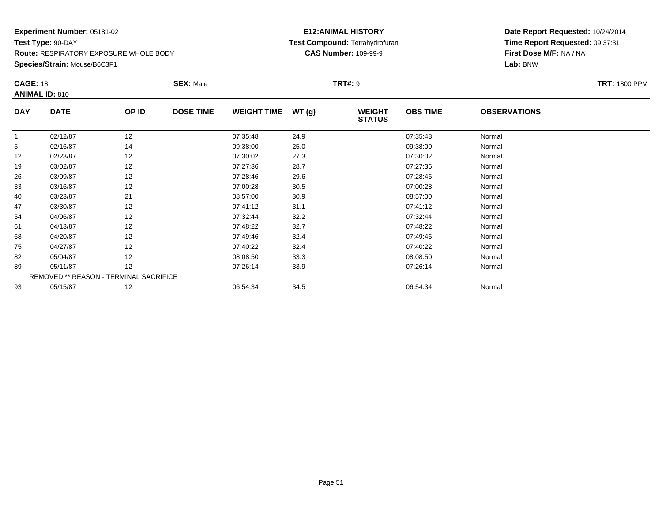**Species/Strain:** Mouse/B6C3F1

### **E12:ANIMAL HISTORY Test Compound:** Tetrahydrofuran**CAS Number:** 109-99-9

| <b>CAGE: 18</b> | <b>ANIMAL ID: 810</b>                  |       | <b>SEX: Male</b> |                    |       | <b>TRT#: 9</b>                 |                 |                     | <b>TRT: 1800 PPM</b> |
|-----------------|----------------------------------------|-------|------------------|--------------------|-------|--------------------------------|-----------------|---------------------|----------------------|
| <b>DAY</b>      | <b>DATE</b>                            | OP ID | <b>DOSE TIME</b> | <b>WEIGHT TIME</b> | WT(g) | <b>WEIGHT</b><br><b>STATUS</b> | <b>OBS TIME</b> | <b>OBSERVATIONS</b> |                      |
| 1               | 02/12/87                               | 12    |                  | 07:35:48           | 24.9  |                                | 07:35:48        | Normal              |                      |
| 5               | 02/16/87                               | 14    |                  | 09:38:00           | 25.0  |                                | 09:38:00        | Normal              |                      |
| 12              | 02/23/87                               | 12    |                  | 07:30:02           | 27.3  |                                | 07:30:02        | Normal              |                      |
| 19              | 03/02/87                               | 12    |                  | 07:27:36           | 28.7  |                                | 07:27:36        | Normal              |                      |
| 26              | 03/09/87                               | 12    |                  | 07:28:46           | 29.6  |                                | 07:28:46        | Normal              |                      |
| 33              | 03/16/87                               | 12    |                  | 07:00:28           | 30.5  |                                | 07:00:28        | Normal              |                      |
| 40              | 03/23/87                               | 21    |                  | 08:57:00           | 30.9  |                                | 08:57:00        | Normal              |                      |
| 47              | 03/30/87                               | 12    |                  | 07:41:12           | 31.1  |                                | 07:41:12        | Normal              |                      |
| 54              | 04/06/87                               | 12    |                  | 07:32:44           | 32.2  |                                | 07:32:44        | Normal              |                      |
| 61              | 04/13/87                               | 12    |                  | 07:48:22           | 32.7  |                                | 07:48:22        | Normal              |                      |
| 68              | 04/20/87                               | 12    |                  | 07:49:46           | 32.4  |                                | 07:49:46        | Normal              |                      |
| 75              | 04/27/87                               | 12    |                  | 07:40:22           | 32.4  |                                | 07:40:22        | Normal              |                      |
| 82              | 05/04/87                               | 12    |                  | 08:08:50           | 33.3  |                                | 08:08:50        | Normal              |                      |
| 89              | 05/11/87                               | 12    |                  | 07:26:14           | 33.9  |                                | 07:26:14        | Normal              |                      |
|                 | REMOVED ** REASON - TERMINAL SACRIFICE |       |                  |                    |       |                                |                 |                     |                      |
| 93              | 05/15/87                               | 12    |                  | 06:54:34           | 34.5  |                                | 06:54:34        | Normal              |                      |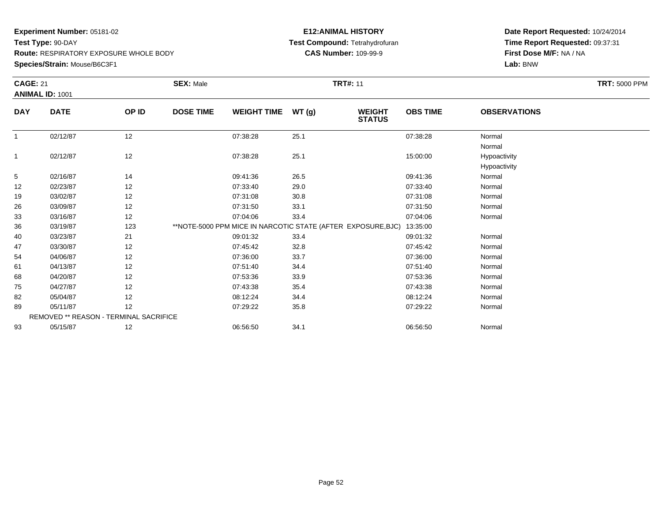**Species/Strain:** Mouse/B6C3F1

### **E12:ANIMAL HISTORY Test Compound:** Tetrahydrofuran**CAS Number:** 109-99-9

|              | <b>CAGE: 21</b>                        |       | <b>SEX: Male</b> | <b>TRT#: 11</b>    |       |                                                                       |                 |                              |  |  |
|--------------|----------------------------------------|-------|------------------|--------------------|-------|-----------------------------------------------------------------------|-----------------|------------------------------|--|--|
|              | <b>ANIMAL ID: 1001</b>                 |       |                  |                    |       |                                                                       |                 |                              |  |  |
| <b>DAY</b>   | <b>DATE</b>                            | OP ID | <b>DOSE TIME</b> | <b>WEIGHT TIME</b> | WT(g) | <b>WEIGHT</b><br><b>STATUS</b>                                        | <b>OBS TIME</b> | <b>OBSERVATIONS</b>          |  |  |
| $\mathbf{1}$ | 02/12/87                               | 12    |                  | 07:38:28           | 25.1  |                                                                       | 07:38:28        | Normal<br>Normal             |  |  |
| $\mathbf{1}$ | 02/12/87                               | 12    |                  | 07:38:28           | 25.1  |                                                                       | 15:00:00        | Hypoactivity<br>Hypoactivity |  |  |
| 5            | 02/16/87                               | 14    |                  | 09:41:36           | 26.5  |                                                                       | 09:41:36        | Normal                       |  |  |
| 12           | 02/23/87                               | 12    |                  | 07:33:40           | 29.0  |                                                                       | 07:33:40        | Normal                       |  |  |
| 19           | 03/02/87                               | 12    |                  | 07:31:08           | 30.8  |                                                                       | 07:31:08        | Normal                       |  |  |
| 26           | 03/09/87                               | 12    |                  | 07:31:50           | 33.1  |                                                                       | 07:31:50        | Normal                       |  |  |
| 33           | 03/16/87                               | 12    |                  | 07:04:06           | 33.4  |                                                                       | 07:04:06        | Normal                       |  |  |
| 36           | 03/19/87                               | 123   |                  |                    |       | **NOTE-5000 PPM MICE IN NARCOTIC STATE (AFTER EXPOSURE, BJC) 13:35:00 |                 |                              |  |  |
| 40           | 03/23/87                               | 21    |                  | 09:01:32           | 33.4  |                                                                       | 09:01:32        | Normal                       |  |  |
| 47           | 03/30/87                               | 12    |                  | 07:45:42           | 32.8  |                                                                       | 07:45:42        | Normal                       |  |  |
| 54           | 04/06/87                               | 12    |                  | 07:36:00           | 33.7  |                                                                       | 07:36:00        | Normal                       |  |  |
| 61           | 04/13/87                               | 12    |                  | 07:51:40           | 34.4  |                                                                       | 07:51:40        | Normal                       |  |  |
| 68           | 04/20/87                               | 12    |                  | 07:53:36           | 33.9  |                                                                       | 07:53:36        | Normal                       |  |  |
| 75           | 04/27/87                               | 12    |                  | 07:43:38           | 35.4  |                                                                       | 07:43:38        | Normal                       |  |  |
| 82           | 05/04/87                               | 12    |                  | 08:12:24           | 34.4  |                                                                       | 08:12:24        | Normal                       |  |  |
| 89           | 05/11/87                               | 12    |                  | 07:29:22           | 35.8  |                                                                       | 07:29:22        | Normal                       |  |  |
|              | REMOVED ** REASON - TERMINAL SACRIFICE |       |                  |                    |       |                                                                       |                 |                              |  |  |
| 93           | 05/15/87                               | 12    |                  | 06:56:50           | 34.1  |                                                                       | 06:56:50        | Normal                       |  |  |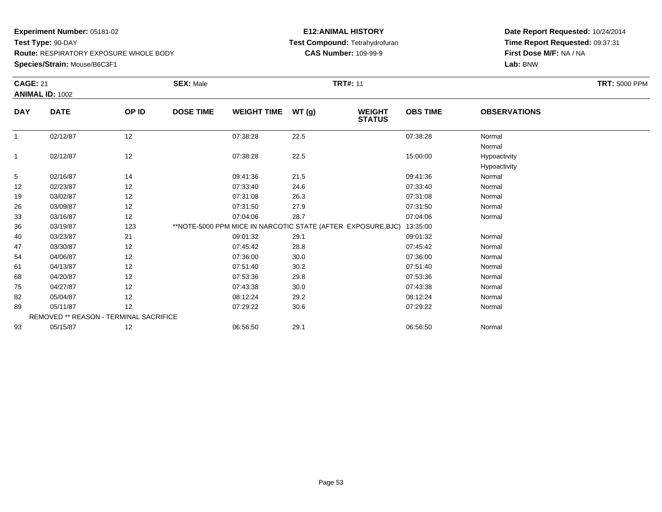**Species/Strain:** Mouse/B6C3F1

### **E12:ANIMAL HISTORY Test Compound:** Tetrahydrofuran**CAS Number:** 109-99-9

|              | <b>CAGE: 21</b>                        |       | <b>SEX: Male</b> | <b>TRT#: 11</b>    |       |                                                              |                 |                              |  |  |
|--------------|----------------------------------------|-------|------------------|--------------------|-------|--------------------------------------------------------------|-----------------|------------------------------|--|--|
|              | <b>ANIMAL ID: 1002</b>                 |       |                  |                    |       |                                                              |                 |                              |  |  |
| <b>DAY</b>   | <b>DATE</b>                            | OP ID | <b>DOSE TIME</b> | <b>WEIGHT TIME</b> | WT(g) | <b>WEIGHT</b><br><b>STATUS</b>                               | <b>OBS TIME</b> | <b>OBSERVATIONS</b>          |  |  |
| $\mathbf{1}$ | 02/12/87                               | 12    |                  | 07:38:28           | 22.5  |                                                              | 07:38:28        | Normal<br>Normal             |  |  |
| 1            | 02/12/87                               | 12    |                  | 07:38:28           | 22.5  |                                                              | 15:00:00        | Hypoactivity<br>Hypoactivity |  |  |
| 5            | 02/16/87                               | 14    |                  | 09:41:36           | 21.5  |                                                              | 09:41:36        | Normal                       |  |  |
| 12           | 02/23/87                               | 12    |                  | 07:33:40           | 24.6  |                                                              | 07:33:40        | Normal                       |  |  |
| 19           | 03/02/87                               | 12    |                  | 07:31:08           | 26.3  |                                                              | 07:31:08        | Normal                       |  |  |
| 26           | 03/09/87                               | 12    |                  | 07:31:50           | 27.9  |                                                              | 07:31:50        | Normal                       |  |  |
| 33           | 03/16/87                               | 12    |                  | 07:04:06           | 28.7  |                                                              | 07:04:06        | Normal                       |  |  |
| 36           | 03/19/87                               | 123   |                  |                    |       | **NOTE-5000 PPM MICE IN NARCOTIC STATE (AFTER EXPOSURE, BJC) | 13:35:00        |                              |  |  |
| 40           | 03/23/87                               | 21    |                  | 09:01:32           | 29.1  |                                                              | 09:01:32        | Normal                       |  |  |
| 47           | 03/30/87                               | 12    |                  | 07:45:42           | 28.8  |                                                              | 07:45:42        | Normal                       |  |  |
| 54           | 04/06/87                               | 12    |                  | 07:36:00           | 30.0  |                                                              | 07:36:00        | Normal                       |  |  |
| 61           | 04/13/87                               | 12    |                  | 07:51:40           | 30.2  |                                                              | 07:51:40        | Normal                       |  |  |
| 68           | 04/20/87                               | 12    |                  | 07:53:36           | 29.8  |                                                              | 07:53:36        | Normal                       |  |  |
| 75           | 04/27/87                               | 12    |                  | 07:43:38           | 30.0  |                                                              | 07:43:38        | Normal                       |  |  |
| 82           | 05/04/87                               | 12    |                  | 08:12:24           | 29.2  |                                                              | 08:12:24        | Normal                       |  |  |
| 89           | 05/11/87                               | 12    |                  | 07:29:22           | 30.6  |                                                              | 07:29:22        | Normal                       |  |  |
|              | REMOVED ** REASON - TERMINAL SACRIFICE |       |                  |                    |       |                                                              |                 |                              |  |  |
| 93           | 05/15/87                               | 12    |                  | 06:56:50           | 29.1  |                                                              | 06:56:50        | Normal                       |  |  |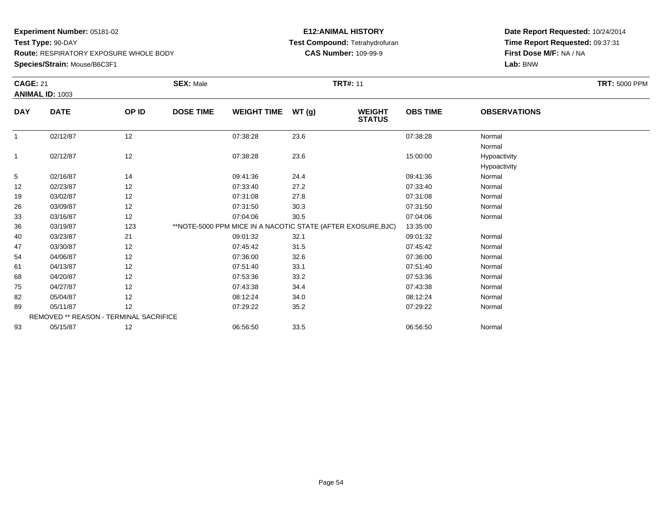**Species/Strain:** Mouse/B6C3F1

### **E12:ANIMAL HISTORY Test Compound:** Tetrahydrofuran**CAS Number:** 109-99-9

|                | <b>CAGE: 21</b>                        |       | <b>SEX: Male</b>                                             | <b>TRT#: 11</b>    |        |                                |                 |                              |  |  |
|----------------|----------------------------------------|-------|--------------------------------------------------------------|--------------------|--------|--------------------------------|-----------------|------------------------------|--|--|
|                | <b>ANIMAL ID: 1003</b>                 |       |                                                              |                    |        |                                |                 |                              |  |  |
| <b>DAY</b>     | <b>DATE</b>                            | OP ID | <b>DOSE TIME</b>                                             | <b>WEIGHT TIME</b> | WT (g) | <b>WEIGHT</b><br><b>STATUS</b> | <b>OBS TIME</b> | <b>OBSERVATIONS</b>          |  |  |
| $\overline{1}$ | 02/12/87                               | 12    |                                                              | 07:38:28           | 23.6   |                                | 07:38:28        | Normal<br>Normal             |  |  |
| $\mathbf{1}$   | 02/12/87                               | 12    |                                                              | 07:38:28           | 23.6   |                                | 15:00:00        | Hypoactivity<br>Hypoactivity |  |  |
| 5              | 02/16/87                               | 14    |                                                              | 09:41:36           | 24.4   |                                | 09:41:36        | Normal                       |  |  |
| 12             | 02/23/87                               | 12    |                                                              | 07:33:40           | 27.2   |                                | 07:33:40        | Normal                       |  |  |
| 19             | 03/02/87                               | 12    |                                                              | 07:31:08           | 27.8   |                                | 07:31:08        | Normal                       |  |  |
| 26             | 03/09/87                               | 12    |                                                              | 07:31:50           | 30.3   |                                | 07:31:50        | Normal                       |  |  |
| 33             | 03/16/87                               | 12    |                                                              | 07:04:06           | 30.5   |                                | 07:04:06        | Normal                       |  |  |
| 36             | 03/19/87                               | 123   | **NOTE-5000 PPM MICE IN A NACOTIC STATE (AFTER EXOSURE, BJC) |                    |        |                                | 13:35:00        |                              |  |  |
| 40             | 03/23/87                               | 21    |                                                              | 09:01:32           | 32.1   |                                | 09:01:32        | Normal                       |  |  |
| 47             | 03/30/87                               | 12    |                                                              | 07:45:42           | 31.5   |                                | 07:45:42        | Normal                       |  |  |
| 54             | 04/06/87                               | 12    |                                                              | 07:36:00           | 32.6   |                                | 07:36:00        | Normal                       |  |  |
| 61             | 04/13/87                               | 12    |                                                              | 07:51:40           | 33.1   |                                | 07:51:40        | Normal                       |  |  |
| 68             | 04/20/87                               | 12    |                                                              | 07:53:36           | 33.2   |                                | 07:53:36        | Normal                       |  |  |
| 75             | 04/27/87                               | 12    |                                                              | 07:43:38           | 34.4   |                                | 07:43:38        | Normal                       |  |  |
| 82             | 05/04/87                               | 12    |                                                              | 08:12:24           | 34.0   |                                | 08:12:24        | Normal                       |  |  |
| 89             | 05/11/87                               | 12    |                                                              | 07:29:22           | 35.2   |                                | 07:29:22        | Normal                       |  |  |
|                | REMOVED ** REASON - TERMINAL SACRIFICE |       |                                                              |                    |        |                                |                 |                              |  |  |
| 93             | 05/15/87                               | 12    |                                                              | 06:56:50           | 33.5   |                                | 06:56:50        | Normal                       |  |  |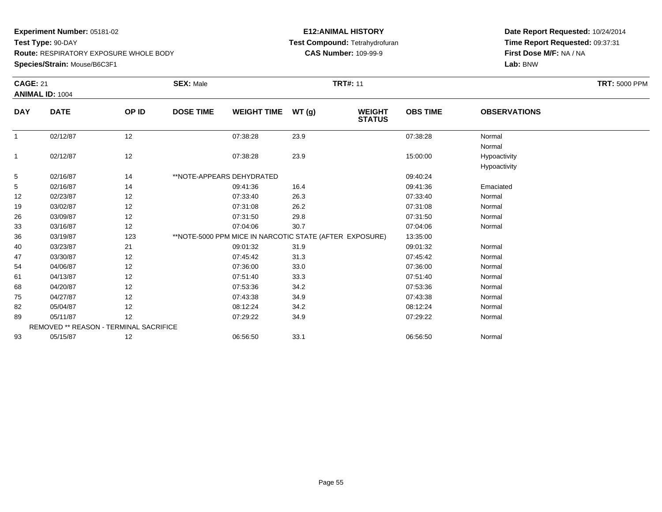**Experiment Number:** 05181-02**Test Type:** 90-DAY

**Route:** RESPIRATORY EXPOSURE WHOLE BODY

**Species/Strain:** Mouse/B6C3F1

### **E12:ANIMAL HISTORY Test Compound:** Tetrahydrofuran**CAS Number:** 109-99-9

|              | <b>CAGE: 21</b>                        |       | <b>SEX: Male</b><br><b>TRT#: 11</b> |                                                         |       |                                |                 |                              | <b>TRT: 5000 PPM</b> |
|--------------|----------------------------------------|-------|-------------------------------------|---------------------------------------------------------|-------|--------------------------------|-----------------|------------------------------|----------------------|
|              | ANIMAL ID: 1004                        |       |                                     |                                                         |       |                                |                 |                              |                      |
| <b>DAY</b>   | <b>DATE</b>                            | OP ID | <b>DOSE TIME</b>                    | <b>WEIGHT TIME</b>                                      | WT(g) | <b>WEIGHT</b><br><b>STATUS</b> | <b>OBS TIME</b> | <b>OBSERVATIONS</b>          |                      |
| $\mathbf{1}$ | 02/12/87                               | 12    |                                     | 07:38:28                                                | 23.9  |                                | 07:38:28        | Normal<br>Normal             |                      |
| $\mathbf{1}$ | 02/12/87                               | 12    |                                     | 07:38:28                                                | 23.9  |                                | 15:00:00        | Hypoactivity<br>Hypoactivity |                      |
| 5            | 02/16/87                               | 14    |                                     | **NOTE-APPEARS DEHYDRATED                               |       |                                | 09:40:24        |                              |                      |
| 5            | 02/16/87                               | 14    |                                     | 09:41:36                                                | 16.4  |                                | 09:41:36        | Emaciated                    |                      |
| 12           | 02/23/87                               | 12    |                                     | 07:33:40                                                | 26.3  |                                | 07:33:40        | Normal                       |                      |
| 19           | 03/02/87                               | 12    |                                     | 07:31:08                                                | 26.2  |                                | 07:31:08        | Normal                       |                      |
| 26           | 03/09/87                               | 12    |                                     | 07:31:50                                                | 29.8  |                                | 07:31:50        | Normal                       |                      |
| 33           | 03/16/87                               | 12    |                                     | 07:04:06                                                | 30.7  |                                | 07:04:06        | Normal                       |                      |
| 36           | 03/19/87                               | 123   |                                     | **NOTE-5000 PPM MICE IN NARCOTIC STATE (AFTER EXPOSURE) |       |                                | 13:35:00        |                              |                      |
| 40           | 03/23/87                               | 21    |                                     | 09:01:32                                                | 31.9  |                                | 09:01:32        | Normal                       |                      |
| 47           | 03/30/87                               | 12    |                                     | 07:45:42                                                | 31.3  |                                | 07:45:42        | Normal                       |                      |
| 54           | 04/06/87                               | 12    |                                     | 07:36:00                                                | 33.0  |                                | 07:36:00        | Normal                       |                      |
| 61           | 04/13/87                               | 12    |                                     | 07:51:40                                                | 33.3  |                                | 07:51:40        | Normal                       |                      |
| 68           | 04/20/87                               | 12    |                                     | 07:53:36                                                | 34.2  |                                | 07:53:36        | Normal                       |                      |
| 75           | 04/27/87                               | 12    |                                     | 07:43:38                                                | 34.9  |                                | 07:43:38        | Normal                       |                      |
| 82           | 05/04/87                               | 12    |                                     | 08:12:24                                                | 34.2  |                                | 08:12:24        | Normal                       |                      |
| 89           | 05/11/87                               | 12    |                                     | 07:29:22                                                | 34.9  |                                | 07:29:22        | Normal                       |                      |
|              | REMOVED ** REASON - TERMINAL SACRIFICE |       |                                     |                                                         |       |                                |                 |                              |                      |
| 93           | 05/15/87                               | 12    |                                     | 06:56:50                                                | 33.1  |                                | 06:56:50        | Normal                       |                      |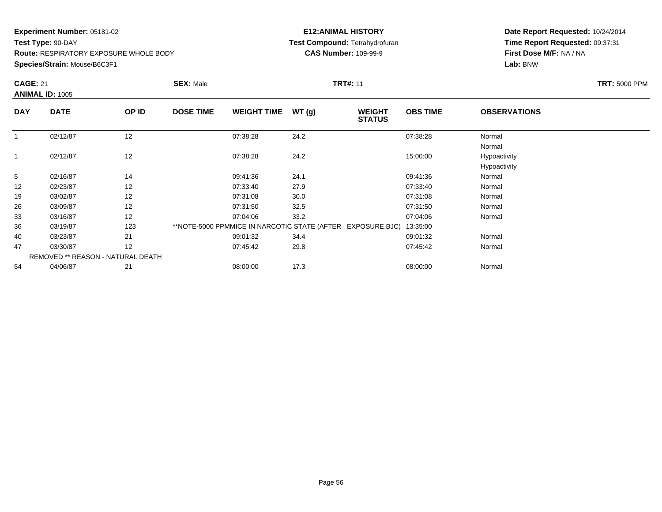### **Species/Strain:** Mouse/B6C3F1

### **E12:ANIMAL HISTORY Test Compound:** Tetrahydrofuran**CAS Number:** 109-99-9

|              | <b>CAGE: 21</b><br><b>ANIMAL ID: 1005</b> |                                   | <b>SEX: Male</b> |                    |       | <b>TRT#: 11</b>                                             |                 | <b>TRT: 5000 PPM</b>         |  |
|--------------|-------------------------------------------|-----------------------------------|------------------|--------------------|-------|-------------------------------------------------------------|-----------------|------------------------------|--|
| <b>DAY</b>   | <b>DATE</b>                               | OP ID                             | <b>DOSE TIME</b> | <b>WEIGHT TIME</b> | WT(g) | <b>WEIGHT</b><br><b>STATUS</b>                              | <b>OBS TIME</b> | <b>OBSERVATIONS</b>          |  |
|              | 02/12/87                                  | 12                                |                  | 07:38:28           | 24.2  |                                                             | 07:38:28        | Normal<br>Normal             |  |
| $\mathbf{1}$ | 02/12/87                                  | 12                                |                  | 07:38:28           | 24.2  |                                                             | 15:00:00        | Hypoactivity<br>Hypoactivity |  |
| 5            | 02/16/87                                  | 14                                |                  | 09:41:36           | 24.1  |                                                             | 09:41:36        | Normal                       |  |
| 12           | 02/23/87                                  | 12                                |                  | 07:33:40           | 27.9  |                                                             | 07:33:40        | Normal                       |  |
| 19           | 03/02/87                                  | 12                                |                  | 07:31:08           | 30.0  |                                                             | 07:31:08        | Normal                       |  |
| 26           | 03/09/87                                  | 12                                |                  | 07:31:50           | 32.5  |                                                             | 07:31:50        | Normal                       |  |
| 33           | 03/16/87                                  | 12                                |                  | 07:04:06           | 33.2  |                                                             | 07:04:06        | Normal                       |  |
| 36           | 03/19/87                                  | 123                               |                  |                    |       | **NOTE-5000 PPMMICE IN NARCOTIC STATE (AFTER EXPOSURE, BJC) | 13:35:00        |                              |  |
| 40           | 03/23/87                                  | 21                                |                  | 09:01:32           | 34.4  |                                                             | 09:01:32        | Normal                       |  |
| 47           | 03/30/87                                  | 12                                |                  | 07:45:42           | 29.8  |                                                             | 07:45:42        | Normal                       |  |
|              |                                           | REMOVED ** REASON - NATURAL DEATH |                  |                    |       |                                                             |                 |                              |  |
| 54           | 04/06/87                                  | 21                                |                  | 08:00:00           | 17.3  |                                                             | 08:00:00        | Normal                       |  |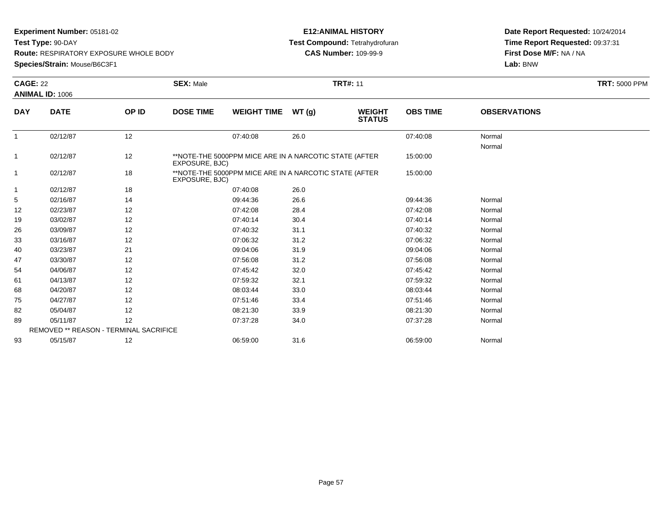**Experiment Number:** 05181-02

**Test Type:** 90-DAY

**Route:** RESPIRATORY EXPOSURE WHOLE BODY

**Species/Strain:** Mouse/B6C3F1

### **E12:ANIMAL HISTORY Test Compound:** Tetrahydrofuran**CAS Number:** 109-99-9

|                | <b>CAGE: 22</b>                        |       | <b>SEX: Male</b> | <b>TRT: 5000 PPM</b>                                   |       |                                |                 |                     |  |
|----------------|----------------------------------------|-------|------------------|--------------------------------------------------------|-------|--------------------------------|-----------------|---------------------|--|
|                | <b>ANIMAL ID: 1006</b>                 |       |                  |                                                        |       |                                |                 |                     |  |
| <b>DAY</b>     | <b>DATE</b>                            | OP ID | <b>DOSE TIME</b> | <b>WEIGHT TIME</b>                                     | WT(g) | <b>WEIGHT</b><br><b>STATUS</b> | <b>OBS TIME</b> | <b>OBSERVATIONS</b> |  |
| 1              | 02/12/87                               | 12    |                  | 07:40:08                                               | 26.0  |                                | 07:40:08        | Normal<br>Normal    |  |
| 1              | 02/12/87                               | 12    | EXPOSURE, BJC)   | **NOTE-THE 5000PPM MICE ARE IN A NARCOTIC STATE (AFTER |       |                                | 15:00:00        |                     |  |
| $\overline{1}$ | 02/12/87                               | 18    | EXPOSURE, BJC)   | **NOTE-THE 5000PPM MICE ARE IN A NARCOTIC STATE (AFTER |       |                                | 15:00:00        |                     |  |
| 1              | 02/12/87                               | 18    |                  | 07:40:08                                               | 26.0  |                                |                 |                     |  |
| 5              | 02/16/87                               | 14    |                  | 09:44:36                                               | 26.6  |                                | 09:44:36        | Normal              |  |
| 12             | 02/23/87                               | 12    |                  | 07:42:08                                               | 28.4  |                                | 07:42:08        | Normal              |  |
| 19             | 03/02/87                               | 12    |                  | 07:40:14                                               | 30.4  |                                | 07:40:14        | Normal              |  |
| 26             | 03/09/87                               | 12    |                  | 07:40:32                                               | 31.1  |                                | 07:40:32        | Normal              |  |
| 33             | 03/16/87                               | 12    |                  | 07:06:32                                               | 31.2  |                                | 07:06:32        | Normal              |  |
| 40             | 03/23/87                               | 21    |                  | 09:04:06                                               | 31.9  |                                | 09:04:06        | Normal              |  |
| 47             | 03/30/87                               | 12    |                  | 07:56:08                                               | 31.2  |                                | 07:56:08        | Normal              |  |
| 54             | 04/06/87                               | 12    |                  | 07:45:42                                               | 32.0  |                                | 07:45:42        | Normal              |  |
| 61             | 04/13/87                               | 12    |                  | 07:59:32                                               | 32.1  |                                | 07:59:32        | Normal              |  |
| 68             | 04/20/87                               | 12    |                  | 08:03:44                                               | 33.0  |                                | 08:03:44        | Normal              |  |
| 75             | 04/27/87                               | 12    |                  | 07:51:46                                               | 33.4  |                                | 07:51:46        | Normal              |  |
| 82             | 05/04/87                               | 12    |                  | 08:21:30                                               | 33.9  |                                | 08:21:30        | Normal              |  |
| 89             | 05/11/87                               | 12    |                  | 07:37:28                                               | 34.0  |                                | 07:37:28        | Normal              |  |
|                | REMOVED ** REASON - TERMINAL SACRIFICE |       |                  |                                                        |       |                                |                 |                     |  |
| 93             | 05/15/87                               | 12    |                  | 06:59:00                                               | 31.6  |                                | 06:59:00        | Normal              |  |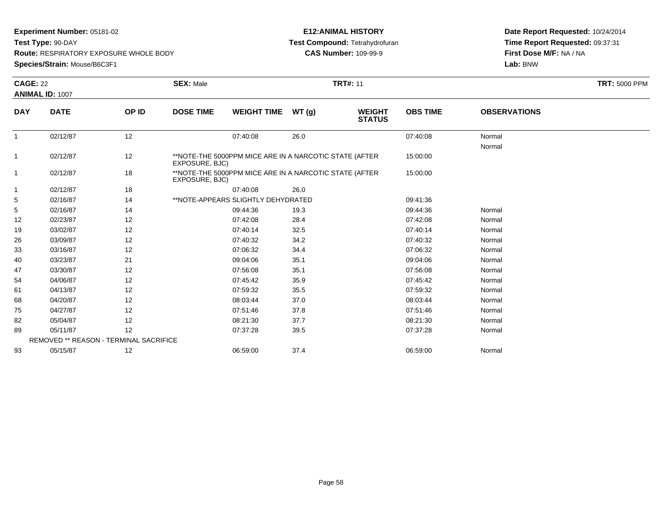**Experiment Number:** 05181-02

**Test Type:** 90-DAY

**Route:** RESPIRATORY EXPOSURE WHOLE BODY

**Species/Strain:** Mouse/B6C3F1

### **E12:ANIMAL HISTORY Test Compound:** Tetrahydrofuran**CAS Number:** 109-99-9

|              | <b>CAGE: 22</b>                        |       | <b>SEX: Male</b> | <b>TRT#: 11</b>                                                                                                  |       |                                |                 |                     |  |
|--------------|----------------------------------------|-------|------------------|------------------------------------------------------------------------------------------------------------------|-------|--------------------------------|-----------------|---------------------|--|
|              | ANIMAL ID: 1007                        |       |                  |                                                                                                                  |       |                                |                 |                     |  |
| <b>DAY</b>   | <b>DATE</b>                            | OP ID | <b>DOSE TIME</b> | <b>WEIGHT TIME</b>                                                                                               | WT(g) | <b>WEIGHT</b><br><b>STATUS</b> | <b>OBS TIME</b> | <b>OBSERVATIONS</b> |  |
| 1            | 02/12/87                               | 12    |                  | 07:40:08                                                                                                         | 26.0  |                                | 07:40:08        | Normal<br>Normal    |  |
| $\mathbf{1}$ | 02/12/87                               | 12    | EXPOSURE, BJC)   | **NOTE-THE 5000PPM MICE ARE IN A NARCOTIC STATE (AFTER<br>**NOTE-THE 5000PPM MICE ARE IN A NARCOTIC STATE (AFTER |       |                                |                 |                     |  |
| $\mathbf{1}$ | 02/12/87                               | 18    | EXPOSURE, BJC)   |                                                                                                                  |       |                                | 15:00:00        |                     |  |
| $\mathbf{1}$ | 02/12/87                               | 18    |                  | 07:40:08                                                                                                         | 26.0  |                                |                 |                     |  |
| 5            | 02/16/87                               | 14    |                  | **NOTE-APPEARS SLIGHTLY DEHYDRATED                                                                               |       |                                | 09:41:36        |                     |  |
| 5            | 02/16/87                               | 14    |                  | 09:44:36                                                                                                         | 19.3  |                                | 09:44:36        | Normal              |  |
| 12           | 02/23/87                               | 12    |                  | 07:42:08                                                                                                         | 28.4  |                                | 07:42:08        | Normal              |  |
| 19           | 03/02/87                               | 12    |                  | 07:40:14                                                                                                         | 32.5  |                                | 07:40:14        | Normal              |  |
| 26           | 03/09/87                               | 12    |                  | 07:40:32                                                                                                         | 34.2  |                                | 07:40:32        | Normal              |  |
| 33           | 03/16/87                               | 12    |                  | 07:06:32                                                                                                         | 34.4  |                                | 07:06:32        | Normal              |  |
| 40           | 03/23/87                               | 21    |                  | 09:04:06                                                                                                         | 35.1  |                                | 09:04:06        | Normal              |  |
| 47           | 03/30/87                               | 12    |                  | 07:56:08                                                                                                         | 35.1  |                                | 07:56:08        | Normal              |  |
| 54           | 04/06/87                               | 12    |                  | 07:45:42                                                                                                         | 35.9  |                                | 07:45:42        | Normal              |  |
| 61           | 04/13/87                               | 12    |                  | 07:59:32                                                                                                         | 35.5  |                                | 07:59:32        | Normal              |  |
| 68           | 04/20/87                               | 12    |                  | 08:03:44                                                                                                         | 37.0  |                                | 08:03:44        | Normal              |  |
| 75           | 04/27/87                               | 12    |                  | 07:51:46                                                                                                         | 37.8  |                                | 07:51:46        | Normal              |  |
| 82           | 05/04/87                               | 12    |                  | 08:21:30                                                                                                         | 37.7  |                                | 08:21:30        | Normal              |  |
| 89           | 05/11/87                               | 12    |                  | 07:37:28                                                                                                         | 39.5  |                                | 07:37:28        | Normal              |  |
|              | REMOVED ** REASON - TERMINAL SACRIFICE |       |                  |                                                                                                                  |       |                                |                 |                     |  |
| 93           | 05/15/87                               | 12    |                  | 06:59:00                                                                                                         | 37.4  |                                | 06:59:00        | Normal              |  |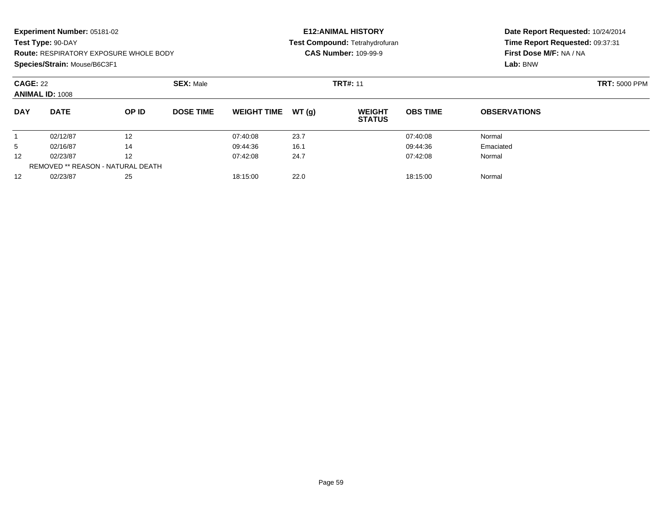**Species/Strain:** Mouse/B6C3F1

#### **E12:ANIMAL HISTORY Test Compound:** Tetrahydrofuran**CAS Number:** 109-99-9

| <b>CAGE: 22</b> | <b>ANIMAL ID: 1008</b>            |       | <b>SEX: Male</b> |                    |       | <b>TRT#: 11</b>                |                 | <b>TRT: 5000 PPM</b> |  |
|-----------------|-----------------------------------|-------|------------------|--------------------|-------|--------------------------------|-----------------|----------------------|--|
| <b>DAY</b>      | <b>DATE</b>                       | OP ID | <b>DOSE TIME</b> | <b>WEIGHT TIME</b> | WT(q) | <b>WEIGHT</b><br><b>STATUS</b> | <b>OBS TIME</b> | <b>OBSERVATIONS</b>  |  |
|                 | 02/12/87                          | 12    |                  | 07:40:08           | 23.7  |                                | 07:40:08        | Normal               |  |
| 5               | 02/16/87                          | 14    |                  | 09:44:36           | 16.1  |                                | 09:44:36        | Emaciated            |  |
| 12 <sup>°</sup> | 02/23/87                          | 12    |                  | 07:42:08           | 24.7  |                                | 07:42:08        | Normal               |  |
|                 | REMOVED ** REASON - NATURAL DEATH |       |                  |                    |       |                                |                 |                      |  |
| 12 <sup>°</sup> | 02/23/87                          | 25    |                  | 18:15:00           | 22.0  |                                | 18:15:00        | Normal               |  |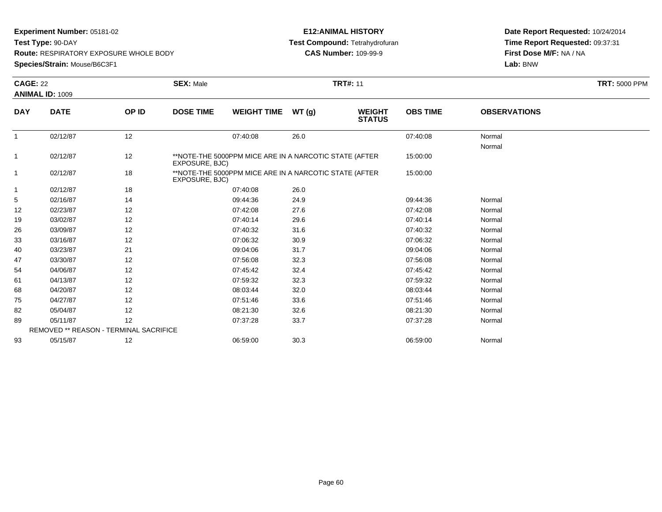**Experiment Number:** 05181-02

**Test Type:** 90-DAY

**Route:** RESPIRATORY EXPOSURE WHOLE BODY

**Species/Strain:** Mouse/B6C3F1

### **E12:ANIMAL HISTORY Test Compound:** Tetrahydrofuran**CAS Number:** 109-99-9

|              | <b>CAGE: 22</b>                        |       | <b>SEX: Male</b> | <b>TRT#: 11</b>                                        |       |                                |                 |                     |  |  |
|--------------|----------------------------------------|-------|------------------|--------------------------------------------------------|-------|--------------------------------|-----------------|---------------------|--|--|
|              | <b>ANIMAL ID: 1009</b>                 |       |                  |                                                        |       |                                |                 |                     |  |  |
| <b>DAY</b>   | <b>DATE</b>                            | OP ID | <b>DOSE TIME</b> | <b>WEIGHT TIME</b>                                     | WT(g) | <b>WEIGHT</b><br><b>STATUS</b> | <b>OBS TIME</b> | <b>OBSERVATIONS</b> |  |  |
| $\mathbf{1}$ | 02/12/87                               | 12    |                  | 07:40:08                                               | 26.0  |                                | 07:40:08        | Normal<br>Normal    |  |  |
| 1            | 02/12/87                               | 12    | EXPOSURE, BJC)   | **NOTE-THE 5000PPM MICE ARE IN A NARCOTIC STATE (AFTER |       |                                | 15:00:00        |                     |  |  |
| $\mathbf 1$  | 02/12/87                               | 18    | EXPOSURE, BJC)   | **NOTE-THE 5000PPM MICE ARE IN A NARCOTIC STATE (AFTER |       |                                | 15:00:00        |                     |  |  |
| -1           | 02/12/87                               | 18    |                  | 07:40:08                                               | 26.0  |                                |                 |                     |  |  |
| 5            | 02/16/87                               | 14    |                  | 09:44:36                                               | 24.9  |                                | 09:44:36        | Normal              |  |  |
| 12           | 02/23/87                               | 12    |                  | 07:42:08                                               | 27.6  |                                | 07:42:08        | Normal              |  |  |
| 19           | 03/02/87                               | 12    |                  | 07:40:14                                               | 29.6  |                                | 07:40:14        | Normal              |  |  |
| 26           | 03/09/87                               | 12    |                  | 07:40:32                                               | 31.6  |                                | 07:40:32        | Normal              |  |  |
| 33           | 03/16/87                               | 12    |                  | 07:06:32                                               | 30.9  |                                | 07:06:32        | Normal              |  |  |
| 40           | 03/23/87                               | 21    |                  | 09:04:06                                               | 31.7  |                                | 09:04:06        | Normal              |  |  |
| 47           | 03/30/87                               | 12    |                  | 07:56:08                                               | 32.3  |                                | 07:56:08        | Normal              |  |  |
| 54           | 04/06/87                               | 12    |                  | 07:45:42                                               | 32.4  |                                | 07:45:42        | Normal              |  |  |
| 61           | 04/13/87                               | 12    |                  | 07:59:32                                               | 32.3  |                                | 07:59:32        | Normal              |  |  |
| 68           | 04/20/87                               | 12    |                  | 08:03:44                                               | 32.0  |                                | 08:03:44        | Normal              |  |  |
| 75           | 04/27/87                               | 12    |                  | 07:51:46                                               | 33.6  |                                | 07:51:46        | Normal              |  |  |
| 82           | 05/04/87                               | 12    |                  | 08:21:30                                               | 32.6  |                                | 08:21:30        | Normal              |  |  |
| 89           | 05/11/87                               | 12    |                  | 07:37:28                                               | 33.7  |                                | 07:37:28        | Normal              |  |  |
|              | REMOVED ** REASON - TERMINAL SACRIFICE |       |                  |                                                        |       |                                |                 |                     |  |  |
| 93           | 05/15/87                               | 12    |                  | 06:59:00                                               | 30.3  |                                | 06:59:00        | Normal              |  |  |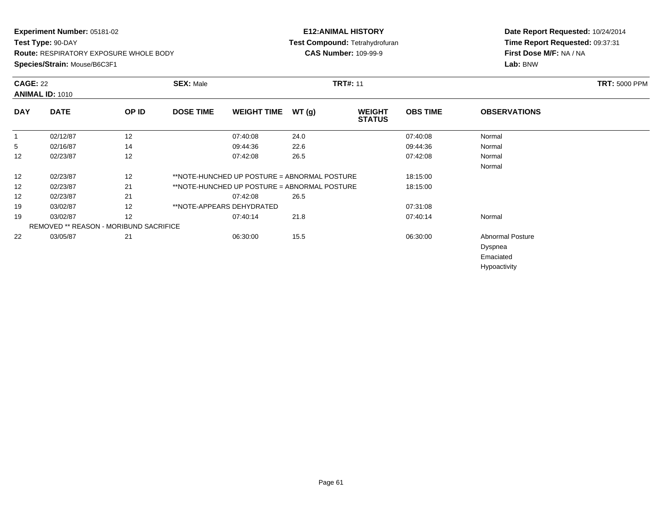### **E12:ANIMAL HISTORY Test Compound:** Tetrahydrofuran**CAS Number:** 109-99-9

| <b>CAGE: 22</b> | <b>ANIMAL ID: 1010</b>                        |       | <b>SEX: Male</b> |                                              |       | <b>TRT#: 11</b>                |                 |                         | <b>TRT: 5000 PPM</b> |
|-----------------|-----------------------------------------------|-------|------------------|----------------------------------------------|-------|--------------------------------|-----------------|-------------------------|----------------------|
| <b>DAY</b>      | <b>DATE</b>                                   | OP ID | <b>DOSE TIME</b> | <b>WEIGHT TIME</b>                           | WT(g) | <b>WEIGHT</b><br><b>STATUS</b> | <b>OBS TIME</b> | <b>OBSERVATIONS</b>     |                      |
| -1              | 02/12/87                                      | 12    |                  | 07:40:08                                     | 24.0  |                                | 07:40:08        | Normal                  |                      |
| 5               | 02/16/87                                      | 14    |                  | 09:44:36                                     | 22.6  |                                | 09:44:36        | Normal                  |                      |
| 12              | 02/23/87                                      | 12    |                  | 07:42:08                                     | 26.5  |                                | 07:42:08        | Normal                  |                      |
|                 |                                               |       |                  |                                              |       |                                |                 | Normal                  |                      |
| 12              | 02/23/87                                      | 12    |                  | **NOTE-HUNCHED UP POSTURE = ABNORMAL POSTURE |       |                                | 18:15:00        |                         |                      |
| 12              | 02/23/87                                      | 21    |                  | **NOTE-HUNCHED UP POSTURE = ABNORMAL POSTURE |       |                                | 18:15:00        |                         |                      |
| 12              | 02/23/87                                      | 21    |                  | 07:42:08                                     | 26.5  |                                |                 |                         |                      |
| 19              | 03/02/87                                      | 12    |                  | **NOTE-APPEARS DEHYDRATED                    |       |                                | 07:31:08        |                         |                      |
| 19              | 03/02/87                                      | 12    |                  | 07:40:14                                     | 21.8  |                                | 07:40:14        | Normal                  |                      |
|                 | <b>REMOVED ** REASON - MORIBUND SACRIFICE</b> |       |                  |                                              |       |                                |                 |                         |                      |
| 22              | 03/05/87                                      | 21    |                  | 06:30:00                                     | 15.5  |                                | 06:30:00        | <b>Abnormal Posture</b> |                      |
|                 |                                               |       |                  |                                              |       |                                |                 | Dyspnea                 |                      |
|                 |                                               |       |                  |                                              |       |                                |                 | Emaciated               |                      |
|                 |                                               |       |                  |                                              |       |                                |                 | Hypoactivity            |                      |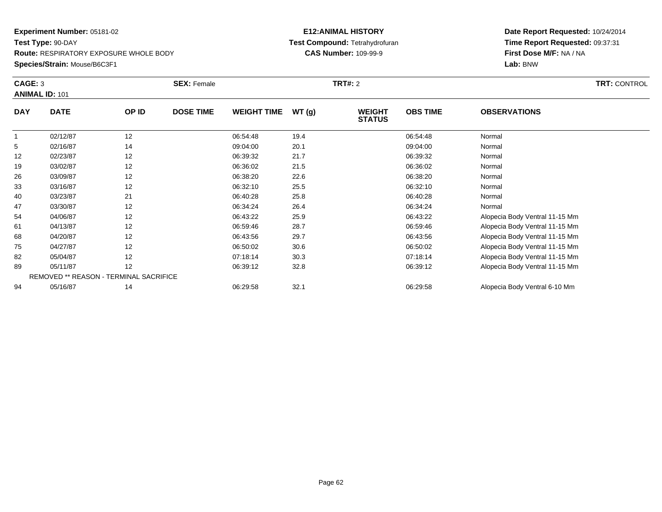### **E12:ANIMAL HISTORY Test Compound:** Tetrahydrofuran**CAS Number:** 109-99-9

| CAGE: 3    | <b>ANIMAL ID: 101</b> |                                        | <b>SEX: Female</b> |                    |       | <b>TRT#:</b> 2                 |                 |                                | <b>TRT: CONTROL</b> |
|------------|-----------------------|----------------------------------------|--------------------|--------------------|-------|--------------------------------|-----------------|--------------------------------|---------------------|
| <b>DAY</b> | <b>DATE</b>           | OP ID                                  | <b>DOSE TIME</b>   | <b>WEIGHT TIME</b> | WT(g) | <b>WEIGHT</b><br><b>STATUS</b> | <b>OBS TIME</b> | <b>OBSERVATIONS</b>            |                     |
|            | 02/12/87              | 12                                     |                    | 06:54:48           | 19.4  |                                | 06:54:48        | Normal                         |                     |
| 5          | 02/16/87              | 14                                     |                    | 09:04:00           | 20.1  |                                | 09:04:00        | Normal                         |                     |
| 12         | 02/23/87              | 12                                     |                    | 06:39:32           | 21.7  |                                | 06:39:32        | Normal                         |                     |
| 19         | 03/02/87              | 12                                     |                    | 06:36:02           | 21.5  |                                | 06:36:02        | Normal                         |                     |
| 26         | 03/09/87              | 12                                     |                    | 06:38:20           | 22.6  |                                | 06:38:20        | Normal                         |                     |
| 33         | 03/16/87              | 12                                     |                    | 06:32:10           | 25.5  |                                | 06:32:10        | Normal                         |                     |
| 40         | 03/23/87              | 21                                     |                    | 06:40:28           | 25.8  |                                | 06:40:28        | Normal                         |                     |
| 47         | 03/30/87              | 12                                     |                    | 06:34:24           | 26.4  |                                | 06:34:24        | Normal                         |                     |
| 54         | 04/06/87              | 12                                     |                    | 06:43:22           | 25.9  |                                | 06:43:22        | Alopecia Body Ventral 11-15 Mm |                     |
| 61         | 04/13/87              | 12                                     |                    | 06:59:46           | 28.7  |                                | 06:59:46        | Alopecia Body Ventral 11-15 Mm |                     |
| 68         | 04/20/87              | 12                                     |                    | 06:43:56           | 29.7  |                                | 06:43:56        | Alopecia Body Ventral 11-15 Mm |                     |
| 75         | 04/27/87              | 12                                     |                    | 06:50:02           | 30.6  |                                | 06:50:02        | Alopecia Body Ventral 11-15 Mm |                     |
| 82         | 05/04/87              | 12                                     |                    | 07:18:14           | 30.3  |                                | 07:18:14        | Alopecia Body Ventral 11-15 Mm |                     |
| 89         | 05/11/87              | 12                                     |                    | 06:39:12           | 32.8  |                                | 06:39:12        | Alopecia Body Ventral 11-15 Mm |                     |
|            |                       | REMOVED ** REASON - TERMINAL SACRIFICE |                    |                    |       |                                |                 |                                |                     |
| 94         | 05/16/87              | 14                                     |                    | 06:29:58           | 32.1  |                                | 06:29:58        | Alopecia Body Ventral 6-10 Mm  |                     |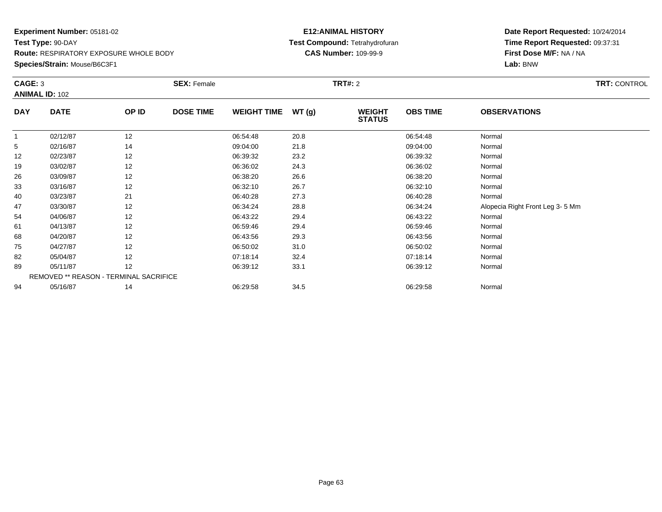## **Species/Strain:** Mouse/B6C3F1

### **E12:ANIMAL HISTORY Test Compound:** Tetrahydrofuran**CAS Number:** 109-99-9

| CAGE: 3    | <b>ANIMAL ID: 102</b> |                                        | <b>SEX: Female</b> |                    |       | <b>TRT#:</b> 2                 |                 |                                 | <b>TRT: CONTROL</b> |
|------------|-----------------------|----------------------------------------|--------------------|--------------------|-------|--------------------------------|-----------------|---------------------------------|---------------------|
| <b>DAY</b> | <b>DATE</b>           | OP ID                                  | <b>DOSE TIME</b>   | <b>WEIGHT TIME</b> | WT(g) | <b>WEIGHT</b><br><b>STATUS</b> | <b>OBS TIME</b> | <b>OBSERVATIONS</b>             |                     |
| 1          | 02/12/87              | 12                                     |                    | 06:54:48           | 20.8  |                                | 06:54:48        | Normal                          |                     |
| 5          | 02/16/87              | 14                                     |                    | 09:04:00           | 21.8  |                                | 09:04:00        | Normal                          |                     |
| 12         | 02/23/87              | 12                                     |                    | 06:39:32           | 23.2  |                                | 06:39:32        | Normal                          |                     |
| 19         | 03/02/87              | 12                                     |                    | 06:36:02           | 24.3  |                                | 06:36:02        | Normal                          |                     |
| 26         | 03/09/87              | 12                                     |                    | 06:38:20           | 26.6  |                                | 06:38:20        | Normal                          |                     |
| 33         | 03/16/87              | 12                                     |                    | 06:32:10           | 26.7  |                                | 06:32:10        | Normal                          |                     |
| 40         | 03/23/87              | 21                                     |                    | 06:40:28           | 27.3  |                                | 06:40:28        | Normal                          |                     |
| 47         | 03/30/87              | 12                                     |                    | 06:34:24           | 28.8  |                                | 06:34:24        | Alopecia Right Front Leg 3-5 Mm |                     |
| 54         | 04/06/87              | 12                                     |                    | 06:43:22           | 29.4  |                                | 06:43:22        | Normal                          |                     |
| 61         | 04/13/87              | 12                                     |                    | 06:59:46           | 29.4  |                                | 06:59:46        | Normal                          |                     |
| 68         | 04/20/87              | 12                                     |                    | 06:43:56           | 29.3  |                                | 06:43:56        | Normal                          |                     |
| 75         | 04/27/87              | 12                                     |                    | 06:50:02           | 31.0  |                                | 06:50:02        | Normal                          |                     |
| 82         | 05/04/87              | 12                                     |                    | 07:18:14           | 32.4  |                                | 07:18:14        | Normal                          |                     |
| 89         | 05/11/87              | 12                                     |                    | 06:39:12           | 33.1  |                                | 06:39:12        | Normal                          |                     |
|            |                       | REMOVED ** REASON - TERMINAL SACRIFICE |                    |                    |       |                                |                 |                                 |                     |
| 94         | 05/16/87              | 14                                     |                    | 06:29:58           | 34.5  |                                | 06:29:58        | Normal                          |                     |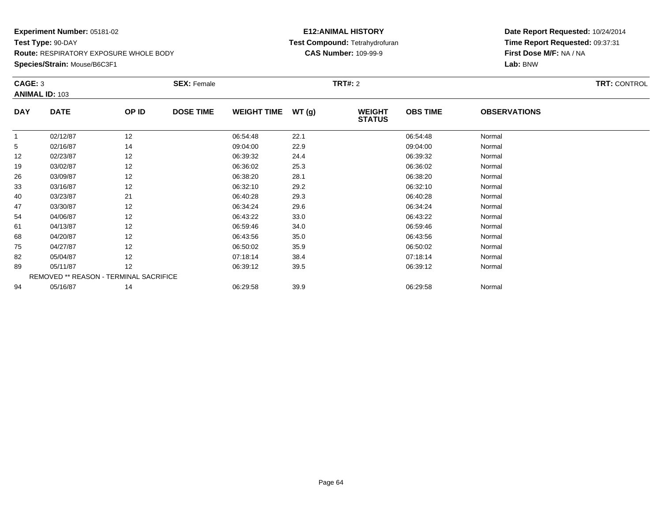### **E12:ANIMAL HISTORY Test Compound:** Tetrahydrofuran**CAS Number:** 109-99-9

| CAGE: 3    |                       |                                        | <b>SEX: Female</b> |                    |       | <b>TRT#:</b> 2                 |                 |                     | <b>TRT: CONTROL</b> |
|------------|-----------------------|----------------------------------------|--------------------|--------------------|-------|--------------------------------|-----------------|---------------------|---------------------|
|            | <b>ANIMAL ID: 103</b> |                                        |                    |                    |       |                                |                 |                     |                     |
| <b>DAY</b> | <b>DATE</b>           | OP ID                                  | <b>DOSE TIME</b>   | <b>WEIGHT TIME</b> | WT(g) | <b>WEIGHT</b><br><b>STATUS</b> | <b>OBS TIME</b> | <b>OBSERVATIONS</b> |                     |
| -1         | 02/12/87              | 12                                     |                    | 06:54:48           | 22.1  |                                | 06:54:48        | Normal              |                     |
| 5          | 02/16/87              | 14                                     |                    | 09:04:00           | 22.9  |                                | 09:04:00        | Normal              |                     |
| 12         | 02/23/87              | 12                                     |                    | 06:39:32           | 24.4  |                                | 06:39:32        | Normal              |                     |
| 19         | 03/02/87              | 12                                     |                    | 06:36:02           | 25.3  |                                | 06:36:02        | Normal              |                     |
| 26         | 03/09/87              | 12                                     |                    | 06:38:20           | 28.1  |                                | 06:38:20        | Normal              |                     |
| 33         | 03/16/87              | 12                                     |                    | 06:32:10           | 29.2  |                                | 06:32:10        | Normal              |                     |
| 40         | 03/23/87              | 21                                     |                    | 06:40:28           | 29.3  |                                | 06:40:28        | Normal              |                     |
| 47         | 03/30/87              | 12                                     |                    | 06:34:24           | 29.6  |                                | 06:34:24        | Normal              |                     |
| 54         | 04/06/87              | 12                                     |                    | 06:43:22           | 33.0  |                                | 06:43:22        | Normal              |                     |
| 61         | 04/13/87              | 12                                     |                    | 06:59:46           | 34.0  |                                | 06:59:46        | Normal              |                     |
| 68         | 04/20/87              | 12                                     |                    | 06:43:56           | 35.0  |                                | 06:43:56        | Normal              |                     |
| 75         | 04/27/87              | 12                                     |                    | 06:50:02           | 35.9  |                                | 06:50:02        | Normal              |                     |
| 82         | 05/04/87              | 12                                     |                    | 07:18:14           | 38.4  |                                | 07:18:14        | Normal              |                     |
| 89         | 05/11/87              | 12                                     |                    | 06:39:12           | 39.5  |                                | 06:39:12        | Normal              |                     |
|            |                       | REMOVED ** REASON - TERMINAL SACRIFICE |                    |                    |       |                                |                 |                     |                     |
| 94         | 05/16/87              | 14                                     |                    | 06:29:58           | 39.9  |                                | 06:29:58        | Normal              |                     |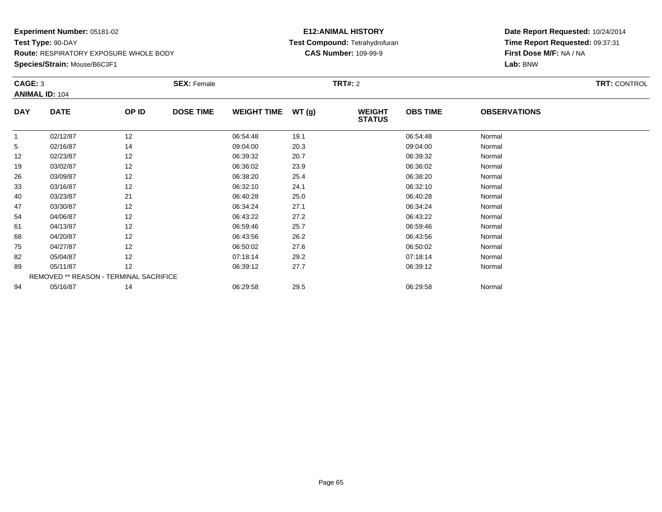### **E12:ANIMAL HISTORY Test Compound:** Tetrahydrofuran**CAS Number:** 109-99-9

| CAGE: 3      |                                        |       | <b>SEX: Female</b> |                    |       | <b>TRT#:</b> 2                 |                 |                     | <b>TRT: CONTROL</b> |
|--------------|----------------------------------------|-------|--------------------|--------------------|-------|--------------------------------|-----------------|---------------------|---------------------|
|              | <b>ANIMAL ID: 104</b>                  |       |                    |                    |       |                                |                 |                     |                     |
| <b>DAY</b>   | <b>DATE</b>                            | OP ID | <b>DOSE TIME</b>   | <b>WEIGHT TIME</b> | WT(g) | <b>WEIGHT</b><br><b>STATUS</b> | <b>OBS TIME</b> | <b>OBSERVATIONS</b> |                     |
| $\mathbf{1}$ | 02/12/87                               | 12    |                    | 06:54:48           | 19.1  |                                | 06:54:48        | Normal              |                     |
| 5            | 02/16/87                               | 14    |                    | 09:04:00           | 20.3  |                                | 09:04:00        | Normal              |                     |
| 12           | 02/23/87                               | 12    |                    | 06:39:32           | 20.7  |                                | 06:39:32        | Normal              |                     |
| 19           | 03/02/87                               | 12    |                    | 06:36:02           | 23.9  |                                | 06:36:02        | Normal              |                     |
| 26           | 03/09/87                               | 12    |                    | 06:38:20           | 25.4  |                                | 06:38:20        | Normal              |                     |
| 33           | 03/16/87                               | 12    |                    | 06:32:10           | 24.1  |                                | 06:32:10        | Normal              |                     |
| 40           | 03/23/87                               | 21    |                    | 06:40:28           | 25.0  |                                | 06:40:28        | Normal              |                     |
| 47           | 03/30/87                               | 12    |                    | 06:34:24           | 27.1  |                                | 06:34:24        | Normal              |                     |
| 54           | 04/06/87                               | 12    |                    | 06:43:22           | 27.2  |                                | 06:43:22        | Normal              |                     |
| 61           | 04/13/87                               | 12    |                    | 06:59:46           | 25.7  |                                | 06:59:46        | Normal              |                     |
| 68           | 04/20/87                               | 12    |                    | 06:43:56           | 26.2  |                                | 06:43:56        | Normal              |                     |
| 75           | 04/27/87                               | 12    |                    | 06:50:02           | 27.6  |                                | 06:50:02        | Normal              |                     |
| 82           | 05/04/87                               | 12    |                    | 07:18:14           | 29.2  |                                | 07:18:14        | Normal              |                     |
| 89           | 05/11/87                               | 12    |                    | 06:39:12           | 27.7  |                                | 06:39:12        | Normal              |                     |
|              | REMOVED ** REASON - TERMINAL SACRIFICE |       |                    |                    |       |                                |                 |                     |                     |
| 94           | 05/16/87                               | 14    |                    | 06:29:58           | 29.5  |                                | 06:29:58        | Normal              |                     |
|              |                                        |       |                    |                    |       |                                |                 |                     |                     |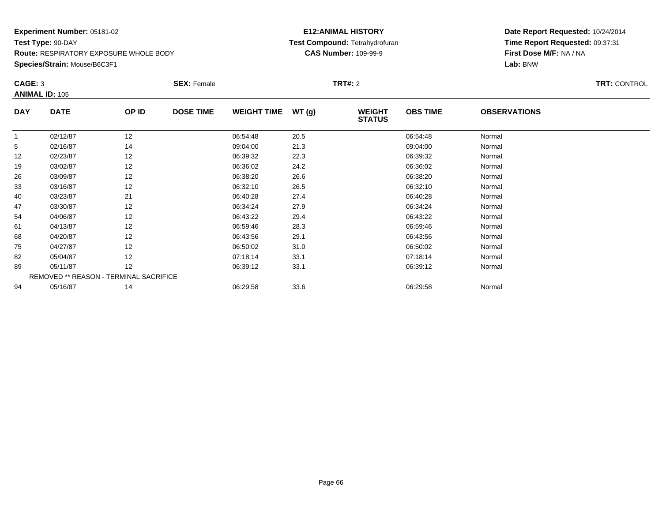### **E12:ANIMAL HISTORY Test Compound:** Tetrahydrofuran**CAS Number:** 109-99-9

| CAGE: 3    |                       |                                        | <b>SEX: Female</b> | <b>TRT#:</b> 2     |       |                                |                 | <b>TRT: CONTROL</b> |  |
|------------|-----------------------|----------------------------------------|--------------------|--------------------|-------|--------------------------------|-----------------|---------------------|--|
|            | <b>ANIMAL ID: 105</b> |                                        |                    |                    |       |                                |                 |                     |  |
| <b>DAY</b> | <b>DATE</b>           | OP ID                                  | <b>DOSE TIME</b>   | <b>WEIGHT TIME</b> | WT(g) | <b>WEIGHT</b><br><b>STATUS</b> | <b>OBS TIME</b> | <b>OBSERVATIONS</b> |  |
|            | 02/12/87              | 12                                     |                    | 06:54:48           | 20.5  |                                | 06:54:48        | Normal              |  |
| 5          | 02/16/87              | 14                                     |                    | 09:04:00           | 21.3  |                                | 09:04:00        | Normal              |  |
| 12         | 02/23/87              | 12                                     |                    | 06:39:32           | 22.3  |                                | 06:39:32        | Normal              |  |
| 19         | 03/02/87              | 12                                     |                    | 06:36:02           | 24.2  |                                | 06:36:02        | Normal              |  |
| 26         | 03/09/87              | 12                                     |                    | 06:38:20           | 26.6  |                                | 06:38:20        | Normal              |  |
| 33         | 03/16/87              | 12                                     |                    | 06:32:10           | 26.5  |                                | 06:32:10        | Normal              |  |
| 40         | 03/23/87              | 21                                     |                    | 06:40:28           | 27.4  |                                | 06:40:28        | Normal              |  |
| 47         | 03/30/87              | 12                                     |                    | 06:34:24           | 27.9  |                                | 06:34:24        | Normal              |  |
| 54         | 04/06/87              | 12                                     |                    | 06:43:22           | 29.4  |                                | 06:43:22        | Normal              |  |
| 61         | 04/13/87              | 12                                     |                    | 06:59:46           | 28.3  |                                | 06:59:46        | Normal              |  |
| 68         | 04/20/87              | 12                                     |                    | 06:43:56           | 29.1  |                                | 06:43:56        | Normal              |  |
| 75         | 04/27/87              | 12                                     |                    | 06:50:02           | 31.0  |                                | 06:50:02        | Normal              |  |
| 82         | 05/04/87              | 12                                     |                    | 07:18:14           | 33.1  |                                | 07:18:14        | Normal              |  |
| 89         | 05/11/87              | 12                                     |                    | 06:39:12           | 33.1  |                                | 06:39:12        | Normal              |  |
|            |                       | REMOVED ** REASON - TERMINAL SACRIFICE |                    |                    |       |                                |                 |                     |  |
| 94         | 05/16/87              | 14                                     |                    | 06:29:58           | 33.6  |                                | 06:29:58        | Normal              |  |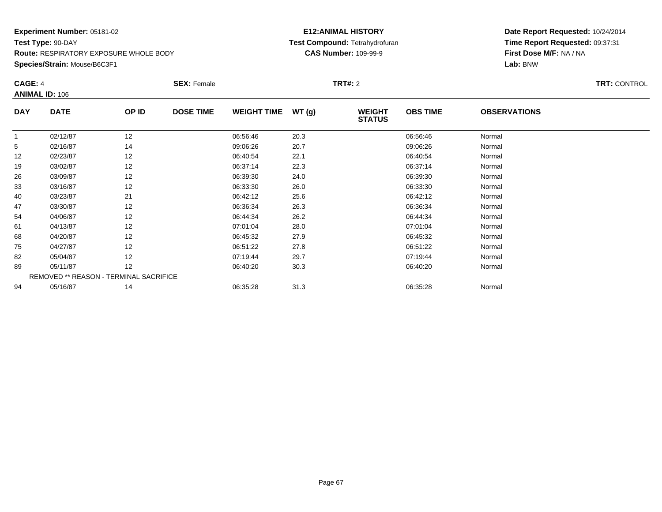### **E12:ANIMAL HISTORY Test Compound:** Tetrahydrofuran**CAS Number:** 109-99-9

| CAGE: 4    |                       |                                        | <b>SEX: Female</b> |                    |       | <b>TRT#:</b> 2                 |                 |                     | <b>TRT: CONTROL</b> |
|------------|-----------------------|----------------------------------------|--------------------|--------------------|-------|--------------------------------|-----------------|---------------------|---------------------|
|            | <b>ANIMAL ID: 106</b> |                                        |                    |                    |       |                                |                 |                     |                     |
| <b>DAY</b> | <b>DATE</b>           | OP ID                                  | <b>DOSE TIME</b>   | <b>WEIGHT TIME</b> | WT(g) | <b>WEIGHT</b><br><b>STATUS</b> | <b>OBS TIME</b> | <b>OBSERVATIONS</b> |                     |
|            | 02/12/87              | 12                                     |                    | 06:56:46           | 20.3  |                                | 06:56:46        | Normal              |                     |
| 5          | 02/16/87              | 14                                     |                    | 09:06:26           | 20.7  |                                | 09:06:26        | Normal              |                     |
| 12         | 02/23/87              | 12                                     |                    | 06:40:54           | 22.1  |                                | 06:40:54        | Normal              |                     |
| 19         | 03/02/87              | 12                                     |                    | 06:37:14           | 22.3  |                                | 06:37:14        | Normal              |                     |
| 26         | 03/09/87              | 12                                     |                    | 06:39:30           | 24.0  |                                | 06:39:30        | Normal              |                     |
| 33         | 03/16/87              | 12                                     |                    | 06:33:30           | 26.0  |                                | 06:33:30        | Normal              |                     |
| 40         | 03/23/87              | 21                                     |                    | 06:42:12           | 25.6  |                                | 06:42:12        | Normal              |                     |
| 47         | 03/30/87              | 12                                     |                    | 06:36:34           | 26.3  |                                | 06:36:34        | Normal              |                     |
| 54         | 04/06/87              | 12                                     |                    | 06:44:34           | 26.2  |                                | 06:44:34        | Normal              |                     |
| 61         | 04/13/87              | 12                                     |                    | 07:01:04           | 28.0  |                                | 07:01:04        | Normal              |                     |
| 68         | 04/20/87              | 12                                     |                    | 06:45:32           | 27.9  |                                | 06:45:32        | Normal              |                     |
| 75         | 04/27/87              | 12                                     |                    | 06:51:22           | 27.8  |                                | 06:51:22        | Normal              |                     |
| 82         | 05/04/87              | 12                                     |                    | 07:19:44           | 29.7  |                                | 07:19:44        | Normal              |                     |
| 89         | 05/11/87              | 12                                     |                    | 06:40:20           | 30.3  |                                | 06:40:20        | Normal              |                     |
|            |                       | REMOVED ** REASON - TERMINAL SACRIFICE |                    |                    |       |                                |                 |                     |                     |
| 94         | 05/16/87              | 14                                     |                    | 06:35:28           | 31.3  |                                | 06:35:28        | Normal              |                     |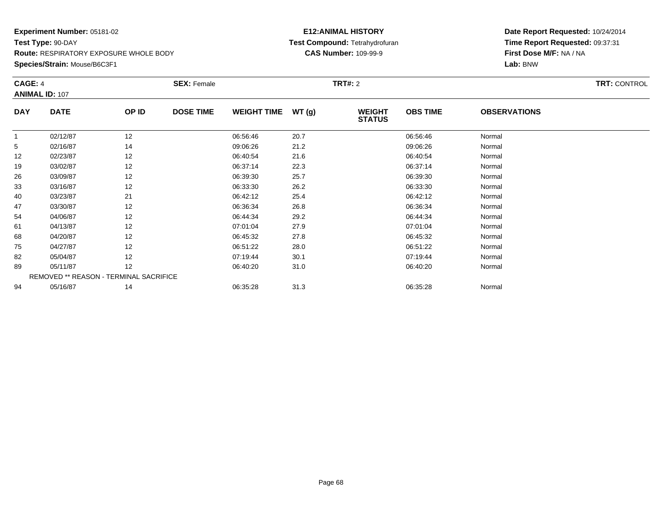### **E12:ANIMAL HISTORY Test Compound:** Tetrahydrofuran**CAS Number:** 109-99-9

|            | CAGE: 4<br><b>ANIMAL ID: 107</b> |                                        | <b>SEX: Female</b> |                    |       |                                | <b>TRT#:</b> 2  |                     |  |  |
|------------|----------------------------------|----------------------------------------|--------------------|--------------------|-------|--------------------------------|-----------------|---------------------|--|--|
| <b>DAY</b> | <b>DATE</b>                      | OP ID                                  | <b>DOSE TIME</b>   | <b>WEIGHT TIME</b> | WT(g) | <b>WEIGHT</b><br><b>STATUS</b> | <b>OBS TIME</b> | <b>OBSERVATIONS</b> |  |  |
|            | 02/12/87                         | 12                                     |                    | 06:56:46           | 20.7  |                                | 06:56:46        | Normal              |  |  |
| 5          | 02/16/87                         | 14                                     |                    | 09:06:26           | 21.2  |                                | 09:06:26        | Normal              |  |  |
| 12         | 02/23/87                         | 12                                     |                    | 06:40:54           | 21.6  |                                | 06:40:54        | Normal              |  |  |
| 19         | 03/02/87                         | 12                                     |                    | 06:37:14           | 22.3  |                                | 06:37:14        | Normal              |  |  |
| 26         | 03/09/87                         | 12                                     |                    | 06:39:30           | 25.7  |                                | 06:39:30        | Normal              |  |  |
| 33         | 03/16/87                         | 12                                     |                    | 06:33:30           | 26.2  |                                | 06:33:30        | Normal              |  |  |
| 40         | 03/23/87                         | 21                                     |                    | 06:42:12           | 25.4  |                                | 06:42:12        | Normal              |  |  |
| 47         | 03/30/87                         | 12                                     |                    | 06:36:34           | 26.8  |                                | 06:36:34        | Normal              |  |  |
| 54         | 04/06/87                         | 12                                     |                    | 06:44:34           | 29.2  |                                | 06:44:34        | Normal              |  |  |
| 61         | 04/13/87                         | 12                                     |                    | 07:01:04           | 27.9  |                                | 07:01:04        | Normal              |  |  |
| 68         | 04/20/87                         | 12                                     |                    | 06:45:32           | 27.8  |                                | 06:45:32        | Normal              |  |  |
| 75         | 04/27/87                         | 12                                     |                    | 06:51:22           | 28.0  |                                | 06:51:22        | Normal              |  |  |
| 82         | 05/04/87                         | 12                                     |                    | 07:19:44           | 30.1  |                                | 07:19:44        | Normal              |  |  |
| 89         | 05/11/87                         | 12                                     |                    | 06:40:20           | 31.0  |                                | 06:40:20        | Normal              |  |  |
|            |                                  | REMOVED ** REASON - TERMINAL SACRIFICE |                    |                    |       |                                |                 |                     |  |  |
| 94         | 05/16/87                         | 14                                     |                    | 06:35:28           | 31.3  |                                | 06:35:28        | Normal              |  |  |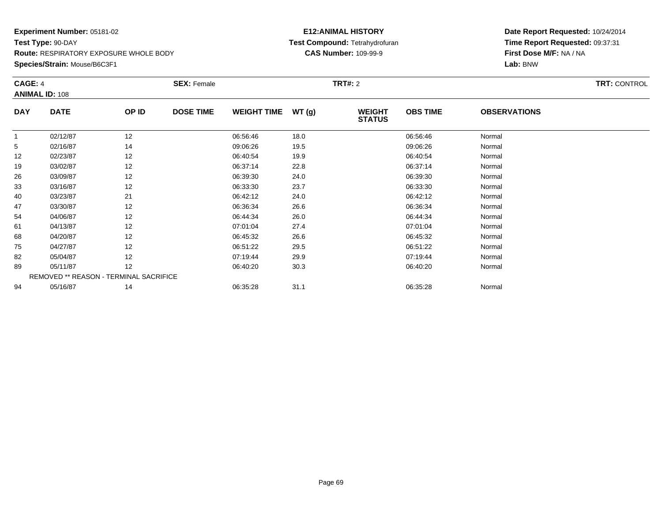### **E12:ANIMAL HISTORY Test Compound:** Tetrahydrofuran**CAS Number:** 109-99-9

| CAGE: 4    |                                        |       | <b>SEX: Female</b> |                    |       | <b>TRT#:</b> 2                 |                 |                     | <b>TRT: CONTROL</b> |
|------------|----------------------------------------|-------|--------------------|--------------------|-------|--------------------------------|-----------------|---------------------|---------------------|
|            | <b>ANIMAL ID: 108</b>                  |       |                    |                    |       |                                |                 |                     |                     |
| <b>DAY</b> | <b>DATE</b>                            | OP ID | <b>DOSE TIME</b>   | <b>WEIGHT TIME</b> | WT(g) | <b>WEIGHT</b><br><b>STATUS</b> | <b>OBS TIME</b> | <b>OBSERVATIONS</b> |                     |
| -1         | 02/12/87                               | 12    |                    | 06:56:46           | 18.0  |                                | 06:56:46        | Normal              |                     |
| 5          | 02/16/87                               | 14    |                    | 09:06:26           | 19.5  |                                | 09:06:26        | Normal              |                     |
| 12         | 02/23/87                               | 12    |                    | 06:40:54           | 19.9  |                                | 06:40:54        | Normal              |                     |
| 19         | 03/02/87                               | 12    |                    | 06:37:14           | 22.8  |                                | 06:37:14        | Normal              |                     |
| 26         | 03/09/87                               | 12    |                    | 06:39:30           | 24.0  |                                | 06:39:30        | Normal              |                     |
| 33         | 03/16/87                               | 12    |                    | 06:33:30           | 23.7  |                                | 06:33:30        | Normal              |                     |
| 40         | 03/23/87                               | 21    |                    | 06:42:12           | 24.0  |                                | 06:42:12        | Normal              |                     |
| 47         | 03/30/87                               | 12    |                    | 06:36:34           | 26.6  |                                | 06:36:34        | Normal              |                     |
| 54         | 04/06/87                               | 12    |                    | 06:44:34           | 26.0  |                                | 06:44:34        | Normal              |                     |
| 61         | 04/13/87                               | 12    |                    | 07:01:04           | 27.4  |                                | 07:01:04        | Normal              |                     |
| 68         | 04/20/87                               | 12    |                    | 06:45:32           | 26.6  |                                | 06:45:32        | Normal              |                     |
| 75         | 04/27/87                               | 12    |                    | 06:51:22           | 29.5  |                                | 06:51:22        | Normal              |                     |
| 82         | 05/04/87                               | 12    |                    | 07:19:44           | 29.9  |                                | 07:19:44        | Normal              |                     |
| 89         | 05/11/87                               | 12    |                    | 06:40:20           | 30.3  |                                | 06:40:20        | Normal              |                     |
|            | REMOVED ** REASON - TERMINAL SACRIFICE |       |                    |                    |       |                                |                 |                     |                     |
| 94         | 05/16/87                               | 14    |                    | 06:35:28           | 31.1  |                                | 06:35:28        | Normal              |                     |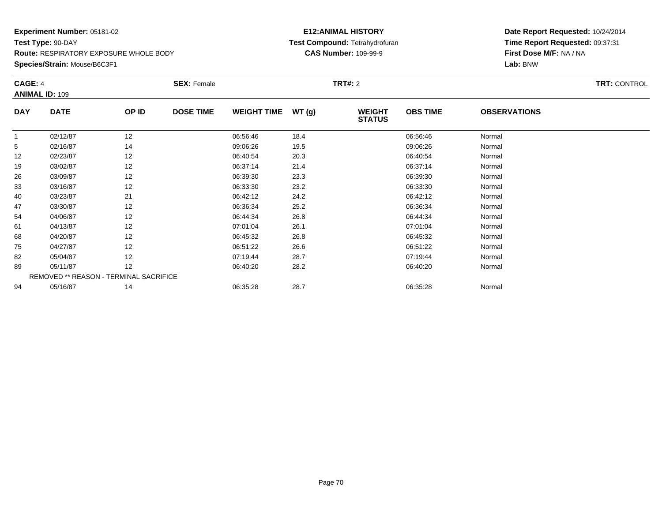### **E12:ANIMAL HISTORY Test Compound:** Tetrahydrofuran**CAS Number:** 109-99-9

| CAGE: 4    |                       |                                        | <b>SEX: Female</b> |                    |       | <b>TRT#:</b> 2                 |                 |                     | <b>TRT: CONTROL</b> |
|------------|-----------------------|----------------------------------------|--------------------|--------------------|-------|--------------------------------|-----------------|---------------------|---------------------|
|            | <b>ANIMAL ID: 109</b> |                                        |                    |                    |       |                                |                 |                     |                     |
| <b>DAY</b> | <b>DATE</b>           | OP ID                                  | <b>DOSE TIME</b>   | <b>WEIGHT TIME</b> | WT(g) | <b>WEIGHT</b><br><b>STATUS</b> | <b>OBS TIME</b> | <b>OBSERVATIONS</b> |                     |
| -1         | 02/12/87              | 12                                     |                    | 06:56:46           | 18.4  |                                | 06:56:46        | Normal              |                     |
| 5          | 02/16/87              | 14                                     |                    | 09:06:26           | 19.5  |                                | 09:06:26        | Normal              |                     |
| 12         | 02/23/87              | 12                                     |                    | 06:40:54           | 20.3  |                                | 06:40:54        | Normal              |                     |
| 19         | 03/02/87              | 12                                     |                    | 06:37:14           | 21.4  |                                | 06:37:14        | Normal              |                     |
| 26         | 03/09/87              | 12                                     |                    | 06:39:30           | 23.3  |                                | 06:39:30        | Normal              |                     |
| 33         | 03/16/87              | 12                                     |                    | 06:33:30           | 23.2  |                                | 06:33:30        | Normal              |                     |
| 40         | 03/23/87              | 21                                     |                    | 06:42:12           | 24.2  |                                | 06:42:12        | Normal              |                     |
| 47         | 03/30/87              | 12                                     |                    | 06:36:34           | 25.2  |                                | 06:36:34        | Normal              |                     |
| 54         | 04/06/87              | 12                                     |                    | 06:44:34           | 26.8  |                                | 06:44:34        | Normal              |                     |
| 61         | 04/13/87              | 12                                     |                    | 07:01:04           | 26.1  |                                | 07:01:04        | Normal              |                     |
| 68         | 04/20/87              | 12                                     |                    | 06:45:32           | 26.8  |                                | 06:45:32        | Normal              |                     |
| 75         | 04/27/87              | 12                                     |                    | 06:51:22           | 26.6  |                                | 06:51:22        | Normal              |                     |
| 82         | 05/04/87              | 12                                     |                    | 07:19:44           | 28.7  |                                | 07:19:44        | Normal              |                     |
| 89         | 05/11/87              | 12                                     |                    | 06:40:20           | 28.2  |                                | 06:40:20        | Normal              |                     |
|            |                       | REMOVED ** REASON - TERMINAL SACRIFICE |                    |                    |       |                                |                 |                     |                     |
| 94         | 05/16/87              | 14                                     |                    | 06:35:28           | 28.7  |                                | 06:35:28        | Normal              |                     |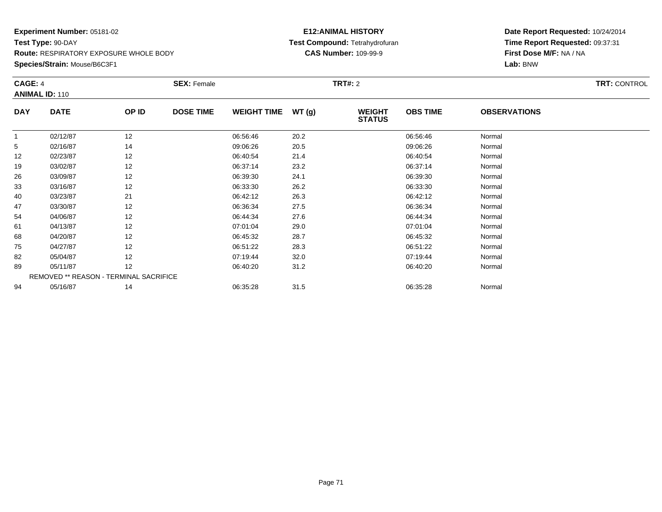### **E12:ANIMAL HISTORY Test Compound:** Tetrahydrofuran**CAS Number:** 109-99-9

|              | <b>CAGE: 4</b>        |                                        | <b>SEX: Female</b> |                    |       |                                | <b>TRT#: 2</b>  |                     |  |  |  |
|--------------|-----------------------|----------------------------------------|--------------------|--------------------|-------|--------------------------------|-----------------|---------------------|--|--|--|
|              | <b>ANIMAL ID: 110</b> |                                        |                    |                    |       |                                |                 |                     |  |  |  |
| <b>DAY</b>   | <b>DATE</b>           | OP ID                                  | <b>DOSE TIME</b>   | <b>WEIGHT TIME</b> | WT(g) | <b>WEIGHT</b><br><b>STATUS</b> | <b>OBS TIME</b> | <b>OBSERVATIONS</b> |  |  |  |
| $\mathbf{1}$ | 02/12/87              | 12                                     |                    | 06:56:46           | 20.2  |                                | 06:56:46        | Normal              |  |  |  |
| 5            | 02/16/87              | 14                                     |                    | 09:06:26           | 20.5  |                                | 09:06:26        | Normal              |  |  |  |
| 12           | 02/23/87              | 12                                     |                    | 06:40:54           | 21.4  |                                | 06:40:54        | Normal              |  |  |  |
| 19           | 03/02/87              | 12                                     |                    | 06:37:14           | 23.2  |                                | 06:37:14        | Normal              |  |  |  |
| 26           | 03/09/87              | 12                                     |                    | 06:39:30           | 24.1  |                                | 06:39:30        | Normal              |  |  |  |
| 33           | 03/16/87              | 12                                     |                    | 06:33:30           | 26.2  |                                | 06:33:30        | Normal              |  |  |  |
| 40           | 03/23/87              | 21                                     |                    | 06:42:12           | 26.3  |                                | 06:42:12        | Normal              |  |  |  |
| 47           | 03/30/87              | 12                                     |                    | 06:36:34           | 27.5  |                                | 06:36:34        | Normal              |  |  |  |
| 54           | 04/06/87              | 12                                     |                    | 06:44:34           | 27.6  |                                | 06:44:34        | Normal              |  |  |  |
| 61           | 04/13/87              | 12                                     |                    | 07:01:04           | 29.0  |                                | 07:01:04        | Normal              |  |  |  |
| 68           | 04/20/87              | 12                                     |                    | 06:45:32           | 28.7  |                                | 06:45:32        | Normal              |  |  |  |
| 75           | 04/27/87              | 12                                     |                    | 06:51:22           | 28.3  |                                | 06:51:22        | Normal              |  |  |  |
| 82           | 05/04/87              | 12                                     |                    | 07:19:44           | 32.0  |                                | 07:19:44        | Normal              |  |  |  |
| 89           | 05/11/87              | 12                                     |                    | 06:40:20           | 31.2  |                                | 06:40:20        | Normal              |  |  |  |
|              |                       | REMOVED ** REASON - TERMINAL SACRIFICE |                    |                    |       |                                |                 |                     |  |  |  |
| 94           | 05/16/87              | 14                                     |                    | 06:35:28           | 31.5  |                                | 06:35:28        | Normal              |  |  |  |
|              |                       |                                        |                    |                    |       |                                |                 |                     |  |  |  |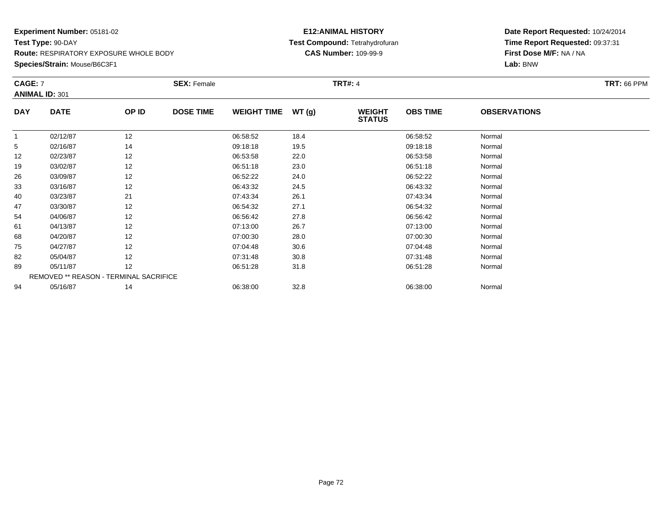### **E12:ANIMAL HISTORY Test Compound:** Tetrahydrofuran**CAS Number:** 109-99-9

| CAGE: 7    |                                        |       | <b>SEX: Female</b> |                    |       | <b>TRT#: 4</b>                 |                 |                     | <b>TRT: 66 PPM</b> |
|------------|----------------------------------------|-------|--------------------|--------------------|-------|--------------------------------|-----------------|---------------------|--------------------|
|            | <b>ANIMAL ID: 301</b>                  |       |                    |                    |       |                                |                 |                     |                    |
| <b>DAY</b> | <b>DATE</b>                            | OP ID | <b>DOSE TIME</b>   | <b>WEIGHT TIME</b> | WT(g) | <b>WEIGHT</b><br><b>STATUS</b> | <b>OBS TIME</b> | <b>OBSERVATIONS</b> |                    |
| 1          | 02/12/87                               | 12    |                    | 06:58:52           | 18.4  |                                | 06:58:52        | Normal              |                    |
| 5          | 02/16/87                               | 14    |                    | 09:18:18           | 19.5  |                                | 09:18:18        | Normal              |                    |
| 12         | 02/23/87                               | 12    |                    | 06:53:58           | 22.0  |                                | 06:53:58        | Normal              |                    |
| 19         | 03/02/87                               | 12    |                    | 06:51:18           | 23.0  |                                | 06:51:18        | Normal              |                    |
| 26         | 03/09/87                               | 12    |                    | 06:52:22           | 24.0  |                                | 06:52:22        | Normal              |                    |
| 33         | 03/16/87                               | 12    |                    | 06:43:32           | 24.5  |                                | 06:43:32        | Normal              |                    |
| 40         | 03/23/87                               | 21    |                    | 07:43:34           | 26.1  |                                | 07:43:34        | Normal              |                    |
| 47         | 03/30/87                               | 12    |                    | 06:54:32           | 27.1  |                                | 06:54:32        | Normal              |                    |
| 54         | 04/06/87                               | 12    |                    | 06:56:42           | 27.8  |                                | 06:56:42        | Normal              |                    |
| 61         | 04/13/87                               | 12    |                    | 07:13:00           | 26.7  |                                | 07:13:00        | Normal              |                    |
| 68         | 04/20/87                               | 12    |                    | 07:00:30           | 28.0  |                                | 07:00:30        | Normal              |                    |
| 75         | 04/27/87                               | 12    |                    | 07:04:48           | 30.6  |                                | 07:04:48        | Normal              |                    |
| 82         | 05/04/87                               | 12    |                    | 07:31:48           | 30.8  |                                | 07:31:48        | Normal              |                    |
| 89         | 05/11/87                               | 12    |                    | 06:51:28           | 31.8  |                                | 06:51:28        | Normal              |                    |
|            | REMOVED ** REASON - TERMINAL SACRIFICE |       |                    |                    |       |                                |                 |                     |                    |
| 94         | 05/16/87                               | 14    |                    | 06:38:00           | 32.8  |                                | 06:38:00        | Normal              |                    |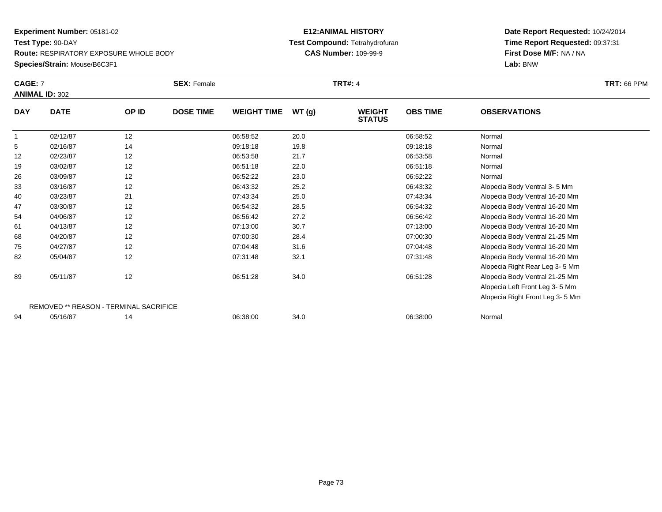### **Species/Strain:** Mouse/B6C3F1

### **E12:ANIMAL HISTORY Test Compound:** Tetrahydrofuran**CAS Number:** 109-99-9

|            | <b>CAGE: 7</b><br><b>ANIMAL ID: 302</b>       |       | <b>SEX: Female</b> |                    |       | <b>TRT#: 4</b>                 |                 |                                 | <b>TRT: 66 PPM</b> |
|------------|-----------------------------------------------|-------|--------------------|--------------------|-------|--------------------------------|-----------------|---------------------------------|--------------------|
| <b>DAY</b> | <b>DATE</b>                                   | OP ID | <b>DOSE TIME</b>   | <b>WEIGHT TIME</b> | WT(g) | <b>WEIGHT</b><br><b>STATUS</b> | <b>OBS TIME</b> | <b>OBSERVATIONS</b>             |                    |
|            | 02/12/87                                      | 12    |                    | 06:58:52           | 20.0  |                                | 06:58:52        | Normal                          |                    |
| 5          | 02/16/87                                      | 14    |                    | 09:18:18           | 19.8  |                                | 09:18:18        | Normal                          |                    |
| 12         | 02/23/87                                      | 12    |                    | 06:53:58           | 21.7  |                                | 06:53:58        | Normal                          |                    |
| 19         | 03/02/87                                      | 12    |                    | 06:51:18           | 22.0  |                                | 06:51:18        | Normal                          |                    |
| 26         | 03/09/87                                      | 12    |                    | 06:52:22           | 23.0  |                                | 06:52:22        | Normal                          |                    |
| 33         | 03/16/87                                      | 12    |                    | 06:43:32           | 25.2  |                                | 06:43:32        | Alopecia Body Ventral 3-5 Mm    |                    |
| 40         | 03/23/87                                      | 21    |                    | 07:43:34           | 25.0  |                                | 07:43:34        | Alopecia Body Ventral 16-20 Mm  |                    |
| 47         | 03/30/87                                      | 12    |                    | 06:54:32           | 28.5  |                                | 06:54:32        | Alopecia Body Ventral 16-20 Mm  |                    |
| 54         | 04/06/87                                      | 12    |                    | 06:56:42           | 27.2  |                                | 06:56:42        | Alopecia Body Ventral 16-20 Mm  |                    |
| 61         | 04/13/87                                      | 12    |                    | 07:13:00           | 30.7  |                                | 07:13:00        | Alopecia Body Ventral 16-20 Mm  |                    |
| 68         | 04/20/87                                      | 12    |                    | 07:00:30           | 28.4  |                                | 07:00:30        | Alopecia Body Ventral 21-25 Mm  |                    |
| 75         | 04/27/87                                      | 12    |                    | 07:04:48           | 31.6  |                                | 07:04:48        | Alopecia Body Ventral 16-20 Mm  |                    |
| 82         | 05/04/87                                      | 12    |                    | 07:31:48           | 32.1  |                                | 07:31:48        | Alopecia Body Ventral 16-20 Mm  |                    |
|            |                                               |       |                    |                    |       |                                |                 | Alopecia Right Rear Leg 3-5 Mm  |                    |
| 89         | 05/11/87                                      | 12    |                    | 06:51:28           | 34.0  |                                | 06:51:28        | Alopecia Body Ventral 21-25 Mm  |                    |
|            |                                               |       |                    |                    |       |                                |                 | Alopecia Left Front Leg 3-5 Mm  |                    |
|            |                                               |       |                    |                    |       |                                |                 | Alopecia Right Front Leg 3-5 Mm |                    |
|            | <b>REMOVED ** REASON - TERMINAL SACRIFICE</b> |       |                    |                    |       |                                |                 |                                 |                    |
| 94         | 05/16/87                                      | 14    |                    | 06:38:00           | 34.0  |                                | 06:38:00        | Normal                          |                    |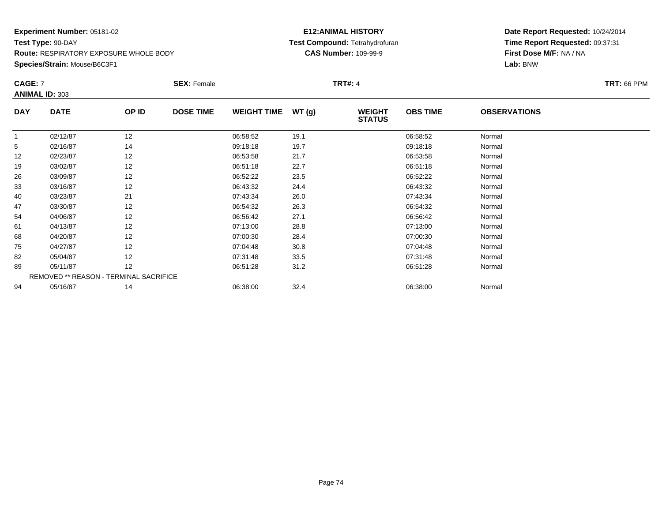#### **Species/Strain:** Mouse/B6C3F1

### **E12:ANIMAL HISTORY Test Compound:** Tetrahydrofuran**CAS Number:** 109-99-9

| CAGE: 7    | <b>ANIMAL ID: 303</b>                  |       | <b>SEX: Female</b> |                    |       | TRT#: 4                        |                 |                     | <b>TRT: 66 PPM</b> |
|------------|----------------------------------------|-------|--------------------|--------------------|-------|--------------------------------|-----------------|---------------------|--------------------|
| <b>DAY</b> | <b>DATE</b>                            | OP ID | <b>DOSE TIME</b>   | <b>WEIGHT TIME</b> | WT(g) | <b>WEIGHT</b><br><b>STATUS</b> | <b>OBS TIME</b> | <b>OBSERVATIONS</b> |                    |
|            | 02/12/87                               | 12    |                    | 06:58:52           | 19.1  |                                | 06:58:52        | Normal              |                    |
| 5          | 02/16/87                               | 14    |                    | 09:18:18           | 19.7  |                                | 09:18:18        | Normal              |                    |
| 12         | 02/23/87                               | 12    |                    | 06:53:58           | 21.7  |                                | 06:53:58        | Normal              |                    |
| 19         | 03/02/87                               | 12    |                    | 06:51:18           | 22.7  |                                | 06:51:18        | Normal              |                    |
| 26         | 03/09/87                               | 12    |                    | 06:52:22           | 23.5  |                                | 06:52:22        | Normal              |                    |
| 33         | 03/16/87                               | 12    |                    | 06:43:32           | 24.4  |                                | 06:43:32        | Normal              |                    |
| 40         | 03/23/87                               | 21    |                    | 07:43:34           | 26.0  |                                | 07:43:34        | Normal              |                    |
| 47         | 03/30/87                               | 12    |                    | 06:54:32           | 26.3  |                                | 06:54:32        | Normal              |                    |
| 54         | 04/06/87                               | 12    |                    | 06:56:42           | 27.1  |                                | 06:56:42        | Normal              |                    |
| 61         | 04/13/87                               | 12    |                    | 07:13:00           | 28.8  |                                | 07:13:00        | Normal              |                    |
| 68         | 04/20/87                               | 12    |                    | 07:00:30           | 28.4  |                                | 07:00:30        | Normal              |                    |
| 75         | 04/27/87                               | 12    |                    | 07:04:48           | 30.8  |                                | 07:04:48        | Normal              |                    |
| 82         | 05/04/87                               | 12    |                    | 07:31:48           | 33.5  |                                | 07:31:48        | Normal              |                    |
| 89         | 05/11/87                               | 12    |                    | 06:51:28           | 31.2  |                                | 06:51:28        | Normal              |                    |
|            | REMOVED ** REASON - TERMINAL SACRIFICE |       |                    |                    |       |                                |                 |                     |                    |
| 94         | 05/16/87                               | 14    |                    | 06:38:00           | 32.4  |                                | 06:38:00        | Normal              |                    |
|            |                                        |       |                    |                    |       |                                |                 |                     |                    |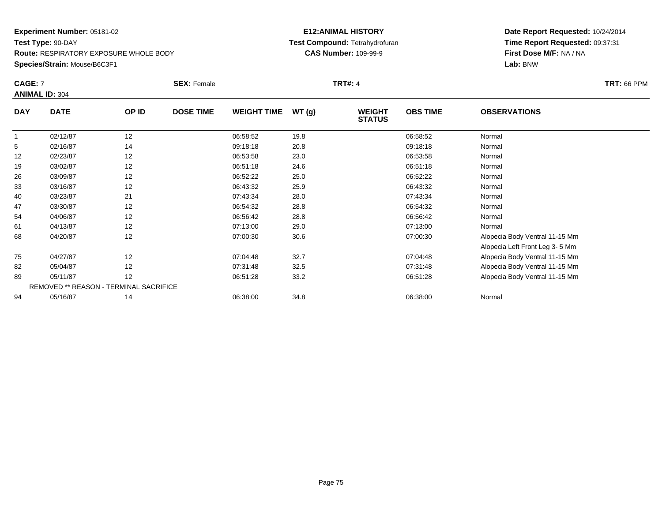### **E12:ANIMAL HISTORY Test Compound:** Tetrahydrofuran**CAS Number:** 109-99-9

| CAGE: 7    |                                        |       | <b>SEX: Female</b> |                    |       | <b>TRT#: 4</b>                 |                 |                                | <b>TRT: 66 PPM</b> |
|------------|----------------------------------------|-------|--------------------|--------------------|-------|--------------------------------|-----------------|--------------------------------|--------------------|
|            | <b>ANIMAL ID: 304</b>                  |       |                    |                    |       |                                |                 |                                |                    |
| <b>DAY</b> | <b>DATE</b>                            | OP ID | <b>DOSE TIME</b>   | <b>WEIGHT TIME</b> | WT(g) | <b>WEIGHT</b><br><b>STATUS</b> | <b>OBS TIME</b> | <b>OBSERVATIONS</b>            |                    |
| 1          | 02/12/87                               | 12    |                    | 06:58:52           | 19.8  |                                | 06:58:52        | Normal                         |                    |
| 5          | 02/16/87                               | 14    |                    | 09:18:18           | 20.8  |                                | 09:18:18        | Normal                         |                    |
| 12         | 02/23/87                               | 12    |                    | 06:53:58           | 23.0  |                                | 06:53:58        | Normal                         |                    |
| 19         | 03/02/87                               | 12    |                    | 06:51:18           | 24.6  |                                | 06:51:18        | Normal                         |                    |
| 26         | 03/09/87                               | 12    |                    | 06:52:22           | 25.0  |                                | 06:52:22        | Normal                         |                    |
| 33         | 03/16/87                               | 12    |                    | 06:43:32           | 25.9  |                                | 06:43:32        | Normal                         |                    |
| 40         | 03/23/87                               | 21    |                    | 07:43:34           | 28.0  |                                | 07:43:34        | Normal                         |                    |
| 47         | 03/30/87                               | 12    |                    | 06:54:32           | 28.8  |                                | 06:54:32        | Normal                         |                    |
| 54         | 04/06/87                               | 12    |                    | 06:56:42           | 28.8  |                                | 06:56:42        | Normal                         |                    |
| 61         | 04/13/87                               | 12    |                    | 07:13:00           | 29.0  |                                | 07:13:00        | Normal                         |                    |
| 68         | 04/20/87                               | 12    |                    | 07:00:30           | 30.6  |                                | 07:00:30        | Alopecia Body Ventral 11-15 Mm |                    |
|            |                                        |       |                    |                    |       |                                |                 | Alopecia Left Front Leg 3-5 Mm |                    |
| 75         | 04/27/87                               | 12    |                    | 07:04:48           | 32.7  |                                | 07:04:48        | Alopecia Body Ventral 11-15 Mm |                    |
| 82         | 05/04/87                               | 12    |                    | 07:31:48           | 32.5  |                                | 07:31:48        | Alopecia Body Ventral 11-15 Mm |                    |
| 89         | 05/11/87                               | 12    |                    | 06:51:28           | 33.2  |                                | 06:51:28        | Alopecia Body Ventral 11-15 Mm |                    |
|            | REMOVED ** REASON - TERMINAL SACRIFICE |       |                    |                    |       |                                |                 |                                |                    |
| 94         | 05/16/87                               | 14    |                    | 06:38:00           | 34.8  |                                | 06:38:00        | Normal                         |                    |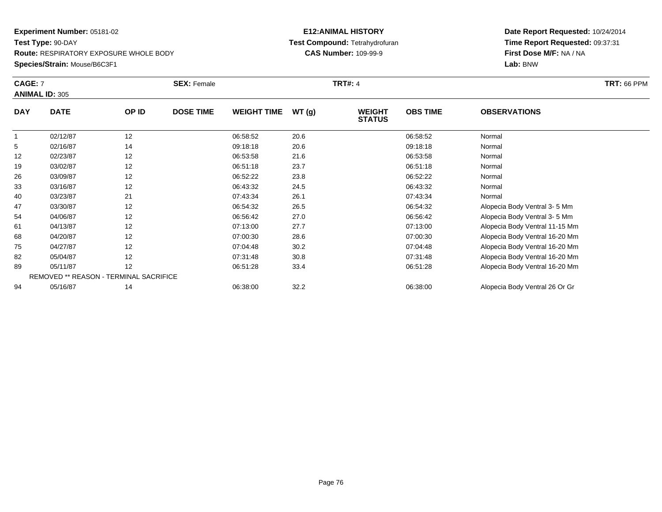### **Species/Strain:** Mouse/B6C3F1

### **E12:ANIMAL HISTORY Test Compound:** Tetrahydrofuran**CAS Number:** 109-99-9

|            | <b>CAGE: 7</b><br><b>ANIMAL ID: 305</b> |       | <b>SEX: Female</b> |                    |       | <b>TRT#: 4</b>                 | <b>TRT: 66 PPM</b> |                                |  |
|------------|-----------------------------------------|-------|--------------------|--------------------|-------|--------------------------------|--------------------|--------------------------------|--|
| <b>DAY</b> | <b>DATE</b>                             | OP ID | <b>DOSE TIME</b>   | <b>WEIGHT TIME</b> | WT(g) | <b>WEIGHT</b><br><b>STATUS</b> | <b>OBS TIME</b>    | <b>OBSERVATIONS</b>            |  |
|            | 02/12/87                                | 12    |                    | 06:58:52           | 20.6  |                                | 06:58:52           | Normal                         |  |
| 5          | 02/16/87                                | 14    |                    | 09:18:18           | 20.6  |                                | 09:18:18           | Normal                         |  |
| 12         | 02/23/87                                | 12    |                    | 06:53:58           | 21.6  |                                | 06:53:58           | Normal                         |  |
| 19         | 03/02/87                                | 12    |                    | 06:51:18           | 23.7  |                                | 06:51:18           | Normal                         |  |
| 26         | 03/09/87                                | 12    |                    | 06:52:22           | 23.8  |                                | 06:52:22           | Normal                         |  |
| 33         | 03/16/87                                | 12    |                    | 06:43:32           | 24.5  |                                | 06:43:32           | Normal                         |  |
| 40         | 03/23/87                                | 21    |                    | 07:43:34           | 26.1  |                                | 07:43:34           | Normal                         |  |
| 47         | 03/30/87                                | 12    |                    | 06:54:32           | 26.5  |                                | 06:54:32           | Alopecia Body Ventral 3-5 Mm   |  |
| 54         | 04/06/87                                | 12    |                    | 06:56:42           | 27.0  |                                | 06:56:42           | Alopecia Body Ventral 3-5 Mm   |  |
| 61         | 04/13/87                                | 12    |                    | 07:13:00           | 27.7  |                                | 07:13:00           | Alopecia Body Ventral 11-15 Mm |  |
| 68         | 04/20/87                                | 12    |                    | 07:00:30           | 28.6  |                                | 07:00:30           | Alopecia Body Ventral 16-20 Mm |  |
| 75         | 04/27/87                                | 12    |                    | 07:04:48           | 30.2  |                                | 07:04:48           | Alopecia Body Ventral 16-20 Mm |  |
| 82         | 05/04/87                                | 12    |                    | 07:31:48           | 30.8  |                                | 07:31:48           | Alopecia Body Ventral 16-20 Mm |  |
| 89         | 05/11/87                                | 12    |                    | 06:51:28           | 33.4  |                                | 06:51:28           | Alopecia Body Ventral 16-20 Mm |  |
|            | REMOVED ** REASON - TERMINAL SACRIFICE  |       |                    |                    |       |                                |                    |                                |  |
| 94         | 05/16/87                                | 14    |                    | 06:38:00           | 32.2  |                                | 06:38:00           | Alopecia Body Ventral 26 Or Gr |  |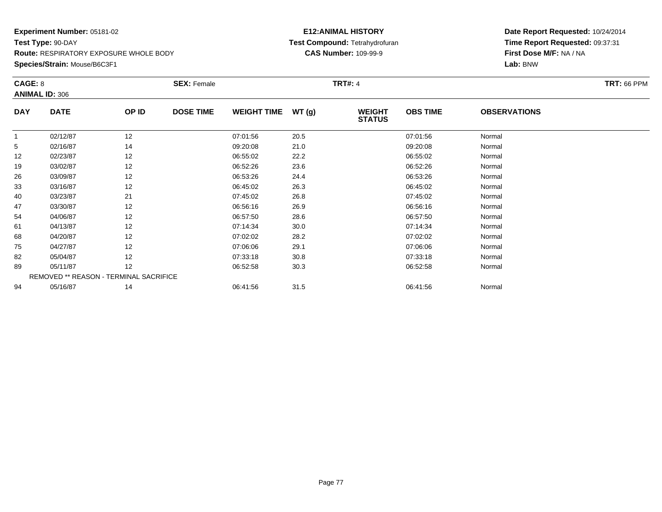### **E12:ANIMAL HISTORY Test Compound:** Tetrahydrofuran**CAS Number:** 109-99-9

| CAGE: 8    |                                        |       | <b>SEX: Female</b> |                    |       | <b>TRT#: 4</b>                 |                 |                     | <b>TRT: 66 PPM</b> |
|------------|----------------------------------------|-------|--------------------|--------------------|-------|--------------------------------|-----------------|---------------------|--------------------|
|            | <b>ANIMAL ID: 306</b>                  |       |                    |                    |       |                                |                 |                     |                    |
| <b>DAY</b> | <b>DATE</b>                            | OP ID | <b>DOSE TIME</b>   | <b>WEIGHT TIME</b> | WT(g) | <b>WEIGHT</b><br><b>STATUS</b> | <b>OBS TIME</b> | <b>OBSERVATIONS</b> |                    |
|            | 02/12/87                               | 12    |                    | 07:01:56           | 20.5  |                                | 07:01:56        | Normal              |                    |
| 5          | 02/16/87                               | 14    |                    | 09:20:08           | 21.0  |                                | 09:20:08        | Normal              |                    |
| 12         | 02/23/87                               | 12    |                    | 06:55:02           | 22.2  |                                | 06:55:02        | Normal              |                    |
| 19         | 03/02/87                               | 12    |                    | 06:52:26           | 23.6  |                                | 06:52:26        | Normal              |                    |
| 26         | 03/09/87                               | 12    |                    | 06:53:26           | 24.4  |                                | 06:53:26        | Normal              |                    |
| 33         | 03/16/87                               | 12    |                    | 06:45:02           | 26.3  |                                | 06:45:02        | Normal              |                    |
| 40         | 03/23/87                               | 21    |                    | 07:45:02           | 26.8  |                                | 07:45:02        | Normal              |                    |
| 47         | 03/30/87                               | 12    |                    | 06:56:16           | 26.9  |                                | 06:56:16        | Normal              |                    |
| 54         | 04/06/87                               | 12    |                    | 06:57:50           | 28.6  |                                | 06:57:50        | Normal              |                    |
| 61         | 04/13/87                               | 12    |                    | 07:14:34           | 30.0  |                                | 07:14:34        | Normal              |                    |
| 68         | 04/20/87                               | 12    |                    | 07:02:02           | 28.2  |                                | 07:02:02        | Normal              |                    |
| 75         | 04/27/87                               | 12    |                    | 07:06:06           | 29.1  |                                | 07:06:06        | Normal              |                    |
| 82         | 05/04/87                               | 12    |                    | 07:33:18           | 30.8  |                                | 07:33:18        | Normal              |                    |
| 89         | 05/11/87                               | 12    |                    | 06:52:58           | 30.3  |                                | 06:52:58        | Normal              |                    |
|            | REMOVED ** REASON - TERMINAL SACRIFICE |       |                    |                    |       |                                |                 |                     |                    |
| 94         | 05/16/87                               | 14    |                    | 06:41:56           | 31.5  |                                | 06:41:56        | Normal              |                    |
|            |                                        |       |                    |                    |       |                                |                 |                     |                    |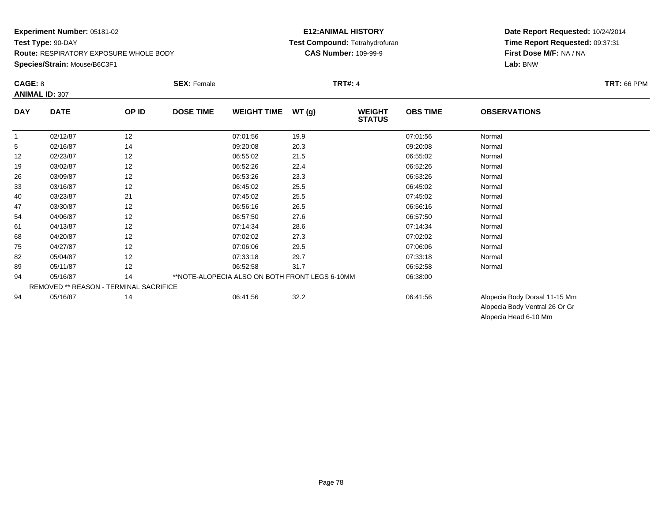#### **E12:ANIMAL HISTORY Test Compound:** Tetrahydrofuran**CAS Number:** 109-99-9

**Date Report Requested:** 10/24/2014**Time Report Requested:** 09:37:31**First Dose M/F:** NA / NA**Lab:** BNW

| CAGE: 8    | <b>ANIMAL ID: 307</b>                  |       | <b>SEX: Female</b>                             |       | <b>TRT#: 4</b>                 |                 |                                | <b>TRT: 66 PPM</b> |
|------------|----------------------------------------|-------|------------------------------------------------|-------|--------------------------------|-----------------|--------------------------------|--------------------|
| <b>DAY</b> | <b>DATE</b>                            | OP ID | <b>DOSE TIME</b><br><b>WEIGHT TIME</b>         | WT(g) | <b>WEIGHT</b><br><b>STATUS</b> | <b>OBS TIME</b> | <b>OBSERVATIONS</b>            |                    |
| 1          | 02/12/87                               | 12    | 07:01:56                                       | 19.9  |                                | 07:01:56        | Normal                         |                    |
| 5          | 02/16/87                               | 14    | 09:20:08                                       | 20.3  |                                | 09:20:08        | Normal                         |                    |
| 12         | 02/23/87                               | 12    | 06:55:02                                       | 21.5  |                                | 06:55:02        | Normal                         |                    |
| 19         | 03/02/87                               | 12    | 06:52:26                                       | 22.4  |                                | 06:52:26        | Normal                         |                    |
| 26         | 03/09/87                               | 12    | 06:53:26                                       | 23.3  |                                | 06:53:26        | Normal                         |                    |
| 33         | 03/16/87                               | 12    | 06:45:02                                       | 25.5  |                                | 06:45:02        | Normal                         |                    |
| 40         | 03/23/87                               | 21    | 07:45:02                                       | 25.5  |                                | 07:45:02        | Normal                         |                    |
| 47         | 03/30/87                               | 12    | 06:56:16                                       | 26.5  |                                | 06:56:16        | Normal                         |                    |
| 54         | 04/06/87                               | 12    | 06:57:50                                       | 27.6  |                                | 06:57:50        | Normal                         |                    |
| 61         | 04/13/87                               | 12    | 07:14:34                                       | 28.6  |                                | 07:14:34        | Normal                         |                    |
| 68         | 04/20/87                               | 12    | 07:02:02                                       | 27.3  |                                | 07:02:02        | Normal                         |                    |
| 75         | 04/27/87                               | 12    | 07:06:06                                       | 29.5  |                                | 07:06:06        | Normal                         |                    |
| 82         | 05/04/87                               | 12    | 07:33:18                                       | 29.7  |                                | 07:33:18        | Normal                         |                    |
| 89         | 05/11/87                               | 12    | 06:52:58                                       | 31.7  |                                | 06:52:58        | Normal                         |                    |
| 94         | 05/16/87                               | 14    | **NOTE-ALOPECIA ALSO ON BOTH FRONT LEGS 6-10MM |       |                                | 06:38:00        |                                |                    |
|            | REMOVED ** REASON - TERMINAL SACRIFICE |       |                                                |       |                                |                 |                                |                    |
| 94         | 05/16/87                               | 14    | 06:41:56                                       | 32.2  |                                | 06:41:56        | Alopecia Body Dorsal 11-15 Mm  |                    |
|            |                                        |       |                                                |       |                                |                 | Alopecia Body Ventral 26 Or Gr |                    |

Alopecia Head 6-10 Mm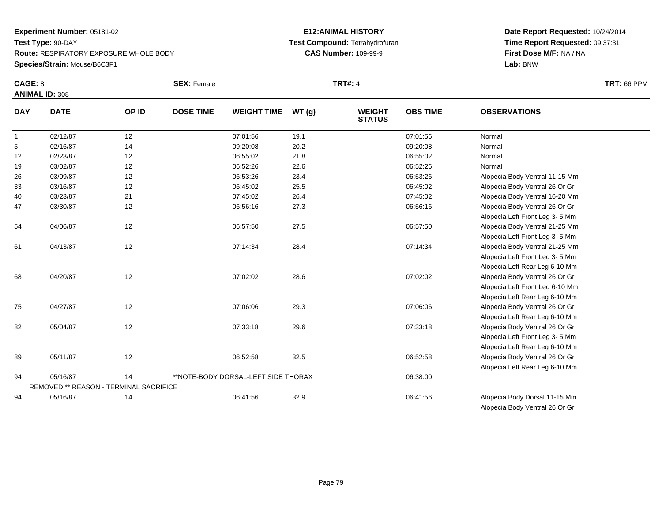#### **E12:ANIMAL HISTORY Test Compound:** Tetrahydrofuran**CAS Number:** 109-99-9

### **Date Report Requested:** 10/24/2014 **Time Report Requested:** 09:37:31**First Dose M/F:** NA / NA**Lab:** BNW

| CAGE: 8      | <b>ANIMAL ID: 308</b>                  |       | <b>SEX: Female</b>                  |                    |       | <b>TRT#: 4</b>                 |                 |                                 | <b>TRT: 66 PPM</b> |
|--------------|----------------------------------------|-------|-------------------------------------|--------------------|-------|--------------------------------|-----------------|---------------------------------|--------------------|
| <b>DAY</b>   | <b>DATE</b>                            | OP ID | <b>DOSE TIME</b>                    | <b>WEIGHT TIME</b> | WT(g) | <b>WEIGHT</b><br><b>STATUS</b> | <b>OBS TIME</b> | <b>OBSERVATIONS</b>             |                    |
| $\mathbf{1}$ | 02/12/87                               | 12    |                                     | 07:01:56           | 19.1  |                                | 07:01:56        | Normal                          |                    |
| 5            | 02/16/87                               | 14    |                                     | 09:20:08           | 20.2  |                                | 09:20:08        | Normal                          |                    |
| 12           | 02/23/87                               | 12    |                                     | 06:55:02           | 21.8  |                                | 06:55:02        | Normal                          |                    |
| 19           | 03/02/87                               | 12    |                                     | 06:52:26           | 22.6  |                                | 06:52:26        | Normal                          |                    |
| 26           | 03/09/87                               | 12    |                                     | 06:53:26           | 23.4  |                                | 06:53:26        | Alopecia Body Ventral 11-15 Mm  |                    |
| 33           | 03/16/87                               | 12    |                                     | 06:45:02           | 25.5  |                                | 06:45:02        | Alopecia Body Ventral 26 Or Gr  |                    |
| 40           | 03/23/87                               | 21    |                                     | 07:45:02           | 26.4  |                                | 07:45:02        | Alopecia Body Ventral 16-20 Mm  |                    |
| 47           | 03/30/87                               | 12    |                                     | 06:56:16           | 27.3  |                                | 06:56:16        | Alopecia Body Ventral 26 Or Gr  |                    |
|              |                                        |       |                                     |                    |       |                                |                 | Alopecia Left Front Leg 3-5 Mm  |                    |
| 54           | 04/06/87                               | 12    |                                     | 06:57:50           | 27.5  |                                | 06:57:50        | Alopecia Body Ventral 21-25 Mm  |                    |
|              |                                        |       |                                     |                    |       |                                |                 | Alopecia Left Front Leg 3-5 Mm  |                    |
| 61           | 04/13/87                               | 12    |                                     | 07:14:34           | 28.4  |                                | 07:14:34        | Alopecia Body Ventral 21-25 Mm  |                    |
|              |                                        |       |                                     |                    |       |                                |                 | Alopecia Left Front Leg 3-5 Mm  |                    |
|              |                                        |       |                                     |                    |       |                                |                 | Alopecia Left Rear Leg 6-10 Mm  |                    |
| 68           | 04/20/87                               | 12    |                                     | 07:02:02           | 28.6  |                                | 07:02:02        | Alopecia Body Ventral 26 Or Gr  |                    |
|              |                                        |       |                                     |                    |       |                                |                 | Alopecia Left Front Leg 6-10 Mm |                    |
|              |                                        |       |                                     |                    |       |                                |                 | Alopecia Left Rear Leg 6-10 Mm  |                    |
| 75           | 04/27/87                               | 12    |                                     | 07:06:06           | 29.3  |                                | 07:06:06        | Alopecia Body Ventral 26 Or Gr  |                    |
|              |                                        |       |                                     |                    |       |                                |                 | Alopecia Left Rear Leg 6-10 Mm  |                    |
| 82           | 05/04/87                               | 12    |                                     | 07:33:18           | 29.6  |                                | 07:33:18        | Alopecia Body Ventral 26 Or Gr  |                    |
|              |                                        |       |                                     |                    |       |                                |                 | Alopecia Left Front Leg 3-5 Mm  |                    |
|              |                                        |       |                                     |                    |       |                                |                 | Alopecia Left Rear Leg 6-10 Mm  |                    |
| 89           | 05/11/87                               | 12    |                                     | 06:52:58           | 32.5  |                                | 06:52:58        | Alopecia Body Ventral 26 Or Gr  |                    |
|              |                                        |       |                                     |                    |       |                                |                 | Alopecia Left Rear Leg 6-10 Mm  |                    |
| 94           | 05/16/87                               | 14    | **NOTE-BODY DORSAL-LEFT SIDE THORAX |                    |       |                                | 06:38:00        |                                 |                    |
|              | REMOVED ** REASON - TERMINAL SACRIFICE |       |                                     |                    |       |                                |                 |                                 |                    |
| 94           | 05/16/87                               | 14    |                                     | 06:41:56           | 32.9  |                                | 06:41:56        | Alopecia Body Dorsal 11-15 Mm   |                    |

#### Alopecia Body Ventral 26 Or Gr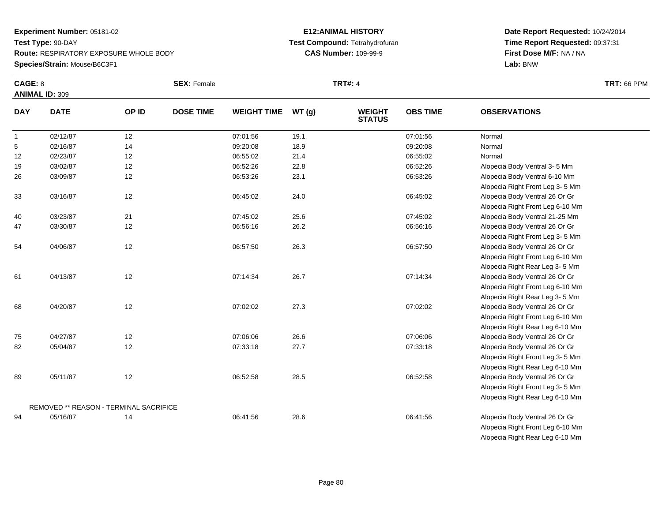### **E12:ANIMAL HISTORY Test Compound:** Tetrahydrofuran**CAS Number:** 109-99-9

**Date Report Requested:** 10/24/2014 **Time Report Requested:** 09:37:31**First Dose M/F:** NA / NA**Lab:** BNW

| CAGE: 8        | <b>ANIMAL ID: 309</b>                  |       | <b>SEX: Female</b> |                    |       | <b>TRT#: 4</b>                 |                 |                                  | <b>TRT: 66 PPM</b> |
|----------------|----------------------------------------|-------|--------------------|--------------------|-------|--------------------------------|-----------------|----------------------------------|--------------------|
| <b>DAY</b>     | <b>DATE</b>                            | OP ID | <b>DOSE TIME</b>   | <b>WEIGHT TIME</b> | WT(g) | <b>WEIGHT</b><br><b>STATUS</b> | <b>OBS TIME</b> | <b>OBSERVATIONS</b>              |                    |
| $\overline{1}$ | 02/12/87                               | 12    |                    | 07:01:56           | 19.1  |                                | 07:01:56        | Normal                           |                    |
| 5              | 02/16/87                               | 14    |                    | 09:20:08           | 18.9  |                                | 09:20:08        | Normal                           |                    |
| 12             | 02/23/87                               | 12    |                    | 06:55:02           | 21.4  |                                | 06:55:02        | Normal                           |                    |
| 19             | 03/02/87                               | 12    |                    | 06:52:26           | 22.8  |                                | 06:52:26        | Alopecia Body Ventral 3-5 Mm     |                    |
| 26             | 03/09/87                               | 12    |                    | 06:53:26           | 23.1  |                                | 06:53:26        | Alopecia Body Ventral 6-10 Mm    |                    |
|                |                                        |       |                    |                    |       |                                |                 | Alopecia Right Front Leg 3-5 Mm  |                    |
| 33             | 03/16/87                               | 12    |                    | 06:45:02           | 24.0  |                                | 06:45:02        | Alopecia Body Ventral 26 Or Gr   |                    |
|                |                                        |       |                    |                    |       |                                |                 | Alopecia Right Front Leg 6-10 Mm |                    |
| 40             | 03/23/87                               | 21    |                    | 07:45:02           | 25.6  |                                | 07:45:02        | Alopecia Body Ventral 21-25 Mm   |                    |
| 47             | 03/30/87                               | 12    |                    | 06:56:16           | 26.2  |                                | 06:56:16        | Alopecia Body Ventral 26 Or Gr   |                    |
|                |                                        |       |                    |                    |       |                                |                 | Alopecia Right Front Leg 3-5 Mm  |                    |
| 54             | 04/06/87                               | 12    |                    | 06:57:50           | 26.3  |                                | 06:57:50        | Alopecia Body Ventral 26 Or Gr   |                    |
|                |                                        |       |                    |                    |       |                                |                 | Alopecia Right Front Leg 6-10 Mm |                    |
|                |                                        |       |                    |                    |       |                                |                 | Alopecia Right Rear Leg 3-5 Mm   |                    |
| 61             | 04/13/87                               | 12    |                    | 07:14:34           | 26.7  |                                | 07:14:34        | Alopecia Body Ventral 26 Or Gr   |                    |
|                |                                        |       |                    |                    |       |                                |                 | Alopecia Right Front Leg 6-10 Mm |                    |
|                |                                        |       |                    |                    |       |                                |                 | Alopecia Right Rear Leg 3-5 Mm   |                    |
| 68             | 04/20/87                               | 12    |                    | 07:02:02           | 27.3  |                                | 07:02:02        | Alopecia Body Ventral 26 Or Gr   |                    |
|                |                                        |       |                    |                    |       |                                |                 | Alopecia Right Front Leg 6-10 Mm |                    |
|                |                                        |       |                    |                    |       |                                |                 | Alopecia Right Rear Leg 6-10 Mm  |                    |
| 75             | 04/27/87                               | 12    |                    | 07:06:06           | 26.6  |                                | 07:06:06        | Alopecia Body Ventral 26 Or Gr   |                    |
| 82             | 05/04/87                               | 12    |                    | 07:33:18           | 27.7  |                                | 07:33:18        | Alopecia Body Ventral 26 Or Gr   |                    |
|                |                                        |       |                    |                    |       |                                |                 | Alopecia Right Front Leg 3-5 Mm  |                    |
|                |                                        |       |                    |                    |       |                                |                 | Alopecia Right Rear Leg 6-10 Mm  |                    |
| 89             | 05/11/87                               | 12    |                    | 06:52:58           | 28.5  |                                | 06:52:58        | Alopecia Body Ventral 26 Or Gr   |                    |
|                |                                        |       |                    |                    |       |                                |                 | Alopecia Right Front Leg 3-5 Mm  |                    |
|                |                                        |       |                    |                    |       |                                |                 | Alopecia Right Rear Leg 6-10 Mm  |                    |
|                | REMOVED ** REASON - TERMINAL SACRIFICE |       |                    |                    |       |                                |                 |                                  |                    |
| 94             | 05/16/87                               | 14    |                    | 06:41:56           | 28.6  |                                | 06:41:56        | Alopecia Body Ventral 26 Or Gr   |                    |
|                |                                        |       |                    |                    |       |                                |                 | Alopecia Right Front Leg 6-10 Mm |                    |

Alopecia Right Rear Leg 6-10 Mm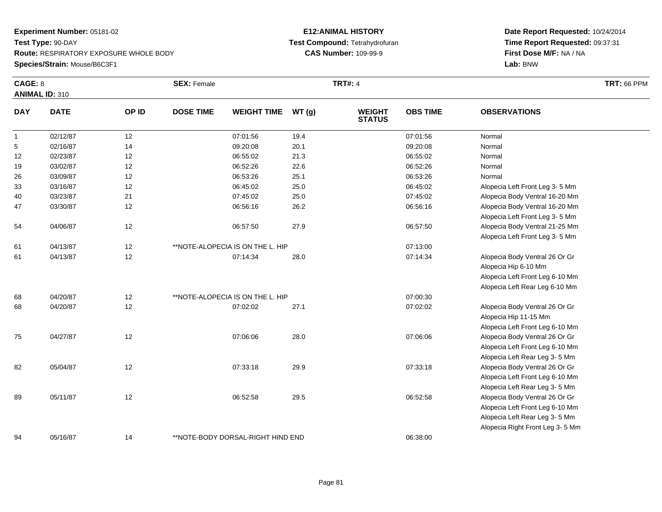### **E12:ANIMAL HISTORY Test Compound:** Tetrahydrofuran**CAS Number:** 109-99-9

| CAGE: 8      | <b>ANIMAL ID: 310</b> |       | <b>SEX: Female</b> |                                   |       | <b>TRT#: 4</b>                 |                 |                                                                                                                                       | <b>TRT: 66 PPM</b> |
|--------------|-----------------------|-------|--------------------|-----------------------------------|-------|--------------------------------|-----------------|---------------------------------------------------------------------------------------------------------------------------------------|--------------------|
| <b>DAY</b>   | <b>DATE</b>           | OP ID | <b>DOSE TIME</b>   | <b>WEIGHT TIME</b>                | WT(g) | <b>WEIGHT</b><br><b>STATUS</b> | <b>OBS TIME</b> | <b>OBSERVATIONS</b>                                                                                                                   |                    |
| $\mathbf{1}$ | 02/12/87              | 12    |                    | 07:01:56                          | 19.4  |                                | 07:01:56        | Normal                                                                                                                                |                    |
| 5            | 02/16/87              | 14    |                    | 09:20:08                          | 20.1  |                                | 09:20:08        | Normal                                                                                                                                |                    |
| 12           | 02/23/87              | 12    |                    | 06:55:02                          | 21.3  |                                | 06:55:02        | Normal                                                                                                                                |                    |
| 19           | 03/02/87              | 12    |                    | 06:52:26                          | 22.6  |                                | 06:52:26        | Normal                                                                                                                                |                    |
| 26           | 03/09/87              | 12    |                    | 06:53:26                          | 25.1  |                                | 06:53:26        | Normal                                                                                                                                |                    |
| 33           | 03/16/87              | 12    |                    | 06:45:02                          | 25.0  |                                | 06:45:02        | Alopecia Left Front Leg 3-5 Mm                                                                                                        |                    |
| 40           | 03/23/87              | 21    |                    | 07:45:02                          | 25.0  |                                | 07:45:02        | Alopecia Body Ventral 16-20 Mm                                                                                                        |                    |
| 47           | 03/30/87              | 12    |                    | 06:56:16                          | 26.2  |                                | 06:56:16        | Alopecia Body Ventral 16-20 Mm<br>Alopecia Left Front Leg 3- 5 Mm                                                                     |                    |
| 54           | 04/06/87              | 12    |                    | 06:57:50                          | 27.9  |                                | 06:57:50        | Alopecia Body Ventral 21-25 Mm<br>Alopecia Left Front Leg 3-5 Mm                                                                      |                    |
| 61           | 04/13/87              | 12    |                    | **NOTE-ALOPECIA IS ON THE L. HIP  |       |                                | 07:13:00        |                                                                                                                                       |                    |
| 61           | 04/13/87              | 12    |                    | 07:14:34                          | 28.0  |                                | 07:14:34        | Alopecia Body Ventral 26 Or Gr<br>Alopecia Hip 6-10 Mm<br>Alopecia Left Front Leg 6-10 Mm<br>Alopecia Left Rear Leg 6-10 Mm           |                    |
| 68           | 04/20/87              | 12    |                    | **NOTE-ALOPECIA IS ON THE L. HIP  |       |                                | 07:00:30        |                                                                                                                                       |                    |
| 68           | 04/20/87              | 12    |                    | 07:02:02                          | 27.1  |                                | 07:02:02        | Alopecia Body Ventral 26 Or Gr<br>Alopecia Hip 11-15 Mm<br>Alopecia Left Front Leg 6-10 Mm                                            |                    |
| 75           | 04/27/87              | 12    |                    | 07:06:06                          | 28.0  |                                | 07:06:06        | Alopecia Body Ventral 26 Or Gr<br>Alopecia Left Front Leg 6-10 Mm<br>Alopecia Left Rear Leg 3-5 Mm                                    |                    |
| 82           | 05/04/87              | 12    |                    | 07:33:18                          | 29.9  |                                | 07:33:18        | Alopecia Body Ventral 26 Or Gr<br>Alopecia Left Front Leg 6-10 Mm<br>Alopecia Left Rear Leg 3- 5 Mm                                   |                    |
| 89           | 05/11/87              | 12    |                    | 06:52:58                          | 29.5  |                                | 06:52:58        | Alopecia Body Ventral 26 Or Gr<br>Alopecia Left Front Leg 6-10 Mm<br>Alopecia Left Rear Leg 3-5 Mm<br>Alopecia Right Front Leg 3-5 Mm |                    |
| 94           | 05/16/87              | 14    |                    | **NOTE-BODY DORSAL-RIGHT HIND END |       |                                | 06:38:00        |                                                                                                                                       |                    |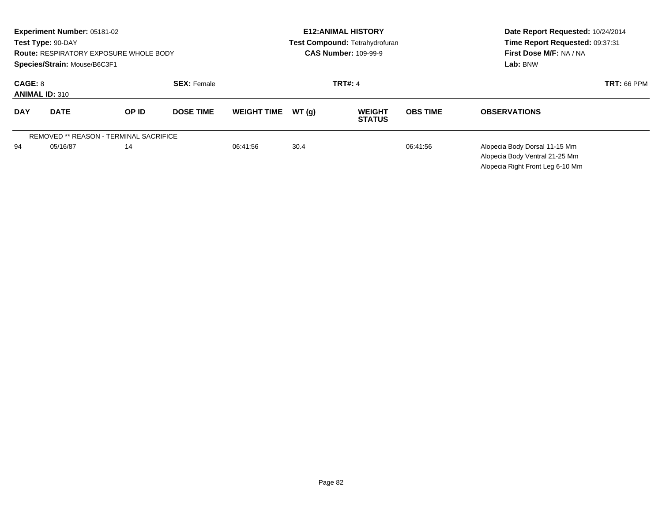|                                  | <b>Experiment Number: 05181-02</b><br>Test Type: 90-DAY<br>Species/Strain: Mouse/B6C3F1 | <b>Route: RESPIRATORY EXPOSURE WHOLE BODY</b> |                    |                    |       | <b>E12: ANIMAL HISTORY</b><br>Test Compound: Tetrahydrofuran<br><b>CAS Number: 109-99-9</b> | Date Report Requested: 10/24/2014<br>Time Report Requested: 09:37:31<br>First Dose M/F: NA / NA<br>Lab: BNW |                                                                                                     |
|----------------------------------|-----------------------------------------------------------------------------------------|-----------------------------------------------|--------------------|--------------------|-------|---------------------------------------------------------------------------------------------|-------------------------------------------------------------------------------------------------------------|-----------------------------------------------------------------------------------------------------|
| CAGE: 8<br><b>ANIMAL ID: 310</b> |                                                                                         |                                               | <b>SEX: Female</b> |                    |       | <b>TRT#: 4</b>                                                                              | <b>TRT: 66 PPM</b>                                                                                          |                                                                                                     |
| <b>DAY</b>                       | <b>DATE</b>                                                                             | OP ID                                         | <b>DOSE TIME</b>   | <b>WEIGHT TIME</b> | WT(q) | <b>WEIGHT</b><br><b>STATUS</b>                                                              | <b>OBS TIME</b>                                                                                             | <b>OBSERVATIONS</b>                                                                                 |
|                                  |                                                                                         | <b>REMOVED ** REASON - TERMINAL SACRIFICE</b> |                    |                    |       |                                                                                             |                                                                                                             |                                                                                                     |
| 94                               | 05/16/87                                                                                | 14                                            |                    | 06:41:56           | 30.4  |                                                                                             | 06:41:56                                                                                                    | Alopecia Body Dorsal 11-15 Mm<br>Alopecia Body Ventral 21-25 Mm<br>Alopecia Right Front Leg 6-10 Mm |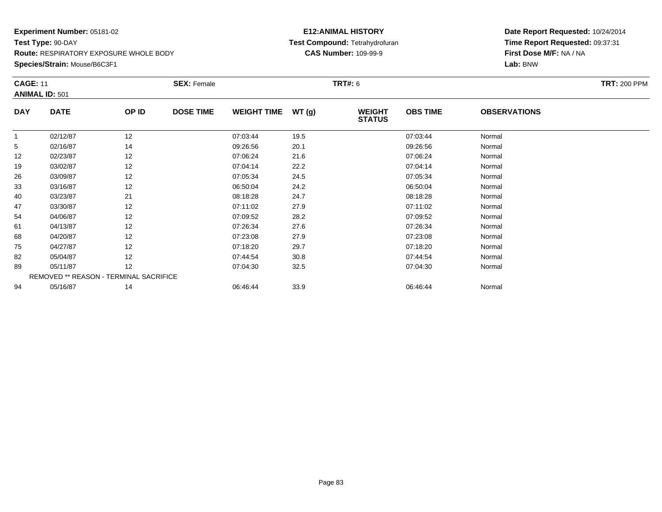**Species/Strain:** Mouse/B6C3F1

### **E12:ANIMAL HISTORY Test Compound:** Tetrahydrofuran**CAS Number:** 109-99-9

|            | <b>CAGE: 11</b><br><b>ANIMAL ID: 501</b> |       | <b>SEX: Female</b> |                    |       | <b>TRT#:</b> 6                 | <b>TRT: 200 PPM</b> |                     |  |
|------------|------------------------------------------|-------|--------------------|--------------------|-------|--------------------------------|---------------------|---------------------|--|
| <b>DAY</b> | <b>DATE</b>                              | OP ID | <b>DOSE TIME</b>   | <b>WEIGHT TIME</b> | WT(g) | <b>WEIGHT</b><br><b>STATUS</b> | <b>OBS TIME</b>     | <b>OBSERVATIONS</b> |  |
|            | 02/12/87                                 | 12    |                    | 07:03:44           | 19.5  |                                | 07:03:44            | Normal              |  |
| 5          | 02/16/87                                 | 14    |                    | 09:26:56           | 20.1  |                                | 09:26:56            | Normal              |  |
| 12         | 02/23/87                                 | 12    |                    | 07:06:24           | 21.6  |                                | 07:06:24            | Normal              |  |
| 19         | 03/02/87                                 | 12    |                    | 07:04:14           | 22.2  |                                | 07:04:14            | Normal              |  |
| 26         | 03/09/87                                 | 12    |                    | 07:05:34           | 24.5  |                                | 07:05:34            | Normal              |  |
| 33         | 03/16/87                                 | 12    |                    | 06:50:04           | 24.2  |                                | 06:50:04            | Normal              |  |
| 40         | 03/23/87                                 | 21    |                    | 08:18:28           | 24.7  |                                | 08:18:28            | Normal              |  |
| 47         | 03/30/87                                 | 12    |                    | 07:11:02           | 27.9  |                                | 07:11:02            | Normal              |  |
| 54         | 04/06/87                                 | 12    |                    | 07:09:52           | 28.2  |                                | 07:09:52            | Normal              |  |
| 61         | 04/13/87                                 | 12    |                    | 07:26:34           | 27.6  |                                | 07:26:34            | Normal              |  |
| 68         | 04/20/87                                 | 12    |                    | 07:23:08           | 27.9  |                                | 07:23:08            | Normal              |  |
| 75         | 04/27/87                                 | 12    |                    | 07:18:20           | 29.7  |                                | 07:18:20            | Normal              |  |
| 82         | 05/04/87                                 | 12    |                    | 07:44:54           | 30.8  |                                | 07:44:54            | Normal              |  |
| 89         | 05/11/87                                 | 12    |                    | 07:04:30           | 32.5  |                                | 07:04:30            | Normal              |  |
|            | REMOVED ** REASON - TERMINAL SACRIFICE   |       |                    |                    |       |                                |                     |                     |  |
| 94         | 05/16/87                                 | 14    |                    | 06:46:44           | 33.9  |                                | 06:46:44            | Normal              |  |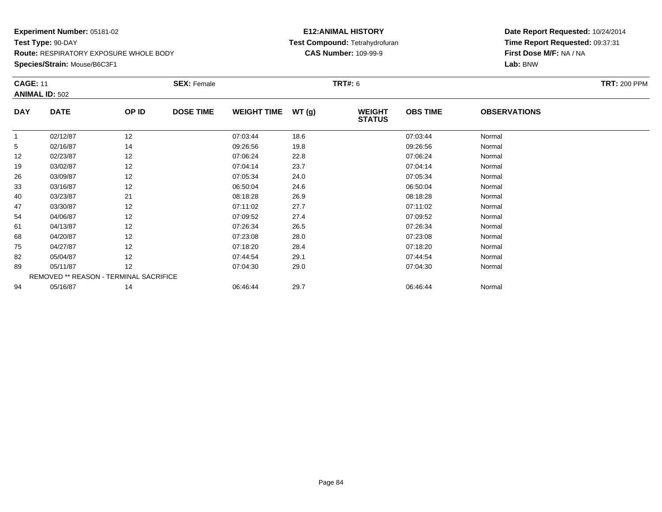**Species/Strain:** Mouse/B6C3F1

### **E12:ANIMAL HISTORY Test Compound:** Tetrahydrofuran**CAS Number:** 109-99-9

|            | <b>CAGE: 11</b><br><b>ANIMAL ID: 502</b> |       | <b>SEX: Female</b> |                    |       | <b>TRT#: 6</b>                 | <b>TRT: 200 PPM</b> |                     |  |
|------------|------------------------------------------|-------|--------------------|--------------------|-------|--------------------------------|---------------------|---------------------|--|
| <b>DAY</b> | <b>DATE</b>                              | OP ID | <b>DOSE TIME</b>   | <b>WEIGHT TIME</b> | WT(g) | <b>WEIGHT</b><br><b>STATUS</b> | <b>OBS TIME</b>     | <b>OBSERVATIONS</b> |  |
|            | 02/12/87                                 | 12    |                    | 07:03:44           | 18.6  |                                | 07:03:44            | Normal              |  |
| 5          | 02/16/87                                 | 14    |                    | 09:26:56           | 19.8  |                                | 09:26:56            | Normal              |  |
| 12         | 02/23/87                                 | 12    |                    | 07:06:24           | 22.8  |                                | 07:06:24            | Normal              |  |
| 19         | 03/02/87                                 | 12    |                    | 07:04:14           | 23.7  |                                | 07:04:14            | Normal              |  |
| 26         | 03/09/87                                 | 12    |                    | 07:05:34           | 24.0  |                                | 07:05:34            | Normal              |  |
| 33         | 03/16/87                                 | 12    |                    | 06:50:04           | 24.6  |                                | 06:50:04            | Normal              |  |
| 40         | 03/23/87                                 | 21    |                    | 08:18:28           | 26.9  |                                | 08:18:28            | Normal              |  |
| 47         | 03/30/87                                 | 12    |                    | 07:11:02           | 27.7  |                                | 07:11:02            | Normal              |  |
| 54         | 04/06/87                                 | 12    |                    | 07:09:52           | 27.4  |                                | 07:09:52            | Normal              |  |
| 61         | 04/13/87                                 | 12    |                    | 07:26:34           | 26.5  |                                | 07:26:34            | Normal              |  |
| 68         | 04/20/87                                 | 12    |                    | 07:23:08           | 28.0  |                                | 07:23:08            | Normal              |  |
| 75         | 04/27/87                                 | 12    |                    | 07:18:20           | 28.4  |                                | 07:18:20            | Normal              |  |
| 82         | 05/04/87                                 | 12    |                    | 07:44:54           | 29.1  |                                | 07:44:54            | Normal              |  |
| 89         | 05/11/87                                 | 12    |                    | 07:04:30           | 29.0  |                                | 07:04:30            | Normal              |  |
|            | REMOVED ** REASON - TERMINAL SACRIFICE   |       |                    |                    |       |                                |                     |                     |  |
| 94         | 05/16/87                                 | 14    |                    | 06:46:44           | 29.7  |                                | 06:46:44            | Normal              |  |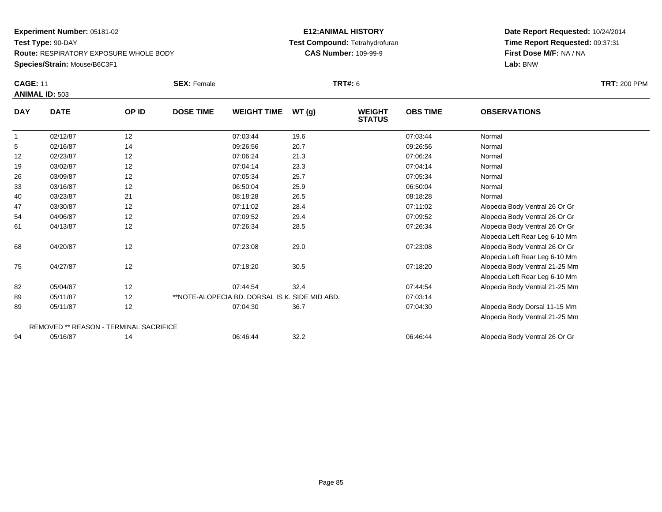### **Species/Strain:** Mouse/B6C3F1

### **E12:ANIMAL HISTORY Test Compound:** Tetrahydrofuran**CAS Number:** 109-99-9

|                 | <b>CAGE: 11</b><br><b>ANIMAL ID: 503</b> |       | <b>SEX: Female</b>                             | <b>TRT#: 6</b> | <b>TRT: 200 PPM</b>            |                 |                                |  |
|-----------------|------------------------------------------|-------|------------------------------------------------|----------------|--------------------------------|-----------------|--------------------------------|--|
| <b>DAY</b>      | <b>DATE</b>                              | OP ID | <b>DOSE TIME</b><br><b>WEIGHT TIME</b>         | WT(g)          | <b>WEIGHT</b><br><b>STATUS</b> | <b>OBS TIME</b> | <b>OBSERVATIONS</b>            |  |
|                 | 02/12/87                                 | 12    | 07:03:44                                       | 19.6           |                                | 07:03:44        | Normal                         |  |
| $5\phantom{.0}$ | 02/16/87                                 | 14    | 09:26:56                                       | 20.7           |                                | 09:26:56        | Normal                         |  |
| 12              | 02/23/87                                 | 12    | 07:06:24                                       | 21.3           |                                | 07:06:24        | Normal                         |  |
| 19              | 03/02/87                                 | 12    | 07:04:14                                       | 23.3           |                                | 07:04:14        | Normal                         |  |
| 26              | 03/09/87                                 | 12    | 07:05:34                                       | 25.7           |                                | 07:05:34        | Normal                         |  |
| 33              | 03/16/87                                 | 12    | 06:50:04                                       | 25.9           |                                | 06:50:04        | Normal                         |  |
| 40              | 03/23/87                                 | 21    | 08:18:28                                       | 26.5           |                                | 08:18:28        | Normal                         |  |
| 47              | 03/30/87                                 | 12    | 07:11:02                                       | 28.4           |                                | 07:11:02        | Alopecia Body Ventral 26 Or Gr |  |
| 54              | 04/06/87                                 | 12    | 07:09:52                                       | 29.4           |                                | 07:09:52        | Alopecia Body Ventral 26 Or Gr |  |
| 61              | 04/13/87                                 | 12    | 07:26:34                                       | 28.5           |                                | 07:26:34        | Alopecia Body Ventral 26 Or Gr |  |
|                 |                                          |       |                                                |                |                                |                 | Alopecia Left Rear Leg 6-10 Mm |  |
| 68              | 04/20/87                                 | 12    | 07:23:08                                       | 29.0           |                                | 07:23:08        | Alopecia Body Ventral 26 Or Gr |  |
|                 |                                          |       |                                                |                |                                |                 | Alopecia Left Rear Leg 6-10 Mm |  |
| 75              | 04/27/87                                 | 12    | 07:18:20                                       | 30.5           |                                | 07:18:20        | Alopecia Body Ventral 21-25 Mm |  |
|                 |                                          |       |                                                |                |                                |                 | Alopecia Left Rear Leg 6-10 Mm |  |
| 82              | 05/04/87                                 | 12    | 07:44:54                                       | 32.4           |                                | 07:44:54        | Alopecia Body Ventral 21-25 Mm |  |
| 89              | 05/11/87                                 | 12    | **NOTE-ALOPECIA BD, DORSAL IS K, SIDE MID ABD. |                |                                | 07:03:14        |                                |  |
| 89              | 05/11/87                                 | 12    | 07:04:30                                       | 36.7           |                                | 07:04:30        | Alopecia Body Dorsal 11-15 Mm  |  |
|                 |                                          |       |                                                |                |                                |                 | Alopecia Body Ventral 21-25 Mm |  |
|                 | REMOVED ** REASON - TERMINAL SACRIFICE   |       |                                                |                |                                |                 |                                |  |
| 94              | 05/16/87                                 | 14    | 06:46:44                                       | 32.2           |                                | 06:46:44        | Alopecia Body Ventral 26 Or Gr |  |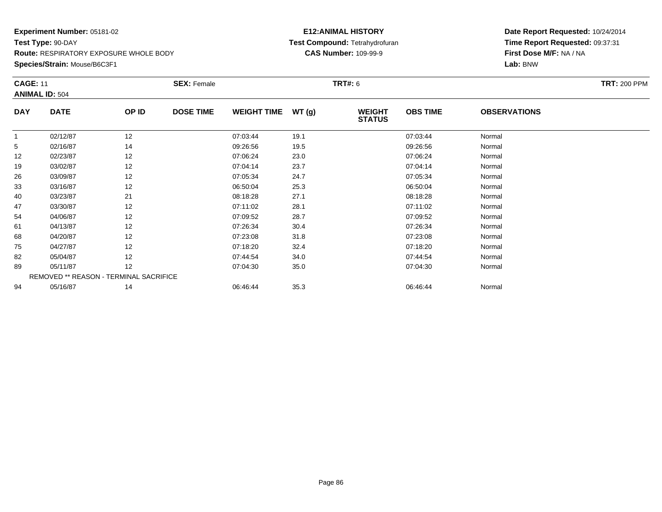**Species/Strain:** Mouse/B6C3F1

### **E12:ANIMAL HISTORY Test Compound:** Tetrahydrofuran**CAS Number:** 109-99-9

| <b>CAGE: 11</b> |                                        |       | <b>SEX: Female</b> |                    |       | <b>TRT#:</b> 6                 |                 |                     | <b>TRT: 200 PPM</b> |
|-----------------|----------------------------------------|-------|--------------------|--------------------|-------|--------------------------------|-----------------|---------------------|---------------------|
|                 | <b>ANIMAL ID: 504</b>                  |       |                    |                    |       |                                |                 |                     |                     |
| <b>DAY</b>      | <b>DATE</b>                            | OP ID | <b>DOSE TIME</b>   | <b>WEIGHT TIME</b> | WT(g) | <b>WEIGHT</b><br><b>STATUS</b> | <b>OBS TIME</b> | <b>OBSERVATIONS</b> |                     |
|                 | 02/12/87                               | 12    |                    | 07:03:44           | 19.1  |                                | 07:03:44        | Normal              |                     |
| 5               | 02/16/87                               | 14    |                    | 09:26:56           | 19.5  |                                | 09:26:56        | Normal              |                     |
| 12              | 02/23/87                               | 12    |                    | 07:06:24           | 23.0  |                                | 07:06:24        | Normal              |                     |
| 19              | 03/02/87                               | 12    |                    | 07:04:14           | 23.7  |                                | 07:04:14        | Normal              |                     |
| 26              | 03/09/87                               | 12    |                    | 07:05:34           | 24.7  |                                | 07:05:34        | Normal              |                     |
| 33              | 03/16/87                               | 12    |                    | 06:50:04           | 25.3  |                                | 06:50:04        | Normal              |                     |
| 40              | 03/23/87                               | 21    |                    | 08:18:28           | 27.1  |                                | 08:18:28        | Normal              |                     |
| 47              | 03/30/87                               | 12    |                    | 07:11:02           | 28.1  |                                | 07:11:02        | Normal              |                     |
| 54              | 04/06/87                               | 12    |                    | 07:09:52           | 28.7  |                                | 07:09:52        | Normal              |                     |
| 61              | 04/13/87                               | 12    |                    | 07:26:34           | 30.4  |                                | 07:26:34        | Normal              |                     |
| 68              | 04/20/87                               | 12    |                    | 07:23:08           | 31.8  |                                | 07:23:08        | Normal              |                     |
| 75              | 04/27/87                               | 12    |                    | 07:18:20           | 32.4  |                                | 07:18:20        | Normal              |                     |
| 82              | 05/04/87                               | 12    |                    | 07:44:54           | 34.0  |                                | 07:44:54        | Normal              |                     |
| 89              | 05/11/87                               | 12    |                    | 07:04:30           | 35.0  |                                | 07:04:30        | Normal              |                     |
|                 | REMOVED ** REASON - TERMINAL SACRIFICE |       |                    |                    |       |                                |                 |                     |                     |
| 94              | 05/16/87                               | 14    |                    | 06:46:44           | 35.3  |                                | 06:46:44        | Normal              |                     |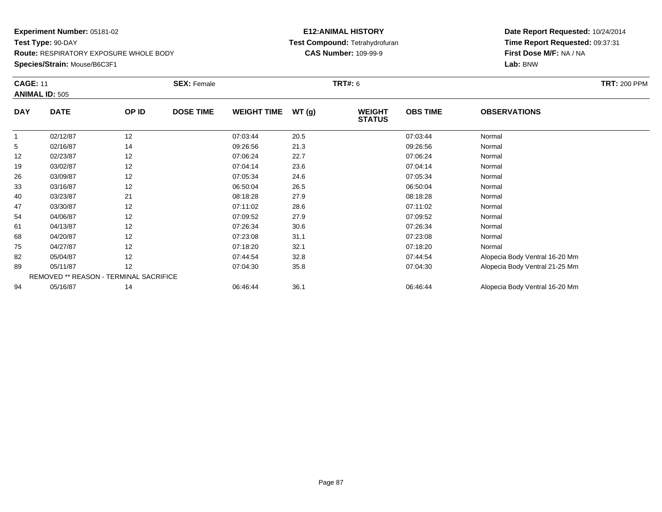**Species/Strain:** Mouse/B6C3F1

### **E12:ANIMAL HISTORY Test Compound:** Tetrahydrofuran**CAS Number:** 109-99-9

| <b>CAGE: 11</b> | <b>ANIMAL ID: 505</b>                  |       | <b>SEX: Female</b> |                    |       | <b>TRT#: 6</b>                 |                 |                                | <b>TRT: 200 PPM</b> |
|-----------------|----------------------------------------|-------|--------------------|--------------------|-------|--------------------------------|-----------------|--------------------------------|---------------------|
| <b>DAY</b>      | <b>DATE</b>                            | OP ID | <b>DOSE TIME</b>   | <b>WEIGHT TIME</b> | WT(g) | <b>WEIGHT</b><br><b>STATUS</b> | <b>OBS TIME</b> | <b>OBSERVATIONS</b>            |                     |
|                 | 02/12/87                               | 12    |                    | 07:03:44           | 20.5  |                                | 07:03:44        | Normal                         |                     |
| 5               | 02/16/87                               | 14    |                    | 09:26:56           | 21.3  |                                | 09:26:56        | Normal                         |                     |
| 12              | 02/23/87                               | 12    |                    | 07:06:24           | 22.7  |                                | 07:06:24        | Normal                         |                     |
| 19              | 03/02/87                               | 12    |                    | 07:04:14           | 23.6  |                                | 07:04:14        | Normal                         |                     |
| 26              | 03/09/87                               | 12    |                    | 07:05:34           | 24.6  |                                | 07:05:34        | Normal                         |                     |
| 33              | 03/16/87                               | 12    |                    | 06:50:04           | 26.5  |                                | 06:50:04        | Normal                         |                     |
| 40              | 03/23/87                               | 21    |                    | 08:18:28           | 27.9  |                                | 08:18:28        | Normal                         |                     |
| 47              | 03/30/87                               | 12    |                    | 07:11:02           | 28.6  |                                | 07:11:02        | Normal                         |                     |
| 54              | 04/06/87                               | 12    |                    | 07:09:52           | 27.9  |                                | 07:09:52        | Normal                         |                     |
| 61              | 04/13/87                               | 12    |                    | 07:26:34           | 30.6  |                                | 07:26:34        | Normal                         |                     |
| 68              | 04/20/87                               | 12    |                    | 07:23:08           | 31.1  |                                | 07:23:08        | Normal                         |                     |
| 75              | 04/27/87                               | 12    |                    | 07:18:20           | 32.1  |                                | 07:18:20        | Normal                         |                     |
| 82              | 05/04/87                               | 12    |                    | 07:44:54           | 32.8  |                                | 07:44:54        | Alopecia Body Ventral 16-20 Mm |                     |
| 89              | 05/11/87                               | 12    |                    | 07:04:30           | 35.8  |                                | 07:04:30        | Alopecia Body Ventral 21-25 Mm |                     |
|                 | REMOVED ** REASON - TERMINAL SACRIFICE |       |                    |                    |       |                                |                 |                                |                     |
| 94              | 05/16/87                               | 14    |                    | 06:46:44           | 36.1  |                                | 06:46:44        | Alopecia Body Ventral 16-20 Mm |                     |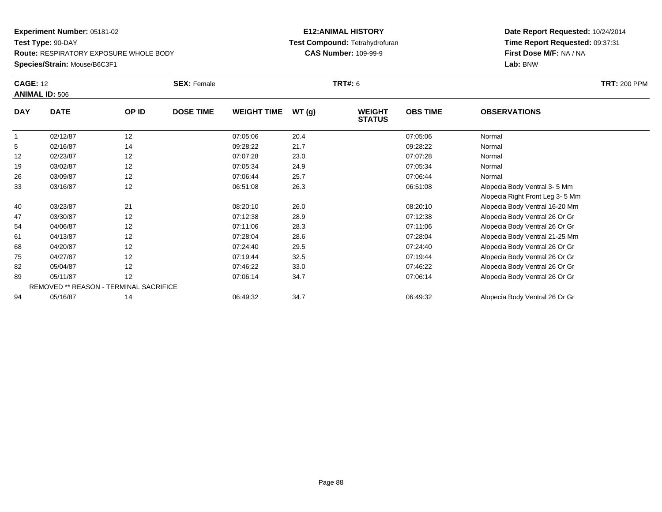#### **Species/Strain:** Mouse/B6C3F1

#### **E12:ANIMAL HISTORY Test Compound:** Tetrahydrofuran**CAS Number:** 109-99-9

| <b>CAGE: 12</b> | <b>ANIMAL ID: 506</b>                  |       | <b>SEX: Female</b> |                    |       | TRT#: 6                        |                 |                                 | <b>TRT: 200 PPM</b> |
|-----------------|----------------------------------------|-------|--------------------|--------------------|-------|--------------------------------|-----------------|---------------------------------|---------------------|
| <b>DAY</b>      | <b>DATE</b>                            | OP ID | <b>DOSE TIME</b>   | <b>WEIGHT TIME</b> | WT(g) | <b>WEIGHT</b><br><b>STATUS</b> | <b>OBS TIME</b> | <b>OBSERVATIONS</b>             |                     |
| $\overline{1}$  | 02/12/87                               | 12    |                    | 07:05:06           | 20.4  |                                | 07:05:06        | Normal                          |                     |
| 5               | 02/16/87                               | 14    |                    | 09:28:22           | 21.7  |                                | 09:28:22        | Normal                          |                     |
| 12              | 02/23/87                               | 12    |                    | 07:07:28           | 23.0  |                                | 07:07:28        | Normal                          |                     |
| 19              | 03/02/87                               | 12    |                    | 07:05:34           | 24.9  |                                | 07:05:34        | Normal                          |                     |
| 26              | 03/09/87                               | 12    |                    | 07:06:44           | 25.7  |                                | 07:06:44        | Normal                          |                     |
| 33              | 03/16/87                               | 12    |                    | 06:51:08           | 26.3  |                                | 06:51:08        | Alopecia Body Ventral 3-5 Mm    |                     |
|                 |                                        |       |                    |                    |       |                                |                 | Alopecia Right Front Leg 3-5 Mm |                     |
| 40              | 03/23/87                               | 21    |                    | 08:20:10           | 26.0  |                                | 08:20:10        | Alopecia Body Ventral 16-20 Mm  |                     |
| 47              | 03/30/87                               | 12    |                    | 07:12:38           | 28.9  |                                | 07:12:38        | Alopecia Body Ventral 26 Or Gr  |                     |
| 54              | 04/06/87                               | 12    |                    | 07:11:06           | 28.3  |                                | 07:11:06        | Alopecia Body Ventral 26 Or Gr  |                     |
| 61              | 04/13/87                               | 12    |                    | 07:28:04           | 28.6  |                                | 07:28:04        | Alopecia Body Ventral 21-25 Mm  |                     |
| 68              | 04/20/87                               | 12    |                    | 07:24:40           | 29.5  |                                | 07:24:40        | Alopecia Body Ventral 26 Or Gr  |                     |
| 75              | 04/27/87                               | 12    |                    | 07:19:44           | 32.5  |                                | 07:19:44        | Alopecia Body Ventral 26 Or Gr  |                     |
| 82              | 05/04/87                               | 12    |                    | 07:46:22           | 33.0  |                                | 07:46:22        | Alopecia Body Ventral 26 Or Gr  |                     |
| 89              | 05/11/87                               | 12    |                    | 07:06:14           | 34.7  |                                | 07:06:14        | Alopecia Body Ventral 26 Or Gr  |                     |
|                 | REMOVED ** REASON - TERMINAL SACRIFICE |       |                    |                    |       |                                |                 |                                 |                     |
| 94              | 05/16/87                               | 14    |                    | 06:49:32           | 34.7  |                                | 06:49:32        | Alopecia Body Ventral 26 Or Gr  |                     |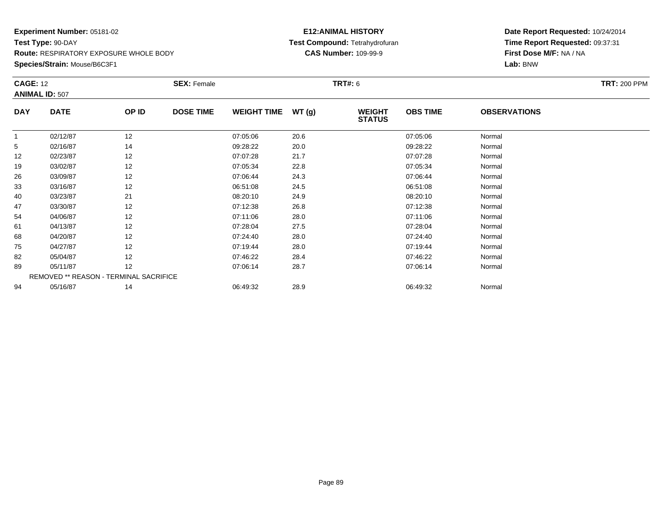**Species/Strain:** Mouse/B6C3F1

### **E12:ANIMAL HISTORY Test Compound:** Tetrahydrofuran**CAS Number:** 109-99-9

| <b>CAGE: 12</b> | <b>ANIMAL ID: 507</b>                  |       | <b>SEX: Female</b> |                    |        | TRT#: 6                        |                 |                     | <b>TRT: 200 PPM</b> |
|-----------------|----------------------------------------|-------|--------------------|--------------------|--------|--------------------------------|-----------------|---------------------|---------------------|
| <b>DAY</b>      | <b>DATE</b>                            | OP ID | <b>DOSE TIME</b>   | <b>WEIGHT TIME</b> | WT (g) | <b>WEIGHT</b><br><b>STATUS</b> | <b>OBS TIME</b> | <b>OBSERVATIONS</b> |                     |
|                 | 02/12/87                               | 12    |                    | 07:05:06           | 20.6   |                                | 07:05:06        | Normal              |                     |
| 5               | 02/16/87                               | 14    |                    | 09:28:22           | 20.0   |                                | 09:28:22        | Normal              |                     |
| 12              | 02/23/87                               | 12    |                    | 07:07:28           | 21.7   |                                | 07:07:28        | Normal              |                     |
| 19              | 03/02/87                               | 12    |                    | 07:05:34           | 22.8   |                                | 07:05:34        | Normal              |                     |
| 26              | 03/09/87                               | 12    |                    | 07:06:44           | 24.3   |                                | 07:06:44        | Normal              |                     |
| 33              | 03/16/87                               | 12    |                    | 06:51:08           | 24.5   |                                | 06:51:08        | Normal              |                     |
| 40              | 03/23/87                               | 21    |                    | 08:20:10           | 24.9   |                                | 08:20:10        | Normal              |                     |
| 47              | 03/30/87                               | 12    |                    | 07:12:38           | 26.8   |                                | 07:12:38        | Normal              |                     |
| 54              | 04/06/87                               | 12    |                    | 07:11:06           | 28.0   |                                | 07:11:06        | Normal              |                     |
| 61              | 04/13/87                               | 12    |                    | 07:28:04           | 27.5   |                                | 07:28:04        | Normal              |                     |
| 68              | 04/20/87                               | 12    |                    | 07:24:40           | 28.0   |                                | 07:24:40        | Normal              |                     |
| 75              | 04/27/87                               | 12    |                    | 07:19:44           | 28.0   |                                | 07:19:44        | Normal              |                     |
| 82              | 05/04/87                               | 12    |                    | 07:46:22           | 28.4   |                                | 07:46:22        | Normal              |                     |
| 89              | 05/11/87                               | 12    |                    | 07:06:14           | 28.7   |                                | 07:06:14        | Normal              |                     |
|                 | REMOVED ** REASON - TERMINAL SACRIFICE |       |                    |                    |        |                                |                 |                     |                     |
| 94              | 05/16/87                               | 14    |                    | 06:49:32           | 28.9   |                                | 06:49:32        | Normal              |                     |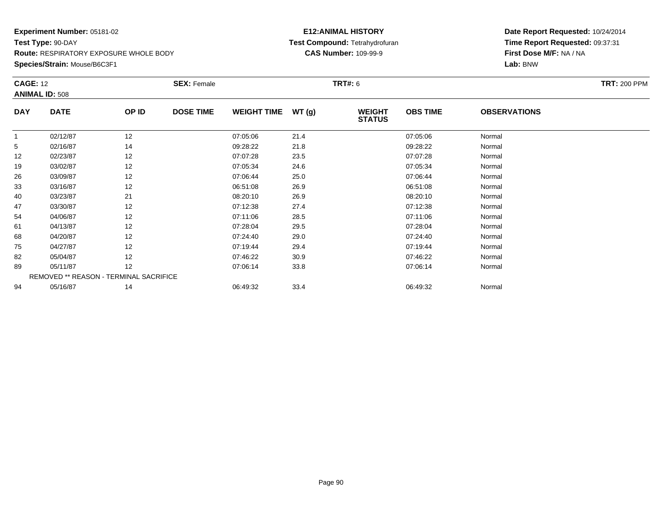**Species/Strain:** Mouse/B6C3F1

### **E12:ANIMAL HISTORY Test Compound:** Tetrahydrofuran**CAS Number:** 109-99-9

|            | <b>ANIMAL ID: 508</b>                  |       | <b>SEX: Female</b> |                    |       | <b>TRT#:</b> 6                 |                 |                     | <b>TRT: 200 PPM</b> |
|------------|----------------------------------------|-------|--------------------|--------------------|-------|--------------------------------|-----------------|---------------------|---------------------|
| <b>DAY</b> | <b>DATE</b>                            | OP ID | <b>DOSE TIME</b>   | <b>WEIGHT TIME</b> | WT(g) | <b>WEIGHT</b><br><b>STATUS</b> | <b>OBS TIME</b> | <b>OBSERVATIONS</b> |                     |
|            | 02/12/87                               | 12    |                    | 07:05:06           | 21.4  |                                | 07:05:06        | Normal              |                     |
| 5          | 02/16/87                               | 14    |                    | 09:28:22           | 21.8  |                                | 09:28:22        | Normal              |                     |
| 12         | 02/23/87                               | 12    |                    | 07:07:28           | 23.5  |                                | 07:07:28        | Normal              |                     |
| 19         | 03/02/87                               | 12    |                    | 07:05:34           | 24.6  |                                | 07:05:34        | Normal              |                     |
| 26         | 03/09/87                               | 12    |                    | 07:06:44           | 25.0  |                                | 07:06:44        | Normal              |                     |
| 33         | 03/16/87                               | 12    |                    | 06:51:08           | 26.9  |                                | 06:51:08        | Normal              |                     |
| 40         | 03/23/87                               | 21    |                    | 08:20:10           | 26.9  |                                | 08:20:10        | Normal              |                     |
| 47         | 03/30/87                               | 12    |                    | 07:12:38           | 27.4  |                                | 07:12:38        | Normal              |                     |
| 54         | 04/06/87                               | 12    |                    | 07:11:06           | 28.5  |                                | 07:11:06        | Normal              |                     |
| 61         | 04/13/87                               | 12    |                    | 07:28:04           | 29.5  |                                | 07:28:04        | Normal              |                     |
| 68         | 04/20/87                               | 12    |                    | 07:24:40           | 29.0  |                                | 07:24:40        | Normal              |                     |
| 75         | 04/27/87                               | 12    |                    | 07:19:44           | 29.4  |                                | 07:19:44        | Normal              |                     |
| 82         | 05/04/87                               | 12    |                    | 07:46:22           | 30.9  |                                | 07:46:22        | Normal              |                     |
| 89         | 05/11/87                               | 12    |                    | 07:06:14           | 33.8  |                                | 07:06:14        | Normal              |                     |
|            | REMOVED ** REASON - TERMINAL SACRIFICE |       |                    |                    |       |                                |                 |                     |                     |
| 94         | 05/16/87                               | 14    |                    | 06:49:32           | 33.4  |                                | 06:49:32        | Normal              |                     |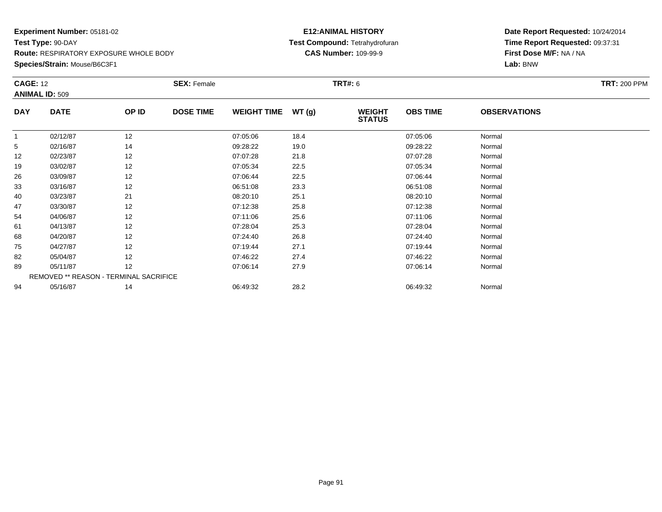**Species/Strain:** Mouse/B6C3F1

### **E12:ANIMAL HISTORY Test Compound:** Tetrahydrofuran**CAS Number:** 109-99-9

|                       |             |                                        |                  |                    |       | <b>TRT#: 6</b>                 |                 |                     | <b>TRT: 200 PPM</b> |
|-----------------------|-------------|----------------------------------------|------------------|--------------------|-------|--------------------------------|-----------------|---------------------|---------------------|
| <b>ANIMAL ID: 509</b> |             |                                        |                  |                    |       |                                |                 |                     |                     |
| <b>DAY</b>            | <b>DATE</b> | OP ID                                  | <b>DOSE TIME</b> | <b>WEIGHT TIME</b> | WT(g) | <b>WEIGHT</b><br><b>STATUS</b> | <b>OBS TIME</b> | <b>OBSERVATIONS</b> |                     |
|                       | 02/12/87    | 12                                     |                  | 07:05:06           | 18.4  |                                | 07:05:06        | Normal              |                     |
| 5                     | 02/16/87    | 14                                     |                  | 09:28:22           | 19.0  |                                | 09:28:22        | Normal              |                     |
| 12                    | 02/23/87    | 12                                     |                  | 07:07:28           | 21.8  |                                | 07:07:28        | Normal              |                     |
| 19                    | 03/02/87    | 12                                     |                  | 07:05:34           | 22.5  |                                | 07:05:34        | Normal              |                     |
| 26                    | 03/09/87    | 12                                     |                  | 07:06:44           | 22.5  |                                | 07:06:44        | Normal              |                     |
| 33                    | 03/16/87    | 12                                     |                  | 06:51:08           | 23.3  |                                | 06:51:08        | Normal              |                     |
| 40                    | 03/23/87    | 21                                     |                  | 08:20:10           | 25.1  |                                | 08:20:10        | Normal              |                     |
| 47                    | 03/30/87    | 12                                     |                  | 07:12:38           | 25.8  |                                | 07:12:38        | Normal              |                     |
| 54                    | 04/06/87    | 12                                     |                  | 07:11:06           | 25.6  |                                | 07:11:06        | Normal              |                     |
| 61                    | 04/13/87    | 12                                     |                  | 07:28:04           | 25.3  |                                | 07:28:04        | Normal              |                     |
| 68                    | 04/20/87    | 12                                     |                  | 07:24:40           | 26.8  |                                | 07:24:40        | Normal              |                     |
| 75                    | 04/27/87    | 12                                     |                  | 07:19:44           | 27.1  |                                | 07:19:44        | Normal              |                     |
| 82                    | 05/04/87    | 12                                     |                  | 07:46:22           | 27.4  |                                | 07:46:22        | Normal              |                     |
| 89                    | 05/11/87    | 12                                     |                  | 07:06:14           | 27.9  |                                | 07:06:14        | Normal              |                     |
|                       |             | REMOVED ** REASON - TERMINAL SACRIFICE |                  |                    |       |                                |                 |                     |                     |
| 94                    | 05/16/87    | 14                                     |                  | 06:49:32           | 28.2  |                                | 06:49:32        | Normal              |                     |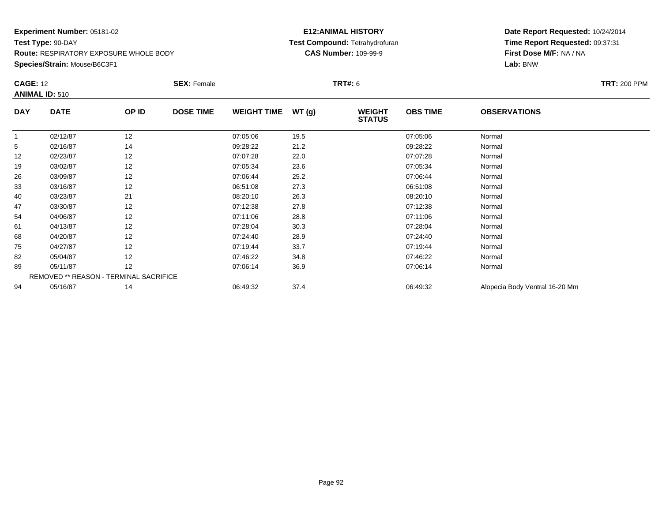**Species/Strain:** Mouse/B6C3F1

#### **E12:ANIMAL HISTORY Test Compound:** Tetrahydrofuran**CAS Number:** 109-99-9

| <b>CAGE: 12</b> | <b>ANIMAL ID: 510</b>                  |       | <b>SEX: Female</b> |                    |       | <b>TRT#:</b> 6                 |                 |                                | <b>TRT: 200 PPM</b> |
|-----------------|----------------------------------------|-------|--------------------|--------------------|-------|--------------------------------|-----------------|--------------------------------|---------------------|
| <b>DAY</b>      | <b>DATE</b>                            | OP ID | <b>DOSE TIME</b>   | <b>WEIGHT TIME</b> | WT(g) | <b>WEIGHT</b><br><b>STATUS</b> | <b>OBS TIME</b> | <b>OBSERVATIONS</b>            |                     |
| 1               | 02/12/87                               | 12    |                    | 07:05:06           | 19.5  |                                | 07:05:06        | Normal                         |                     |
| 5               | 02/16/87                               | 14    |                    | 09:28:22           | 21.2  |                                | 09:28:22        | Normal                         |                     |
| 12              | 02/23/87                               | 12    |                    | 07:07:28           | 22.0  |                                | 07:07:28        | Normal                         |                     |
| 19              | 03/02/87                               | 12    |                    | 07:05:34           | 23.6  |                                | 07:05:34        | Normal                         |                     |
| 26              | 03/09/87                               | 12    |                    | 07:06:44           | 25.2  |                                | 07:06:44        | Normal                         |                     |
| 33              | 03/16/87                               | 12    |                    | 06:51:08           | 27.3  |                                | 06:51:08        | Normal                         |                     |
| 40              | 03/23/87                               | 21    |                    | 08:20:10           | 26.3  |                                | 08:20:10        | Normal                         |                     |
| 47              | 03/30/87                               | 12    |                    | 07:12:38           | 27.8  |                                | 07:12:38        | Normal                         |                     |
| 54              | 04/06/87                               | 12    |                    | 07:11:06           | 28.8  |                                | 07:11:06        | Normal                         |                     |
| 61              | 04/13/87                               | 12    |                    | 07:28:04           | 30.3  |                                | 07:28:04        | Normal                         |                     |
| 68              | 04/20/87                               | 12    |                    | 07:24:40           | 28.9  |                                | 07:24:40        | Normal                         |                     |
| 75              | 04/27/87                               | 12    |                    | 07:19:44           | 33.7  |                                | 07:19:44        | Normal                         |                     |
| 82              | 05/04/87                               | 12    |                    | 07:46:22           | 34.8  |                                | 07:46:22        | Normal                         |                     |
| 89              | 05/11/87                               | 12    |                    | 07:06:14           | 36.9  |                                | 07:06:14        | Normal                         |                     |
|                 | REMOVED ** REASON - TERMINAL SACRIFICE |       |                    |                    |       |                                |                 |                                |                     |
| 94              | 05/16/87                               | 14    |                    | 06:49:32           | 37.4  |                                | 06:49:32        | Alopecia Body Ventral 16-20 Mm |                     |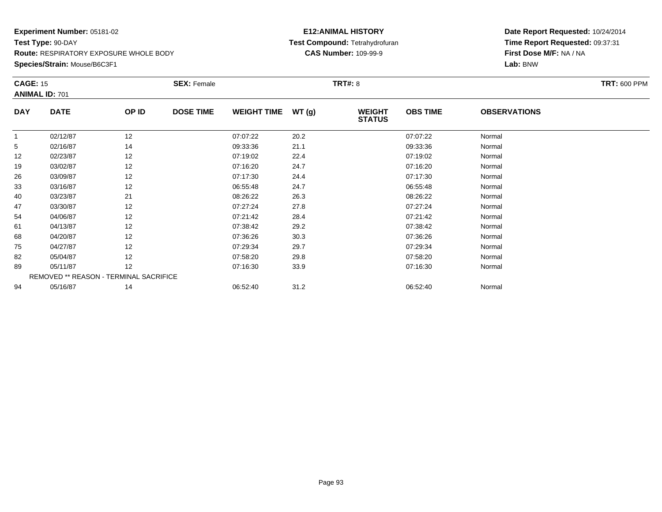**Species/Strain:** Mouse/B6C3F1

### **E12:ANIMAL HISTORY Test Compound:** Tetrahydrofuran**CAS Number:** 109-99-9

| <b>CAGE: 15</b> | <b>ANIMAL ID: 701</b>                  |       | <b>SEX: Female</b> |                    |       | <b>TRT#: 8</b>                 |                 |                     | <b>TRT: 600 PPM</b> |
|-----------------|----------------------------------------|-------|--------------------|--------------------|-------|--------------------------------|-----------------|---------------------|---------------------|
| <b>DAY</b>      | <b>DATE</b>                            | OP ID | <b>DOSE TIME</b>   | <b>WEIGHT TIME</b> | WT(g) | <b>WEIGHT</b><br><b>STATUS</b> | <b>OBS TIME</b> | <b>OBSERVATIONS</b> |                     |
|                 | 02/12/87                               | 12    |                    | 07:07:22           | 20.2  |                                | 07:07:22        | Normal              |                     |
| 5               | 02/16/87                               | 14    |                    | 09:33:36           | 21.1  |                                | 09:33:36        | Normal              |                     |
| 12              | 02/23/87                               | 12    |                    | 07:19:02           | 22.4  |                                | 07:19:02        | Normal              |                     |
| 19              | 03/02/87                               | 12    |                    | 07:16:20           | 24.7  |                                | 07:16:20        | Normal              |                     |
| 26              | 03/09/87                               | 12    |                    | 07:17:30           | 24.4  |                                | 07:17:30        | Normal              |                     |
| 33              | 03/16/87                               | 12    |                    | 06:55:48           | 24.7  |                                | 06:55:48        | Normal              |                     |
| 40              | 03/23/87                               | 21    |                    | 08:26:22           | 26.3  |                                | 08:26:22        | Normal              |                     |
| 47              | 03/30/87                               | 12    |                    | 07:27:24           | 27.8  |                                | 07:27:24        | Normal              |                     |
| 54              | 04/06/87                               | 12    |                    | 07:21:42           | 28.4  |                                | 07:21:42        | Normal              |                     |
| 61              | 04/13/87                               | 12    |                    | 07:38:42           | 29.2  |                                | 07:38:42        | Normal              |                     |
| 68              | 04/20/87                               | 12    |                    | 07:36:26           | 30.3  |                                | 07:36:26        | Normal              |                     |
| 75              | 04/27/87                               | 12    |                    | 07:29:34           | 29.7  |                                | 07:29:34        | Normal              |                     |
| 82              | 05/04/87                               | 12    |                    | 07:58:20           | 29.8  |                                | 07:58:20        | Normal              |                     |
| 89              | 05/11/87                               | 12    |                    | 07:16:30           | 33.9  |                                | 07:16:30        | Normal              |                     |
|                 | REMOVED ** REASON - TERMINAL SACRIFICE |       |                    |                    |       |                                |                 |                     |                     |
| 94              | 05/16/87                               | 14    |                    | 06:52:40           | 31.2  |                                | 06:52:40        | Normal              |                     |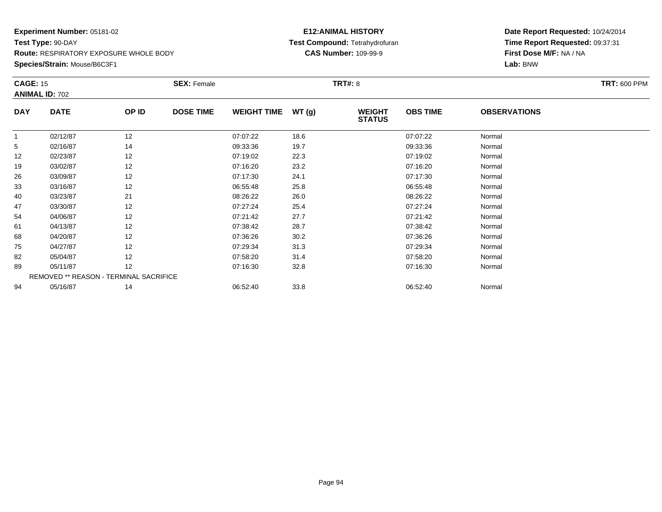**Species/Strain:** Mouse/B6C3F1

### **E12:ANIMAL HISTORY Test Compound:** Tetrahydrofuran**CAS Number:** 109-99-9

| <b>CAGE: 15</b> | <b>ANIMAL ID: 702</b>                  |       | <b>SEX: Female</b> |                    |       | <b>TRT#:</b> 8                 |                 |                     | <b>TRT: 600 PPM</b> |
|-----------------|----------------------------------------|-------|--------------------|--------------------|-------|--------------------------------|-----------------|---------------------|---------------------|
| <b>DAY</b>      | <b>DATE</b>                            | OP ID | <b>DOSE TIME</b>   | <b>WEIGHT TIME</b> | WT(g) | <b>WEIGHT</b><br><b>STATUS</b> | <b>OBS TIME</b> | <b>OBSERVATIONS</b> |                     |
| 1               | 02/12/87                               | 12    |                    | 07:07:22           | 18.6  |                                | 07:07:22        | Normal              |                     |
| 5               | 02/16/87                               | 14    |                    | 09:33:36           | 19.7  |                                | 09:33:36        | Normal              |                     |
| 12              | 02/23/87                               | 12    |                    | 07:19:02           | 22.3  |                                | 07:19:02        | Normal              |                     |
| 19              | 03/02/87                               | 12    |                    | 07:16:20           | 23.2  |                                | 07:16:20        | Normal              |                     |
| 26              | 03/09/87                               | 12    |                    | 07:17:30           | 24.1  |                                | 07:17:30        | Normal              |                     |
| 33              | 03/16/87                               | 12    |                    | 06:55:48           | 25.8  |                                | 06:55:48        | Normal              |                     |
| 40              | 03/23/87                               | 21    |                    | 08:26:22           | 26.0  |                                | 08:26:22        | Normal              |                     |
| 47              | 03/30/87                               | 12    |                    | 07:27:24           | 25.4  |                                | 07:27:24        | Normal              |                     |
| 54              | 04/06/87                               | 12    |                    | 07:21:42           | 27.7  |                                | 07:21:42        | Normal              |                     |
| 61              | 04/13/87                               | 12    |                    | 07:38:42           | 28.7  |                                | 07:38:42        | Normal              |                     |
| 68              | 04/20/87                               | 12    |                    | 07:36:26           | 30.2  |                                | 07:36:26        | Normal              |                     |
| 75              | 04/27/87                               | 12    |                    | 07:29:34           | 31.3  |                                | 07:29:34        | Normal              |                     |
| 82              | 05/04/87                               | 12    |                    | 07:58:20           | 31.4  |                                | 07:58:20        | Normal              |                     |
| 89              | 05/11/87                               | 12    |                    | 07:16:30           | 32.8  |                                | 07:16:30        | Normal              |                     |
|                 | REMOVED ** REASON - TERMINAL SACRIFICE |       |                    |                    |       |                                |                 |                     |                     |
| 94              | 05/16/87                               | 14    |                    | 06:52:40           | 33.8  |                                | 06:52:40        | Normal              |                     |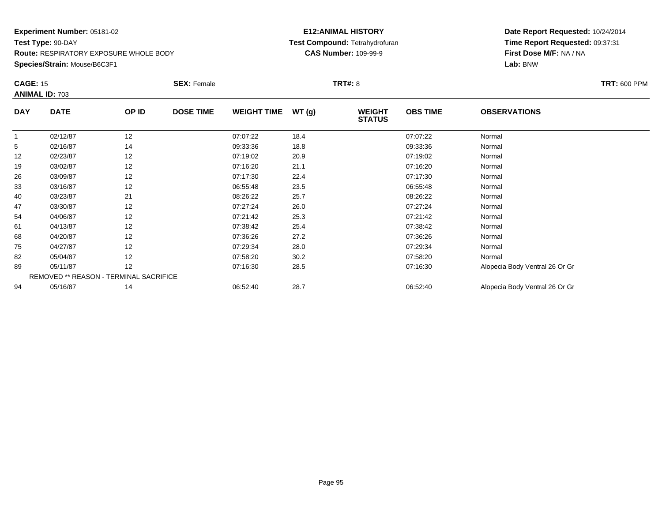**Species/Strain:** Mouse/B6C3F1

### **E12:ANIMAL HISTORY Test Compound:** Tetrahydrofuran**CAS Number:** 109-99-9

| <b>CAGE: 15</b> |                       |                                        | <b>SEX: Female</b> |                    |       | <b>TRT#: 8</b>                 |                 |                                | <b>TRT: 600 PPM</b> |
|-----------------|-----------------------|----------------------------------------|--------------------|--------------------|-------|--------------------------------|-----------------|--------------------------------|---------------------|
|                 | <b>ANIMAL ID: 703</b> |                                        |                    |                    |       |                                |                 |                                |                     |
| <b>DAY</b>      | <b>DATE</b>           | OP ID                                  | <b>DOSE TIME</b>   | <b>WEIGHT TIME</b> | WT(g) | <b>WEIGHT</b><br><b>STATUS</b> | <b>OBS TIME</b> | <b>OBSERVATIONS</b>            |                     |
| 1               | 02/12/87              | 12                                     |                    | 07:07:22           | 18.4  |                                | 07:07:22        | Normal                         |                     |
| 5               | 02/16/87              | 14                                     |                    | 09:33:36           | 18.8  |                                | 09:33:36        | Normal                         |                     |
| 12              | 02/23/87              | 12                                     |                    | 07:19:02           | 20.9  |                                | 07:19:02        | Normal                         |                     |
| 19              | 03/02/87              | 12                                     |                    | 07:16:20           | 21.1  |                                | 07:16:20        | Normal                         |                     |
| 26              | 03/09/87              | 12                                     |                    | 07:17:30           | 22.4  |                                | 07:17:30        | Normal                         |                     |
| 33              | 03/16/87              | 12                                     |                    | 06:55:48           | 23.5  |                                | 06:55:48        | Normal                         |                     |
| 40              | 03/23/87              | 21                                     |                    | 08:26:22           | 25.7  |                                | 08:26:22        | Normal                         |                     |
| 47              | 03/30/87              | 12                                     |                    | 07:27:24           | 26.0  |                                | 07:27:24        | Normal                         |                     |
| 54              | 04/06/87              | 12                                     |                    | 07:21:42           | 25.3  |                                | 07:21:42        | Normal                         |                     |
| 61              | 04/13/87              | 12                                     |                    | 07:38:42           | 25.4  |                                | 07:38:42        | Normal                         |                     |
| 68              | 04/20/87              | 12                                     |                    | 07:36:26           | 27.2  |                                | 07:36:26        | Normal                         |                     |
| 75              | 04/27/87              | 12                                     |                    | 07:29:34           | 28.0  |                                | 07:29:34        | Normal                         |                     |
| 82              | 05/04/87              | 12                                     |                    | 07:58:20           | 30.2  |                                | 07:58:20        | Normal                         |                     |
| 89              | 05/11/87              | 12                                     |                    | 07:16:30           | 28.5  |                                | 07:16:30        | Alopecia Body Ventral 26 Or Gr |                     |
|                 |                       | REMOVED ** REASON - TERMINAL SACRIFICE |                    |                    |       |                                |                 |                                |                     |
| 94              | 05/16/87              | 14                                     |                    | 06:52:40           | 28.7  |                                | 06:52:40        | Alopecia Body Ventral 26 Or Gr |                     |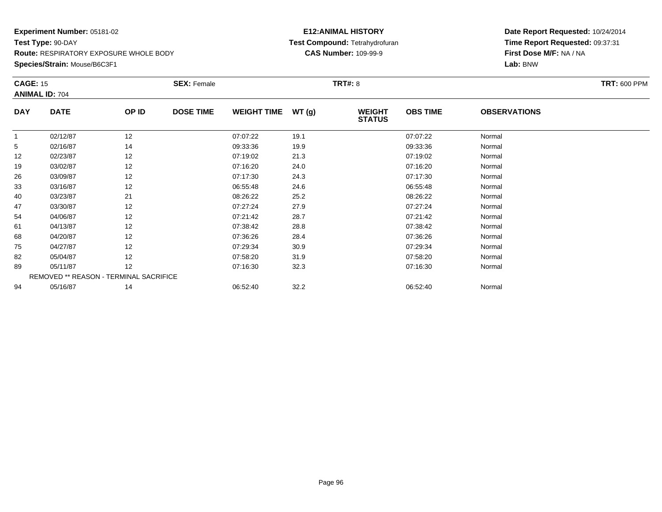**Species/Strain:** Mouse/B6C3F1

### **E12:ANIMAL HISTORY Test Compound:** Tetrahydrofuran**CAS Number:** 109-99-9

| <b>CAGE: 15</b> |                                        |       | <b>SEX: Female</b> |                    |       | <b>TRT#: 8</b>                 |                 |                     | <b>TRT: 600 PPM</b> |
|-----------------|----------------------------------------|-------|--------------------|--------------------|-------|--------------------------------|-----------------|---------------------|---------------------|
|                 | <b>ANIMAL ID: 704</b>                  |       |                    |                    |       |                                |                 |                     |                     |
| <b>DAY</b>      | <b>DATE</b>                            | OP ID | <b>DOSE TIME</b>   | <b>WEIGHT TIME</b> | WT(g) | <b>WEIGHT</b><br><b>STATUS</b> | <b>OBS TIME</b> | <b>OBSERVATIONS</b> |                     |
|                 | 02/12/87                               | 12    |                    | 07:07:22           | 19.1  |                                | 07:07:22        | Normal              |                     |
| 5               | 02/16/87                               | 14    |                    | 09:33:36           | 19.9  |                                | 09:33:36        | Normal              |                     |
| 12              | 02/23/87                               | 12    |                    | 07:19:02           | 21.3  |                                | 07:19:02        | Normal              |                     |
| 19              | 03/02/87                               | 12    |                    | 07:16:20           | 24.0  |                                | 07:16:20        | Normal              |                     |
| 26              | 03/09/87                               | 12    |                    | 07:17:30           | 24.3  |                                | 07:17:30        | Normal              |                     |
| 33              | 03/16/87                               | 12    |                    | 06:55:48           | 24.6  |                                | 06:55:48        | Normal              |                     |
| 40              | 03/23/87                               | 21    |                    | 08:26:22           | 25.2  |                                | 08:26:22        | Normal              |                     |
| 47              | 03/30/87                               | 12    |                    | 07:27:24           | 27.9  |                                | 07:27:24        | Normal              |                     |
| 54              | 04/06/87                               | 12    |                    | 07:21:42           | 28.7  |                                | 07:21:42        | Normal              |                     |
| 61              | 04/13/87                               | 12    |                    | 07:38:42           | 28.8  |                                | 07:38:42        | Normal              |                     |
| 68              | 04/20/87                               | 12    |                    | 07:36:26           | 28.4  |                                | 07:36:26        | Normal              |                     |
| 75              | 04/27/87                               | 12    |                    | 07:29:34           | 30.9  |                                | 07:29:34        | Normal              |                     |
| 82              | 05/04/87                               | 12    |                    | 07:58:20           | 31.9  |                                | 07:58:20        | Normal              |                     |
| 89              | 05/11/87                               | 12    |                    | 07:16:30           | 32.3  |                                | 07:16:30        | Normal              |                     |
|                 | REMOVED ** REASON - TERMINAL SACRIFICE |       |                    |                    |       |                                |                 |                     |                     |
| 94              | 05/16/87                               | 14    |                    | 06:52:40           | 32.2  |                                | 06:52:40        | Normal              |                     |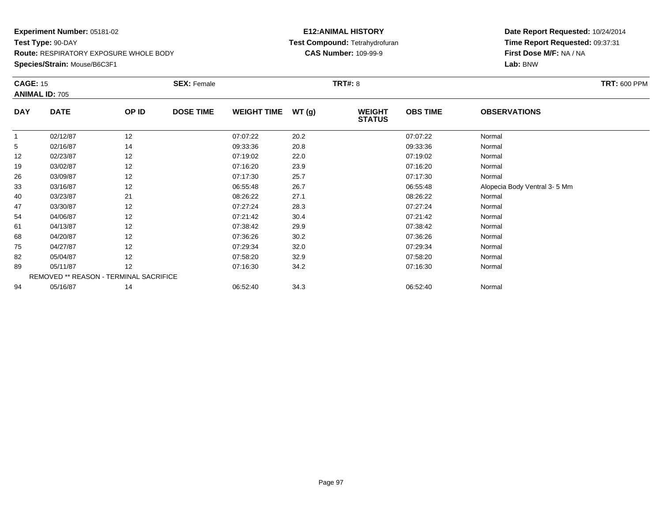**Species/Strain:** Mouse/B6C3F1

### **E12:ANIMAL HISTORY Test Compound:** Tetrahydrofuran**CAS Number:** 109-99-9

| <b>CAGE: 15</b> |                                        |       | <b>SEX: Female</b> |                    |       | <b>TRT#:</b> 8                 |                 |                              | <b>TRT: 600 PPM</b> |
|-----------------|----------------------------------------|-------|--------------------|--------------------|-------|--------------------------------|-----------------|------------------------------|---------------------|
|                 | <b>ANIMAL ID: 705</b>                  |       |                    |                    |       |                                |                 |                              |                     |
| <b>DAY</b>      | <b>DATE</b>                            | OP ID | <b>DOSE TIME</b>   | <b>WEIGHT TIME</b> | WT(g) | <b>WEIGHT</b><br><b>STATUS</b> | <b>OBS TIME</b> | <b>OBSERVATIONS</b>          |                     |
| -1              | 02/12/87                               | 12    |                    | 07:07:22           | 20.2  |                                | 07:07:22        | Normal                       |                     |
| 5               | 02/16/87                               | 14    |                    | 09:33:36           | 20.8  |                                | 09:33:36        | Normal                       |                     |
| 12              | 02/23/87                               | 12    |                    | 07:19:02           | 22.0  |                                | 07:19:02        | Normal                       |                     |
| 19              | 03/02/87                               | 12    |                    | 07:16:20           | 23.9  |                                | 07:16:20        | Normal                       |                     |
| 26              | 03/09/87                               | 12    |                    | 07:17:30           | 25.7  |                                | 07:17:30        | Normal                       |                     |
| 33              | 03/16/87                               | 12    |                    | 06:55:48           | 26.7  |                                | 06:55:48        | Alopecia Body Ventral 3-5 Mm |                     |
| 40              | 03/23/87                               | 21    |                    | 08:26:22           | 27.1  |                                | 08:26:22        | Normal                       |                     |
| 47              | 03/30/87                               | 12    |                    | 07:27:24           | 28.3  |                                | 07:27:24        | Normal                       |                     |
| 54              | 04/06/87                               | 12    |                    | 07:21:42           | 30.4  |                                | 07:21:42        | Normal                       |                     |
| 61              | 04/13/87                               | 12    |                    | 07:38:42           | 29.9  |                                | 07:38:42        | Normal                       |                     |
| 68              | 04/20/87                               | 12    |                    | 07:36:26           | 30.2  |                                | 07:36:26        | Normal                       |                     |
| 75              | 04/27/87                               | 12    |                    | 07:29:34           | 32.0  |                                | 07:29:34        | Normal                       |                     |
| 82              | 05/04/87                               | 12    |                    | 07:58:20           | 32.9  |                                | 07:58:20        | Normal                       |                     |
| 89              | 05/11/87                               | 12    |                    | 07:16:30           | 34.2  |                                | 07:16:30        | Normal                       |                     |
|                 | REMOVED ** REASON - TERMINAL SACRIFICE |       |                    |                    |       |                                |                 |                              |                     |
| 94              | 05/16/87                               | 14    |                    | 06:52:40           | 34.3  |                                | 06:52:40        | Normal                       |                     |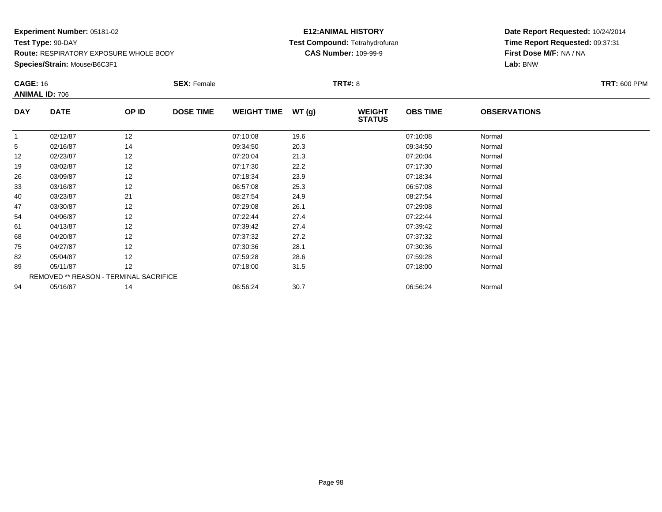**Species/Strain:** Mouse/B6C3F1

#### **E12:ANIMAL HISTORY Test Compound:** Tetrahydrofuran**CAS Number:** 109-99-9

| <b>CAGE: 16</b> | <b>ANIMAL ID: 706</b>                  |       | <b>SEX: Female</b> |                    |       | <b>TRT#:</b> 8                 |                 |                     | <b>TRT: 600 PPM</b> |
|-----------------|----------------------------------------|-------|--------------------|--------------------|-------|--------------------------------|-----------------|---------------------|---------------------|
| <b>DAY</b>      | <b>DATE</b>                            | OP ID | <b>DOSE TIME</b>   | <b>WEIGHT TIME</b> | WT(g) | <b>WEIGHT</b><br><b>STATUS</b> | <b>OBS TIME</b> | <b>OBSERVATIONS</b> |                     |
|                 | 02/12/87                               | 12    |                    | 07:10:08           | 19.6  |                                | 07:10:08        | Normal              |                     |
| 5               | 02/16/87                               | 14    |                    | 09:34:50           | 20.3  |                                | 09:34:50        | Normal              |                     |
| 12              | 02/23/87                               | 12    |                    | 07:20:04           | 21.3  |                                | 07:20:04        | Normal              |                     |
| 19              | 03/02/87                               | 12    |                    | 07:17:30           | 22.2  |                                | 07:17:30        | Normal              |                     |
| 26              | 03/09/87                               | 12    |                    | 07:18:34           | 23.9  |                                | 07:18:34        | Normal              |                     |
| 33              | 03/16/87                               | 12    |                    | 06:57:08           | 25.3  |                                | 06:57:08        | Normal              |                     |
| 40              | 03/23/87                               | 21    |                    | 08:27:54           | 24.9  |                                | 08:27:54        | Normal              |                     |
| 47              | 03/30/87                               | 12    |                    | 07:29:08           | 26.1  |                                | 07:29:08        | Normal              |                     |
| 54              | 04/06/87                               | 12    |                    | 07:22:44           | 27.4  |                                | 07:22:44        | Normal              |                     |
| 61              | 04/13/87                               | 12    |                    | 07:39:42           | 27.4  |                                | 07:39:42        | Normal              |                     |
| 68              | 04/20/87                               | 12    |                    | 07:37:32           | 27.2  |                                | 07:37:32        | Normal              |                     |
| 75              | 04/27/87                               | 12    |                    | 07:30:36           | 28.1  |                                | 07:30:36        | Normal              |                     |
| 82              | 05/04/87                               | 12    |                    | 07:59:28           | 28.6  |                                | 07:59:28        | Normal              |                     |
| 89              | 05/11/87                               | 12    |                    | 07:18:00           | 31.5  |                                | 07:18:00        | Normal              |                     |
|                 | REMOVED ** REASON - TERMINAL SACRIFICE |       |                    |                    |       |                                |                 |                     |                     |
| 94              | 05/16/87                               | 14    |                    | 06:56:24           | 30.7  |                                | 06:56:24        | Normal              |                     |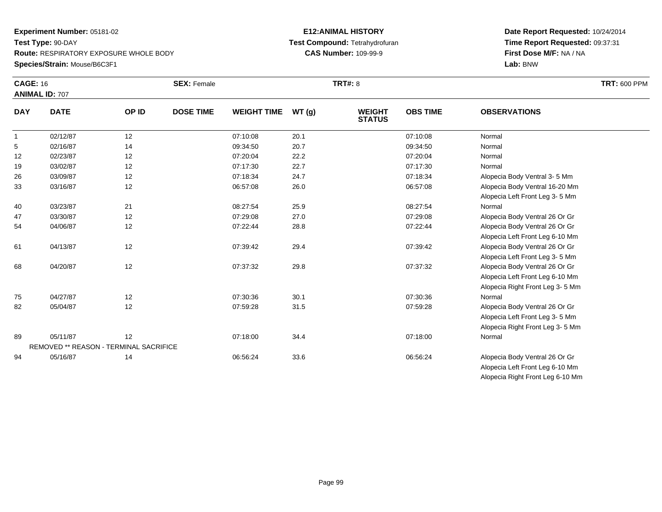### **Species/Strain:** Mouse/B6C3F1

#### **E12:ANIMAL HISTORY Test Compound:** Tetrahydrofuran**CAS Number:** 109-99-9

### **Date Report Requested:** 10/24/2014 **Time Report Requested:** 09:37:31**First Dose M/F:** NA / NA**Lab:** BNW

Alopecia Right Front Leg 6-10 Mm

| <b>CAGE: 16</b> |                                        |       | <b>SEX: Female</b> |                    |       | <b>TRT#: 8</b>                 |                 |                                 | <b>TRT: 600 PPM</b> |
|-----------------|----------------------------------------|-------|--------------------|--------------------|-------|--------------------------------|-----------------|---------------------------------|---------------------|
|                 | <b>ANIMAL ID: 707</b>                  |       |                    |                    |       |                                |                 |                                 |                     |
| <b>DAY</b>      | <b>DATE</b>                            | OP ID | <b>DOSE TIME</b>   | <b>WEIGHT TIME</b> | WT(g) | <b>WEIGHT</b><br><b>STATUS</b> | <b>OBS TIME</b> | <b>OBSERVATIONS</b>             |                     |
| $\overline{1}$  | 02/12/87                               | 12    |                    | 07:10:08           | 20.1  |                                | 07:10:08        | Normal                          |                     |
| 5               | 02/16/87                               | 14    |                    | 09:34:50           | 20.7  |                                | 09:34:50        | Normal                          |                     |
| 12              | 02/23/87                               | 12    |                    | 07:20:04           | 22.2  |                                | 07:20:04        | Normal                          |                     |
| 19              | 03/02/87                               | 12    |                    | 07:17:30           | 22.7  |                                | 07:17:30        | Normal                          |                     |
| 26              | 03/09/87                               | 12    |                    | 07:18:34           | 24.7  |                                | 07:18:34        | Alopecia Body Ventral 3-5 Mm    |                     |
| 33              | 03/16/87                               | 12    |                    | 06:57:08           | 26.0  |                                | 06:57:08        | Alopecia Body Ventral 16-20 Mm  |                     |
|                 |                                        |       |                    |                    |       |                                |                 | Alopecia Left Front Leg 3-5 Mm  |                     |
| 40              | 03/23/87                               | 21    |                    | 08:27:54           | 25.9  |                                | 08:27:54        | Normal                          |                     |
| 47              | 03/30/87                               | 12    |                    | 07:29:08           | 27.0  |                                | 07:29:08        | Alopecia Body Ventral 26 Or Gr  |                     |
| 54              | 04/06/87                               | 12    |                    | 07:22:44           | 28.8  |                                | 07:22:44        | Alopecia Body Ventral 26 Or Gr  |                     |
|                 |                                        |       |                    |                    |       |                                |                 | Alopecia Left Front Leg 6-10 Mm |                     |
| 61              | 04/13/87                               | 12    |                    | 07:39:42           | 29.4  |                                | 07:39:42        | Alopecia Body Ventral 26 Or Gr  |                     |
|                 |                                        |       |                    |                    |       |                                |                 | Alopecia Left Front Leg 3-5 Mm  |                     |
| 68              | 04/20/87                               | 12    |                    | 07:37:32           | 29.8  |                                | 07:37:32        | Alopecia Body Ventral 26 Or Gr  |                     |
|                 |                                        |       |                    |                    |       |                                |                 | Alopecia Left Front Leg 6-10 Mm |                     |
|                 |                                        |       |                    |                    |       |                                |                 | Alopecia Right Front Leg 3-5 Mm |                     |
| 75              | 04/27/87                               | 12    |                    | 07:30:36           | 30.1  |                                | 07:30:36        | Normal                          |                     |
| 82              | 05/04/87                               | 12    |                    | 07:59:28           | 31.5  |                                | 07:59:28        | Alopecia Body Ventral 26 Or Gr  |                     |
|                 |                                        |       |                    |                    |       |                                |                 | Alopecia Left Front Leg 3-5 Mm  |                     |
|                 |                                        |       |                    |                    |       |                                |                 | Alopecia Right Front Leg 3-5 Mm |                     |
| 89              | 05/11/87                               | 12    |                    | 07:18:00           | 34.4  |                                | 07:18:00        | Normal                          |                     |
|                 | REMOVED ** REASON - TERMINAL SACRIFICE |       |                    |                    |       |                                |                 |                                 |                     |
| 94              | 05/16/87                               | 14    |                    | 06:56:24           | 33.6  |                                | 06:56:24        | Alopecia Body Ventral 26 Or Gr  |                     |
|                 |                                        |       |                    |                    |       |                                |                 | Alopecia Left Front Leg 6-10 Mm |                     |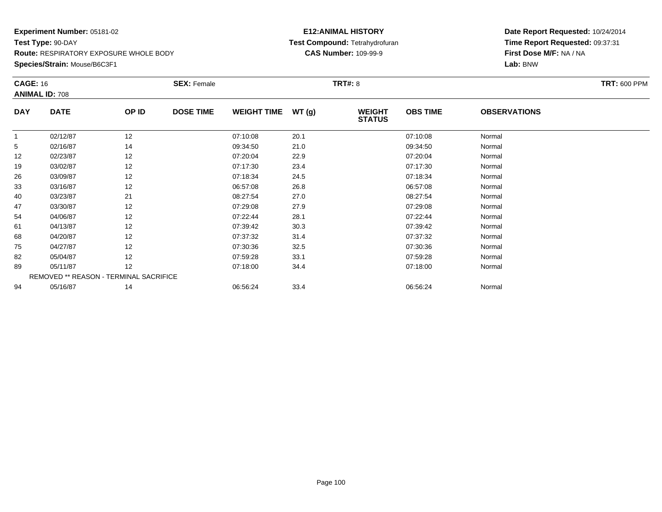**Species/Strain:** Mouse/B6C3F1

### **E12:ANIMAL HISTORY Test Compound:** Tetrahydrofuran**CAS Number:** 109-99-9

| <b>CAGE: 16</b> |                                        |       | <b>SEX: Female</b> |                    |       | <b>TRT#: 8</b>                 |                 |                     | <b>TRT: 600 PPM</b> |
|-----------------|----------------------------------------|-------|--------------------|--------------------|-------|--------------------------------|-----------------|---------------------|---------------------|
|                 | <b>ANIMAL ID: 708</b>                  |       |                    |                    |       |                                |                 |                     |                     |
| <b>DAY</b>      | <b>DATE</b>                            | OP ID | <b>DOSE TIME</b>   | <b>WEIGHT TIME</b> | WT(g) | <b>WEIGHT</b><br><b>STATUS</b> | <b>OBS TIME</b> | <b>OBSERVATIONS</b> |                     |
|                 | 02/12/87                               | 12    |                    | 07:10:08           | 20.1  |                                | 07:10:08        | Normal              |                     |
| 5               | 02/16/87                               | 14    |                    | 09:34:50           | 21.0  |                                | 09:34:50        | Normal              |                     |
| 12              | 02/23/87                               | 12    |                    | 07:20:04           | 22.9  |                                | 07:20:04        | Normal              |                     |
| 19              | 03/02/87                               | 12    |                    | 07:17:30           | 23.4  |                                | 07:17:30        | Normal              |                     |
| 26              | 03/09/87                               | 12    |                    | 07:18:34           | 24.5  |                                | 07:18:34        | Normal              |                     |
| 33              | 03/16/87                               | 12    |                    | 06:57:08           | 26.8  |                                | 06:57:08        | Normal              |                     |
| 40              | 03/23/87                               | 21    |                    | 08:27:54           | 27.0  |                                | 08:27:54        | Normal              |                     |
| 47              | 03/30/87                               | 12    |                    | 07:29:08           | 27.9  |                                | 07:29:08        | Normal              |                     |
| 54              | 04/06/87                               | 12    |                    | 07:22:44           | 28.1  |                                | 07:22:44        | Normal              |                     |
| 61              | 04/13/87                               | 12    |                    | 07:39:42           | 30.3  |                                | 07:39:42        | Normal              |                     |
| 68              | 04/20/87                               | 12    |                    | 07:37:32           | 31.4  |                                | 07:37:32        | Normal              |                     |
| 75              | 04/27/87                               | 12    |                    | 07:30:36           | 32.5  |                                | 07:30:36        | Normal              |                     |
| 82              | 05/04/87                               | 12    |                    | 07:59:28           | 33.1  |                                | 07:59:28        | Normal              |                     |
| 89              | 05/11/87                               | 12    |                    | 07:18:00           | 34.4  |                                | 07:18:00        | Normal              |                     |
|                 | REMOVED ** REASON - TERMINAL SACRIFICE |       |                    |                    |       |                                |                 |                     |                     |
| 94              | 05/16/87                               | 14    |                    | 06:56:24           | 33.4  |                                | 06:56:24        | Normal              |                     |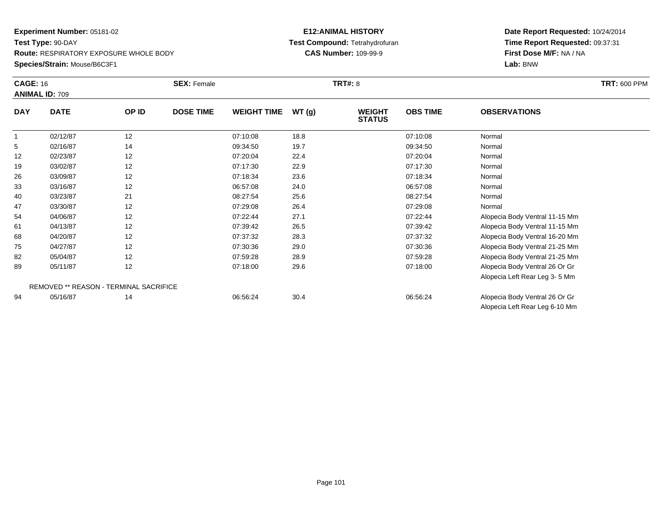### **Species/Strain:** Mouse/B6C3F1

### **E12:ANIMAL HISTORY Test Compound:** Tetrahydrofuran**CAS Number:** 109-99-9

|            | <b>CAGE: 16</b><br><b>ANIMAL ID: 709</b> |       | <b>SEX: Female</b> |                    | <b>TRT#:</b> 8 |                                |                 |                                | <b>TRT: 600 PPM</b> |
|------------|------------------------------------------|-------|--------------------|--------------------|----------------|--------------------------------|-----------------|--------------------------------|---------------------|
| <b>DAY</b> | <b>DATE</b>                              | OP ID | <b>DOSE TIME</b>   | <b>WEIGHT TIME</b> | WT(g)          | <b>WEIGHT</b><br><b>STATUS</b> | <b>OBS TIME</b> | <b>OBSERVATIONS</b>            |                     |
|            | 02/12/87                                 | 12    |                    | 07:10:08           | 18.8           |                                | 07:10:08        | Normal                         |                     |
| 5          | 02/16/87                                 | 14    |                    | 09:34:50           | 19.7           |                                | 09:34:50        | Normal                         |                     |
| 12         | 02/23/87                                 | 12    |                    | 07:20:04           | 22.4           |                                | 07:20:04        | Normal                         |                     |
| 19         | 03/02/87                                 | 12    |                    | 07:17:30           | 22.9           |                                | 07:17:30        | Normal                         |                     |
| 26         | 03/09/87                                 | 12    |                    | 07:18:34           | 23.6           |                                | 07:18:34        | Normal                         |                     |
| 33         | 03/16/87                                 | 12    |                    | 06:57:08           | 24.0           |                                | 06:57:08        | Normal                         |                     |
| 40         | 03/23/87                                 | 21    |                    | 08:27:54           | 25.6           |                                | 08:27:54        | Normal                         |                     |
| 47         | 03/30/87                                 | 12    |                    | 07:29:08           | 26.4           |                                | 07:29:08        | Normal                         |                     |
| 54         | 04/06/87                                 | 12    |                    | 07:22:44           | 27.1           |                                | 07:22:44        | Alopecia Body Ventral 11-15 Mm |                     |
| 61         | 04/13/87                                 | 12    |                    | 07:39:42           | 26.5           |                                | 07:39:42        | Alopecia Body Ventral 11-15 Mm |                     |
| 68         | 04/20/87                                 | 12    |                    | 07:37:32           | 28.3           |                                | 07:37:32        | Alopecia Body Ventral 16-20 Mm |                     |
| 75         | 04/27/87                                 | 12    |                    | 07:30:36           | 29.0           |                                | 07:30:36        | Alopecia Body Ventral 21-25 Mm |                     |
| 82         | 05/04/87                                 | 12    |                    | 07:59:28           | 28.9           |                                | 07:59:28        | Alopecia Body Ventral 21-25 Mm |                     |
| 89         | 05/11/87                                 | 12    |                    | 07:18:00           | 29.6           |                                | 07:18:00        | Alopecia Body Ventral 26 Or Gr |                     |
|            |                                          |       |                    |                    |                |                                |                 | Alopecia Left Rear Leg 3-5 Mm  |                     |
|            | REMOVED ** REASON - TERMINAL SACRIFICE   |       |                    |                    |                |                                |                 |                                |                     |
| 94         | 05/16/87                                 | 14    |                    | 06:56:24           | 30.4           |                                | 06:56:24        | Alopecia Body Ventral 26 Or Gr |                     |
|            |                                          |       |                    |                    |                |                                |                 | Alopecia Left Rear Leg 6-10 Mm |                     |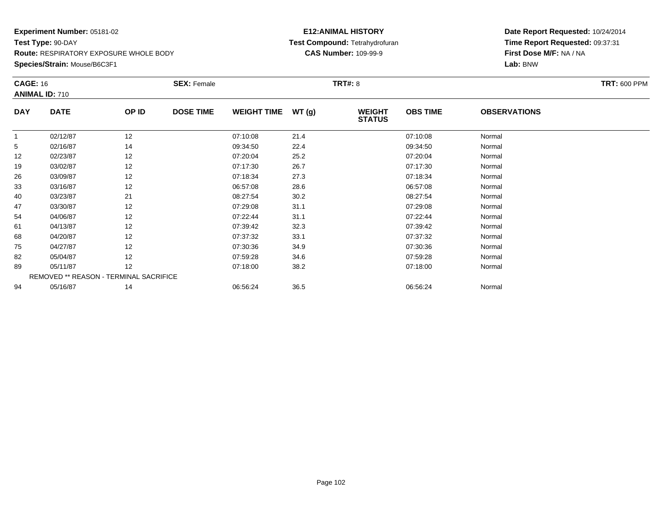**Species/Strain:** Mouse/B6C3F1

### **E12:ANIMAL HISTORY Test Compound:** Tetrahydrofuran**CAS Number:** 109-99-9

| <b>CAGE: 16</b> | <b>ANIMAL ID: 710</b>                  |       | <b>SEX: Female</b> |                    |       | <b>TRT#:</b> 8                 |                 |                     | <b>TRT: 600 PPM</b> |
|-----------------|----------------------------------------|-------|--------------------|--------------------|-------|--------------------------------|-----------------|---------------------|---------------------|
| <b>DAY</b>      | <b>DATE</b>                            | OP ID | <b>DOSE TIME</b>   | <b>WEIGHT TIME</b> | WT(g) | <b>WEIGHT</b><br><b>STATUS</b> | <b>OBS TIME</b> | <b>OBSERVATIONS</b> |                     |
|                 | 02/12/87                               | 12    |                    | 07:10:08           | 21.4  |                                | 07:10:08        | Normal              |                     |
| 5               | 02/16/87                               | 14    |                    | 09:34:50           | 22.4  |                                | 09:34:50        | Normal              |                     |
| 12              | 02/23/87                               | 12    |                    | 07:20:04           | 25.2  |                                | 07:20:04        | Normal              |                     |
| 19              | 03/02/87                               | 12    |                    | 07:17:30           | 26.7  |                                | 07:17:30        | Normal              |                     |
| 26              | 03/09/87                               | 12    |                    | 07:18:34           | 27.3  |                                | 07:18:34        | Normal              |                     |
| 33              | 03/16/87                               | 12    |                    | 06:57:08           | 28.6  |                                | 06:57:08        | Normal              |                     |
| 40              | 03/23/87                               | 21    |                    | 08:27:54           | 30.2  |                                | 08:27:54        | Normal              |                     |
| 47              | 03/30/87                               | 12    |                    | 07:29:08           | 31.1  |                                | 07:29:08        | Normal              |                     |
| 54              | 04/06/87                               | 12    |                    | 07:22:44           | 31.1  |                                | 07:22:44        | Normal              |                     |
| 61              | 04/13/87                               | 12    |                    | 07:39:42           | 32.3  |                                | 07:39:42        | Normal              |                     |
| 68              | 04/20/87                               | 12    |                    | 07:37:32           | 33.1  |                                | 07:37:32        | Normal              |                     |
| 75              | 04/27/87                               | 12    |                    | 07:30:36           | 34.9  |                                | 07:30:36        | Normal              |                     |
| 82              | 05/04/87                               | 12    |                    | 07:59:28           | 34.6  |                                | 07:59:28        | Normal              |                     |
| 89              | 05/11/87                               | 12    |                    | 07:18:00           | 38.2  |                                | 07:18:00        | Normal              |                     |
|                 | REMOVED ** REASON - TERMINAL SACRIFICE |       |                    |                    |       |                                |                 |                     |                     |
| 94              | 05/16/87                               | 14    |                    | 06:56:24           | 36.5  |                                | 06:56:24        | Normal              |                     |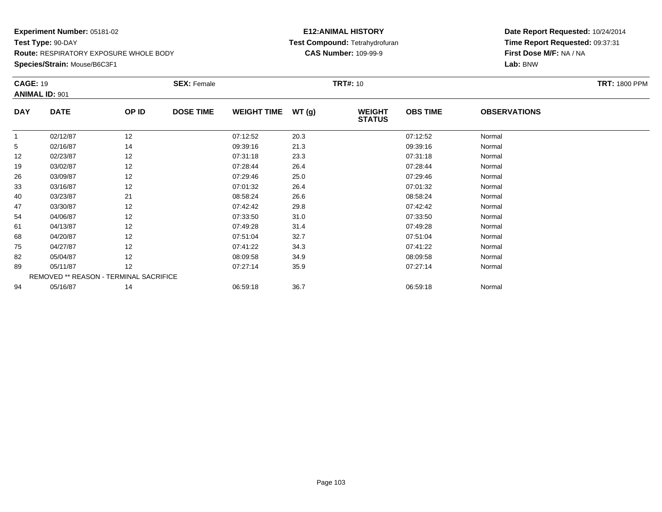#### **Species/Strain:** Mouse/B6C3F1

### **E12:ANIMAL HISTORY Test Compound:** Tetrahydrofuran**CAS Number:** 109-99-9

| <b>CAGE: 19</b><br><b>ANIMAL ID: 901</b> |             |                                        | <b>SEX: Female</b> |                    |       | <b>TRT#:</b> 10                |                 |                     | <b>TRT: 1800 PPM</b> |
|------------------------------------------|-------------|----------------------------------------|--------------------|--------------------|-------|--------------------------------|-----------------|---------------------|----------------------|
| <b>DAY</b>                               | <b>DATE</b> | OP ID                                  | <b>DOSE TIME</b>   | <b>WEIGHT TIME</b> | WT(g) | <b>WEIGHT</b><br><b>STATUS</b> | <b>OBS TIME</b> | <b>OBSERVATIONS</b> |                      |
| 1                                        | 02/12/87    | 12                                     |                    | 07:12:52           | 20.3  |                                | 07:12:52        | Normal              |                      |
| 5                                        | 02/16/87    | 14                                     |                    | 09:39:16           | 21.3  |                                | 09:39:16        | Normal              |                      |
| 12                                       | 02/23/87    | 12                                     |                    | 07:31:18           | 23.3  |                                | 07:31:18        | Normal              |                      |
| 19                                       | 03/02/87    | 12                                     |                    | 07:28:44           | 26.4  |                                | 07:28:44        | Normal              |                      |
| 26                                       | 03/09/87    | 12                                     |                    | 07:29:46           | 25.0  |                                | 07:29:46        | Normal              |                      |
| 33                                       | 03/16/87    | 12                                     |                    | 07:01:32           | 26.4  |                                | 07:01:32        | Normal              |                      |
| 40                                       | 03/23/87    | 21                                     |                    | 08:58:24           | 26.6  |                                | 08:58:24        | Normal              |                      |
| 47                                       | 03/30/87    | 12                                     |                    | 07:42:42           | 29.8  |                                | 07:42:42        | Normal              |                      |
| 54                                       | 04/06/87    | 12                                     |                    | 07:33:50           | 31.0  |                                | 07:33:50        | Normal              |                      |
| 61                                       | 04/13/87    | 12                                     |                    | 07:49:28           | 31.4  |                                | 07:49:28        | Normal              |                      |
| 68                                       | 04/20/87    | 12                                     |                    | 07:51:04           | 32.7  |                                | 07:51:04        | Normal              |                      |
| 75                                       | 04/27/87    | 12                                     |                    | 07:41:22           | 34.3  |                                | 07:41:22        | Normal              |                      |
| 82                                       | 05/04/87    | 12                                     |                    | 08:09:58           | 34.9  |                                | 08:09:58        | Normal              |                      |
| 89                                       | 05/11/87    | 12                                     |                    | 07:27:14           | 35.9  |                                | 07:27:14        | Normal              |                      |
|                                          |             | REMOVED ** REASON - TERMINAL SACRIFICE |                    |                    |       |                                |                 |                     |                      |
| 94                                       | 05/16/87    | 14                                     |                    | 06:59:18           | 36.7  |                                | 06:59:18        | Normal              |                      |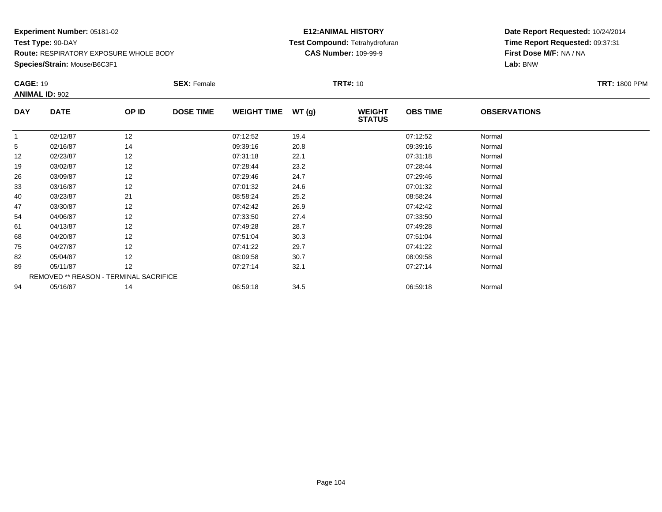**Species/Strain:** Mouse/B6C3F1

### **E12:ANIMAL HISTORY Test Compound:** Tetrahydrofuran**CAS Number:** 109-99-9

| <b>CAGE: 19</b> |                       |                                        | <b>SEX: Female</b> |                    |       | <b>TRT#: 10</b>                |                 |                     | <b>TRT: 1800 PPM</b> |
|-----------------|-----------------------|----------------------------------------|--------------------|--------------------|-------|--------------------------------|-----------------|---------------------|----------------------|
|                 | <b>ANIMAL ID: 902</b> |                                        |                    |                    |       |                                |                 |                     |                      |
| <b>DAY</b>      | <b>DATE</b>           | OP ID                                  | <b>DOSE TIME</b>   | <b>WEIGHT TIME</b> | WT(g) | <b>WEIGHT</b><br><b>STATUS</b> | <b>OBS TIME</b> | <b>OBSERVATIONS</b> |                      |
|                 | 02/12/87              | 12                                     |                    | 07:12:52           | 19.4  |                                | 07:12:52        | Normal              |                      |
| 5               | 02/16/87              | 14                                     |                    | 09:39:16           | 20.8  |                                | 09:39:16        | Normal              |                      |
| 12              | 02/23/87              | 12                                     |                    | 07:31:18           | 22.1  |                                | 07:31:18        | Normal              |                      |
| 19              | 03/02/87              | 12                                     |                    | 07:28:44           | 23.2  |                                | 07:28:44        | Normal              |                      |
| 26              | 03/09/87              | 12                                     |                    | 07:29:46           | 24.7  |                                | 07:29:46        | Normal              |                      |
| 33              | 03/16/87              | 12                                     |                    | 07:01:32           | 24.6  |                                | 07:01:32        | Normal              |                      |
| 40              | 03/23/87              | 21                                     |                    | 08:58:24           | 25.2  |                                | 08:58:24        | Normal              |                      |
| 47              | 03/30/87              | 12                                     |                    | 07:42:42           | 26.9  |                                | 07:42:42        | Normal              |                      |
| 54              | 04/06/87              | 12                                     |                    | 07:33:50           | 27.4  |                                | 07:33:50        | Normal              |                      |
| 61              | 04/13/87              | 12                                     |                    | 07:49:28           | 28.7  |                                | 07:49:28        | Normal              |                      |
| 68              | 04/20/87              | 12                                     |                    | 07:51:04           | 30.3  |                                | 07:51:04        | Normal              |                      |
| 75              | 04/27/87              | 12                                     |                    | 07:41:22           | 29.7  |                                | 07:41:22        | Normal              |                      |
| 82              | 05/04/87              | 12                                     |                    | 08:09:58           | 30.7  |                                | 08:09:58        | Normal              |                      |
| 89              | 05/11/87              | 12                                     |                    | 07:27:14           | 32.1  |                                | 07:27:14        | Normal              |                      |
|                 |                       | REMOVED ** REASON - TERMINAL SACRIFICE |                    |                    |       |                                |                 |                     |                      |
| 94              | 05/16/87              | 14                                     |                    | 06:59:18           | 34.5  |                                | 06:59:18        | Normal              |                      |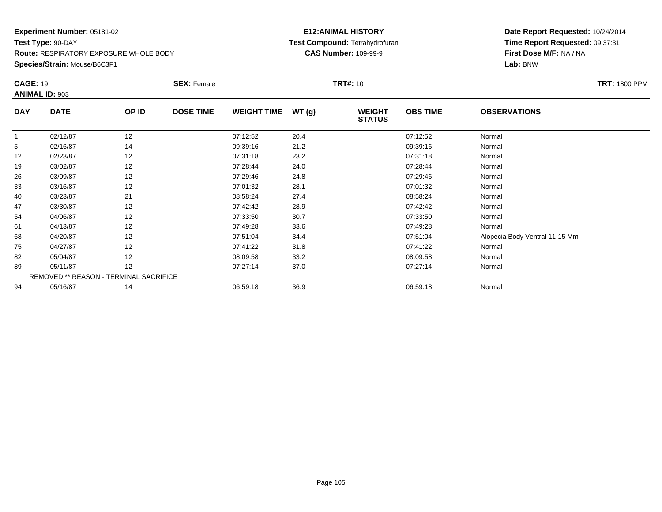**Species/Strain:** Mouse/B6C3F1

### **E12:ANIMAL HISTORY Test Compound:** Tetrahydrofuran**CAS Number:** 109-99-9

| <b>CAGE: 19</b> | <b>ANIMAL ID: 903</b>                  |       | <b>SEX: Female</b> |                    |       | <b>TRT#:</b> 10                |                 |                                | <b>TRT: 1800 PPM</b> |
|-----------------|----------------------------------------|-------|--------------------|--------------------|-------|--------------------------------|-----------------|--------------------------------|----------------------|
| <b>DAY</b>      | <b>DATE</b>                            | OP ID | <b>DOSE TIME</b>   | <b>WEIGHT TIME</b> | WT(g) | <b>WEIGHT</b><br><b>STATUS</b> | <b>OBS TIME</b> | <b>OBSERVATIONS</b>            |                      |
|                 | 02/12/87                               | 12    |                    | 07:12:52           | 20.4  |                                | 07:12:52        | Normal                         |                      |
| 5               | 02/16/87                               | 14    |                    | 09:39:16           | 21.2  |                                | 09:39:16        | Normal                         |                      |
| 12              | 02/23/87                               | 12    |                    | 07:31:18           | 23.2  |                                | 07:31:18        | Normal                         |                      |
| 19              | 03/02/87                               | 12    |                    | 07:28:44           | 24.0  |                                | 07:28:44        | Normal                         |                      |
| 26              | 03/09/87                               | 12    |                    | 07:29:46           | 24.8  |                                | 07:29:46        | Normal                         |                      |
| 33              | 03/16/87                               | 12    |                    | 07:01:32           | 28.1  |                                | 07:01:32        | Normal                         |                      |
| 40              | 03/23/87                               | 21    |                    | 08:58:24           | 27.4  |                                | 08:58:24        | Normal                         |                      |
| 47              | 03/30/87                               | 12    |                    | 07:42:42           | 28.9  |                                | 07:42:42        | Normal                         |                      |
| 54              | 04/06/87                               | 12    |                    | 07:33:50           | 30.7  |                                | 07:33:50        | Normal                         |                      |
| 61              | 04/13/87                               | 12    |                    | 07:49:28           | 33.6  |                                | 07:49:28        | Normal                         |                      |
| 68              | 04/20/87                               | 12    |                    | 07:51:04           | 34.4  |                                | 07:51:04        | Alopecia Body Ventral 11-15 Mm |                      |
| 75              | 04/27/87                               | 12    |                    | 07:41:22           | 31.8  |                                | 07:41:22        | Normal                         |                      |
| 82              | 05/04/87                               | 12    |                    | 08:09:58           | 33.2  |                                | 08:09:58        | Normal                         |                      |
| 89              | 05/11/87                               | 12    |                    | 07:27:14           | 37.0  |                                | 07:27:14        | Normal                         |                      |
|                 | REMOVED ** REASON - TERMINAL SACRIFICE |       |                    |                    |       |                                |                 |                                |                      |
| 94              | 05/16/87                               | 14    |                    | 06:59:18           | 36.9  |                                | 06:59:18        | Normal                         |                      |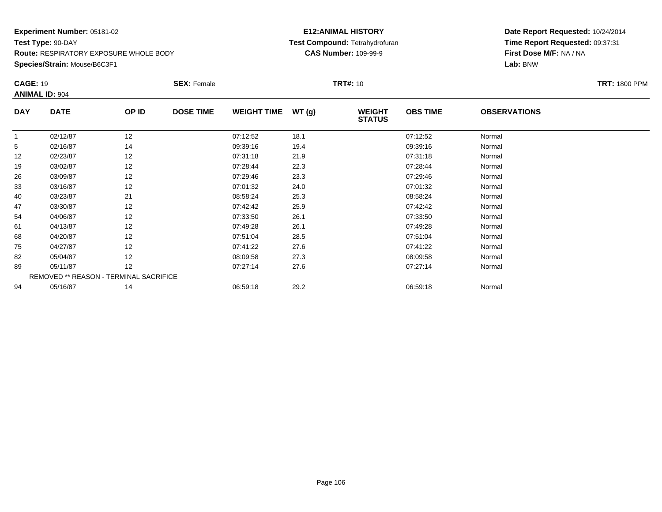### **Species/Strain:** Mouse/B6C3F1

### **E12:ANIMAL HISTORY Test Compound:** Tetrahydrofuran**CAS Number:** 109-99-9

|            | <b>CAGE: 19</b><br><b>ANIMAL ID: 904</b> |       | <b>SEX: Female</b> |                    |       | <b>TRT#:</b> 10                | <b>TRT: 1800 PPM</b> |                     |  |
|------------|------------------------------------------|-------|--------------------|--------------------|-------|--------------------------------|----------------------|---------------------|--|
| <b>DAY</b> | <b>DATE</b>                              | OP ID | <b>DOSE TIME</b>   | <b>WEIGHT TIME</b> | WT(g) | <b>WEIGHT</b><br><b>STATUS</b> | <b>OBS TIME</b>      | <b>OBSERVATIONS</b> |  |
| 1          | 02/12/87                                 | 12    |                    | 07:12:52           | 18.1  |                                | 07:12:52             | Normal              |  |
| 5          | 02/16/87                                 | 14    |                    | 09:39:16           | 19.4  |                                | 09:39:16             | Normal              |  |
| 12         | 02/23/87                                 | 12    |                    | 07:31:18           | 21.9  |                                | 07:31:18             | Normal              |  |
| 19         | 03/02/87                                 | 12    |                    | 07:28:44           | 22.3  |                                | 07:28:44             | Normal              |  |
| 26         | 03/09/87                                 | 12    |                    | 07:29:46           | 23.3  |                                | 07:29:46             | Normal              |  |
| 33         | 03/16/87                                 | 12    |                    | 07:01:32           | 24.0  |                                | 07:01:32             | Normal              |  |
| 40         | 03/23/87                                 | 21    |                    | 08:58:24           | 25.3  |                                | 08:58:24             | Normal              |  |
| 47         | 03/30/87                                 | 12    |                    | 07:42:42           | 25.9  |                                | 07:42:42             | Normal              |  |
| 54         | 04/06/87                                 | 12    |                    | 07:33:50           | 26.1  |                                | 07:33:50             | Normal              |  |
| 61         | 04/13/87                                 | 12    |                    | 07:49:28           | 26.1  |                                | 07:49:28             | Normal              |  |
| 68         | 04/20/87                                 | 12    |                    | 07:51:04           | 28.5  |                                | 07:51:04             | Normal              |  |
| 75         | 04/27/87                                 | 12    |                    | 07:41:22           | 27.6  |                                | 07:41:22             | Normal              |  |
| 82         | 05/04/87                                 | 12    |                    | 08:09:58           | 27.3  |                                | 08:09:58             | Normal              |  |
| 89         | 05/11/87                                 | 12    |                    | 07:27:14           | 27.6  |                                | 07:27:14             | Normal              |  |
|            | REMOVED ** REASON - TERMINAL SACRIFICE   |       |                    |                    |       |                                |                      |                     |  |
| 94         | 05/16/87                                 | 14    |                    | 06:59:18           | 29.2  |                                | 06:59:18             | Normal              |  |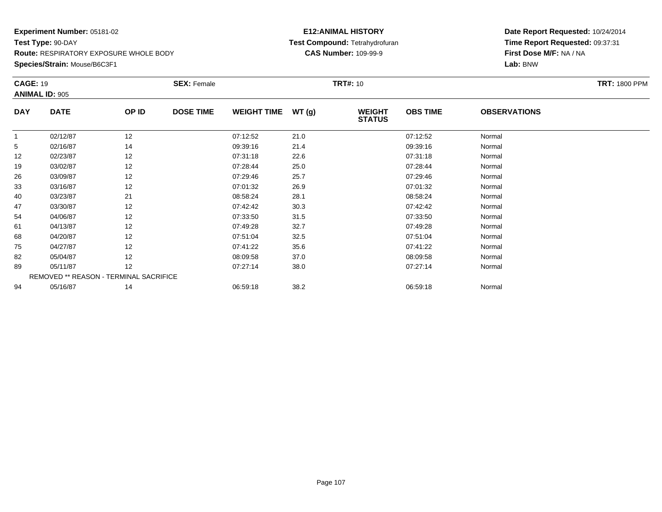**Species/Strain:** Mouse/B6C3F1

### **E12:ANIMAL HISTORY Test Compound:** Tetrahydrofuran**CAS Number:** 109-99-9

| <b>CAGE: 19</b> |                                        |       | <b>SEX: Female</b> |                    |       | <b>TRT#:</b> 10                |                 |                     | <b>TRT: 1800 PPM</b> |
|-----------------|----------------------------------------|-------|--------------------|--------------------|-------|--------------------------------|-----------------|---------------------|----------------------|
|                 | <b>ANIMAL ID: 905</b>                  |       |                    |                    |       |                                |                 |                     |                      |
| <b>DAY</b>      | <b>DATE</b>                            | OP ID | <b>DOSE TIME</b>   | <b>WEIGHT TIME</b> | WT(g) | <b>WEIGHT</b><br><b>STATUS</b> | <b>OBS TIME</b> | <b>OBSERVATIONS</b> |                      |
| 1               | 02/12/87                               | 12    |                    | 07:12:52           | 21.0  |                                | 07:12:52        | Normal              |                      |
| 5               | 02/16/87                               | 14    |                    | 09:39:16           | 21.4  |                                | 09:39:16        | Normal              |                      |
| 12              | 02/23/87                               | 12    |                    | 07:31:18           | 22.6  |                                | 07:31:18        | Normal              |                      |
| 19              | 03/02/87                               | 12    |                    | 07:28:44           | 25.0  |                                | 07:28:44        | Normal              |                      |
| 26              | 03/09/87                               | 12    |                    | 07:29:46           | 25.7  |                                | 07:29:46        | Normal              |                      |
| 33              | 03/16/87                               | 12    |                    | 07:01:32           | 26.9  |                                | 07:01:32        | Normal              |                      |
| 40              | 03/23/87                               | 21    |                    | 08:58:24           | 28.1  |                                | 08:58:24        | Normal              |                      |
| 47              | 03/30/87                               | 12    |                    | 07:42:42           | 30.3  |                                | 07:42:42        | Normal              |                      |
| 54              | 04/06/87                               | 12    |                    | 07:33:50           | 31.5  |                                | 07:33:50        | Normal              |                      |
| 61              | 04/13/87                               | 12    |                    | 07:49:28           | 32.7  |                                | 07:49:28        | Normal              |                      |
| 68              | 04/20/87                               | 12    |                    | 07:51:04           | 32.5  |                                | 07:51:04        | Normal              |                      |
| 75              | 04/27/87                               | 12    |                    | 07:41:22           | 35.6  |                                | 07:41:22        | Normal              |                      |
| 82              | 05/04/87                               | 12    |                    | 08:09:58           | 37.0  |                                | 08:09:58        | Normal              |                      |
| 89              | 05/11/87                               | 12    |                    | 07:27:14           | 38.0  |                                | 07:27:14        | Normal              |                      |
|                 | REMOVED ** REASON - TERMINAL SACRIFICE |       |                    |                    |       |                                |                 |                     |                      |
| 94              | 05/16/87                               | 14    |                    | 06:59:18           | 38.2  |                                | 06:59:18        | Normal              |                      |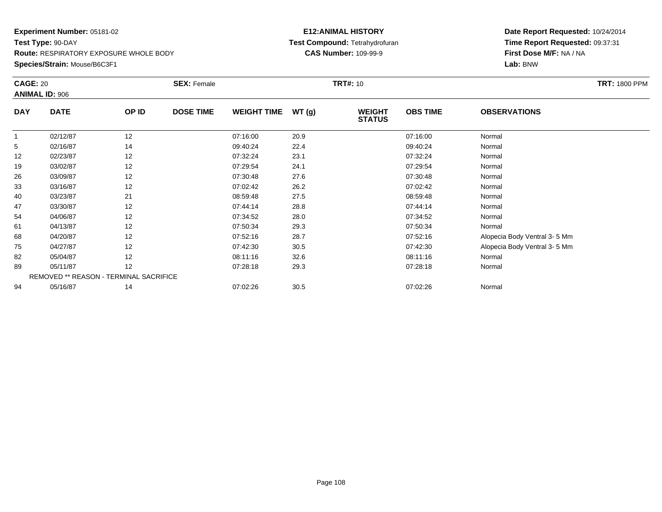### **Species/Strain:** Mouse/B6C3F1

### **E12:ANIMAL HISTORY Test Compound:** Tetrahydrofuran**CAS Number:** 109-99-9

|              | <b>CAGE: 20</b><br><b>ANIMAL ID: 906</b> |       | <b>SEX: Female</b> |                    |       | <b>TRT#: 10</b>                | <b>TRT: 1800 PPM</b> |                              |  |
|--------------|------------------------------------------|-------|--------------------|--------------------|-------|--------------------------------|----------------------|------------------------------|--|
| <b>DAY</b>   | <b>DATE</b>                              | OP ID | <b>DOSE TIME</b>   | <b>WEIGHT TIME</b> | WT(g) | <b>WEIGHT</b><br><b>STATUS</b> | <b>OBS TIME</b>      | <b>OBSERVATIONS</b>          |  |
| $\mathbf{1}$ | 02/12/87                                 | 12    |                    | 07:16:00           | 20.9  |                                | 07:16:00             | Normal                       |  |
| 5            | 02/16/87                                 | 14    |                    | 09:40:24           | 22.4  |                                | 09:40:24             | Normal                       |  |
| 12           | 02/23/87                                 | 12    |                    | 07:32:24           | 23.1  |                                | 07:32:24             | Normal                       |  |
| 19           | 03/02/87                                 | 12    |                    | 07:29:54           | 24.1  |                                | 07:29:54             | Normal                       |  |
| 26           | 03/09/87                                 | 12    |                    | 07:30:48           | 27.6  |                                | 07:30:48             | Normal                       |  |
| 33           | 03/16/87                                 | 12    |                    | 07:02:42           | 26.2  |                                | 07:02:42             | Normal                       |  |
| 40           | 03/23/87                                 | 21    |                    | 08:59:48           | 27.5  |                                | 08:59:48             | Normal                       |  |
| 47           | 03/30/87                                 | 12    |                    | 07:44:14           | 28.8  |                                | 07:44:14             | Normal                       |  |
| 54           | 04/06/87                                 | 12    |                    | 07:34:52           | 28.0  |                                | 07:34:52             | Normal                       |  |
| 61           | 04/13/87                                 | 12    |                    | 07:50:34           | 29.3  |                                | 07:50:34             | Normal                       |  |
| 68           | 04/20/87                                 | 12    |                    | 07:52:16           | 28.7  |                                | 07:52:16             | Alopecia Body Ventral 3-5 Mm |  |
| 75           | 04/27/87                                 | 12    |                    | 07:42:30           | 30.5  |                                | 07:42:30             | Alopecia Body Ventral 3-5 Mm |  |
| 82           | 05/04/87                                 | 12    |                    | 08:11:16           | 32.6  |                                | 08:11:16             | Normal                       |  |
| 89           | 05/11/87                                 | 12    |                    | 07:28:18           | 29.3  |                                | 07:28:18             | Normal                       |  |
|              | REMOVED ** REASON - TERMINAL SACRIFICE   |       |                    |                    |       |                                |                      |                              |  |
| 94           | 05/16/87                                 | 14    |                    | 07:02:26           | 30.5  |                                | 07:02:26             | Normal                       |  |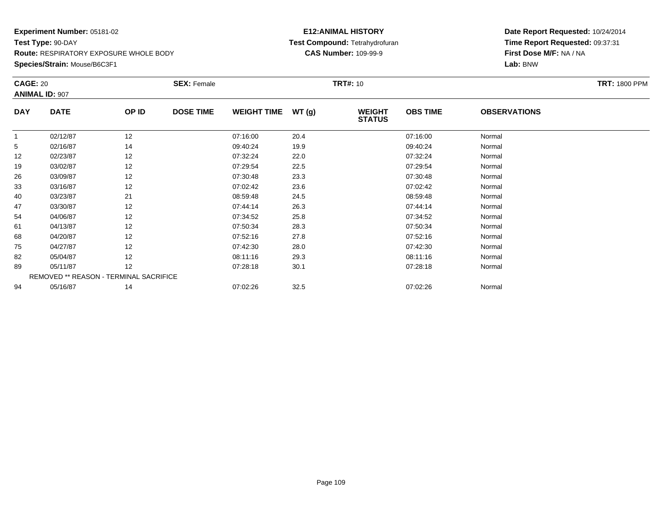## **Species/Strain:** Mouse/B6C3F1

### **E12:ANIMAL HISTORY Test Compound:** Tetrahydrofuran**CAS Number:** 109-99-9

|            | <b>CAGE: 20</b>       |                                        | <b>SEX: Female</b> |                    |       | <b>TRT#:</b> 10                | <b>TRT: 1800 PPM</b> |                     |  |
|------------|-----------------------|----------------------------------------|--------------------|--------------------|-------|--------------------------------|----------------------|---------------------|--|
|            | <b>ANIMAL ID: 907</b> |                                        |                    |                    |       |                                |                      |                     |  |
| <b>DAY</b> | <b>DATE</b>           | OP ID                                  | <b>DOSE TIME</b>   | <b>WEIGHT TIME</b> | WT(g) | <b>WEIGHT</b><br><b>STATUS</b> | <b>OBS TIME</b>      | <b>OBSERVATIONS</b> |  |
| 1          | 02/12/87              | 12                                     |                    | 07:16:00           | 20.4  |                                | 07:16:00             | Normal              |  |
| 5          | 02/16/87              | 14                                     |                    | 09:40:24           | 19.9  |                                | 09:40:24             | Normal              |  |
| 12         | 02/23/87              | 12                                     |                    | 07:32:24           | 22.0  |                                | 07:32:24             | Normal              |  |
| 19         | 03/02/87              | 12                                     |                    | 07:29:54           | 22.5  |                                | 07:29:54             | Normal              |  |
| 26         | 03/09/87              | 12                                     |                    | 07:30:48           | 23.3  |                                | 07:30:48             | Normal              |  |
| 33         | 03/16/87              | 12                                     |                    | 07:02:42           | 23.6  |                                | 07:02:42             | Normal              |  |
| 40         | 03/23/87              | 21                                     |                    | 08:59:48           | 24.5  |                                | 08:59:48             | Normal              |  |
| 47         | 03/30/87              | 12                                     |                    | 07:44:14           | 26.3  |                                | 07:44:14             | Normal              |  |
| 54         | 04/06/87              | 12                                     |                    | 07:34:52           | 25.8  |                                | 07:34:52             | Normal              |  |
| 61         | 04/13/87              | 12                                     |                    | 07:50:34           | 28.3  |                                | 07:50:34             | Normal              |  |
| 68         | 04/20/87              | 12                                     |                    | 07:52:16           | 27.8  |                                | 07:52:16             | Normal              |  |
| 75         | 04/27/87              | 12                                     |                    | 07:42:30           | 28.0  |                                | 07:42:30             | Normal              |  |
| 82         | 05/04/87              | 12                                     |                    | 08:11:16           | 29.3  |                                | 08:11:16             | Normal              |  |
| 89         | 05/11/87              | 12                                     |                    | 07:28:18           | 30.1  |                                | 07:28:18             | Normal              |  |
|            |                       | REMOVED ** REASON - TERMINAL SACRIFICE |                    |                    |       |                                |                      |                     |  |
| 94         | 05/16/87              | 14                                     |                    | 07:02:26           | 32.5  |                                | 07:02:26             | Normal              |  |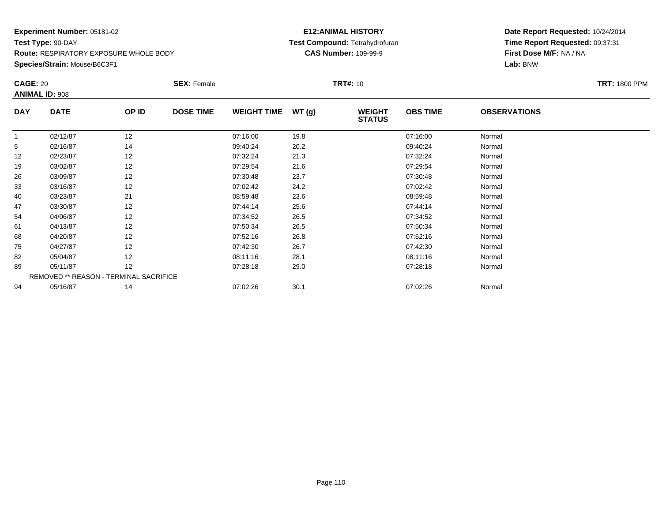## **Species/Strain:** Mouse/B6C3F1

### **E12:ANIMAL HISTORY Test Compound:** Tetrahydrofuran**CAS Number:** 109-99-9

| <b>CAGE: 20</b> | <b>ANIMAL ID: 908</b>                  |       | <b>SEX: Female</b> |                    |       | <b>TRT#:</b> 10                |                 |                     | <b>TRT: 1800 PPM</b> |
|-----------------|----------------------------------------|-------|--------------------|--------------------|-------|--------------------------------|-----------------|---------------------|----------------------|
| <b>DAY</b>      | <b>DATE</b>                            | OP ID | <b>DOSE TIME</b>   | <b>WEIGHT TIME</b> | WT(g) | <b>WEIGHT</b><br><b>STATUS</b> | <b>OBS TIME</b> | <b>OBSERVATIONS</b> |                      |
|                 | 02/12/87                               | 12    |                    | 07:16:00           | 19.8  |                                | 07:16:00        | Normal              |                      |
| 5               | 02/16/87                               | 14    |                    | 09:40:24           | 20.2  |                                | 09:40:24        | Normal              |                      |
| 12              | 02/23/87                               | 12    |                    | 07:32:24           | 21.3  |                                | 07:32:24        | Normal              |                      |
| 19              | 03/02/87                               | 12    |                    | 07:29:54           | 21.6  |                                | 07:29:54        | Normal              |                      |
| 26              | 03/09/87                               | 12    |                    | 07:30:48           | 23.7  |                                | 07:30:48        | Normal              |                      |
| 33              | 03/16/87                               | 12    |                    | 07:02:42           | 24.2  |                                | 07:02:42        | Normal              |                      |
| 40              | 03/23/87                               | 21    |                    | 08:59:48           | 23.6  |                                | 08:59:48        | Normal              |                      |
| 47              | 03/30/87                               | 12    |                    | 07:44:14           | 25.6  |                                | 07:44:14        | Normal              |                      |
| 54              | 04/06/87                               | 12    |                    | 07:34:52           | 26.5  |                                | 07:34:52        | Normal              |                      |
| 61              | 04/13/87                               | 12    |                    | 07:50:34           | 26.5  |                                | 07:50:34        | Normal              |                      |
| 68              | 04/20/87                               | 12    |                    | 07:52:16           | 26.8  |                                | 07:52:16        | Normal              |                      |
| 75              | 04/27/87                               | 12    |                    | 07:42:30           | 26.7  |                                | 07:42:30        | Normal              |                      |
| 82              | 05/04/87                               | 12    |                    | 08:11:16           | 28.1  |                                | 08:11:16        | Normal              |                      |
| 89              | 05/11/87                               | 12    |                    | 07:28:18           | 29.0  |                                | 07:28:18        | Normal              |                      |
|                 | REMOVED ** REASON - TERMINAL SACRIFICE |       |                    |                    |       |                                |                 |                     |                      |
| 94              | 05/16/87                               | 14    |                    | 07:02:26           | 30.1  |                                | 07:02:26        | Normal              |                      |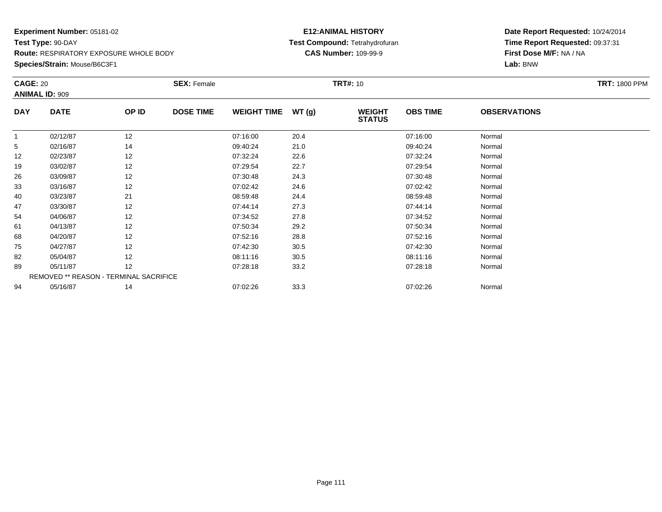## **Species/Strain:** Mouse/B6C3F1

### **E12:ANIMAL HISTORY Test Compound:** Tetrahydrofuran**CAS Number:** 109-99-9

|            | <b>CAGE: 20</b><br><b>ANIMAL ID: 909</b> |       | <b>SEX: Female</b> |                    |       | <b>TRT#:</b> 10                | <b>TRT: 1800 PPM</b> |                     |  |
|------------|------------------------------------------|-------|--------------------|--------------------|-------|--------------------------------|----------------------|---------------------|--|
| <b>DAY</b> | <b>DATE</b>                              | OP ID | <b>DOSE TIME</b>   | <b>WEIGHT TIME</b> | WT(g) | <b>WEIGHT</b><br><b>STATUS</b> | <b>OBS TIME</b>      | <b>OBSERVATIONS</b> |  |
|            | 02/12/87                                 | 12    |                    | 07:16:00           | 20.4  |                                | 07:16:00             | Normal              |  |
| 5          | 02/16/87                                 | 14    |                    | 09:40:24           | 21.0  |                                | 09:40:24             | Normal              |  |
| 12         | 02/23/87                                 | 12    |                    | 07:32:24           | 22.6  |                                | 07:32:24             | Normal              |  |
| 19         | 03/02/87                                 | 12    |                    | 07:29:54           | 22.7  |                                | 07:29:54             | Normal              |  |
| 26         | 03/09/87                                 | 12    |                    | 07:30:48           | 24.3  |                                | 07:30:48             | Normal              |  |
| 33         | 03/16/87                                 | 12    |                    | 07:02:42           | 24.6  |                                | 07:02:42             | Normal              |  |
| 40         | 03/23/87                                 | 21    |                    | 08:59:48           | 24.4  |                                | 08:59:48             | Normal              |  |
| 47         | 03/30/87                                 | 12    |                    | 07:44:14           | 27.3  |                                | 07:44:14             | Normal              |  |
| 54         | 04/06/87                                 | 12    |                    | 07:34:52           | 27.8  |                                | 07:34:52             | Normal              |  |
| 61         | 04/13/87                                 | 12    |                    | 07:50:34           | 29.2  |                                | 07:50:34             | Normal              |  |
| 68         | 04/20/87                                 | 12    |                    | 07:52:16           | 28.8  |                                | 07:52:16             | Normal              |  |
| 75         | 04/27/87                                 | 12    |                    | 07:42:30           | 30.5  |                                | 07:42:30             | Normal              |  |
| 82         | 05/04/87                                 | 12    |                    | 08:11:16           | 30.5  |                                | 08:11:16             | Normal              |  |
| 89         | 05/11/87                                 | 12    |                    | 07:28:18           | 33.2  |                                | 07:28:18             | Normal              |  |
|            | REMOVED ** REASON - TERMINAL SACRIFICE   |       |                    |                    |       |                                |                      |                     |  |
| 94         | 05/16/87                                 | 14    |                    | 07:02:26           | 33.3  |                                | 07:02:26             | Normal              |  |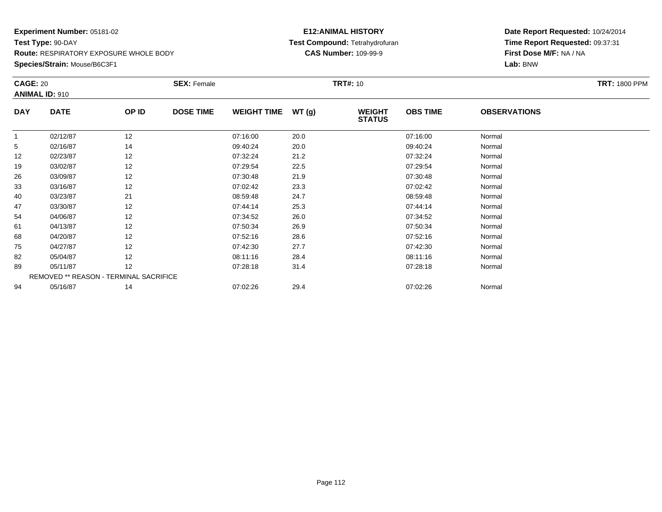## **Species/Strain:** Mouse/B6C3F1

### **E12:ANIMAL HISTORY Test Compound:** Tetrahydrofuran**CAS Number:** 109-99-9

| <b>CAGE: 20</b> | <b>ANIMAL ID: 910</b>                  |       | <b>SEX: Female</b> |                    |       | <b>TRT#:</b> 10                |                 |                     | <b>TRT: 1800 PPM</b> |
|-----------------|----------------------------------------|-------|--------------------|--------------------|-------|--------------------------------|-----------------|---------------------|----------------------|
| <b>DAY</b>      | <b>DATE</b>                            | OP ID | <b>DOSE TIME</b>   | <b>WEIGHT TIME</b> | WT(g) | <b>WEIGHT</b><br><b>STATUS</b> | <b>OBS TIME</b> | <b>OBSERVATIONS</b> |                      |
|                 | 02/12/87                               | 12    |                    | 07:16:00           | 20.0  |                                | 07:16:00        | Normal              |                      |
| 5               | 02/16/87                               | 14    |                    | 09:40:24           | 20.0  |                                | 09:40:24        | Normal              |                      |
| 12              | 02/23/87                               | 12    |                    | 07:32:24           | 21.2  |                                | 07:32:24        | Normal              |                      |
| 19              | 03/02/87                               | 12    |                    | 07:29:54           | 22.5  |                                | 07:29:54        | Normal              |                      |
| 26              | 03/09/87                               | 12    |                    | 07:30:48           | 21.9  |                                | 07:30:48        | Normal              |                      |
| 33              | 03/16/87                               | 12    |                    | 07:02:42           | 23.3  |                                | 07:02:42        | Normal              |                      |
| 40              | 03/23/87                               | 21    |                    | 08:59:48           | 24.7  |                                | 08:59:48        | Normal              |                      |
| 47              | 03/30/87                               | 12    |                    | 07:44:14           | 25.3  |                                | 07:44:14        | Normal              |                      |
| 54              | 04/06/87                               | 12    |                    | 07:34:52           | 26.0  |                                | 07:34:52        | Normal              |                      |
| 61              | 04/13/87                               | 12    |                    | 07:50:34           | 26.9  |                                | 07:50:34        | Normal              |                      |
| 68              | 04/20/87                               | 12    |                    | 07:52:16           | 28.6  |                                | 07:52:16        | Normal              |                      |
| 75              | 04/27/87                               | 12    |                    | 07:42:30           | 27.7  |                                | 07:42:30        | Normal              |                      |
| 82              | 05/04/87                               | 12    |                    | 08:11:16           | 28.4  |                                | 08:11:16        | Normal              |                      |
| 89              | 05/11/87                               | 12    |                    | 07:28:18           | 31.4  |                                | 07:28:18        | Normal              |                      |
|                 | REMOVED ** REASON - TERMINAL SACRIFICE |       |                    |                    |       |                                |                 |                     |                      |
| 94              | 05/16/87                               | 14    |                    | 07:02:26           | 29.4  |                                | 07:02:26        | Normal              |                      |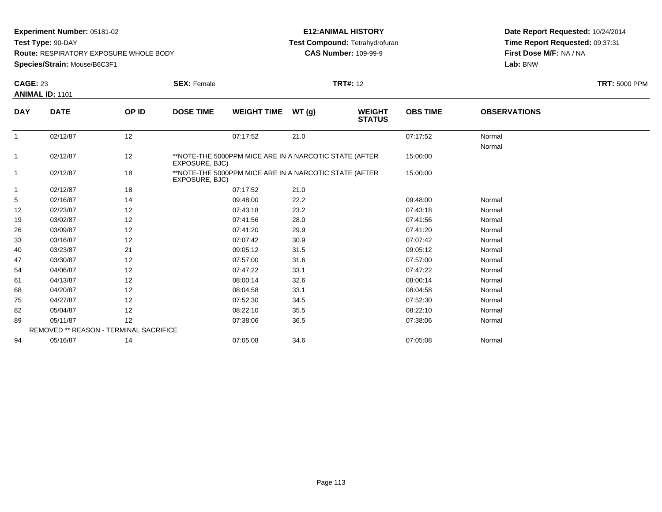**Test Type:** 90-DAY

**Route:** RESPIRATORY EXPOSURE WHOLE BODY

**Species/Strain:** Mouse/B6C3F1

### **E12:ANIMAL HISTORY Test Compound:** Tetrahydrofuran**CAS Number:** 109-99-9

|                | <b>CAGE: 23</b>                        |       | <b>TRT#: 12</b><br><b>SEX: Female</b> |                                                        |       |                                |                 |                     | <b>TRT: 5000 PPM</b> |
|----------------|----------------------------------------|-------|---------------------------------------|--------------------------------------------------------|-------|--------------------------------|-----------------|---------------------|----------------------|
|                | ANIMAL ID: 1101                        |       |                                       |                                                        |       |                                |                 |                     |                      |
| <b>DAY</b>     | <b>DATE</b>                            | OP ID | <b>DOSE TIME</b>                      | <b>WEIGHT TIME</b>                                     | WT(g) | <b>WEIGHT</b><br><b>STATUS</b> | <b>OBS TIME</b> | <b>OBSERVATIONS</b> |                      |
| $\mathbf{1}$   | 02/12/87                               | 12    |                                       | 07:17:52                                               | 21.0  |                                | 07:17:52        | Normal<br>Normal    |                      |
| 1              | 02/12/87                               | 12    | EXPOSURE, BJC)                        | **NOTE-THE 5000PPM MICE ARE IN A NARCOTIC STATE (AFTER |       |                                | 15:00:00        |                     |                      |
| $\overline{1}$ | 02/12/87                               | 18    | EXPOSURE, BJC)                        | **NOTE-THE 5000PPM MICE ARE IN A NARCOTIC STATE (AFTER |       |                                | 15:00:00        |                     |                      |
| -1             | 02/12/87                               | 18    |                                       | 07:17:52                                               | 21.0  |                                |                 |                     |                      |
| 5              | 02/16/87                               | 14    |                                       | 09:48:00                                               | 22.2  |                                | 09:48:00        | Normal              |                      |
| 12             | 02/23/87                               | 12    |                                       | 07:43:18                                               | 23.2  |                                | 07:43:18        | Normal              |                      |
| 19             | 03/02/87                               | 12    |                                       | 07:41:56                                               | 28.0  |                                | 07:41:56        | Normal              |                      |
| 26             | 03/09/87                               | 12    |                                       | 07:41:20                                               | 29.9  |                                | 07:41:20        | Normal              |                      |
| 33             | 03/16/87                               | 12    |                                       | 07:07:42                                               | 30.9  |                                | 07:07:42        | Normal              |                      |
| 40             | 03/23/87                               | 21    |                                       | 09:05:12                                               | 31.5  |                                | 09:05:12        | Normal              |                      |
| 47             | 03/30/87                               | 12    |                                       | 07:57:00                                               | 31.6  |                                | 07:57:00        | Normal              |                      |
| 54             | 04/06/87                               | 12    |                                       | 07:47:22                                               | 33.1  |                                | 07:47:22        | Normal              |                      |
| 61             | 04/13/87                               | 12    |                                       | 08:00:14                                               | 32.6  |                                | 08:00:14        | Normal              |                      |
| 68             | 04/20/87                               | 12    |                                       | 08:04:58                                               | 33.1  |                                | 08:04:58        | Normal              |                      |
| 75             | 04/27/87                               | 12    |                                       | 07:52:30                                               | 34.5  |                                | 07:52:30        | Normal              |                      |
| 82             | 05/04/87                               | 12    |                                       | 08:22:10                                               | 35.5  |                                | 08:22:10        | Normal              |                      |
| 89             | 05/11/87                               | 12    |                                       | 07:38:06                                               | 36.5  |                                | 07:38:06        | Normal              |                      |
|                | REMOVED ** REASON - TERMINAL SACRIFICE |       |                                       |                                                        |       |                                |                 |                     |                      |
| 94             | 05/16/87                               | 14    |                                       | 07:05:08                                               | 34.6  |                                | 07:05:08        | Normal              |                      |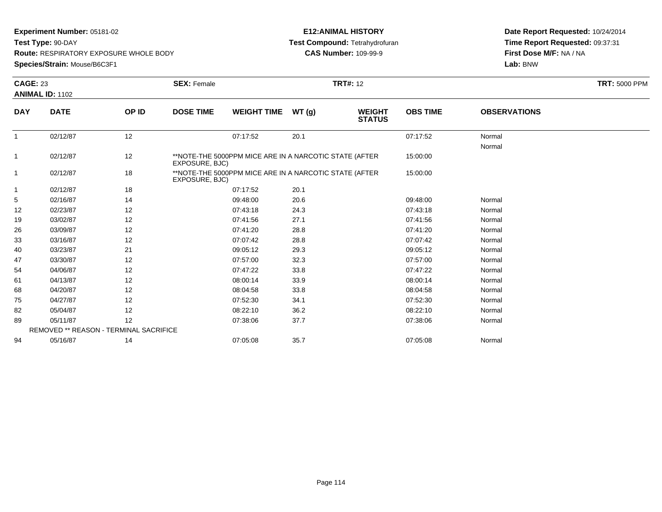**Test Type:** 90-DAY

**Route:** RESPIRATORY EXPOSURE WHOLE BODY

**Species/Strain:** Mouse/B6C3F1

### **E12:ANIMAL HISTORY Test Compound:** Tetrahydrofuran**CAS Number:** 109-99-9

|                | <b>CAGE: 23</b>                        |       | <b>TRT#: 12</b><br><b>SEX: Female</b> |                                                        |       |                                |                 |                     | <b>TRT: 5000 PPM</b> |
|----------------|----------------------------------------|-------|---------------------------------------|--------------------------------------------------------|-------|--------------------------------|-----------------|---------------------|----------------------|
|                | <b>ANIMAL ID: 1102</b>                 |       |                                       |                                                        |       |                                |                 |                     |                      |
| <b>DAY</b>     | <b>DATE</b>                            | OP ID | <b>DOSE TIME</b>                      | <b>WEIGHT TIME</b>                                     | WT(g) | <b>WEIGHT</b><br><b>STATUS</b> | <b>OBS TIME</b> | <b>OBSERVATIONS</b> |                      |
| $\mathbf{1}$   | 02/12/87                               | 12    |                                       | 07:17:52                                               | 20.1  |                                | 07:17:52        | Normal<br>Normal    |                      |
| $\mathbf{1}$   | 02/12/87                               | 12    | EXPOSURE, BJC)                        | **NOTE-THE 5000PPM MICE ARE IN A NARCOTIC STATE (AFTER |       |                                | 15:00:00        |                     |                      |
| $\overline{1}$ | 02/12/87                               | 18    | EXPOSURE, BJC)                        | **NOTE-THE 5000PPM MICE ARE IN A NARCOTIC STATE (AFTER |       |                                | 15:00:00        |                     |                      |
| $\mathbf{1}$   | 02/12/87                               | 18    |                                       | 07:17:52                                               | 20.1  |                                |                 |                     |                      |
| 5              | 02/16/87                               | 14    |                                       | 09:48:00                                               | 20.6  |                                | 09:48:00        | Normal              |                      |
| 12             | 02/23/87                               | 12    |                                       | 07:43:18                                               | 24.3  |                                | 07:43:18        | Normal              |                      |
| 19             | 03/02/87                               | 12    |                                       | 07:41:56                                               | 27.1  |                                | 07:41:56        | Normal              |                      |
| 26             | 03/09/87                               | 12    |                                       | 07:41:20                                               | 28.8  |                                | 07:41:20        | Normal              |                      |
| 33             | 03/16/87                               | 12    |                                       | 07:07:42                                               | 28.8  |                                | 07:07:42        | Normal              |                      |
| 40             | 03/23/87                               | 21    |                                       | 09:05:12                                               | 29.3  |                                | 09:05:12        | Normal              |                      |
| 47             | 03/30/87                               | 12    |                                       | 07:57:00                                               | 32.3  |                                | 07:57:00        | Normal              |                      |
| 54             | 04/06/87                               | 12    |                                       | 07:47:22                                               | 33.8  |                                | 07:47:22        | Normal              |                      |
| 61             | 04/13/87                               | 12    |                                       | 08:00:14                                               | 33.9  |                                | 08:00:14        | Normal              |                      |
| 68             | 04/20/87                               | 12    |                                       | 08:04:58                                               | 33.8  |                                | 08:04:58        | Normal              |                      |
| 75             | 04/27/87                               | 12    |                                       | 07:52:30                                               | 34.1  |                                | 07:52:30        | Normal              |                      |
| 82             | 05/04/87                               | 12    |                                       | 08:22:10                                               | 36.2  |                                | 08:22:10        | Normal              |                      |
| 89             | 05/11/87                               | 12    |                                       | 07:38:06                                               | 37.7  |                                | 07:38:06        | Normal              |                      |
|                | REMOVED ** REASON - TERMINAL SACRIFICE |       |                                       |                                                        |       |                                |                 |                     |                      |
| 94             | 05/16/87                               | 14    |                                       | 07:05:08                                               | 35.7  |                                | 07:05:08        | Normal              |                      |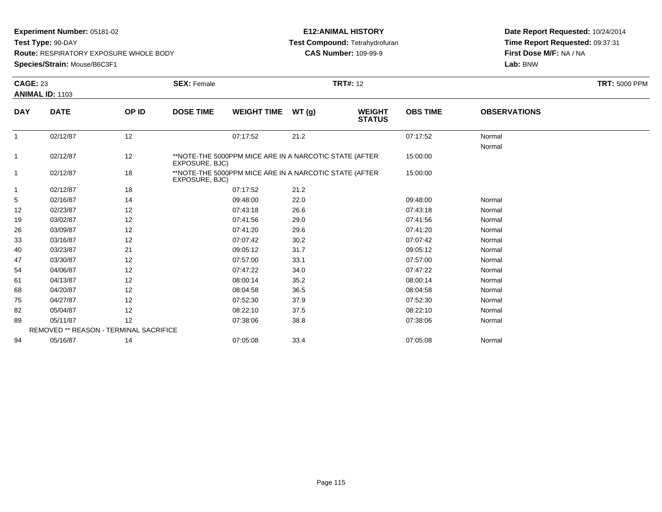**Test Type:** 90-DAY

**Route:** RESPIRATORY EXPOSURE WHOLE BODY

**Species/Strain:** Mouse/B6C3F1

### **E12:ANIMAL HISTORY Test Compound:** Tetrahydrofuran**CAS Number:** 109-99-9

|              | <b>CAGE: 23</b>                        |       | <b>SEX: Female</b> | <b>TRT#: 12</b>                                        |       |                                |                 |                     |  |  |
|--------------|----------------------------------------|-------|--------------------|--------------------------------------------------------|-------|--------------------------------|-----------------|---------------------|--|--|
|              | <b>ANIMAL ID: 1103</b>                 |       |                    |                                                        |       |                                |                 |                     |  |  |
| <b>DAY</b>   | <b>DATE</b>                            | OP ID | <b>DOSE TIME</b>   | <b>WEIGHT TIME</b>                                     | WT(g) | <b>WEIGHT</b><br><b>STATUS</b> | <b>OBS TIME</b> | <b>OBSERVATIONS</b> |  |  |
| $\mathbf{1}$ | 02/12/87                               | 12    |                    | 07:17:52                                               | 21.2  |                                | 07:17:52        | Normal<br>Normal    |  |  |
| 1            | 02/12/87                               | 12    | EXPOSURE, BJC)     | **NOTE-THE 5000PPM MICE ARE IN A NARCOTIC STATE (AFTER |       |                                | 15:00:00        |                     |  |  |
| $\mathbf{1}$ | 02/12/87                               | 18    | EXPOSURE, BJC)     | **NOTE-THE 5000PPM MICE ARE IN A NARCOTIC STATE (AFTER |       |                                | 15:00:00        |                     |  |  |
| 1            | 02/12/87                               | 18    |                    | 07:17:52                                               | 21.2  |                                |                 |                     |  |  |
| 5            | 02/16/87                               | 14    |                    | 09:48:00                                               | 22.0  |                                | 09:48:00        | Normal              |  |  |
| 12           | 02/23/87                               | 12    |                    | 07:43:18                                               | 26.6  |                                | 07:43:18        | Normal              |  |  |
| 19           | 03/02/87                               | 12    |                    | 07:41:56                                               | 29.0  |                                | 07:41:56        | Normal              |  |  |
| 26           | 03/09/87                               | 12    |                    | 07:41:20                                               | 29.6  |                                | 07:41:20        | Normal              |  |  |
| 33           | 03/16/87                               | 12    |                    | 07:07:42                                               | 30.2  |                                | 07:07:42        | Normal              |  |  |
| 40           | 03/23/87                               | 21    |                    | 09:05:12                                               | 31.7  |                                | 09:05:12        | Normal              |  |  |
| 47           | 03/30/87                               | 12    |                    | 07:57:00                                               | 33.1  |                                | 07:57:00        | Normal              |  |  |
| 54           | 04/06/87                               | 12    |                    | 07:47:22                                               | 34.0  |                                | 07:47:22        | Normal              |  |  |
| 61           | 04/13/87                               | 12    |                    | 08:00:14                                               | 35.2  |                                | 08:00:14        | Normal              |  |  |
| 68           | 04/20/87                               | 12    |                    | 08:04:58                                               | 36.5  |                                | 08:04:58        | Normal              |  |  |
| 75           | 04/27/87                               | 12    |                    | 07:52:30                                               | 37.9  |                                | 07:52:30        | Normal              |  |  |
| 82           | 05/04/87                               | 12    |                    | 08:22:10                                               | 37.5  |                                | 08:22:10        | Normal              |  |  |
| 89           | 05/11/87                               | 12    |                    | 07:38:06                                               | 38.8  |                                | 07:38:06        | Normal              |  |  |
|              | REMOVED ** REASON - TERMINAL SACRIFICE |       |                    |                                                        |       |                                |                 |                     |  |  |
| 94           | 05/16/87                               | 14    |                    | 07:05:08                                               | 33.4  |                                | 07:05:08        | Normal              |  |  |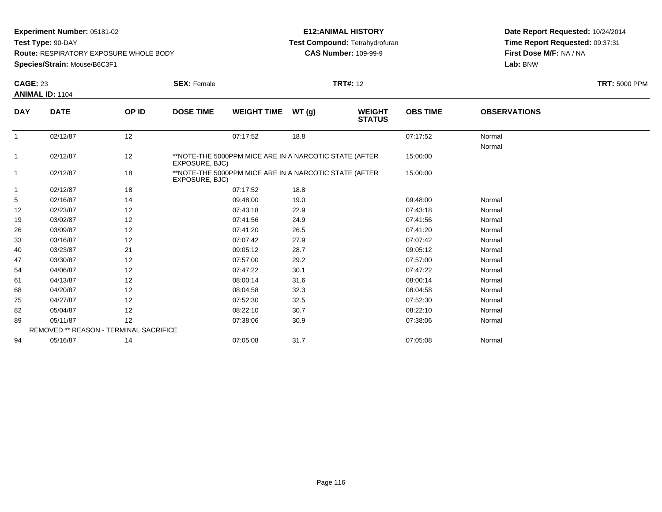**Test Type:** 90-DAY

**Route:** RESPIRATORY EXPOSURE WHOLE BODY

**Species/Strain:** Mouse/B6C3F1

### **E12:ANIMAL HISTORY Test Compound:** Tetrahydrofuran**CAS Number:** 109-99-9

|                | <b>CAGE: 23</b>                        |       | <b>TRT#: 12</b><br><b>SEX: Female</b> |                                                        |       |                                |                 |                     | <b>TRT: 5000 PPM</b> |
|----------------|----------------------------------------|-------|---------------------------------------|--------------------------------------------------------|-------|--------------------------------|-----------------|---------------------|----------------------|
|                | <b>ANIMAL ID: 1104</b>                 |       |                                       |                                                        |       |                                |                 |                     |                      |
| <b>DAY</b>     | <b>DATE</b>                            | OP ID | <b>DOSE TIME</b>                      | <b>WEIGHT TIME</b>                                     | WT(g) | <b>WEIGHT</b><br><b>STATUS</b> | <b>OBS TIME</b> | <b>OBSERVATIONS</b> |                      |
| $\mathbf{1}$   | 02/12/87                               | 12    |                                       | 07:17:52                                               | 18.8  |                                | 07:17:52        | Normal<br>Normal    |                      |
| 1              | 02/12/87                               | 12    | EXPOSURE, BJC)                        | **NOTE-THE 5000PPM MICE ARE IN A NARCOTIC STATE (AFTER |       |                                | 15:00:00        |                     |                      |
| $\overline{1}$ | 02/12/87                               | 18    | EXPOSURE, BJC)                        | **NOTE-THE 5000PPM MICE ARE IN A NARCOTIC STATE (AFTER |       |                                | 15:00:00        |                     |                      |
| -1             | 02/12/87                               | 18    |                                       | 07:17:52                                               | 18.8  |                                |                 |                     |                      |
| 5              | 02/16/87                               | 14    |                                       | 09:48:00                                               | 19.0  |                                | 09:48:00        | Normal              |                      |
| 12             | 02/23/87                               | 12    |                                       | 07:43:18                                               | 22.9  |                                | 07:43:18        | Normal              |                      |
| 19             | 03/02/87                               | 12    |                                       | 07:41:56                                               | 24.9  |                                | 07:41:56        | Normal              |                      |
| 26             | 03/09/87                               | 12    |                                       | 07:41:20                                               | 26.5  |                                | 07:41:20        | Normal              |                      |
| 33             | 03/16/87                               | 12    |                                       | 07:07:42                                               | 27.9  |                                | 07:07:42        | Normal              |                      |
| 40             | 03/23/87                               | 21    |                                       | 09:05:12                                               | 28.7  |                                | 09:05:12        | Normal              |                      |
| 47             | 03/30/87                               | 12    |                                       | 07:57:00                                               | 29.2  |                                | 07:57:00        | Normal              |                      |
| 54             | 04/06/87                               | 12    |                                       | 07:47:22                                               | 30.1  |                                | 07:47:22        | Normal              |                      |
| 61             | 04/13/87                               | 12    |                                       | 08:00:14                                               | 31.6  |                                | 08:00:14        | Normal              |                      |
| 68             | 04/20/87                               | 12    |                                       | 08:04:58                                               | 32.3  |                                | 08:04:58        | Normal              |                      |
| 75             | 04/27/87                               | 12    |                                       | 07:52:30                                               | 32.5  |                                | 07:52:30        | Normal              |                      |
| 82             | 05/04/87                               | 12    |                                       | 08:22:10                                               | 30.7  |                                | 08:22:10        | Normal              |                      |
| 89             | 05/11/87                               | 12    |                                       | 07:38:06                                               | 30.9  |                                | 07:38:06        | Normal              |                      |
|                | REMOVED ** REASON - TERMINAL SACRIFICE |       |                                       |                                                        |       |                                |                 |                     |                      |
| 94             | 05/16/87                               | 14    |                                       | 07:05:08                                               | 31.7  |                                | 07:05:08        | Normal              |                      |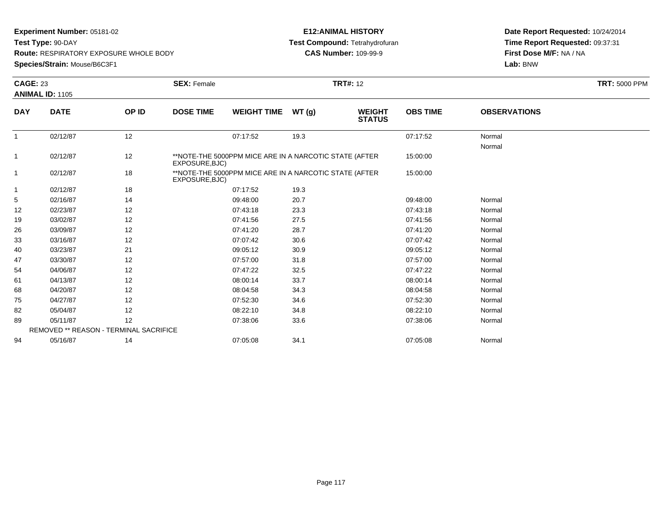**Test Type:** 90-DAY

**Route:** RESPIRATORY EXPOSURE WHOLE BODY

**Species/Strain:** Mouse/B6C3F1

### **E12:ANIMAL HISTORY Test Compound:** Tetrahydrofuran**CAS Number:** 109-99-9

|              | <b>CAGE: 23</b>                        |       | <b>TRT#: 12</b><br><b>SEX: Female</b> |                                                        |       |                                |                 |                     | <b>TRT: 5000 PPM</b> |
|--------------|----------------------------------------|-------|---------------------------------------|--------------------------------------------------------|-------|--------------------------------|-----------------|---------------------|----------------------|
|              | <b>ANIMAL ID: 1105</b>                 |       |                                       |                                                        |       |                                |                 |                     |                      |
| <b>DAY</b>   | <b>DATE</b>                            | OP ID | <b>DOSE TIME</b>                      | <b>WEIGHT TIME</b>                                     | WT(g) | <b>WEIGHT</b><br><b>STATUS</b> | <b>OBS TIME</b> | <b>OBSERVATIONS</b> |                      |
| $\mathbf{1}$ | 02/12/87                               | 12    |                                       | 07:17:52                                               | 19.3  |                                | 07:17:52        | Normal<br>Normal    |                      |
| 1            | 02/12/87                               | 12    | EXPOSURE, BJC)                        | **NOTE-THE 5000PPM MICE ARE IN A NARCOTIC STATE (AFTER |       |                                | 15:00:00        |                     |                      |
| $\mathbf 1$  | 02/12/87                               | 18    | EXPOSURE, BJC)                        | **NOTE-THE 5000PPM MICE ARE IN A NARCOTIC STATE (AFTER |       |                                | 15:00:00        |                     |                      |
| -1           | 02/12/87                               | 18    |                                       | 07:17:52                                               | 19.3  |                                |                 |                     |                      |
| 5            | 02/16/87                               | 14    |                                       | 09:48:00                                               | 20.7  |                                | 09:48:00        | Normal              |                      |
| 12           | 02/23/87                               | 12    |                                       | 07:43:18                                               | 23.3  |                                | 07:43:18        | Normal              |                      |
| 19           | 03/02/87                               | 12    |                                       | 07:41:56                                               | 27.5  |                                | 07:41:56        | Normal              |                      |
| 26           | 03/09/87                               | 12    |                                       | 07:41:20                                               | 28.7  |                                | 07:41:20        | Normal              |                      |
| 33           | 03/16/87                               | 12    |                                       | 07:07:42                                               | 30.6  |                                | 07:07:42        | Normal              |                      |
| 40           | 03/23/87                               | 21    |                                       | 09:05:12                                               | 30.9  |                                | 09:05:12        | Normal              |                      |
| 47           | 03/30/87                               | 12    |                                       | 07:57:00                                               | 31.8  |                                | 07:57:00        | Normal              |                      |
| 54           | 04/06/87                               | 12    |                                       | 07:47:22                                               | 32.5  |                                | 07:47:22        | Normal              |                      |
| 61           | 04/13/87                               | 12    |                                       | 08:00:14                                               | 33.7  |                                | 08:00:14        | Normal              |                      |
| 68           | 04/20/87                               | 12    |                                       | 08:04:58                                               | 34.3  |                                | 08:04:58        | Normal              |                      |
| 75           | 04/27/87                               | 12    |                                       | 07:52:30                                               | 34.6  |                                | 07:52:30        | Normal              |                      |
| 82           | 05/04/87                               | 12    |                                       | 08:22:10                                               | 34.8  |                                | 08:22:10        | Normal              |                      |
| 89           | 05/11/87                               | 12    |                                       | 07:38:06                                               | 33.6  |                                | 07:38:06        | Normal              |                      |
|              | REMOVED ** REASON - TERMINAL SACRIFICE |       |                                       |                                                        |       |                                |                 |                     |                      |
| 94           | 05/16/87                               | 14    |                                       | 07:05:08                                               | 34.1  |                                | 07:05:08        | Normal              |                      |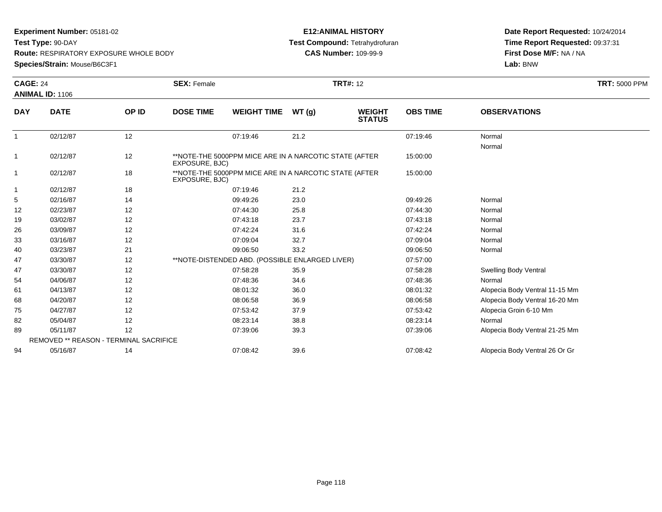**Test Type:** 90-DAY

**Route:** RESPIRATORY EXPOSURE WHOLE BODY

**Species/Strain:** Mouse/B6C3F1

### **E12:ANIMAL HISTORY Test Compound:** Tetrahydrofuran**CAS Number:** 109-99-9

|                | <b>CAGE: 24</b>                        |       | <b>SEX: Female</b> |                                                        |       | <b>TRT#: 12</b>                |                 |                                | <b>TRT: 5000 PPM</b> |
|----------------|----------------------------------------|-------|--------------------|--------------------------------------------------------|-------|--------------------------------|-----------------|--------------------------------|----------------------|
|                | <b>ANIMAL ID: 1106</b>                 |       |                    |                                                        |       |                                |                 |                                |                      |
| <b>DAY</b>     | <b>DATE</b>                            | OP ID | <b>DOSE TIME</b>   | <b>WEIGHT TIME</b>                                     | WT(g) | <b>WEIGHT</b><br><b>STATUS</b> | <b>OBS TIME</b> | <b>OBSERVATIONS</b>            |                      |
| $\overline{1}$ | 02/12/87                               | 12    |                    | 07:19:46                                               | 21.2  |                                | 07:19:46        | Normal<br>Normal               |                      |
| 1              | 02/12/87                               | 12    | EXPOSURE, BJC)     | **NOTE-THE 5000PPM MICE ARE IN A NARCOTIC STATE (AFTER |       |                                | 15:00:00        |                                |                      |
| 1              | 02/12/87                               | 18    | EXPOSURE, BJC)     | **NOTE-THE 5000PPM MICE ARE IN A NARCOTIC STATE (AFTER |       |                                | 15:00:00        |                                |                      |
| 1              | 02/12/87                               | 18    |                    | 07:19:46                                               | 21.2  |                                |                 |                                |                      |
| 5              | 02/16/87                               | 14    |                    | 09:49:26                                               | 23.0  |                                | 09:49:26        | Normal                         |                      |
| 12             | 02/23/87                               | 12    |                    | 07:44:30                                               | 25.8  |                                | 07:44:30        | Normal                         |                      |
| 19             | 03/02/87                               | 12    |                    | 07:43:18                                               | 23.7  |                                | 07:43:18        | Normal                         |                      |
| 26             | 03/09/87                               | 12    |                    | 07:42:24                                               | 31.6  |                                | 07:42:24        | Normal                         |                      |
| 33             | 03/16/87                               | 12    |                    | 07:09:04                                               | 32.7  |                                | 07:09:04        | Normal                         |                      |
| 40             | 03/23/87                               | 21    |                    | 09:06:50                                               | 33.2  |                                | 09:06:50        | Normal                         |                      |
| 47             | 03/30/87                               | 12    |                    | **NOTE-DISTENDED ABD. (POSSIBLE ENLARGED LIVER)        |       |                                | 07:57:00        |                                |                      |
| 47             | 03/30/87                               | 12    |                    | 07:58:28                                               | 35.9  |                                | 07:58:28        | <b>Swelling Body Ventral</b>   |                      |
| 54             | 04/06/87                               | 12    |                    | 07:48:36                                               | 34.6  |                                | 07:48:36        | Normal                         |                      |
| 61             | 04/13/87                               | 12    |                    | 08:01:32                                               | 36.0  |                                | 08:01:32        | Alopecia Body Ventral 11-15 Mm |                      |
| 68             | 04/20/87                               | 12    |                    | 08:06:58                                               | 36.9  |                                | 08:06:58        | Alopecia Body Ventral 16-20 Mm |                      |
| 75             | 04/27/87                               | 12    |                    | 07:53:42                                               | 37.9  |                                | 07:53:42        | Alopecia Groin 6-10 Mm         |                      |
| 82             | 05/04/87                               | 12    |                    | 08:23:14                                               | 38.8  |                                | 08:23:14        | Normal                         |                      |
| 89             | 05/11/87                               | 12    |                    | 07:39:06                                               | 39.3  |                                | 07:39:06        | Alopecia Body Ventral 21-25 Mm |                      |
|                | REMOVED ** REASON - TERMINAL SACRIFICE |       |                    |                                                        |       |                                |                 |                                |                      |
| 94             | 05/16/87                               | 14    |                    | 07:08:42                                               | 39.6  |                                | 07:08:42        | Alopecia Body Ventral 26 Or Gr |                      |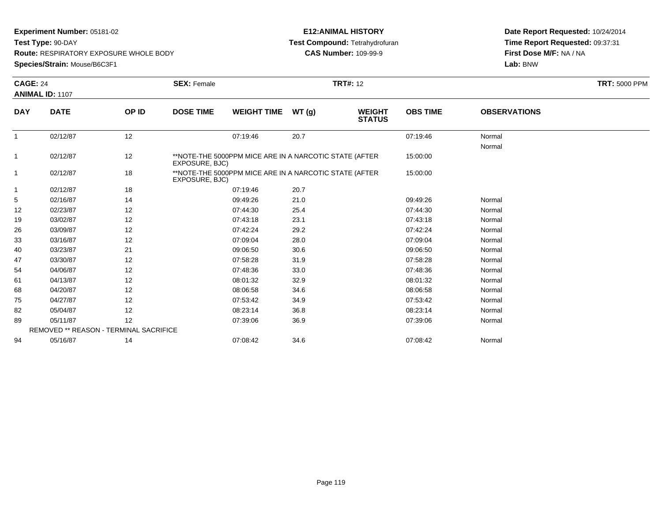**Test Type:** 90-DAY

**Route:** RESPIRATORY EXPOSURE WHOLE BODY

**Species/Strain:** Mouse/B6C3F1

### **E12:ANIMAL HISTORY Test Compound:** Tetrahydrofuran**CAS Number:** 109-99-9

|                | <b>CAGE: 24</b>                        |       | <b>TRT#: 12</b><br><b>SEX: Female</b> |                                                        |       |                                |                 |                     | <b>TRT: 5000 PPM</b> |
|----------------|----------------------------------------|-------|---------------------------------------|--------------------------------------------------------|-------|--------------------------------|-----------------|---------------------|----------------------|
|                | ANIMAL ID: 1107                        |       |                                       |                                                        |       |                                |                 |                     |                      |
| <b>DAY</b>     | <b>DATE</b>                            | OP ID | <b>DOSE TIME</b>                      | <b>WEIGHT TIME</b>                                     | WT(g) | <b>WEIGHT</b><br><b>STATUS</b> | <b>OBS TIME</b> | <b>OBSERVATIONS</b> |                      |
| $\mathbf{1}$   | 02/12/87                               | 12    |                                       | 07:19:46                                               | 20.7  |                                | 07:19:46        | Normal<br>Normal    |                      |
| 1              | 02/12/87                               | 12    | EXPOSURE, BJC)                        | **NOTE-THE 5000PPM MICE ARE IN A NARCOTIC STATE (AFTER |       |                                | 15:00:00        |                     |                      |
| $\overline{1}$ | 02/12/87                               | 18    | EXPOSURE, BJC)                        | **NOTE-THE 5000PPM MICE ARE IN A NARCOTIC STATE (AFTER |       |                                | 15:00:00        |                     |                      |
| -1             | 02/12/87                               | 18    |                                       | 07:19:46                                               | 20.7  |                                |                 |                     |                      |
| 5              | 02/16/87                               | 14    |                                       | 09:49:26                                               | 21.0  |                                | 09:49:26        | Normal              |                      |
| 12             | 02/23/87                               | 12    |                                       | 07:44:30                                               | 25.4  |                                | 07:44:30        | Normal              |                      |
| 19             | 03/02/87                               | 12    |                                       | 07:43:18                                               | 23.1  |                                | 07:43:18        | Normal              |                      |
| 26             | 03/09/87                               | 12    |                                       | 07:42:24                                               | 29.2  |                                | 07:42:24        | Normal              |                      |
| 33             | 03/16/87                               | 12    |                                       | 07:09:04                                               | 28.0  |                                | 07:09:04        | Normal              |                      |
| 40             | 03/23/87                               | 21    |                                       | 09:06:50                                               | 30.6  |                                | 09:06:50        | Normal              |                      |
| 47             | 03/30/87                               | 12    |                                       | 07:58:28                                               | 31.9  |                                | 07:58:28        | Normal              |                      |
| 54             | 04/06/87                               | 12    |                                       | 07:48:36                                               | 33.0  |                                | 07:48:36        | Normal              |                      |
| 61             | 04/13/87                               | 12    |                                       | 08:01:32                                               | 32.9  |                                | 08:01:32        | Normal              |                      |
| 68             | 04/20/87                               | 12    |                                       | 08:06:58                                               | 34.6  |                                | 08:06:58        | Normal              |                      |
| 75             | 04/27/87                               | 12    |                                       | 07:53:42                                               | 34.9  |                                | 07:53:42        | Normal              |                      |
| 82             | 05/04/87                               | 12    |                                       | 08:23:14                                               | 36.8  |                                | 08:23:14        | Normal              |                      |
| 89             | 05/11/87                               | 12    |                                       | 07:39:06                                               | 36.9  |                                | 07:39:06        | Normal              |                      |
|                | REMOVED ** REASON - TERMINAL SACRIFICE |       |                                       |                                                        |       |                                |                 |                     |                      |
| 94             | 05/16/87                               | 14    |                                       | 07:08:42                                               | 34.6  |                                | 07:08:42        | Normal              |                      |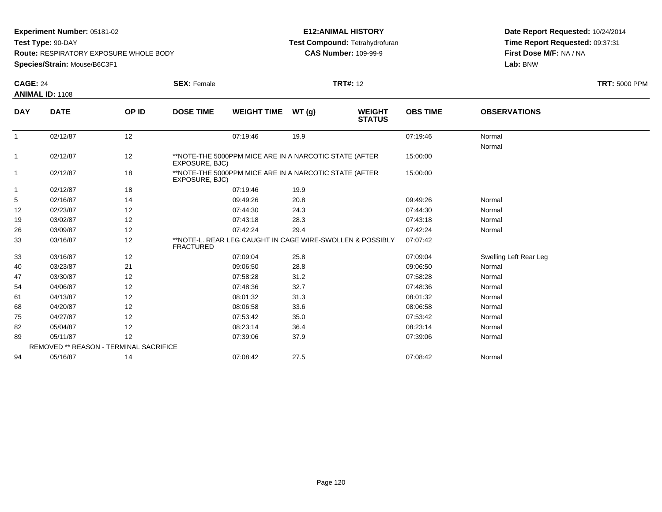**Test Type:** 90-DAY

**Route:** RESPIRATORY EXPOSURE WHOLE BODY

**Species/Strain:** Mouse/B6C3F1

### **E12:ANIMAL HISTORY Test Compound:** Tetrahydrofuran**CAS Number:** 109-99-9

|              | <b>CAGE: 24</b><br><b>ANIMAL ID: 1108</b> |       | <b>SEX: Female</b> | <b>TRT#: 12</b>    |                                                           |                                |                 |                        |  |
|--------------|-------------------------------------------|-------|--------------------|--------------------|-----------------------------------------------------------|--------------------------------|-----------------|------------------------|--|
|              |                                           |       |                    |                    |                                                           |                                |                 |                        |  |
| <b>DAY</b>   | <b>DATE</b>                               | OP ID | <b>DOSE TIME</b>   | <b>WEIGHT TIME</b> | WT(g)                                                     | <b>WEIGHT</b><br><b>STATUS</b> | <b>OBS TIME</b> | <b>OBSERVATIONS</b>    |  |
| $\mathbf{1}$ | 02/12/87                                  | 12    |                    | 07:19:46           | 19.9                                                      |                                | 07:19:46        | Normal<br>Normal       |  |
| 1            | 02/12/87                                  | 12    | EXPOSURE, BJC)     |                    | **NOTE-THE 5000PPM MICE ARE IN A NARCOTIC STATE (AFTER    |                                | 15:00:00        |                        |  |
| 1            | 02/12/87                                  | 18    | EXPOSURE, BJC)     |                    | **NOTE-THE 5000PPM MICE ARE IN A NARCOTIC STATE (AFTER    |                                | 15:00:00        |                        |  |
| $\mathbf 1$  | 02/12/87                                  | 18    |                    | 07:19:46           | 19.9                                                      |                                |                 |                        |  |
| 5            | 02/16/87                                  | 14    |                    | 09:49:26           | 20.8                                                      |                                | 09:49:26        | Normal                 |  |
| 12           | 02/23/87                                  | 12    |                    | 07:44:30           | 24.3                                                      |                                | 07:44:30        | Normal                 |  |
| 19           | 03/02/87                                  | 12    |                    | 07:43:18           | 28.3                                                      |                                | 07:43:18        | Normal                 |  |
| 26           | 03/09/87                                  | 12    |                    | 07:42:24           | 29.4                                                      |                                | 07:42:24        | Normal                 |  |
| 33           | 03/16/87                                  | 12    | <b>FRACTURED</b>   |                    | **NOTE-L, REAR LEG CAUGHT IN CAGE WIRE-SWOLLEN & POSSIBLY |                                | 07:07:42        |                        |  |
| 33           | 03/16/87                                  | 12    |                    | 07:09:04           | 25.8                                                      |                                | 07:09:04        | Swelling Left Rear Leg |  |
| 40           | 03/23/87                                  | 21    |                    | 09:06:50           | 28.8                                                      |                                | 09:06:50        | Normal                 |  |
| 47           | 03/30/87                                  | 12    |                    | 07:58:28           | 31.2                                                      |                                | 07:58:28        | Normal                 |  |
| 54           | 04/06/87                                  | 12    |                    | 07:48:36           | 32.7                                                      |                                | 07:48:36        | Normal                 |  |
| 61           | 04/13/87                                  | 12    |                    | 08:01:32           | 31.3                                                      |                                | 08:01:32        | Normal                 |  |
| 68           | 04/20/87                                  | 12    |                    | 08:06:58           | 33.6                                                      |                                | 08:06:58        | Normal                 |  |
| 75           | 04/27/87                                  | 12    |                    | 07:53:42           | 35.0                                                      |                                | 07:53:42        | Normal                 |  |
| 82           | 05/04/87                                  | 12    |                    | 08:23:14           | 36.4                                                      |                                | 08:23:14        | Normal                 |  |
| 89           | 05/11/87                                  | 12    |                    | 07:39:06           | 37.9                                                      |                                | 07:39:06        | Normal                 |  |
|              | REMOVED ** REASON - TERMINAL SACRIFICE    |       |                    |                    |                                                           |                                |                 |                        |  |
| 94           | 05/16/87                                  | 14    |                    | 07:08:42           | 27.5                                                      |                                | 07:08:42        | Normal                 |  |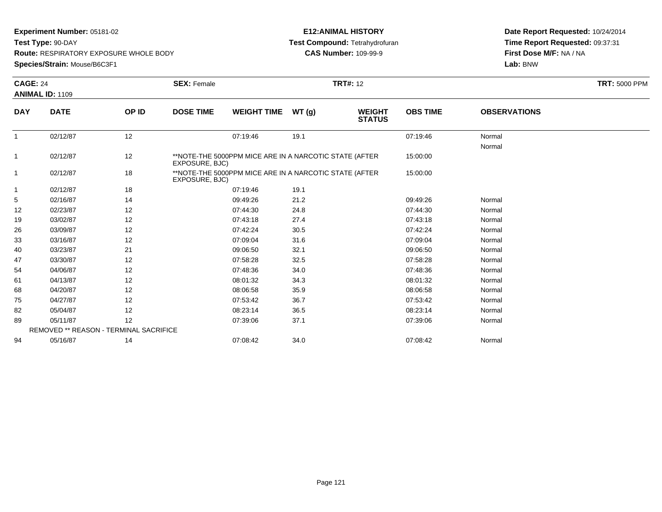**Test Type:** 90-DAY

**Route:** RESPIRATORY EXPOSURE WHOLE BODY

**Species/Strain:** Mouse/B6C3F1

### **E12:ANIMAL HISTORY Test Compound:** Tetrahydrofuran**CAS Number:** 109-99-9

| <b>CAGE: 24</b> |                                        |       | <b>SEX: Female</b> |                                                        | <b>TRT#: 12</b> |                                |                 |                     | <b>TRT: 5000 PPM</b> |
|-----------------|----------------------------------------|-------|--------------------|--------------------------------------------------------|-----------------|--------------------------------|-----------------|---------------------|----------------------|
|                 | <b>ANIMAL ID: 1109</b>                 |       |                    |                                                        |                 |                                |                 |                     |                      |
| <b>DAY</b>      | <b>DATE</b>                            | OP ID | <b>DOSE TIME</b>   | <b>WEIGHT TIME</b>                                     | WT(g)           | <b>WEIGHT</b><br><b>STATUS</b> | <b>OBS TIME</b> | <b>OBSERVATIONS</b> |                      |
| $\mathbf{1}$    | 02/12/87                               | 12    |                    | 07:19:46                                               | 19.1            |                                | 07:19:46        | Normal<br>Normal    |                      |
| $\mathbf{1}$    | 02/12/87                               | 12    | EXPOSURE, BJC)     | **NOTE-THE 5000PPM MICE ARE IN A NARCOTIC STATE (AFTER |                 |                                | 15:00:00        |                     |                      |
| $\overline{1}$  | 02/12/87                               | 18    | EXPOSURE, BJC)     | **NOTE-THE 5000PPM MICE ARE IN A NARCOTIC STATE (AFTER |                 |                                | 15:00:00        |                     |                      |
| $\mathbf{1}$    | 02/12/87                               | 18    |                    | 07:19:46                                               | 19.1            |                                |                 |                     |                      |
| 5               | 02/16/87                               | 14    |                    | 09:49:26                                               | 21.2            |                                | 09:49:26        | Normal              |                      |
| 12              | 02/23/87                               | 12    |                    | 07:44:30                                               | 24.8            |                                | 07:44:30        | Normal              |                      |
| 19              | 03/02/87                               | 12    |                    | 07:43:18                                               | 27.4            |                                | 07:43:18        | Normal              |                      |
| 26              | 03/09/87                               | 12    |                    | 07:42:24                                               | 30.5            |                                | 07:42:24        | Normal              |                      |
| 33              | 03/16/87                               | 12    |                    | 07:09:04                                               | 31.6            |                                | 07:09:04        | Normal              |                      |
| 40              | 03/23/87                               | 21    |                    | 09:06:50                                               | 32.1            |                                | 09:06:50        | Normal              |                      |
| 47              | 03/30/87                               | 12    |                    | 07:58:28                                               | 32.5            |                                | 07:58:28        | Normal              |                      |
| 54              | 04/06/87                               | 12    |                    | 07:48:36                                               | 34.0            |                                | 07:48:36        | Normal              |                      |
| 61              | 04/13/87                               | 12    |                    | 08:01:32                                               | 34.3            |                                | 08:01:32        | Normal              |                      |
| 68              | 04/20/87                               | 12    |                    | 08:06:58                                               | 35.9            |                                | 08:06:58        | Normal              |                      |
| 75              | 04/27/87                               | 12    |                    | 07:53:42                                               | 36.7            |                                | 07:53:42        | Normal              |                      |
| 82              | 05/04/87                               | 12    |                    | 08:23:14                                               | 36.5            |                                | 08:23:14        | Normal              |                      |
| 89              | 05/11/87                               | 12    |                    | 07:39:06                                               | 37.1            |                                | 07:39:06        | Normal              |                      |
|                 | REMOVED ** REASON - TERMINAL SACRIFICE |       |                    |                                                        |                 |                                |                 |                     |                      |
| 94              | 05/16/87                               | 14    |                    | 07:08:42                                               | 34.0            |                                | 07:08:42        | Normal              |                      |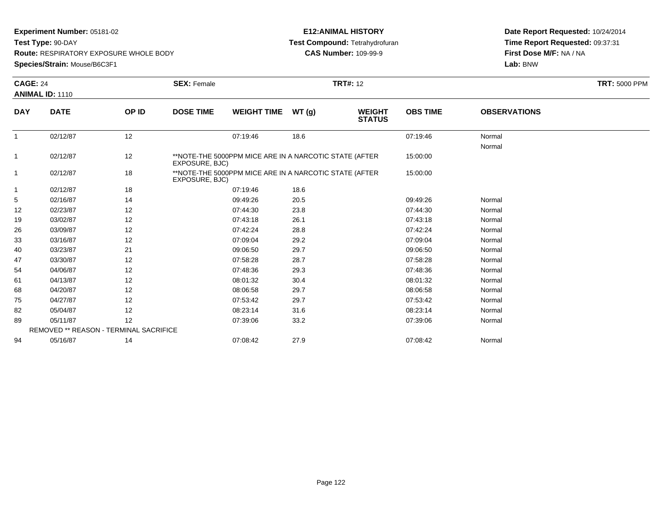**Test Type:** 90-DAY

**Route:** RESPIRATORY EXPOSURE WHOLE BODY

**Species/Strain:** Mouse/B6C3F1

### **E12:ANIMAL HISTORY Test Compound:** Tetrahydrofuran**CAS Number:** 109-99-9

| <b>CAGE: 24</b> |                                        |       | <b>SEX: Female</b>                                                       |                                                        | <b>TRT#: 12</b> |                                |                 |                     | <b>TRT: 5000 PPM</b> |
|-----------------|----------------------------------------|-------|--------------------------------------------------------------------------|--------------------------------------------------------|-----------------|--------------------------------|-----------------|---------------------|----------------------|
|                 | <b>ANIMAL ID: 1110</b>                 |       |                                                                          |                                                        |                 |                                |                 |                     |                      |
| <b>DAY</b>      | <b>DATE</b>                            | OP ID | <b>DOSE TIME</b>                                                         | <b>WEIGHT TIME</b>                                     | WT(g)           | <b>WEIGHT</b><br><b>STATUS</b> | <b>OBS TIME</b> | <b>OBSERVATIONS</b> |                      |
| $\mathbf{1}$    | 02/12/87                               | 12    |                                                                          | 07:19:46                                               | 18.6            |                                | 07:19:46        | Normal<br>Normal    |                      |
| 1               | 02/12/87                               | 12    | EXPOSURE, BJC)                                                           | **NOTE-THE 5000PPM MICE ARE IN A NARCOTIC STATE (AFTER |                 |                                | 15:00:00        |                     |                      |
| $\overline{1}$  | 02/12/87                               | 18    | **NOTE-THE 5000PPM MICE ARE IN A NARCOTIC STATE (AFTER<br>EXPOSURE, BJC) |                                                        |                 |                                | 15:00:00        |                     |                      |
| -1              | 02/12/87                               | 18    |                                                                          | 07:19:46                                               | 18.6            |                                |                 |                     |                      |
| 5               | 02/16/87                               | 14    |                                                                          | 09:49:26                                               | 20.5            |                                | 09:49:26        | Normal              |                      |
| 12              | 02/23/87                               | 12    |                                                                          | 07:44:30                                               | 23.8            |                                | 07:44:30        | Normal              |                      |
| 19              | 03/02/87                               | 12    |                                                                          | 07:43:18                                               | 26.1            |                                | 07:43:18        | Normal              |                      |
| 26              | 03/09/87                               | 12    |                                                                          | 07:42:24                                               | 28.8            |                                | 07:42:24        | Normal              |                      |
| 33              | 03/16/87                               | 12    |                                                                          | 07:09:04                                               | 29.2            |                                | 07:09:04        | Normal              |                      |
| 40              | 03/23/87                               | 21    |                                                                          | 09:06:50                                               | 29.7            |                                | 09:06:50        | Normal              |                      |
| 47              | 03/30/87                               | 12    |                                                                          | 07:58:28                                               | 28.7            |                                | 07:58:28        | Normal              |                      |
| 54              | 04/06/87                               | 12    |                                                                          | 07:48:36                                               | 29.3            |                                | 07:48:36        | Normal              |                      |
| 61              | 04/13/87                               | 12    |                                                                          | 08:01:32                                               | 30.4            |                                | 08:01:32        | Normal              |                      |
| 68              | 04/20/87                               | 12    |                                                                          | 08:06:58                                               | 29.7            |                                | 08:06:58        | Normal              |                      |
| 75              | 04/27/87                               | 12    |                                                                          | 07:53:42                                               | 29.7            |                                | 07:53:42        | Normal              |                      |
| 82              | 05/04/87                               | 12    |                                                                          | 08:23:14                                               | 31.6            |                                | 08:23:14        | Normal              |                      |
| 89              | 05/11/87                               | 12    |                                                                          | 07:39:06                                               | 33.2            |                                | 07:39:06        | Normal              |                      |
|                 | REMOVED ** REASON - TERMINAL SACRIFICE |       |                                                                          |                                                        |                 |                                |                 |                     |                      |
| 94              | 05/16/87                               | 14    |                                                                          | 07:08:42                                               | 27.9            |                                | 07:08:42        | Normal              |                      |